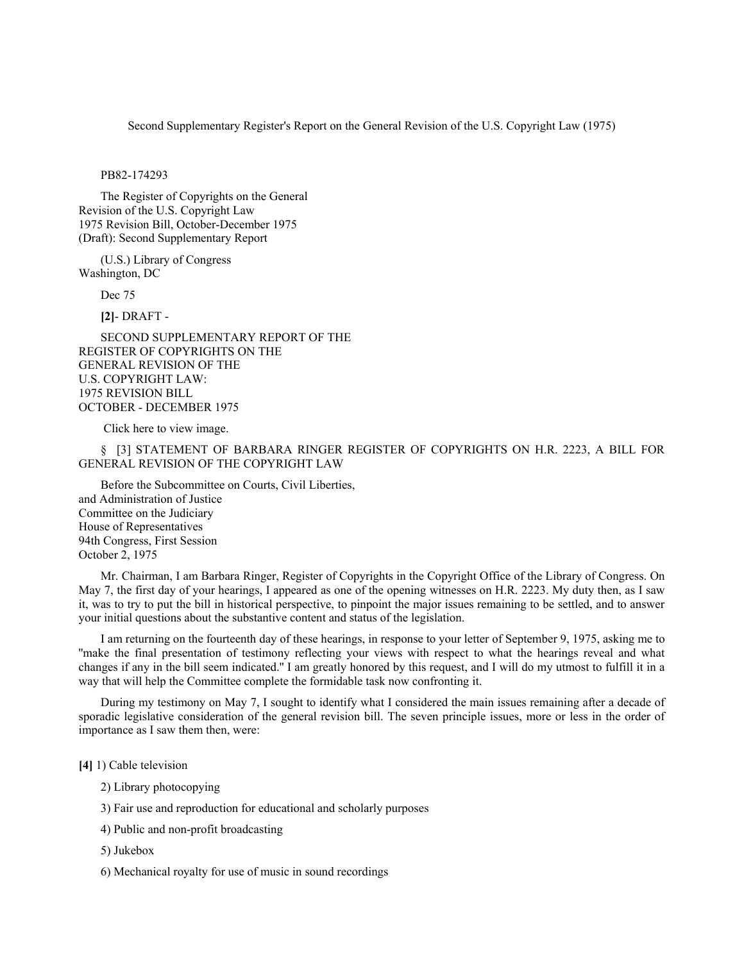Second Supplementary Register's Report on the General Revision of the U.S. Copyright Law (1975)

PB82-174293

The Register of Copyrights on the General Revision of the U.S. Copyright Law 1975 Revision Bill, October-December 1975 (Draft): Second Supplementary Report

(U.S.) Library of Congress Washington, DC

Dec 75

**[2]**- DRAFT -

SECOND SUPPLEMENTARY REPORT OF THE REGISTER OF COPYRIGHTS ON THE GENERAL REVISION OF THE U.S. COPYRIGHT LAW: 1975 REVISION BILL OCTOBER - DECEMBER 1975

Click here to view image.

§ [3] STATEMENT OF BARBARA RINGER REGISTER OF COPYRIGHTS ON H.R. 2223, A BILL FOR GENERAL REVISION OF THE COPYRIGHT LAW

Before the Subcommittee on Courts, Civil Liberties, and Administration of Justice Committee on the Judiciary House of Representatives 94th Congress, First Session October 2, 1975

Mr. Chairman, I am Barbara Ringer, Register of Copyrights in the Copyright Office of the Library of Congress. On May 7, the first day of your hearings, I appeared as one of the opening witnesses on H.R. 2223. My duty then, as I saw it, was to try to put the bill in historical perspective, to pinpoint the major issues remaining to be settled, and to answer your initial questions about the substantive content and status of the legislation.

I am returning on the fourteenth day of these hearings, in response to your letter of September 9, 1975, asking me to ''make the final presentation of testimony reflecting your views with respect to what the hearings reveal and what changes if any in the bill seem indicated.'' I am greatly honored by this request, and I will do my utmost to fulfill it in a way that will help the Committee complete the formidable task now confronting it.

During my testimony on May 7, I sought to identify what I considered the main issues remaining after a decade of sporadic legislative consideration of the general revision bill. The seven principle issues, more or less in the order of importance as I saw them then, were:

**[4]** 1) Cable television

2) Library photocopying

3) Fair use and reproduction for educational and scholarly purposes

4) Public and non-profit broadcasting

5) Jukebox

6) Mechanical royalty for use of music in sound recordings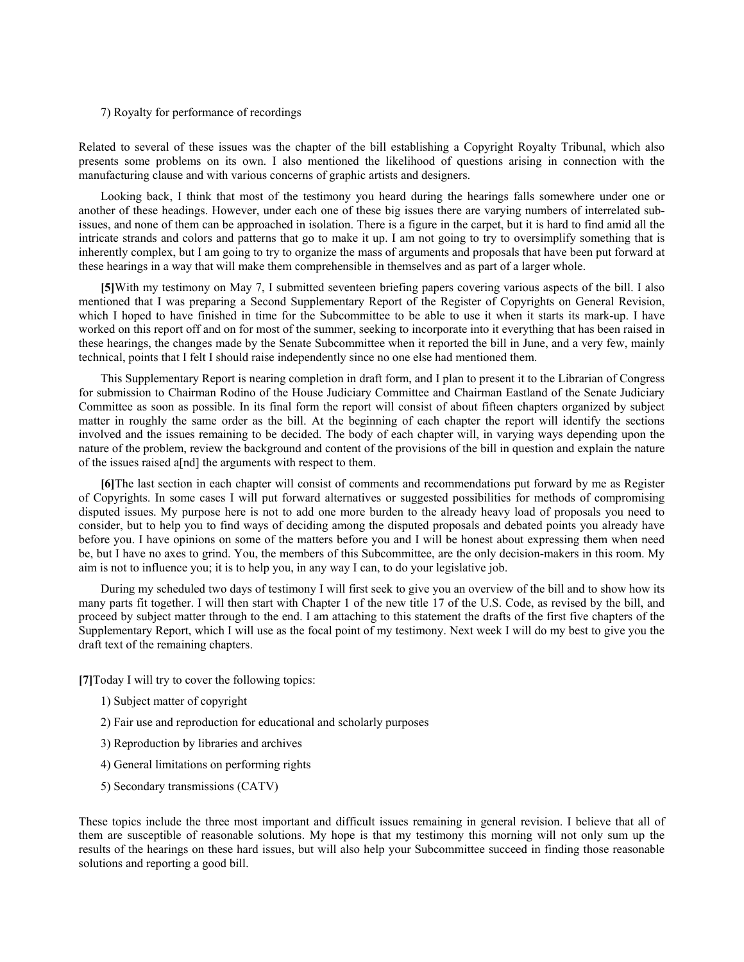## 7) Royalty for performance of recordings

Related to several of these issues was the chapter of the bill establishing a Copyright Royalty Tribunal, which also presents some problems on its own. I also mentioned the likelihood of questions arising in connection with the manufacturing clause and with various concerns of graphic artists and designers.

Looking back, I think that most of the testimony you heard during the hearings falls somewhere under one or another of these headings. However, under each one of these big issues there are varying numbers of interrelated subissues, and none of them can be approached in isolation. There is a figure in the carpet, but it is hard to find amid all the intricate strands and colors and patterns that go to make it up. I am not going to try to oversimplify something that is inherently complex, but I am going to try to organize the mass of arguments and proposals that have been put forward at these hearings in a way that will make them comprehensible in themselves and as part of a larger whole.

**[5]**With my testimony on May 7, I submitted seventeen briefing papers covering various aspects of the bill. I also mentioned that I was preparing a Second Supplementary Report of the Register of Copyrights on General Revision, which I hoped to have finished in time for the Subcommittee to be able to use it when it starts its mark-up. I have worked on this report off and on for most of the summer, seeking to incorporate into it everything that has been raised in these hearings, the changes made by the Senate Subcommittee when it reported the bill in June, and a very few, mainly technical, points that I felt I should raise independently since no one else had mentioned them.

This Supplementary Report is nearing completion in draft form, and I plan to present it to the Librarian of Congress for submission to Chairman Rodino of the House Judiciary Committee and Chairman Eastland of the Senate Judiciary Committee as soon as possible. In its final form the report will consist of about fifteen chapters organized by subject matter in roughly the same order as the bill. At the beginning of each chapter the report will identify the sections involved and the issues remaining to be decided. The body of each chapter will, in varying ways depending upon the nature of the problem, review the background and content of the provisions of the bill in question and explain the nature of the issues raised a[nd] the arguments with respect to them.

**[6]**The last section in each chapter will consist of comments and recommendations put forward by me as Register of Copyrights. In some cases I will put forward alternatives or suggested possibilities for methods of compromising disputed issues. My purpose here is not to add one more burden to the already heavy load of proposals you need to consider, but to help you to find ways of deciding among the disputed proposals and debated points you already have before you. I have opinions on some of the matters before you and I will be honest about expressing them when need be, but I have no axes to grind. You, the members of this Subcommittee, are the only decision-makers in this room. My aim is not to influence you; it is to help you, in any way I can, to do your legislative job.

During my scheduled two days of testimony I will first seek to give you an overview of the bill and to show how its many parts fit together. I will then start with Chapter 1 of the new title 17 of the U.S. Code, as revised by the bill, and proceed by subject matter through to the end. I am attaching to this statement the drafts of the first five chapters of the Supplementary Report, which I will use as the focal point of my testimony. Next week I will do my best to give you the draft text of the remaining chapters.

**[7]**Today I will try to cover the following topics:

- 1) Subject matter of copyright
- 2) Fair use and reproduction for educational and scholarly purposes
- 3) Reproduction by libraries and archives
- 4) General limitations on performing rights
- 5) Secondary transmissions (CATV)

These topics include the three most important and difficult issues remaining in general revision. I believe that all of them are susceptible of reasonable solutions. My hope is that my testimony this morning will not only sum up the results of the hearings on these hard issues, but will also help your Subcommittee succeed in finding those reasonable solutions and reporting a good bill.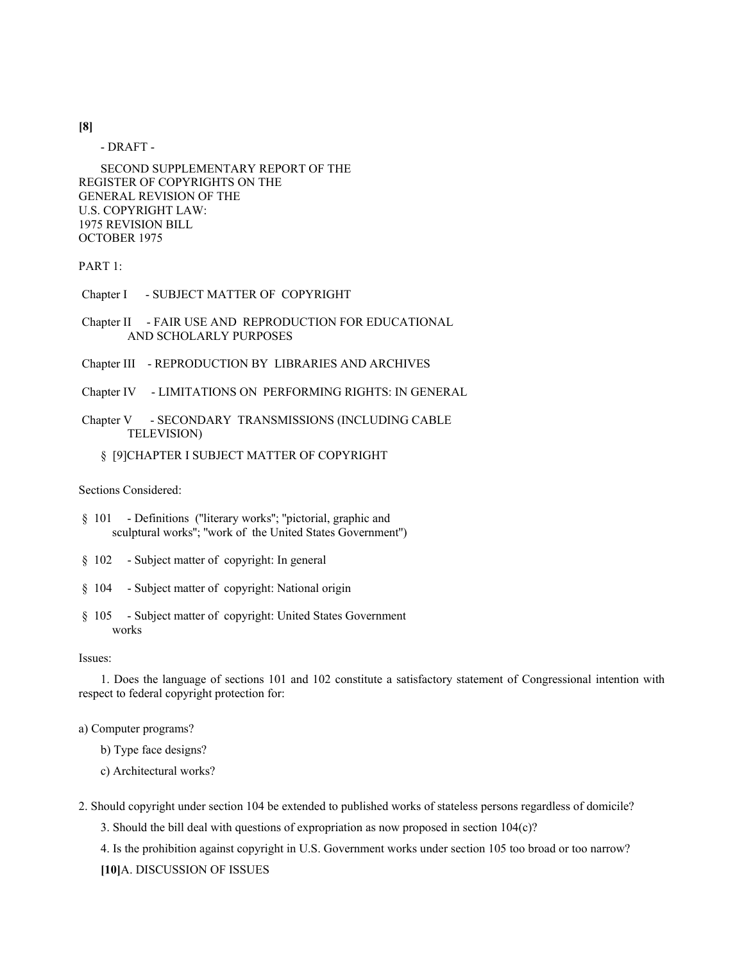**[8]**

- DRAFT -

SECOND SUPPLEMENTARY REPORT OF THE REGISTER OF COPYRIGHTS ON THE GENERAL REVISION OF THE U.S. COPYRIGHT LAW: 1975 REVISION BILL OCTOBER 1975

PART 1:

Chapter I - SUBJECT MATTER OF COPYRIGHT

 Chapter II - FAIR USE AND REPRODUCTION FOR EDUCATIONAL AND SCHOLARLY PURPOSES

- Chapter III REPRODUCTION BY LIBRARIES AND ARCHIVES
- Chapter IV LIMITATIONS ON PERFORMING RIGHTS: IN GENERAL
- Chapter V SECONDARY TRANSMISSIONS (INCLUDING CABLE TELEVISION)
	- § [9]CHAPTER I SUBJECT MATTER OF COPYRIGHT

Sections Considered:

- § 101 Definitions (''literary works''; ''pictorial, graphic and sculptural works''; ''work of the United States Government'')
- § 102 Subject matter of copyright: In general
- § 104 Subject matter of copyright: National origin
- § 105 Subject matter of copyright: United States Government works

## Issues:

1. Does the language of sections 101 and 102 constitute a satisfactory statement of Congressional intention with respect to federal copyright protection for:

a) Computer programs?

b) Type face designs?

c) Architectural works?

2. Should copyright under section 104 be extended to published works of stateless persons regardless of domicile?

3. Should the bill deal with questions of expropriation as now proposed in section 104(c)?

4. Is the prohibition against copyright in U.S. Government works under section 105 too broad or too narrow?

**[10]**A. DISCUSSION OF ISSUES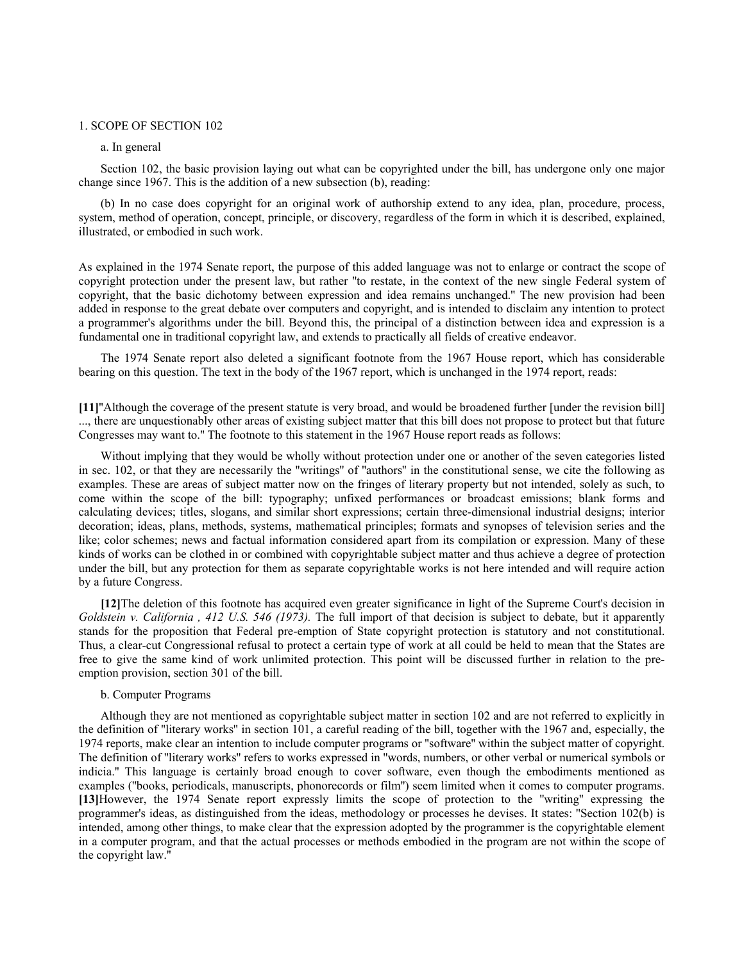## 1. SCOPE OF SECTION 102

# a. In general

Section 102, the basic provision laying out what can be copyrighted under the bill, has undergone only one major change since 1967. This is the addition of a new subsection (b), reading:

(b) In no case does copyright for an original work of authorship extend to any idea, plan, procedure, process, system, method of operation, concept, principle, or discovery, regardless of the form in which it is described, explained, illustrated, or embodied in such work.

As explained in the 1974 Senate report, the purpose of this added language was not to enlarge or contract the scope of copyright protection under the present law, but rather ''to restate, in the context of the new single Federal system of copyright, that the basic dichotomy between expression and idea remains unchanged.'' The new provision had been added in response to the great debate over computers and copyright, and is intended to disclaim any intention to protect a programmer's algorithms under the bill. Beyond this, the principal of a distinction between idea and expression is a fundamental one in traditional copyright law, and extends to practically all fields of creative endeavor.

The 1974 Senate report also deleted a significant footnote from the 1967 House report, which has considerable bearing on this question. The text in the body of the 1967 report, which is unchanged in the 1974 report, reads:

**[11]**''Although the coverage of the present statute is very broad, and would be broadened further [under the revision bill] ..., there are unquestionably other areas of existing subject matter that this bill does not propose to protect but that future Congresses may want to.'' The footnote to this statement in the 1967 House report reads as follows:

Without implying that they would be wholly without protection under one or another of the seven categories listed in sec. 102, or that they are necessarily the ''writings'' of ''authors'' in the constitutional sense, we cite the following as examples. These are areas of subject matter now on the fringes of literary property but not intended, solely as such, to come within the scope of the bill: typography; unfixed performances or broadcast emissions; blank forms and calculating devices; titles, slogans, and similar short expressions; certain three-dimensional industrial designs; interior decoration; ideas, plans, methods, systems, mathematical principles; formats and synopses of television series and the like; color schemes; news and factual information considered apart from its compilation or expression. Many of these kinds of works can be clothed in or combined with copyrightable subject matter and thus achieve a degree of protection under the bill, but any protection for them as separate copyrightable works is not here intended and will require action by a future Congress.

**[12]**The deletion of this footnote has acquired even greater significance in light of the Supreme Court's decision in *Goldstein v. California , 412 U.S. 546 (1973).* The full import of that decision is subject to debate, but it apparently stands for the proposition that Federal pre-emption of State copyright protection is statutory and not constitutional. Thus, a clear-cut Congressional refusal to protect a certain type of work at all could be held to mean that the States are free to give the same kind of work unlimited protection. This point will be discussed further in relation to the preemption provision, section 301 of the bill.

## b. Computer Programs

Although they are not mentioned as copyrightable subject matter in section 102 and are not referred to explicitly in the definition of ''literary works'' in section 101, a careful reading of the bill, together with the 1967 and, especially, the 1974 reports, make clear an intention to include computer programs or ''software'' within the subject matter of copyright. The definition of ''literary works'' refers to works expressed in ''words, numbers, or other verbal or numerical symbols or indicia.'' This language is certainly broad enough to cover software, even though the embodiments mentioned as examples (''books, periodicals, manuscripts, phonorecords or film'') seem limited when it comes to computer programs. **[13]**However, the 1974 Senate report expressly limits the scope of protection to the ''writing'' expressing the programmer's ideas, as distinguished from the ideas, methodology or processes he devises. It states: ''Section 102(b) is intended, among other things, to make clear that the expression adopted by the programmer is the copyrightable element in a computer program, and that the actual processes or methods embodied in the program are not within the scope of the copyright law.''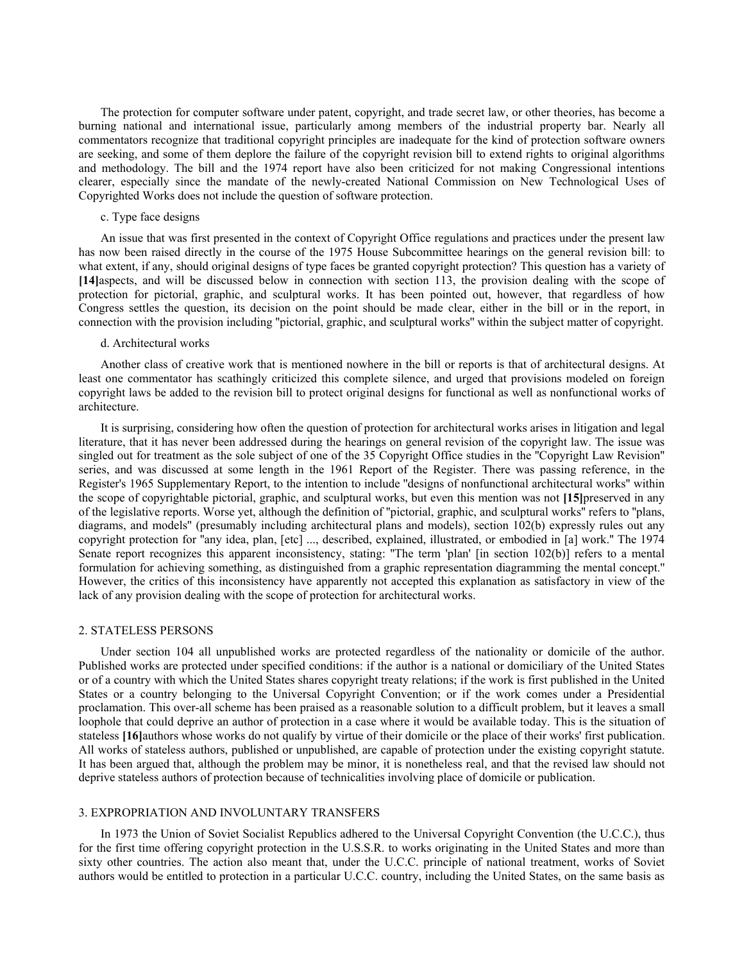The protection for computer software under patent, copyright, and trade secret law, or other theories, has become a burning national and international issue, particularly among members of the industrial property bar. Nearly all commentators recognize that traditional copyright principles are inadequate for the kind of protection software owners are seeking, and some of them deplore the failure of the copyright revision bill to extend rights to original algorithms and methodology. The bill and the 1974 report have also been criticized for not making Congressional intentions clearer, especially since the mandate of the newly-created National Commission on New Technological Uses of Copyrighted Works does not include the question of software protection.

## c. Type face designs

An issue that was first presented in the context of Copyright Office regulations and practices under the present law has now been raised directly in the course of the 1975 House Subcommittee hearings on the general revision bill: to what extent, if any, should original designs of type faces be granted copyright protection? This question has a variety of **[14]**aspects, and will be discussed below in connection with section 113, the provision dealing with the scope of protection for pictorial, graphic, and sculptural works. It has been pointed out, however, that regardless of how Congress settles the question, its decision on the point should be made clear, either in the bill or in the report, in connection with the provision including ''pictorial, graphic, and sculptural works'' within the subject matter of copyright.

## d. Architectural works

Another class of creative work that is mentioned nowhere in the bill or reports is that of architectural designs. At least one commentator has scathingly criticized this complete silence, and urged that provisions modeled on foreign copyright laws be added to the revision bill to protect original designs for functional as well as nonfunctional works of architecture.

It is surprising, considering how often the question of protection for architectural works arises in litigation and legal literature, that it has never been addressed during the hearings on general revision of the copyright law. The issue was singled out for treatment as the sole subject of one of the 35 Copyright Office studies in the ''Copyright Law Revision'' series, and was discussed at some length in the 1961 Report of the Register. There was passing reference, in the Register's 1965 Supplementary Report, to the intention to include ''designs of nonfunctional architectural works'' within the scope of copyrightable pictorial, graphic, and sculptural works, but even this mention was not **[15]**preserved in any of the legislative reports. Worse yet, although the definition of ''pictorial, graphic, and sculptural works'' refers to ''plans, diagrams, and models'' (presumably including architectural plans and models), section 102(b) expressly rules out any copyright protection for ''any idea, plan, [etc] ..., described, explained, illustrated, or embodied in [a] work.'' The 1974 Senate report recognizes this apparent inconsistency, stating: "The term 'plan' [in section 102(b)] refers to a mental formulation for achieving something, as distinguished from a graphic representation diagramming the mental concept.'' However, the critics of this inconsistency have apparently not accepted this explanation as satisfactory in view of the lack of any provision dealing with the scope of protection for architectural works.

## 2. STATELESS PERSONS

Under section 104 all unpublished works are protected regardless of the nationality or domicile of the author. Published works are protected under specified conditions: if the author is a national or domiciliary of the United States or of a country with which the United States shares copyright treaty relations; if the work is first published in the United States or a country belonging to the Universal Copyright Convention; or if the work comes under a Presidential proclamation. This over-all scheme has been praised as a reasonable solution to a difficult problem, but it leaves a small loophole that could deprive an author of protection in a case where it would be available today. This is the situation of stateless **[16]**authors whose works do not qualify by virtue of their domicile or the place of their works' first publication. All works of stateless authors, published or unpublished, are capable of protection under the existing copyright statute. It has been argued that, although the problem may be minor, it is nonetheless real, and that the revised law should not deprive stateless authors of protection because of technicalities involving place of domicile or publication.

## 3. EXPROPRIATION AND INVOLUNTARY TRANSFERS

In 1973 the Union of Soviet Socialist Republics adhered to the Universal Copyright Convention (the U.C.C.), thus for the first time offering copyright protection in the U.S.S.R. to works originating in the United States and more than sixty other countries. The action also meant that, under the U.C.C. principle of national treatment, works of Soviet authors would be entitled to protection in a particular U.C.C. country, including the United States, on the same basis as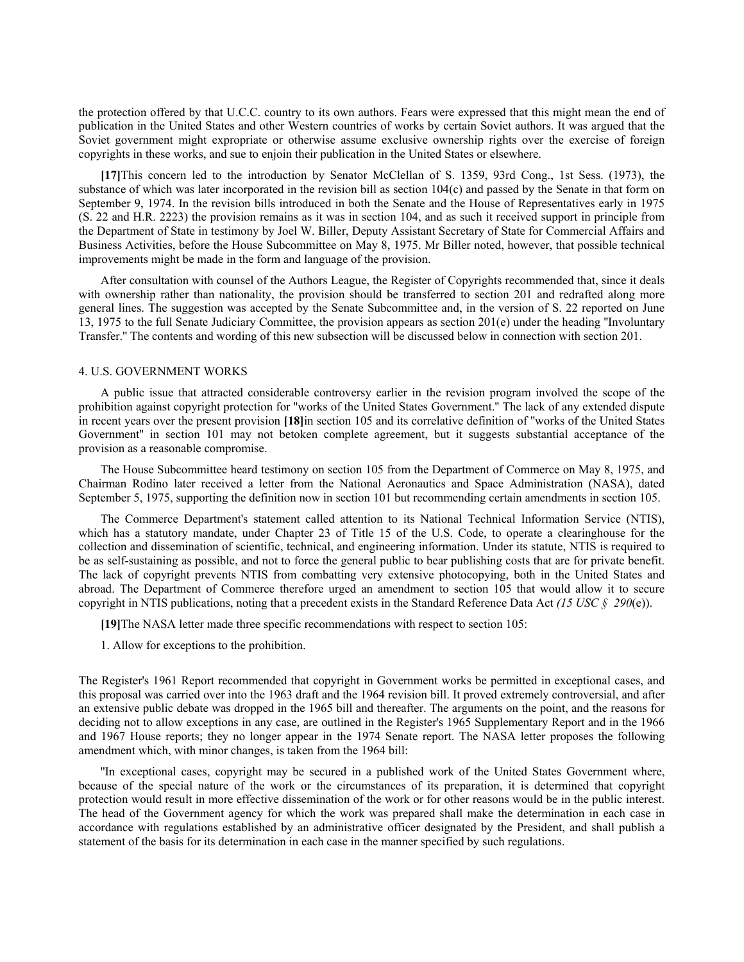the protection offered by that U.C.C. country to its own authors. Fears were expressed that this might mean the end of publication in the United States and other Western countries of works by certain Soviet authors. It was argued that the Soviet government might expropriate or otherwise assume exclusive ownership rights over the exercise of foreign copyrights in these works, and sue to enjoin their publication in the United States or elsewhere.

**[17]**This concern led to the introduction by Senator McClellan of S. 1359, 93rd Cong., 1st Sess. (1973), the substance of which was later incorporated in the revision bill as section 104(c) and passed by the Senate in that form on September 9, 1974. In the revision bills introduced in both the Senate and the House of Representatives early in 1975 (S. 22 and H.R. 2223) the provision remains as it was in section 104, and as such it received support in principle from the Department of State in testimony by Joel W. Biller, Deputy Assistant Secretary of State for Commercial Affairs and Business Activities, before the House Subcommittee on May 8, 1975. Mr Biller noted, however, that possible technical improvements might be made in the form and language of the provision.

After consultation with counsel of the Authors League, the Register of Copyrights recommended that, since it deals with ownership rather than nationality, the provision should be transferred to section 201 and redrafted along more general lines. The suggestion was accepted by the Senate Subcommittee and, in the version of S. 22 reported on June 13, 1975 to the full Senate Judiciary Committee, the provision appears as section 201(e) under the heading ''Involuntary Transfer.'' The contents and wording of this new subsection will be discussed below in connection with section 201.

#### 4. U.S. GOVERNMENT WORKS

A public issue that attracted considerable controversy earlier in the revision program involved the scope of the prohibition against copyright protection for ''works of the United States Government.'' The lack of any extended dispute in recent years over the present provision **[18]**in section 105 and its correlative definition of ''works of the United States Government'' in section 101 may not betoken complete agreement, but it suggests substantial acceptance of the provision as a reasonable compromise.

The House Subcommittee heard testimony on section 105 from the Department of Commerce on May 8, 1975, and Chairman Rodino later received a letter from the National Aeronautics and Space Administration (NASA), dated September 5, 1975, supporting the definition now in section 101 but recommending certain amendments in section 105.

The Commerce Department's statement called attention to its National Technical Information Service (NTIS), which has a statutory mandate, under Chapter 23 of Title 15 of the U.S. Code, to operate a clearinghouse for the collection and dissemination of scientific, technical, and engineering information. Under its statute, NTIS is required to be as self-sustaining as possible, and not to force the general public to bear publishing costs that are for private benefit. The lack of copyright prevents NTIS from combatting very extensive photocopying, both in the United States and abroad. The Department of Commerce therefore urged an amendment to section 105 that would allow it to secure copyright in NTIS publications, noting that a precedent exists in the Standard Reference Data Act *(15 USC § 290*(e)).

**[19]**The NASA letter made three specific recommendations with respect to section 105:

1. Allow for exceptions to the prohibition.

The Register's 1961 Report recommended that copyright in Government works be permitted in exceptional cases, and this proposal was carried over into the 1963 draft and the 1964 revision bill. It proved extremely controversial, and after an extensive public debate was dropped in the 1965 bill and thereafter. The arguments on the point, and the reasons for deciding not to allow exceptions in any case, are outlined in the Register's 1965 Supplementary Report and in the 1966 and 1967 House reports; they no longer appear in the 1974 Senate report. The NASA letter proposes the following amendment which, with minor changes, is taken from the 1964 bill:

''In exceptional cases, copyright may be secured in a published work of the United States Government where, because of the special nature of the work or the circumstances of its preparation, it is determined that copyright protection would result in more effective dissemination of the work or for other reasons would be in the public interest. The head of the Government agency for which the work was prepared shall make the determination in each case in accordance with regulations established by an administrative officer designated by the President, and shall publish a statement of the basis for its determination in each case in the manner specified by such regulations.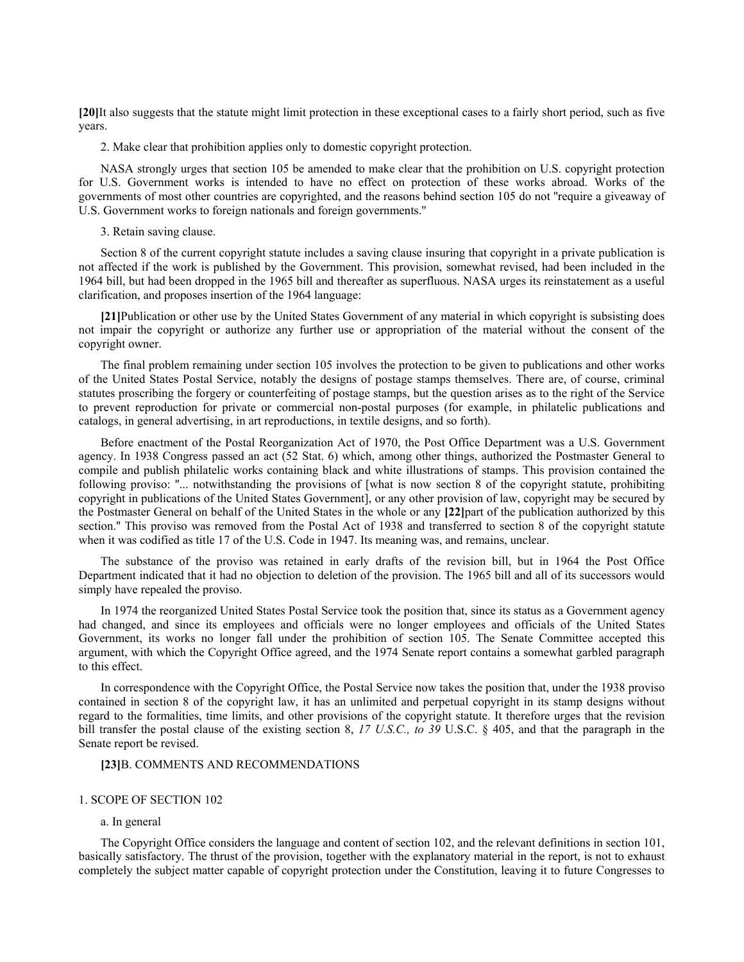**[20]**It also suggests that the statute might limit protection in these exceptional cases to a fairly short period, such as five years.

2. Make clear that prohibition applies only to domestic copyright protection.

NASA strongly urges that section 105 be amended to make clear that the prohibition on U.S. copyright protection for U.S. Government works is intended to have no effect on protection of these works abroad. Works of the governments of most other countries are copyrighted, and the reasons behind section 105 do not ''require a giveaway of U.S. Government works to foreign nationals and foreign governments.''

3. Retain saving clause.

Section 8 of the current copyright statute includes a saving clause insuring that copyright in a private publication is not affected if the work is published by the Government. This provision, somewhat revised, had been included in the 1964 bill, but had been dropped in the 1965 bill and thereafter as superfluous. NASA urges its reinstatement as a useful clarification, and proposes insertion of the 1964 language:

**[21]**Publication or other use by the United States Government of any material in which copyright is subsisting does not impair the copyright or authorize any further use or appropriation of the material without the consent of the copyright owner.

The final problem remaining under section 105 involves the protection to be given to publications and other works of the United States Postal Service, notably the designs of postage stamps themselves. There are, of course, criminal statutes proscribing the forgery or counterfeiting of postage stamps, but the question arises as to the right of the Service to prevent reproduction for private or commercial non-postal purposes (for example, in philatelic publications and catalogs, in general advertising, in art reproductions, in textile designs, and so forth).

Before enactment of the Postal Reorganization Act of 1970, the Post Office Department was a U.S. Government agency. In 1938 Congress passed an act (52 Stat. 6) which, among other things, authorized the Postmaster General to compile and publish philatelic works containing black and white illustrations of stamps. This provision contained the following proviso: ''... notwithstanding the provisions of [what is now section 8 of the copyright statute, prohibiting copyright in publications of the United States Government], or any other provision of law, copyright may be secured by the Postmaster General on behalf of the United States in the whole or any **[22]**part of the publication authorized by this section.'' This proviso was removed from the Postal Act of 1938 and transferred to section 8 of the copyright statute when it was codified as title 17 of the U.S. Code in 1947. Its meaning was, and remains, unclear.

The substance of the proviso was retained in early drafts of the revision bill, but in 1964 the Post Office Department indicated that it had no objection to deletion of the provision. The 1965 bill and all of its successors would simply have repealed the proviso.

In 1974 the reorganized United States Postal Service took the position that, since its status as a Government agency had changed, and since its employees and officials were no longer employees and officials of the United States Government, its works no longer fall under the prohibition of section 105. The Senate Committee accepted this argument, with which the Copyright Office agreed, and the 1974 Senate report contains a somewhat garbled paragraph to this effect.

In correspondence with the Copyright Office, the Postal Service now takes the position that, under the 1938 proviso contained in section 8 of the copyright law, it has an unlimited and perpetual copyright in its stamp designs without regard to the formalities, time limits, and other provisions of the copyright statute. It therefore urges that the revision bill transfer the postal clause of the existing section 8, *17 U.S.C., to 39* U.S.C. § 405, and that the paragraph in the Senate report be revised.

## **[23]**B. COMMENTS AND RECOMMENDATIONS

## 1. SCOPE OF SECTION 102

a. In general

The Copyright Office considers the language and content of section 102, and the relevant definitions in section 101, basically satisfactory. The thrust of the provision, together with the explanatory material in the report, is not to exhaust completely the subject matter capable of copyright protection under the Constitution, leaving it to future Congresses to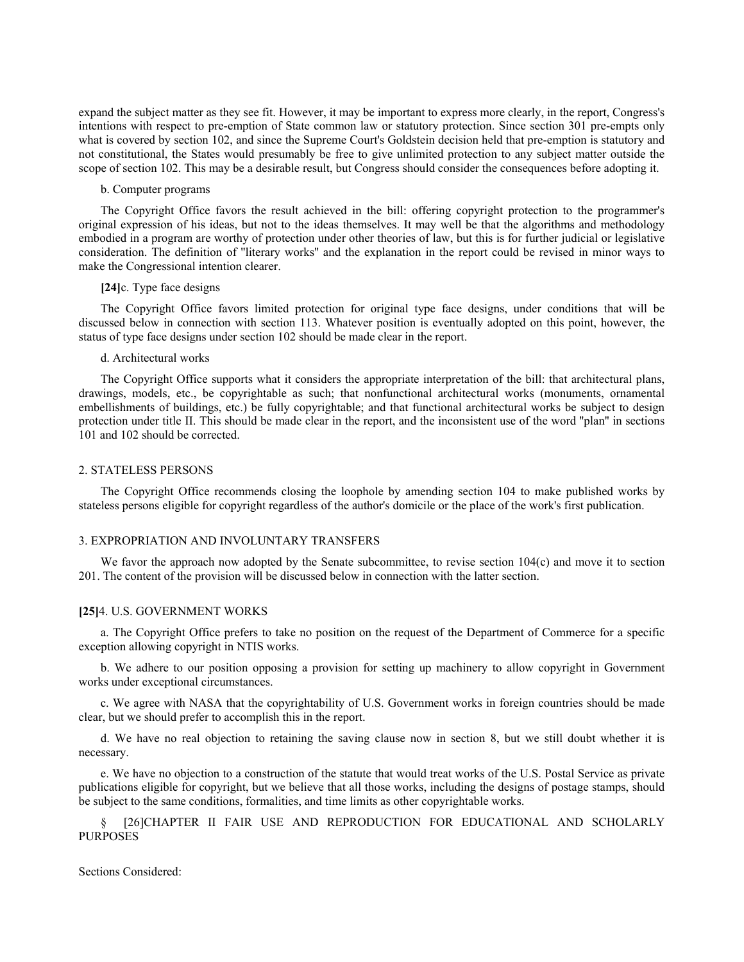expand the subject matter as they see fit. However, it may be important to express more clearly, in the report, Congress's intentions with respect to pre-emption of State common law or statutory protection. Since section 301 pre-empts only what is covered by section 102, and since the Supreme Court's Goldstein decision held that pre-emption is statutory and not constitutional, the States would presumably be free to give unlimited protection to any subject matter outside the scope of section 102. This may be a desirable result, but Congress should consider the consequences before adopting it.

## b. Computer programs

The Copyright Office favors the result achieved in the bill: offering copyright protection to the programmer's original expression of his ideas, but not to the ideas themselves. It may well be that the algorithms and methodology embodied in a program are worthy of protection under other theories of law, but this is for further judicial or legislative consideration. The definition of ''literary works'' and the explanation in the report could be revised in minor ways to make the Congressional intention clearer.

## **[24]**c. Type face designs

The Copyright Office favors limited protection for original type face designs, under conditions that will be discussed below in connection with section 113. Whatever position is eventually adopted on this point, however, the status of type face designs under section 102 should be made clear in the report.

## d. Architectural works

The Copyright Office supports what it considers the appropriate interpretation of the bill: that architectural plans, drawings, models, etc., be copyrightable as such; that nonfunctional architectural works (monuments, ornamental embellishments of buildings, etc.) be fully copyrightable; and that functional architectural works be subject to design protection under title II. This should be made clear in the report, and the inconsistent use of the word ''plan'' in sections 101 and 102 should be corrected.

#### 2. STATELESS PERSONS

The Copyright Office recommends closing the loophole by amending section 104 to make published works by stateless persons eligible for copyright regardless of the author's domicile or the place of the work's first publication.

## 3. EXPROPRIATION AND INVOLUNTARY TRANSFERS

We favor the approach now adopted by the Senate subcommittee, to revise section 104(c) and move it to section 201. The content of the provision will be discussed below in connection with the latter section.

#### **[25]**4. U.S. GOVERNMENT WORKS

a. The Copyright Office prefers to take no position on the request of the Department of Commerce for a specific exception allowing copyright in NTIS works.

b. We adhere to our position opposing a provision for setting up machinery to allow copyright in Government works under exceptional circumstances.

c. We agree with NASA that the copyrightability of U.S. Government works in foreign countries should be made clear, but we should prefer to accomplish this in the report.

d. We have no real objection to retaining the saving clause now in section 8, but we still doubt whether it is necessary.

e. We have no objection to a construction of the statute that would treat works of the U.S. Postal Service as private publications eligible for copyright, but we believe that all those works, including the designs of postage stamps, should be subject to the same conditions, formalities, and time limits as other copyrightable works.

§ [26]CHAPTER II FAIR USE AND REPRODUCTION FOR EDUCATIONAL AND SCHOLARLY PURPOSES

Sections Considered: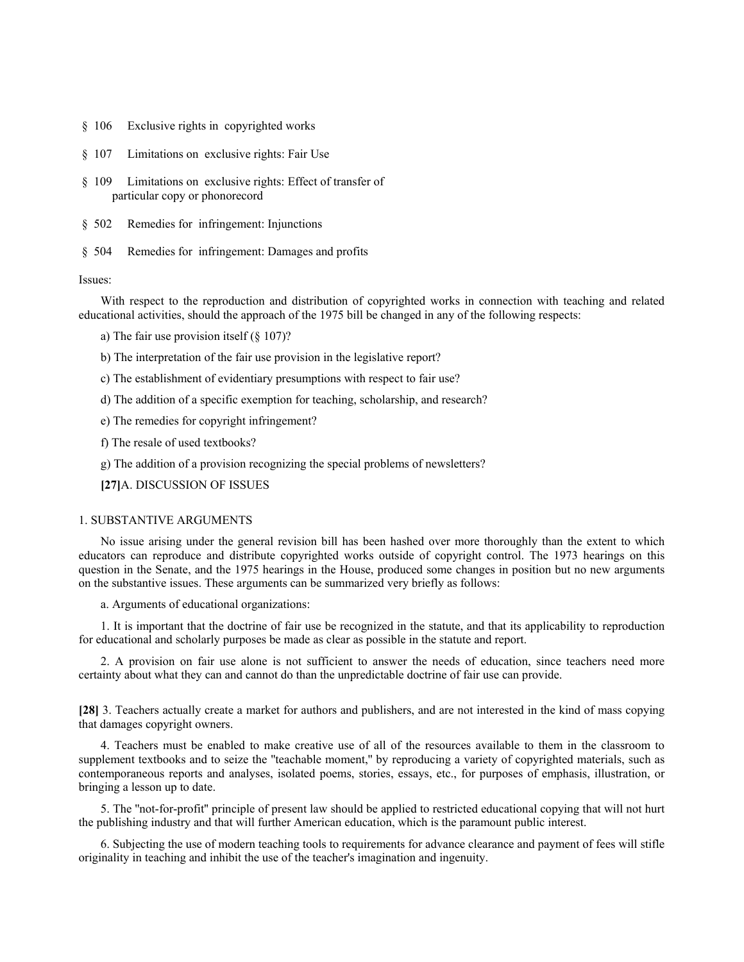- § 106 Exclusive rights in copyrighted works
- § 107 Limitations on exclusive rights: Fair Use
- § 109 Limitations on exclusive rights: Effect of transfer of particular copy or phonorecord
- § 502 Remedies for infringement: Injunctions

§ 504 Remedies for infringement: Damages and profits

## Issues:

With respect to the reproduction and distribution of copyrighted works in connection with teaching and related educational activities, should the approach of the 1975 bill be changed in any of the following respects:

- a) The fair use provision itself (§ 107)?
- b) The interpretation of the fair use provision in the legislative report?
- c) The establishment of evidentiary presumptions with respect to fair use?
- d) The addition of a specific exemption for teaching, scholarship, and research?
- e) The remedies for copyright infringement?
- f) The resale of used textbooks?
- g) The addition of a provision recognizing the special problems of newsletters?

**[27]**A. DISCUSSION OF ISSUES

## 1. SUBSTANTIVE ARGUMENTS

No issue arising under the general revision bill has been hashed over more thoroughly than the extent to which educators can reproduce and distribute copyrighted works outside of copyright control. The 1973 hearings on this question in the Senate, and the 1975 hearings in the House, produced some changes in position but no new arguments on the substantive issues. These arguments can be summarized very briefly as follows:

a. Arguments of educational organizations:

1. It is important that the doctrine of fair use be recognized in the statute, and that its applicability to reproduction for educational and scholarly purposes be made as clear as possible in the statute and report.

2. A provision on fair use alone is not sufficient to answer the needs of education, since teachers need more certainty about what they can and cannot do than the unpredictable doctrine of fair use can provide.

**[28]** 3. Teachers actually create a market for authors and publishers, and are not interested in the kind of mass copying that damages copyright owners.

4. Teachers must be enabled to make creative use of all of the resources available to them in the classroom to supplement textbooks and to seize the ''teachable moment,'' by reproducing a variety of copyrighted materials, such as contemporaneous reports and analyses, isolated poems, stories, essays, etc., for purposes of emphasis, illustration, or bringing a lesson up to date.

5. The ''not-for-profit'' principle of present law should be applied to restricted educational copying that will not hurt the publishing industry and that will further American education, which is the paramount public interest.

6. Subjecting the use of modern teaching tools to requirements for advance clearance and payment of fees will stifle originality in teaching and inhibit the use of the teacher's imagination and ingenuity.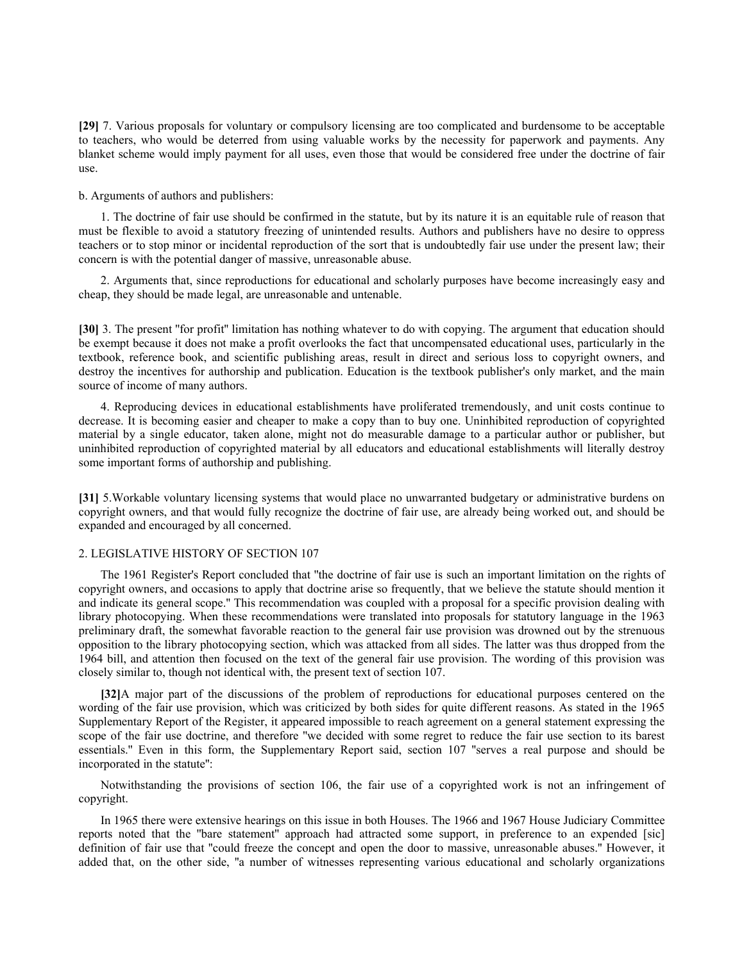**[29]** 7. Various proposals for voluntary or compulsory licensing are too complicated and burdensome to be acceptable to teachers, who would be deterred from using valuable works by the necessity for paperwork and payments. Any blanket scheme would imply payment for all uses, even those that would be considered free under the doctrine of fair use.

b. Arguments of authors and publishers:

1. The doctrine of fair use should be confirmed in the statute, but by its nature it is an equitable rule of reason that must be flexible to avoid a statutory freezing of unintended results. Authors and publishers have no desire to oppress teachers or to stop minor or incidental reproduction of the sort that is undoubtedly fair use under the present law; their concern is with the potential danger of massive, unreasonable abuse.

2. Arguments that, since reproductions for educational and scholarly purposes have become increasingly easy and cheap, they should be made legal, are unreasonable and untenable.

**[30]** 3. The present ''for profit'' limitation has nothing whatever to do with copying. The argument that education should be exempt because it does not make a profit overlooks the fact that uncompensated educational uses, particularly in the textbook, reference book, and scientific publishing areas, result in direct and serious loss to copyright owners, and destroy the incentives for authorship and publication. Education is the textbook publisher's only market, and the main source of income of many authors.

4. Reproducing devices in educational establishments have proliferated tremendously, and unit costs continue to decrease. It is becoming easier and cheaper to make a copy than to buy one. Uninhibited reproduction of copyrighted material by a single educator, taken alone, might not do measurable damage to a particular author or publisher, but uninhibited reproduction of copyrighted material by all educators and educational establishments will literally destroy some important forms of authorship and publishing.

**[31]** 5.Workable voluntary licensing systems that would place no unwarranted budgetary or administrative burdens on copyright owners, and that would fully recognize the doctrine of fair use, are already being worked out, and should be expanded and encouraged by all concerned.

## 2. LEGISLATIVE HISTORY OF SECTION 107

The 1961 Register's Report concluded that ''the doctrine of fair use is such an important limitation on the rights of copyright owners, and occasions to apply that doctrine arise so frequently, that we believe the statute should mention it and indicate its general scope.'' This recommendation was coupled with a proposal for a specific provision dealing with library photocopying. When these recommendations were translated into proposals for statutory language in the 1963 preliminary draft, the somewhat favorable reaction to the general fair use provision was drowned out by the strenuous opposition to the library photocopying section, which was attacked from all sides. The latter was thus dropped from the 1964 bill, and attention then focused on the text of the general fair use provision. The wording of this provision was closely similar to, though not identical with, the present text of section 107.

**[32]**A major part of the discussions of the problem of reproductions for educational purposes centered on the wording of the fair use provision, which was criticized by both sides for quite different reasons. As stated in the 1965 Supplementary Report of the Register, it appeared impossible to reach agreement on a general statement expressing the scope of the fair use doctrine, and therefore ''we decided with some regret to reduce the fair use section to its barest essentials.'' Even in this form, the Supplementary Report said, section 107 ''serves a real purpose and should be incorporated in the statute'':

Notwithstanding the provisions of section 106, the fair use of a copyrighted work is not an infringement of copyright.

In 1965 there were extensive hearings on this issue in both Houses. The 1966 and 1967 House Judiciary Committee reports noted that the ''bare statement'' approach had attracted some support, in preference to an expended [sic] definition of fair use that ''could freeze the concept and open the door to massive, unreasonable abuses.'' However, it added that, on the other side, ''a number of witnesses representing various educational and scholarly organizations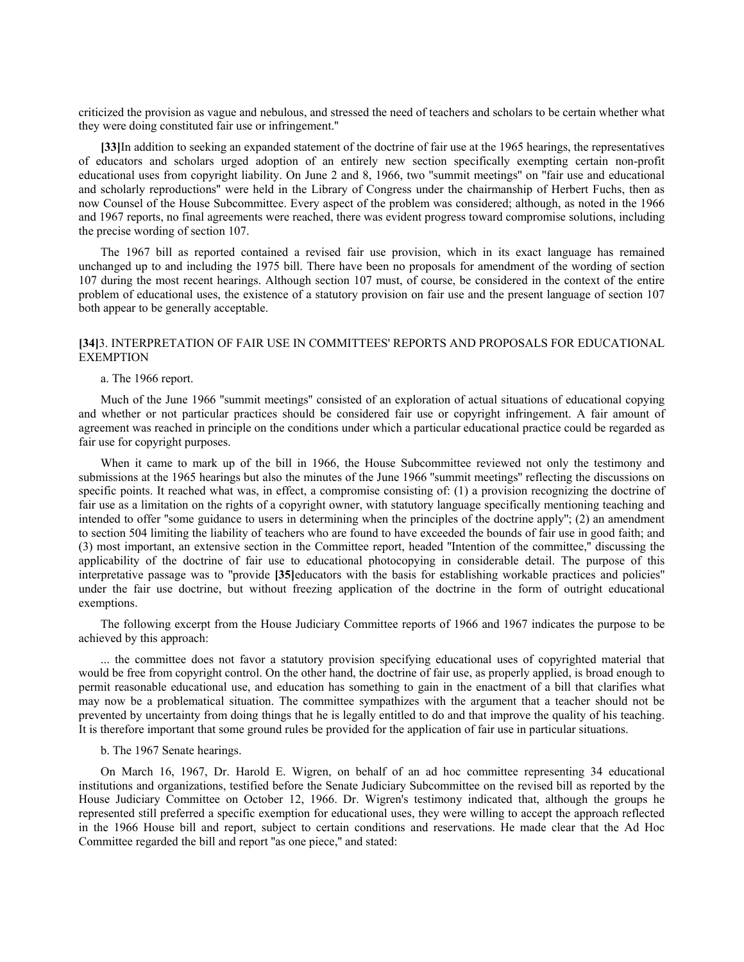criticized the provision as vague and nebulous, and stressed the need of teachers and scholars to be certain whether what they were doing constituted fair use or infringement.''

**[33]**In addition to seeking an expanded statement of the doctrine of fair use at the 1965 hearings, the representatives of educators and scholars urged adoption of an entirely new section specifically exempting certain non-profit educational uses from copyright liability. On June 2 and 8, 1966, two ''summit meetings'' on ''fair use and educational and scholarly reproductions'' were held in the Library of Congress under the chairmanship of Herbert Fuchs, then as now Counsel of the House Subcommittee. Every aspect of the problem was considered; although, as noted in the 1966 and 1967 reports, no final agreements were reached, there was evident progress toward compromise solutions, including the precise wording of section 107.

The 1967 bill as reported contained a revised fair use provision, which in its exact language has remained unchanged up to and including the 1975 bill. There have been no proposals for amendment of the wording of section 107 during the most recent hearings. Although section 107 must, of course, be considered in the context of the entire problem of educational uses, the existence of a statutory provision on fair use and the present language of section 107 both appear to be generally acceptable.

## **[34]**3. INTERPRETATION OF FAIR USE IN COMMITTEES' REPORTS AND PROPOSALS FOR EDUCATIONAL EXEMPTION

#### a. The 1966 report.

Much of the June 1966 ''summit meetings'' consisted of an exploration of actual situations of educational copying and whether or not particular practices should be considered fair use or copyright infringement. A fair amount of agreement was reached in principle on the conditions under which a particular educational practice could be regarded as fair use for copyright purposes.

When it came to mark up of the bill in 1966, the House Subcommittee reviewed not only the testimony and submissions at the 1965 hearings but also the minutes of the June 1966 "summit meetings" reflecting the discussions on specific points. It reached what was, in effect, a compromise consisting of: (1) a provision recognizing the doctrine of fair use as a limitation on the rights of a copyright owner, with statutory language specifically mentioning teaching and intended to offer ''some guidance to users in determining when the principles of the doctrine apply''; (2) an amendment to section 504 limiting the liability of teachers who are found to have exceeded the bounds of fair use in good faith; and (3) most important, an extensive section in the Committee report, headed ''Intention of the committee,'' discussing the applicability of the doctrine of fair use to educational photocopying in considerable detail. The purpose of this interpretative passage was to ''provide **[35]**educators with the basis for establishing workable practices and policies'' under the fair use doctrine, but without freezing application of the doctrine in the form of outright educational exemptions.

The following excerpt from the House Judiciary Committee reports of 1966 and 1967 indicates the purpose to be achieved by this approach:

... the committee does not favor a statutory provision specifying educational uses of copyrighted material that would be free from copyright control. On the other hand, the doctrine of fair use, as properly applied, is broad enough to permit reasonable educational use, and education has something to gain in the enactment of a bill that clarifies what may now be a problematical situation. The committee sympathizes with the argument that a teacher should not be prevented by uncertainty from doing things that he is legally entitled to do and that improve the quality of his teaching. It is therefore important that some ground rules be provided for the application of fair use in particular situations.

#### b. The 1967 Senate hearings.

On March 16, 1967, Dr. Harold E. Wigren, on behalf of an ad hoc committee representing 34 educational institutions and organizations, testified before the Senate Judiciary Subcommittee on the revised bill as reported by the House Judiciary Committee on October 12, 1966. Dr. Wigren's testimony indicated that, although the groups he represented still preferred a specific exemption for educational uses, they were willing to accept the approach reflected in the 1966 House bill and report, subject to certain conditions and reservations. He made clear that the Ad Hoc Committee regarded the bill and report ''as one piece,'' and stated: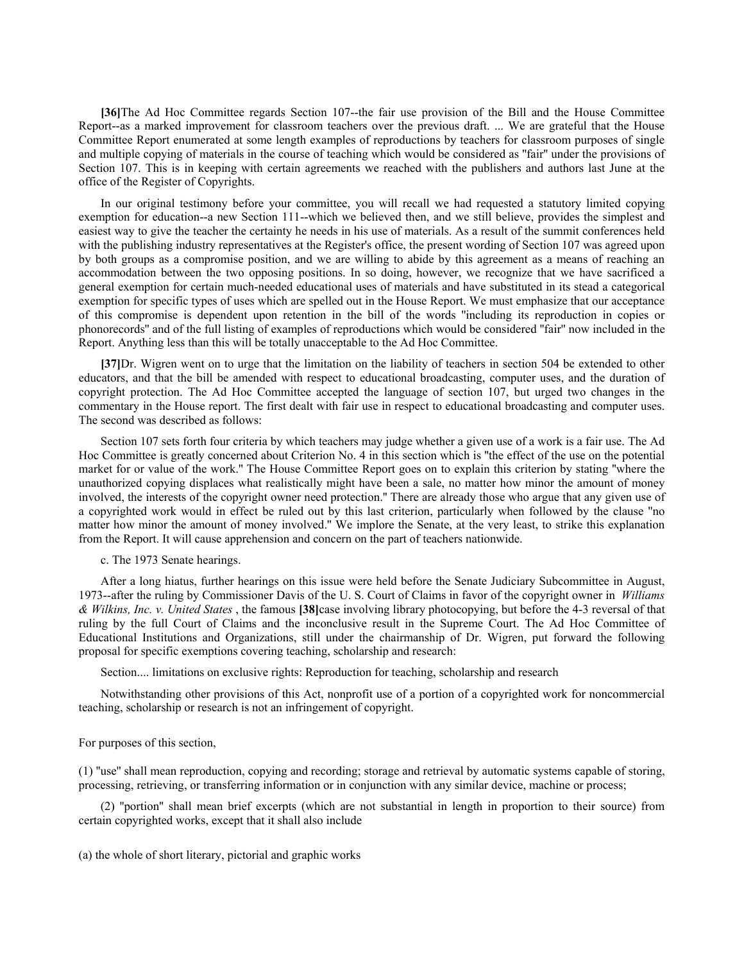**[36]**The Ad Hoc Committee regards Section 107--the fair use provision of the Bill and the House Committee Report--as a marked improvement for classroom teachers over the previous draft. ... We are grateful that the House Committee Report enumerated at some length examples of reproductions by teachers for classroom purposes of single and multiple copying of materials in the course of teaching which would be considered as ''fair'' under the provisions of Section 107. This is in keeping with certain agreements we reached with the publishers and authors last June at the office of the Register of Copyrights.

In our original testimony before your committee, you will recall we had requested a statutory limited copying exemption for education--a new Section 111--which we believed then, and we still believe, provides the simplest and easiest way to give the teacher the certainty he needs in his use of materials. As a result of the summit conferences held with the publishing industry representatives at the Register's office, the present wording of Section 107 was agreed upon by both groups as a compromise position, and we are willing to abide by this agreement as a means of reaching an accommodation between the two opposing positions. In so doing, however, we recognize that we have sacrificed a general exemption for certain much-needed educational uses of materials and have substituted in its stead a categorical exemption for specific types of uses which are spelled out in the House Report. We must emphasize that our acceptance of this compromise is dependent upon retention in the bill of the words ''including its reproduction in copies or phonorecords'' and of the full listing of examples of reproductions which would be considered ''fair'' now included in the Report. Anything less than this will be totally unacceptable to the Ad Hoc Committee.

**[37]**Dr. Wigren went on to urge that the limitation on the liability of teachers in section 504 be extended to other educators, and that the bill be amended with respect to educational broadcasting, computer uses, and the duration of copyright protection. The Ad Hoc Committee accepted the language of section 107, but urged two changes in the commentary in the House report. The first dealt with fair use in respect to educational broadcasting and computer uses. The second was described as follows:

Section 107 sets forth four criteria by which teachers may judge whether a given use of a work is a fair use. The Ad Hoc Committee is greatly concerned about Criterion No. 4 in this section which is ''the effect of the use on the potential market for or value of the work.'' The House Committee Report goes on to explain this criterion by stating ''where the unauthorized copying displaces what realistically might have been a sale, no matter how minor the amount of money involved, the interests of the copyright owner need protection.'' There are already those who argue that any given use of a copyrighted work would in effect be ruled out by this last criterion, particularly when followed by the clause ''no matter how minor the amount of money involved.'' We implore the Senate, at the very least, to strike this explanation from the Report. It will cause apprehension and concern on the part of teachers nationwide.

c. The 1973 Senate hearings.

After a long hiatus, further hearings on this issue were held before the Senate Judiciary Subcommittee in August, 1973--after the ruling by Commissioner Davis of the U. S. Court of Claims in favor of the copyright owner in *Williams & Wilkins, Inc. v. United States* , the famous **[38]**case involving library photocopying, but before the 4-3 reversal of that ruling by the full Court of Claims and the inconclusive result in the Supreme Court. The Ad Hoc Committee of Educational Institutions and Organizations, still under the chairmanship of Dr. Wigren, put forward the following proposal for specific exemptions covering teaching, scholarship and research:

Section.... limitations on exclusive rights: Reproduction for teaching, scholarship and research

Notwithstanding other provisions of this Act, nonprofit use of a portion of a copyrighted work for noncommercial teaching, scholarship or research is not an infringement of copyright.

## For purposes of this section,

(1) ''use'' shall mean reproduction, copying and recording; storage and retrieval by automatic systems capable of storing, processing, retrieving, or transferring information or in conjunction with any similar device, machine or process;

(2) ''portion'' shall mean brief excerpts (which are not substantial in length in proportion to their source) from certain copyrighted works, except that it shall also include

(a) the whole of short literary, pictorial and graphic works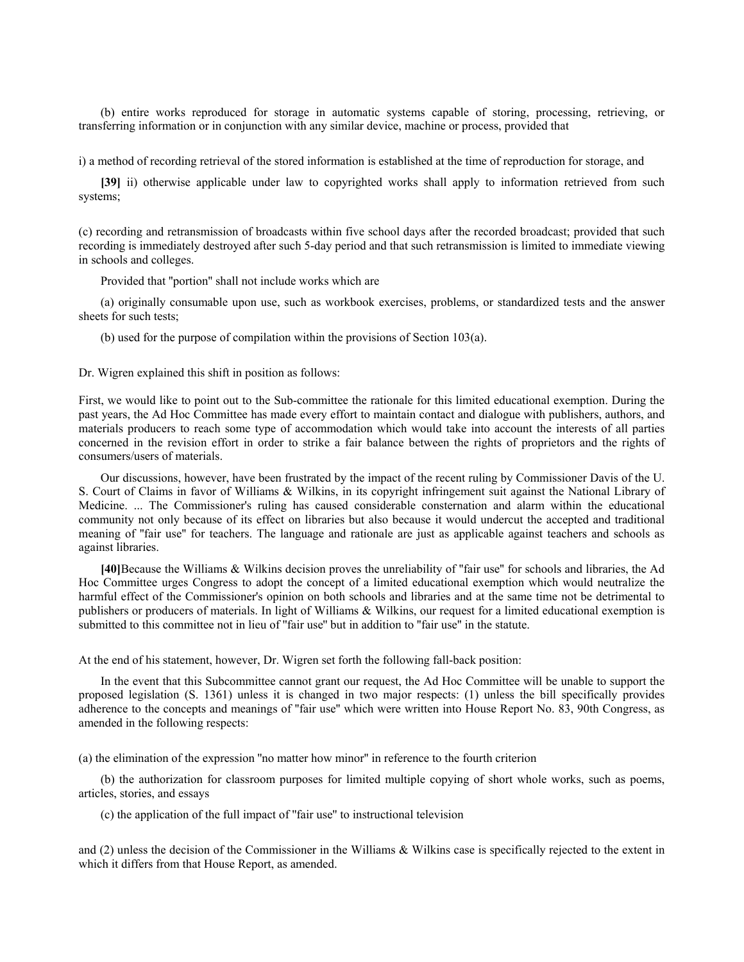(b) entire works reproduced for storage in automatic systems capable of storing, processing, retrieving, or transferring information or in conjunction with any similar device, machine or process, provided that

i) a method of recording retrieval of the stored information is established at the time of reproduction for storage, and

**[39]** ii) otherwise applicable under law to copyrighted works shall apply to information retrieved from such systems;

(c) recording and retransmission of broadcasts within five school days after the recorded broadcast; provided that such recording is immediately destroyed after such 5-day period and that such retransmission is limited to immediate viewing in schools and colleges.

Provided that ''portion'' shall not include works which are

(a) originally consumable upon use, such as workbook exercises, problems, or standardized tests and the answer sheets for such tests;

(b) used for the purpose of compilation within the provisions of Section 103(a).

Dr. Wigren explained this shift in position as follows:

First, we would like to point out to the Sub-committee the rationale for this limited educational exemption. During the past years, the Ad Hoc Committee has made every effort to maintain contact and dialogue with publishers, authors, and materials producers to reach some type of accommodation which would take into account the interests of all parties concerned in the revision effort in order to strike a fair balance between the rights of proprietors and the rights of consumers/users of materials.

Our discussions, however, have been frustrated by the impact of the recent ruling by Commissioner Davis of the U. S. Court of Claims in favor of Williams & Wilkins, in its copyright infringement suit against the National Library of Medicine. ... The Commissioner's ruling has caused considerable consternation and alarm within the educational community not only because of its effect on libraries but also because it would undercut the accepted and traditional meaning of ''fair use'' for teachers. The language and rationale are just as applicable against teachers and schools as against libraries.

**[40]**Because the Williams & Wilkins decision proves the unreliability of ''fair use'' for schools and libraries, the Ad Hoc Committee urges Congress to adopt the concept of a limited educational exemption which would neutralize the harmful effect of the Commissioner's opinion on both schools and libraries and at the same time not be detrimental to publishers or producers of materials. In light of Williams & Wilkins, our request for a limited educational exemption is submitted to this committee not in lieu of "fair use" but in addition to "fair use" in the statute.

At the end of his statement, however, Dr. Wigren set forth the following fall-back position:

In the event that this Subcommittee cannot grant our request, the Ad Hoc Committee will be unable to support the proposed legislation (S. 1361) unless it is changed in two major respects: (1) unless the bill specifically provides adherence to the concepts and meanings of ''fair use'' which were written into House Report No. 83, 90th Congress, as amended in the following respects:

(a) the elimination of the expression ''no matter how minor'' in reference to the fourth criterion

(b) the authorization for classroom purposes for limited multiple copying of short whole works, such as poems, articles, stories, and essays

(c) the application of the full impact of ''fair use'' to instructional television

and (2) unless the decision of the Commissioner in the Williams & Wilkins case is specifically rejected to the extent in which it differs from that House Report, as amended.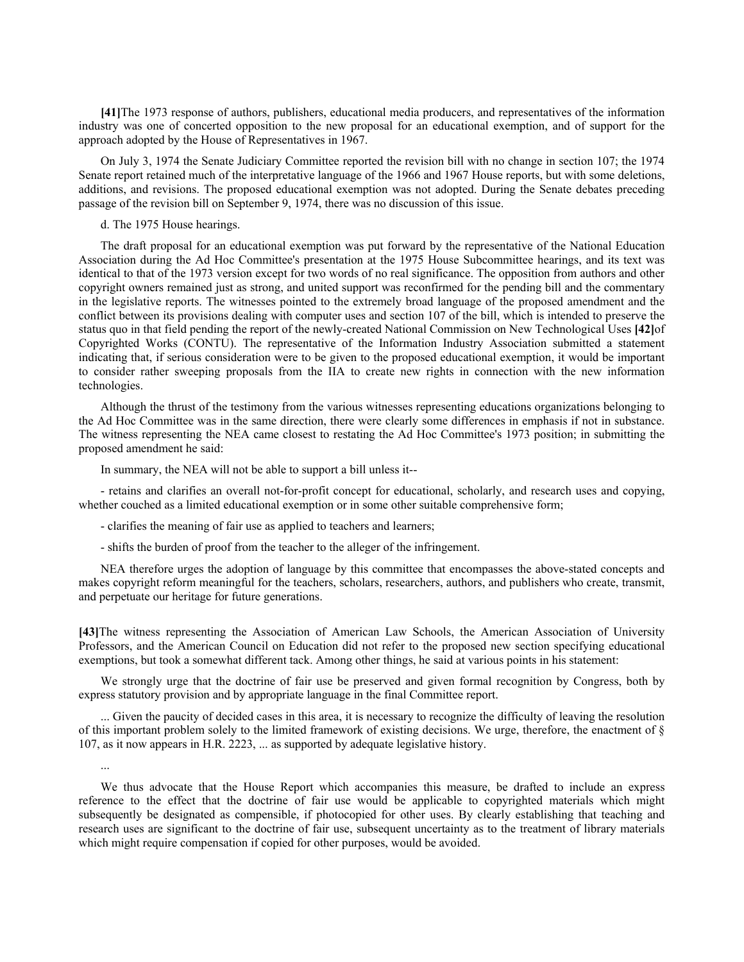**[41]**The 1973 response of authors, publishers, educational media producers, and representatives of the information industry was one of concerted opposition to the new proposal for an educational exemption, and of support for the approach adopted by the House of Representatives in 1967.

On July 3, 1974 the Senate Judiciary Committee reported the revision bill with no change in section 107; the 1974 Senate report retained much of the interpretative language of the 1966 and 1967 House reports, but with some deletions, additions, and revisions. The proposed educational exemption was not adopted. During the Senate debates preceding passage of the revision bill on September 9, 1974, there was no discussion of this issue.

d. The 1975 House hearings.

The draft proposal for an educational exemption was put forward by the representative of the National Education Association during the Ad Hoc Committee's presentation at the 1975 House Subcommittee hearings, and its text was identical to that of the 1973 version except for two words of no real significance. The opposition from authors and other copyright owners remained just as strong, and united support was reconfirmed for the pending bill and the commentary in the legislative reports. The witnesses pointed to the extremely broad language of the proposed amendment and the conflict between its provisions dealing with computer uses and section 107 of the bill, which is intended to preserve the status quo in that field pending the report of the newly-created National Commission on New Technological Uses **[42]**of Copyrighted Works (CONTU). The representative of the Information Industry Association submitted a statement indicating that, if serious consideration were to be given to the proposed educational exemption, it would be important to consider rather sweeping proposals from the IIA to create new rights in connection with the new information technologies.

Although the thrust of the testimony from the various witnesses representing educations organizations belonging to the Ad Hoc Committee was in the same direction, there were clearly some differences in emphasis if not in substance. The witness representing the NEA came closest to restating the Ad Hoc Committee's 1973 position; in submitting the proposed amendment he said:

In summary, the NEA will not be able to support a bill unless it--

- retains and clarifies an overall not-for-profit concept for educational, scholarly, and research uses and copying, whether couched as a limited educational exemption or in some other suitable comprehensive form;

- clarifies the meaning of fair use as applied to teachers and learners;

- shifts the burden of proof from the teacher to the alleger of the infringement.

NEA therefore urges the adoption of language by this committee that encompasses the above-stated concepts and makes copyright reform meaningful for the teachers, scholars, researchers, authors, and publishers who create, transmit, and perpetuate our heritage for future generations.

**[43]**The witness representing the Association of American Law Schools, the American Association of University Professors, and the American Council on Education did not refer to the proposed new section specifying educational exemptions, but took a somewhat different tack. Among other things, he said at various points in his statement:

We strongly urge that the doctrine of fair use be preserved and given formal recognition by Congress, both by express statutory provision and by appropriate language in the final Committee report.

... Given the paucity of decided cases in this area, it is necessary to recognize the difficulty of leaving the resolution of this important problem solely to the limited framework of existing decisions. We urge, therefore, the enactment of  $\S$ 107, as it now appears in H.R. 2223, ... as supported by adequate legislative history.

...

We thus advocate that the House Report which accompanies this measure, be drafted to include an express reference to the effect that the doctrine of fair use would be applicable to copyrighted materials which might subsequently be designated as compensible, if photocopied for other uses. By clearly establishing that teaching and research uses are significant to the doctrine of fair use, subsequent uncertainty as to the treatment of library materials which might require compensation if copied for other purposes, would be avoided.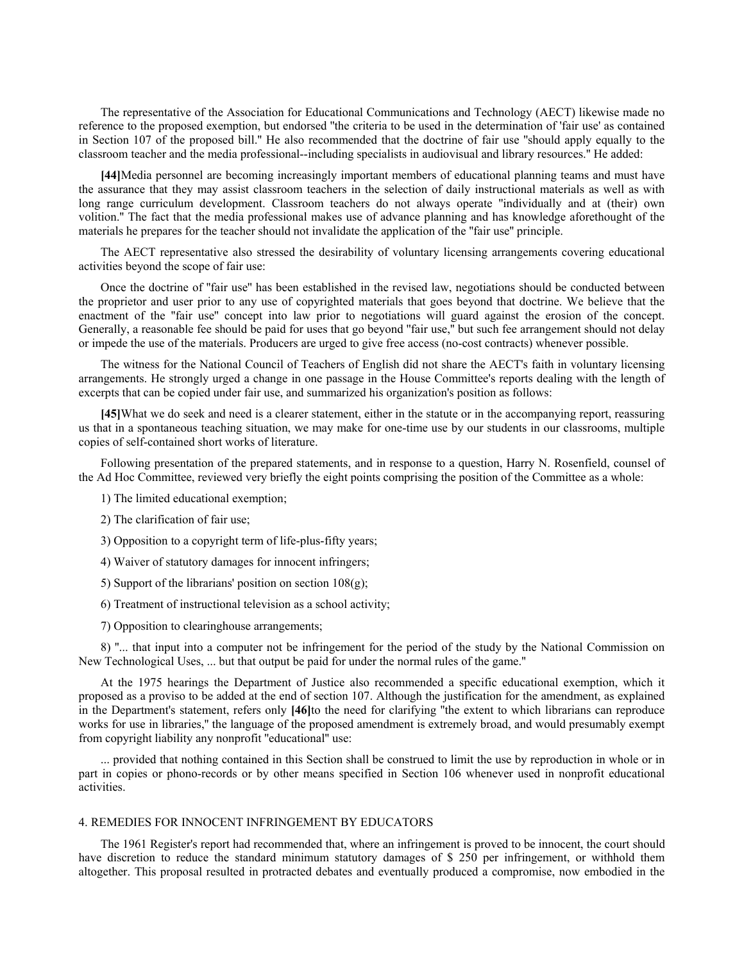The representative of the Association for Educational Communications and Technology (AECT) likewise made no reference to the proposed exemption, but endorsed ''the criteria to be used in the determination of 'fair use' as contained in Section 107 of the proposed bill.'' He also recommended that the doctrine of fair use ''should apply equally to the classroom teacher and the media professional--including specialists in audiovisual and library resources.'' He added:

**[44]**Media personnel are becoming increasingly important members of educational planning teams and must have the assurance that they may assist classroom teachers in the selection of daily instructional materials as well as with long range curriculum development. Classroom teachers do not always operate ''individually and at (their) own volition.'' The fact that the media professional makes use of advance planning and has knowledge aforethought of the materials he prepares for the teacher should not invalidate the application of the ''fair use'' principle.

The AECT representative also stressed the desirability of voluntary licensing arrangements covering educational activities beyond the scope of fair use:

Once the doctrine of ''fair use'' has been established in the revised law, negotiations should be conducted between the proprietor and user prior to any use of copyrighted materials that goes beyond that doctrine. We believe that the enactment of the ''fair use'' concept into law prior to negotiations will guard against the erosion of the concept. Generally, a reasonable fee should be paid for uses that go beyond ''fair use,'' but such fee arrangement should not delay or impede the use of the materials. Producers are urged to give free access (no-cost contracts) whenever possible.

The witness for the National Council of Teachers of English did not share the AECT's faith in voluntary licensing arrangements. He strongly urged a change in one passage in the House Committee's reports dealing with the length of excerpts that can be copied under fair use, and summarized his organization's position as follows:

**[45]**What we do seek and need is a clearer statement, either in the statute or in the accompanying report, reassuring us that in a spontaneous teaching situation, we may make for one-time use by our students in our classrooms, multiple copies of self-contained short works of literature.

Following presentation of the prepared statements, and in response to a question, Harry N. Rosenfield, counsel of the Ad Hoc Committee, reviewed very briefly the eight points comprising the position of the Committee as a whole:

1) The limited educational exemption;

2) The clarification of fair use;

3) Opposition to a copyright term of life-plus-fifty years;

4) Waiver of statutory damages for innocent infringers;

5) Support of the librarians' position on section 108(g);

6) Treatment of instructional television as a school activity;

7) Opposition to clearinghouse arrangements;

8) ''... that input into a computer not be infringement for the period of the study by the National Commission on New Technological Uses, ... but that output be paid for under the normal rules of the game.''

At the 1975 hearings the Department of Justice also recommended a specific educational exemption, which it proposed as a proviso to be added at the end of section 107. Although the justification for the amendment, as explained in the Department's statement, refers only **[46]**to the need for clarifying ''the extent to which librarians can reproduce works for use in libraries,'' the language of the proposed amendment is extremely broad, and would presumably exempt from copyright liability any nonprofit ''educational'' use:

... provided that nothing contained in this Section shall be construed to limit the use by reproduction in whole or in part in copies or phono-records or by other means specified in Section 106 whenever used in nonprofit educational activities.

## 4. REMEDIES FOR INNOCENT INFRINGEMENT BY EDUCATORS

The 1961 Register's report had recommended that, where an infringement is proved to be innocent, the court should have discretion to reduce the standard minimum statutory damages of \$ 250 per infringement, or withhold them altogether. This proposal resulted in protracted debates and eventually produced a compromise, now embodied in the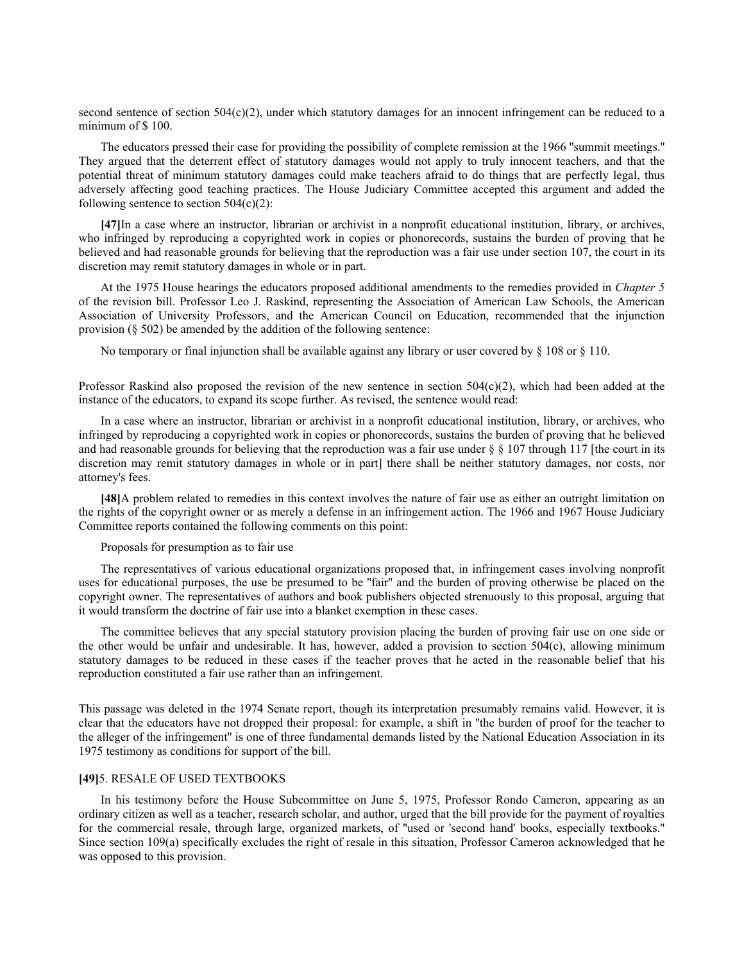second sentence of section 504(c)(2), under which statutory damages for an innocent infringement can be reduced to a minimum of \$100.

The educators pressed their case for providing the possibility of complete remission at the 1966 ''summit meetings.'' They argued that the deterrent effect of statutory damages would not apply to truly innocent teachers, and that the potential threat of minimum statutory damages could make teachers afraid to do things that are perfectly legal, thus adversely affecting good teaching practices. The House Judiciary Committee accepted this argument and added the following sentence to section  $504(c)(2)$ :

**[47]**In a case where an instructor, librarian or archivist in a nonprofit educational institution, library, or archives, who infringed by reproducing a copyrighted work in copies or phonorecords, sustains the burden of proving that he believed and had reasonable grounds for believing that the reproduction was a fair use under section 107, the court in its discretion may remit statutory damages in whole or in part.

At the 1975 House hearings the educators proposed additional amendments to the remedies provided in *Chapter 5* of the revision bill. Professor Leo J. Raskind, representing the Association of American Law Schools, the American Association of University Professors, and the American Council on Education, recommended that the injunction provision  $(\S 502)$  be amended by the addition of the following sentence:

No temporary or final injunction shall be available against any library or user covered by  $\S$  108 or  $\S$  110.

Professor Raskind also proposed the revision of the new sentence in section  $504(c)(2)$ , which had been added at the instance of the educators, to expand its scope further. As revised, the sentence would read:

In a case where an instructor, librarian or archivist in a nonprofit educational institution, library, or archives, who infringed by reproducing a copyrighted work in copies or phonorecords, sustains the burden of proving that he believed and had reasonable grounds for believing that the reproduction was a fair use under § § 107 through 117 [the court in its discretion may remit statutory damages in whole or in part] there shall be neither statutory damages, nor costs, nor attorney's fees.

**[48]**A problem related to remedies in this context involves the nature of fair use as either an outright limitation on the rights of the copyright owner or as merely a defense in an infringement action. The 1966 and 1967 House Judiciary Committee reports contained the following comments on this point:

Proposals for presumption as to fair use

The representatives of various educational organizations proposed that, in infringement cases involving nonprofit uses for educational purposes, the use be presumed to be ''fair'' and the burden of proving otherwise be placed on the copyright owner. The representatives of authors and book publishers objected strenuously to this proposal, arguing that it would transform the doctrine of fair use into a blanket exemption in these cases.

The committee believes that any special statutory provision placing the burden of proving fair use on one side or the other would be unfair and undesirable. It has, however, added a provision to section 504(c), allowing minimum statutory damages to be reduced in these cases if the teacher proves that he acted in the reasonable belief that his reproduction constituted a fair use rather than an infringement.

This passage was deleted in the 1974 Senate report, though its interpretation presumably remains valid. However, it is clear that the educators have not dropped their proposal: for example, a shift in ''the burden of proof for the teacher to the alleger of the infringement'' is one of three fundamental demands listed by the National Education Association in its 1975 testimony as conditions for support of the bill.

### **[49]**5. RESALE OF USED TEXTBOOKS

In his testimony before the House Subcommittee on June 5, 1975, Professor Rondo Cameron, appearing as an ordinary citizen as well as a teacher, research scholar, and author, urged that the bill provide for the payment of royalties for the commercial resale, through large, organized markets, of ''used or 'second hand' books, especially textbooks.'' Since section 109(a) specifically excludes the right of resale in this situation, Professor Cameron acknowledged that he was opposed to this provision.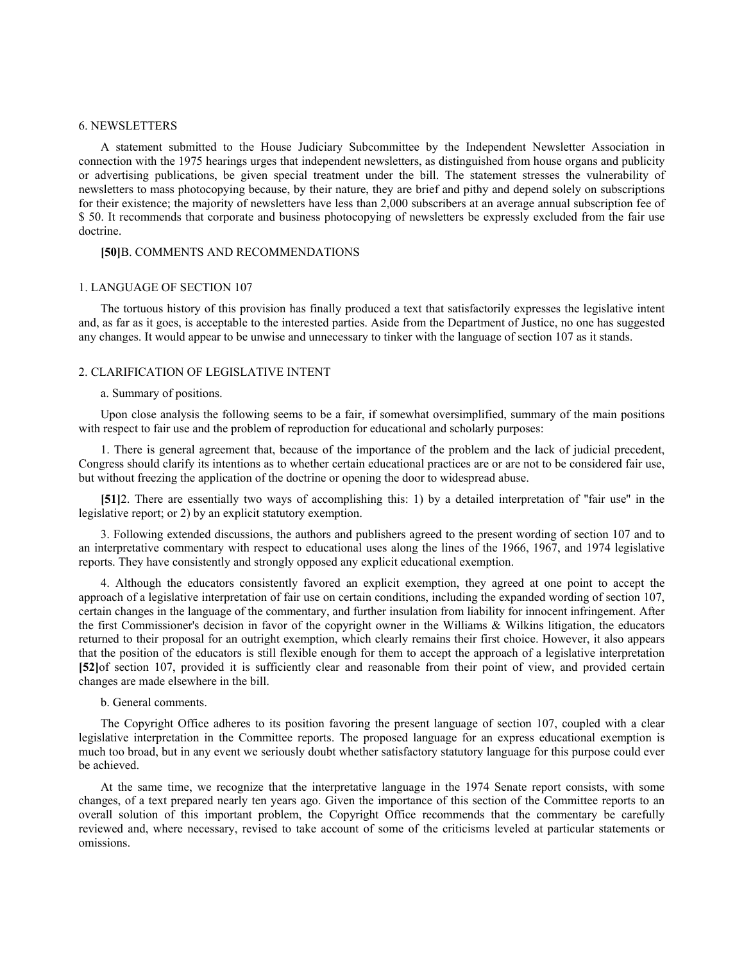## 6. NEWSLETTERS

A statement submitted to the House Judiciary Subcommittee by the Independent Newsletter Association in connection with the 1975 hearings urges that independent newsletters, as distinguished from house organs and publicity or advertising publications, be given special treatment under the bill. The statement stresses the vulnerability of newsletters to mass photocopying because, by their nature, they are brief and pithy and depend solely on subscriptions for their existence; the majority of newsletters have less than 2,000 subscribers at an average annual subscription fee of \$ 50. It recommends that corporate and business photocopying of newsletters be expressly excluded from the fair use doctrine.

### **[50]**B. COMMENTS AND RECOMMENDATIONS

## 1. LANGUAGE OF SECTION 107

The tortuous history of this provision has finally produced a text that satisfactorily expresses the legislative intent and, as far as it goes, is acceptable to the interested parties. Aside from the Department of Justice, no one has suggested any changes. It would appear to be unwise and unnecessary to tinker with the language of section 107 as it stands.

#### 2. CLARIFICATION OF LEGISLATIVE INTENT

#### a. Summary of positions.

Upon close analysis the following seems to be a fair, if somewhat oversimplified, summary of the main positions with respect to fair use and the problem of reproduction for educational and scholarly purposes:

1. There is general agreement that, because of the importance of the problem and the lack of judicial precedent, Congress should clarify its intentions as to whether certain educational practices are or are not to be considered fair use, but without freezing the application of the doctrine or opening the door to widespread abuse.

**[51]**2. There are essentially two ways of accomplishing this: 1) by a detailed interpretation of ''fair use'' in the legislative report; or 2) by an explicit statutory exemption.

3. Following extended discussions, the authors and publishers agreed to the present wording of section 107 and to an interpretative commentary with respect to educational uses along the lines of the 1966, 1967, and 1974 legislative reports. They have consistently and strongly opposed any explicit educational exemption.

4. Although the educators consistently favored an explicit exemption, they agreed at one point to accept the approach of a legislative interpretation of fair use on certain conditions, including the expanded wording of section 107, certain changes in the language of the commentary, and further insulation from liability for innocent infringement. After the first Commissioner's decision in favor of the copyright owner in the Williams  $\&$  Wilkins litigation, the educators returned to their proposal for an outright exemption, which clearly remains their first choice. However, it also appears that the position of the educators is still flexible enough for them to accept the approach of a legislative interpretation **[52]**of section 107, provided it is sufficiently clear and reasonable from their point of view, and provided certain changes are made elsewhere in the bill.

### b. General comments.

The Copyright Office adheres to its position favoring the present language of section 107, coupled with a clear legislative interpretation in the Committee reports. The proposed language for an express educational exemption is much too broad, but in any event we seriously doubt whether satisfactory statutory language for this purpose could ever be achieved.

At the same time, we recognize that the interpretative language in the 1974 Senate report consists, with some changes, of a text prepared nearly ten years ago. Given the importance of this section of the Committee reports to an overall solution of this important problem, the Copyright Office recommends that the commentary be carefully reviewed and, where necessary, revised to take account of some of the criticisms leveled at particular statements or omissions.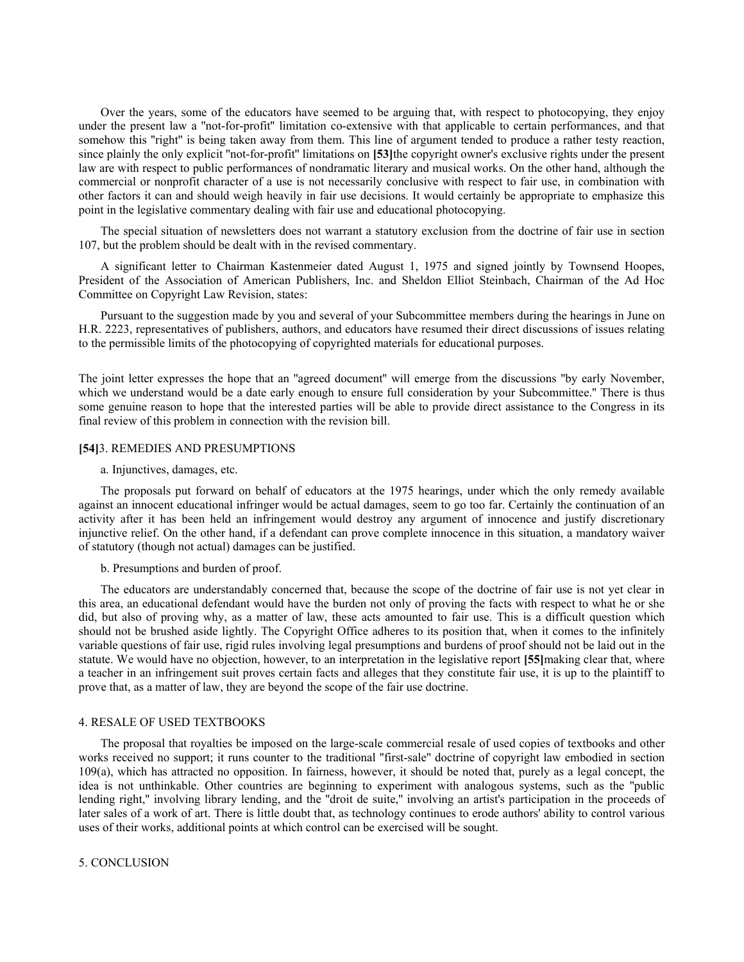Over the years, some of the educators have seemed to be arguing that, with respect to photocopying, they enjoy under the present law a ''not-for-profit'' limitation co-extensive with that applicable to certain performances, and that somehow this "right" is being taken away from them. This line of argument tended to produce a rather testy reaction, since plainly the only explicit ''not-for-profit'' limitations on **[53]**the copyright owner's exclusive rights under the present law are with respect to public performances of nondramatic literary and musical works. On the other hand, although the commercial or nonprofit character of a use is not necessarily conclusive with respect to fair use, in combination with other factors it can and should weigh heavily in fair use decisions. It would certainly be appropriate to emphasize this point in the legislative commentary dealing with fair use and educational photocopying.

The special situation of newsletters does not warrant a statutory exclusion from the doctrine of fair use in section 107, but the problem should be dealt with in the revised commentary.

A significant letter to Chairman Kastenmeier dated August 1, 1975 and signed jointly by Townsend Hoopes, President of the Association of American Publishers, Inc. and Sheldon Elliot Steinbach, Chairman of the Ad Hoc Committee on Copyright Law Revision, states:

Pursuant to the suggestion made by you and several of your Subcommittee members during the hearings in June on H.R. 2223, representatives of publishers, authors, and educators have resumed their direct discussions of issues relating to the permissible limits of the photocopying of copyrighted materials for educational purposes.

The joint letter expresses the hope that an ''agreed document'' will emerge from the discussions ''by early November, which we understand would be a date early enough to ensure full consideration by your Subcommittee." There is thus some genuine reason to hope that the interested parties will be able to provide direct assistance to the Congress in its final review of this problem in connection with the revision bill.

#### **[54]**3. REMEDIES AND PRESUMPTIONS

## a. Injunctives, damages, etc.

The proposals put forward on behalf of educators at the 1975 hearings, under which the only remedy available against an innocent educational infringer would be actual damages, seem to go too far. Certainly the continuation of an activity after it has been held an infringement would destroy any argument of innocence and justify discretionary injunctive relief. On the other hand, if a defendant can prove complete innocence in this situation, a mandatory waiver of statutory (though not actual) damages can be justified.

b. Presumptions and burden of proof.

The educators are understandably concerned that, because the scope of the doctrine of fair use is not yet clear in this area, an educational defendant would have the burden not only of proving the facts with respect to what he or she did, but also of proving why, as a matter of law, these acts amounted to fair use. This is a difficult question which should not be brushed aside lightly. The Copyright Office adheres to its position that, when it comes to the infinitely variable questions of fair use, rigid rules involving legal presumptions and burdens of proof should not be laid out in the statute. We would have no objection, however, to an interpretation in the legislative report **[55]**making clear that, where a teacher in an infringement suit proves certain facts and alleges that they constitute fair use, it is up to the plaintiff to prove that, as a matter of law, they are beyond the scope of the fair use doctrine.

## 4. RESALE OF USED TEXTBOOKS

The proposal that royalties be imposed on the large-scale commercial resale of used copies of textbooks and other works received no support; it runs counter to the traditional ''first-sale'' doctrine of copyright law embodied in section 109(a), which has attracted no opposition. In fairness, however, it should be noted that, purely as a legal concept, the idea is not unthinkable. Other countries are beginning to experiment with analogous systems, such as the ''public lending right," involving library lending, and the "droit de suite," involving an artist's participation in the proceeds of later sales of a work of art. There is little doubt that, as technology continues to erode authors' ability to control various uses of their works, additional points at which control can be exercised will be sought.

## 5. CONCLUSION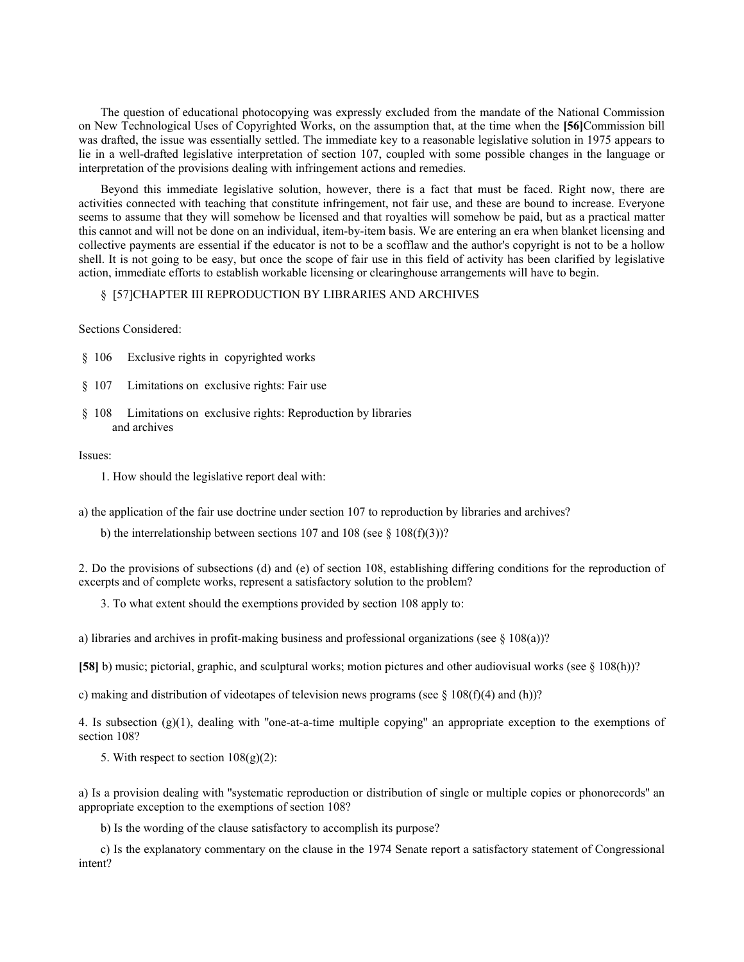The question of educational photocopying was expressly excluded from the mandate of the National Commission on New Technological Uses of Copyrighted Works, on the assumption that, at the time when the **[56]**Commission bill was drafted, the issue was essentially settled. The immediate key to a reasonable legislative solution in 1975 appears to lie in a well-drafted legislative interpretation of section 107, coupled with some possible changes in the language or interpretation of the provisions dealing with infringement actions and remedies.

Beyond this immediate legislative solution, however, there is a fact that must be faced. Right now, there are activities connected with teaching that constitute infringement, not fair use, and these are bound to increase. Everyone seems to assume that they will somehow be licensed and that royalties will somehow be paid, but as a practical matter this cannot and will not be done on an individual, item-by-item basis. We are entering an era when blanket licensing and collective payments are essential if the educator is not to be a scofflaw and the author's copyright is not to be a hollow shell. It is not going to be easy, but once the scope of fair use in this field of activity has been clarified by legislative action, immediate efforts to establish workable licensing or clearinghouse arrangements will have to begin.

## § [57]CHAPTER III REPRODUCTION BY LIBRARIES AND ARCHIVES

Sections Considered:

- § 106 Exclusive rights in copyrighted works
- § 107 Limitations on exclusive rights: Fair use
- § 108 Limitations on exclusive rights: Reproduction by libraries and archives

#### Issues:

- 1. How should the legislative report deal with:
- a) the application of the fair use doctrine under section 107 to reproduction by libraries and archives?
	- b) the interrelationship between sections 107 and 108 (see  $\S$  108(f)(3))?

2. Do the provisions of subsections (d) and (e) of section 108, establishing differing conditions for the reproduction of excerpts and of complete works, represent a satisfactory solution to the problem?

3. To what extent should the exemptions provided by section 108 apply to:

a) libraries and archives in profit-making business and professional organizations (see  $\S$  108(a))?

- **[58]** b) music; pictorial, graphic, and sculptural works; motion pictures and other audiovisual works (see § 108(h))?
- c) making and distribution of videotapes of television news programs (see  $\S$  108(f)(4) and (h))?
- 4. Is subsection  $(g)(1)$ , dealing with "one-at-a-time multiple copying" an appropriate exception to the exemptions of section 108?
	- 5. With respect to section  $108(g)(2)$ :
- a) Is a provision dealing with ''systematic reproduction or distribution of single or multiple copies or phonorecords'' an appropriate exception to the exemptions of section 108?

b) Is the wording of the clause satisfactory to accomplish its purpose?

c) Is the explanatory commentary on the clause in the 1974 Senate report a satisfactory statement of Congressional intent?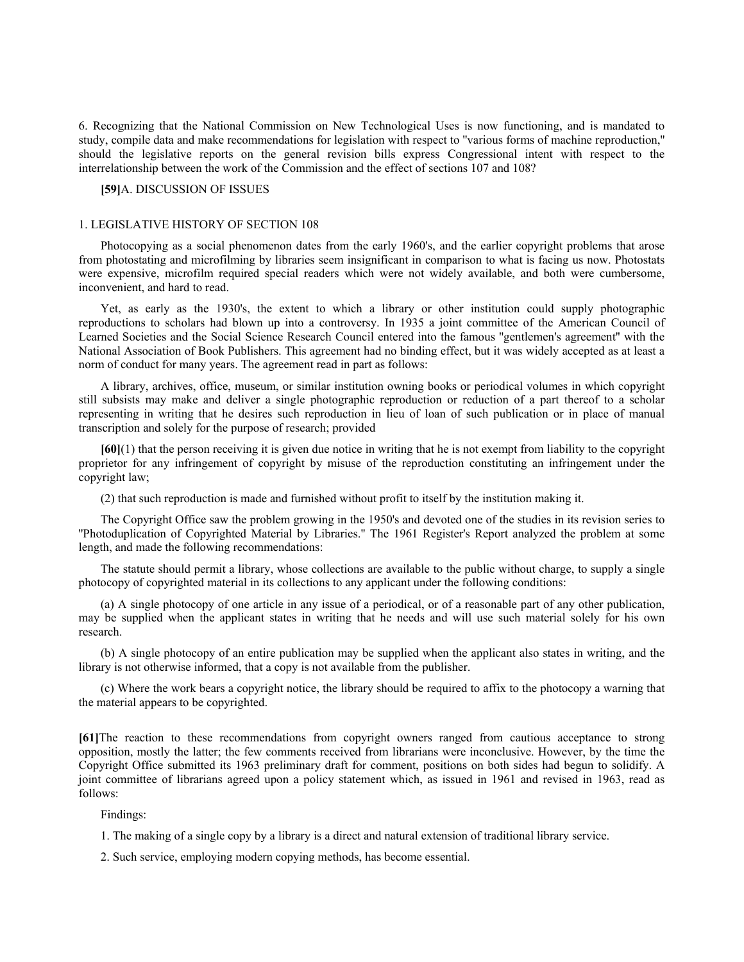6. Recognizing that the National Commission on New Technological Uses is now functioning, and is mandated to study, compile data and make recommendations for legislation with respect to ''various forms of machine reproduction,'' should the legislative reports on the general revision bills express Congressional intent with respect to the interrelationship between the work of the Commission and the effect of sections 107 and 108?

### **[59]**A. DISCUSSION OF ISSUES

#### 1. LEGISLATIVE HISTORY OF SECTION 108

Photocopying as a social phenomenon dates from the early 1960's, and the earlier copyright problems that arose from photostating and microfilming by libraries seem insignificant in comparison to what is facing us now. Photostats were expensive, microfilm required special readers which were not widely available, and both were cumbersome, inconvenient, and hard to read.

Yet, as early as the 1930's, the extent to which a library or other institution could supply photographic reproductions to scholars had blown up into a controversy. In 1935 a joint committee of the American Council of Learned Societies and the Social Science Research Council entered into the famous ''gentlemen's agreement'' with the National Association of Book Publishers. This agreement had no binding effect, but it was widely accepted as at least a norm of conduct for many years. The agreement read in part as follows:

A library, archives, office, museum, or similar institution owning books or periodical volumes in which copyright still subsists may make and deliver a single photographic reproduction or reduction of a part thereof to a scholar representing in writing that he desires such reproduction in lieu of loan of such publication or in place of manual transcription and solely for the purpose of research; provided

**[60]**(1) that the person receiving it is given due notice in writing that he is not exempt from liability to the copyright proprietor for any infringement of copyright by misuse of the reproduction constituting an infringement under the copyright law;

(2) that such reproduction is made and furnished without profit to itself by the institution making it.

The Copyright Office saw the problem growing in the 1950's and devoted one of the studies in its revision series to ''Photoduplication of Copyrighted Material by Libraries.'' The 1961 Register's Report analyzed the problem at some length, and made the following recommendations:

The statute should permit a library, whose collections are available to the public without charge, to supply a single photocopy of copyrighted material in its collections to any applicant under the following conditions:

(a) A single photocopy of one article in any issue of a periodical, or of a reasonable part of any other publication, may be supplied when the applicant states in writing that he needs and will use such material solely for his own research.

(b) A single photocopy of an entire publication may be supplied when the applicant also states in writing, and the library is not otherwise informed, that a copy is not available from the publisher.

(c) Where the work bears a copyright notice, the library should be required to affix to the photocopy a warning that the material appears to be copyrighted.

**[61]**The reaction to these recommendations from copyright owners ranged from cautious acceptance to strong opposition, mostly the latter; the few comments received from librarians were inconclusive. However, by the time the Copyright Office submitted its 1963 preliminary draft for comment, positions on both sides had begun to solidify. A joint committee of librarians agreed upon a policy statement which, as issued in 1961 and revised in 1963, read as follows:

Findings:

1. The making of a single copy by a library is a direct and natural extension of traditional library service.

2. Such service, employing modern copying methods, has become essential.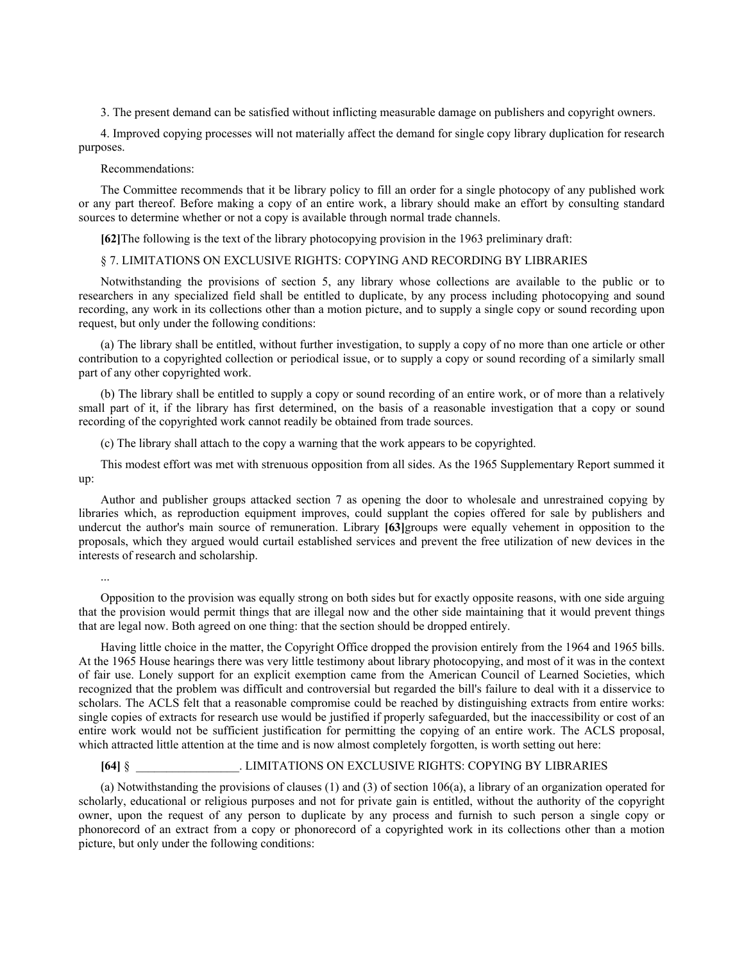3. The present demand can be satisfied without inflicting measurable damage on publishers and copyright owners.

4. Improved copying processes will not materially affect the demand for single copy library duplication for research purposes.

Recommendations:

...

The Committee recommends that it be library policy to fill an order for a single photocopy of any published work or any part thereof. Before making a copy of an entire work, a library should make an effort by consulting standard sources to determine whether or not a copy is available through normal trade channels.

**[62]**The following is the text of the library photocopying provision in the 1963 preliminary draft:

## § 7. LIMITATIONS ON EXCLUSIVE RIGHTS: COPYING AND RECORDING BY LIBRARIES

Notwithstanding the provisions of section 5, any library whose collections are available to the public or to researchers in any specialized field shall be entitled to duplicate, by any process including photocopying and sound recording, any work in its collections other than a motion picture, and to supply a single copy or sound recording upon request, but only under the following conditions:

(a) The library shall be entitled, without further investigation, to supply a copy of no more than one article or other contribution to a copyrighted collection or periodical issue, or to supply a copy or sound recording of a similarly small part of any other copyrighted work.

(b) The library shall be entitled to supply a copy or sound recording of an entire work, or of more than a relatively small part of it, if the library has first determined, on the basis of a reasonable investigation that a copy or sound recording of the copyrighted work cannot readily be obtained from trade sources.

(c) The library shall attach to the copy a warning that the work appears to be copyrighted.

This modest effort was met with strenuous opposition from all sides. As the 1965 Supplementary Report summed it up:

Author and publisher groups attacked section 7 as opening the door to wholesale and unrestrained copying by libraries which, as reproduction equipment improves, could supplant the copies offered for sale by publishers and undercut the author's main source of remuneration. Library **[63]**groups were equally vehement in opposition to the proposals, which they argued would curtail established services and prevent the free utilization of new devices in the interests of research and scholarship.

Opposition to the provision was equally strong on both sides but for exactly opposite reasons, with one side arguing that the provision would permit things that are illegal now and the other side maintaining that it would prevent things that are legal now. Both agreed on one thing: that the section should be dropped entirely.

Having little choice in the matter, the Copyright Office dropped the provision entirely from the 1964 and 1965 bills. At the 1965 House hearings there was very little testimony about library photocopying, and most of it was in the context of fair use. Lonely support for an explicit exemption came from the American Council of Learned Societies, which recognized that the problem was difficult and controversial but regarded the bill's failure to deal with it a disservice to scholars. The ACLS felt that a reasonable compromise could be reached by distinguishing extracts from entire works: single copies of extracts for research use would be justified if properly safeguarded, but the inaccessibility or cost of an entire work would not be sufficient justification for permitting the copying of an entire work. The ACLS proposal, which attracted little attention at the time and is now almost completely forgotten, is worth setting out here:

**[64]** § \_\_\_\_\_\_\_\_\_\_\_\_\_\_\_\_\_. LIMITATIONS ON EXCLUSIVE RIGHTS: COPYING BY LIBRARIES

(a) Notwithstanding the provisions of clauses (1) and (3) of section 106(a), a library of an organization operated for scholarly, educational or religious purposes and not for private gain is entitled, without the authority of the copyright owner, upon the request of any person to duplicate by any process and furnish to such person a single copy or phonorecord of an extract from a copy or phonorecord of a copyrighted work in its collections other than a motion picture, but only under the following conditions: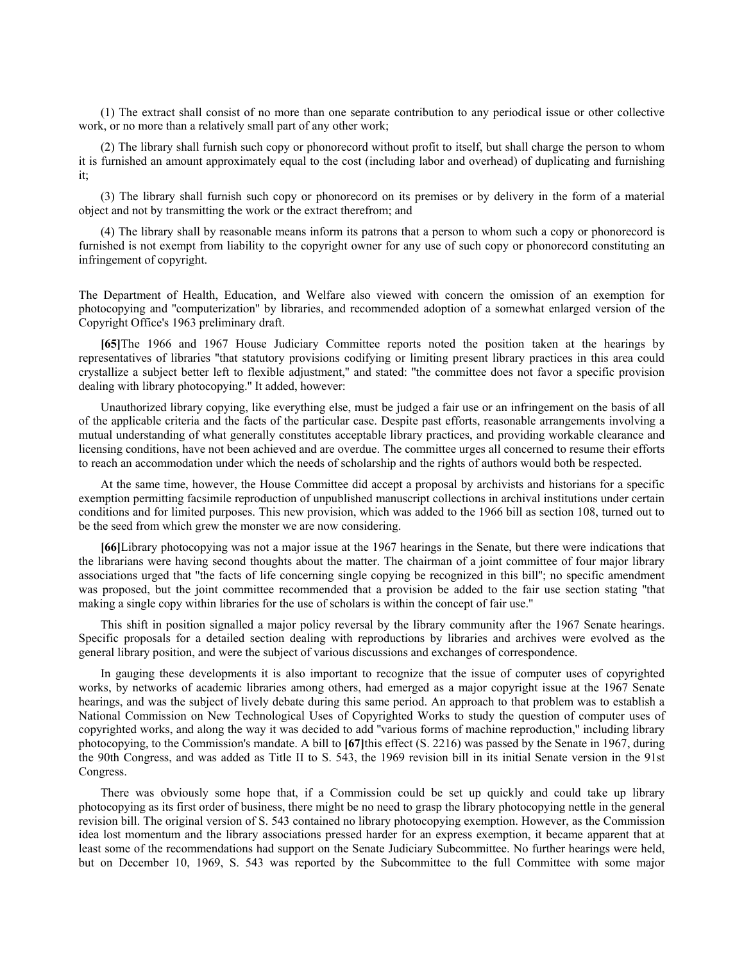(1) The extract shall consist of no more than one separate contribution to any periodical issue or other collective work, or no more than a relatively small part of any other work;

(2) The library shall furnish such copy or phonorecord without profit to itself, but shall charge the person to whom it is furnished an amount approximately equal to the cost (including labor and overhead) of duplicating and furnishing it;

(3) The library shall furnish such copy or phonorecord on its premises or by delivery in the form of a material object and not by transmitting the work or the extract therefrom; and

(4) The library shall by reasonable means inform its patrons that a person to whom such a copy or phonorecord is furnished is not exempt from liability to the copyright owner for any use of such copy or phonorecord constituting an infringement of copyright.

The Department of Health, Education, and Welfare also viewed with concern the omission of an exemption for photocopying and ''computerization'' by libraries, and recommended adoption of a somewhat enlarged version of the Copyright Office's 1963 preliminary draft.

**[65]**The 1966 and 1967 House Judiciary Committee reports noted the position taken at the hearings by representatives of libraries ''that statutory provisions codifying or limiting present library practices in this area could crystallize a subject better left to flexible adjustment,'' and stated: ''the committee does not favor a specific provision dealing with library photocopying.'' It added, however:

Unauthorized library copying, like everything else, must be judged a fair use or an infringement on the basis of all of the applicable criteria and the facts of the particular case. Despite past efforts, reasonable arrangements involving a mutual understanding of what generally constitutes acceptable library practices, and providing workable clearance and licensing conditions, have not been achieved and are overdue. The committee urges all concerned to resume their efforts to reach an accommodation under which the needs of scholarship and the rights of authors would both be respected.

At the same time, however, the House Committee did accept a proposal by archivists and historians for a specific exemption permitting facsimile reproduction of unpublished manuscript collections in archival institutions under certain conditions and for limited purposes. This new provision, which was added to the 1966 bill as section 108, turned out to be the seed from which grew the monster we are now considering.

**[66]**Library photocopying was not a major issue at the 1967 hearings in the Senate, but there were indications that the librarians were having second thoughts about the matter. The chairman of a joint committee of four major library associations urged that ''the facts of life concerning single copying be recognized in this bill''; no specific amendment was proposed, but the joint committee recommended that a provision be added to the fair use section stating ''that making a single copy within libraries for the use of scholars is within the concept of fair use.''

This shift in position signalled a major policy reversal by the library community after the 1967 Senate hearings. Specific proposals for a detailed section dealing with reproductions by libraries and archives were evolved as the general library position, and were the subject of various discussions and exchanges of correspondence.

In gauging these developments it is also important to recognize that the issue of computer uses of copyrighted works, by networks of academic libraries among others, had emerged as a major copyright issue at the 1967 Senate hearings, and was the subject of lively debate during this same period. An approach to that problem was to establish a National Commission on New Technological Uses of Copyrighted Works to study the question of computer uses of copyrighted works, and along the way it was decided to add ''various forms of machine reproduction,'' including library photocopying, to the Commission's mandate. A bill to **[67]**this effect (S. 2216) was passed by the Senate in 1967, during the 90th Congress, and was added as Title II to S. 543, the 1969 revision bill in its initial Senate version in the 91st Congress.

There was obviously some hope that, if a Commission could be set up quickly and could take up library photocopying as its first order of business, there might be no need to grasp the library photocopying nettle in the general revision bill. The original version of S. 543 contained no library photocopying exemption. However, as the Commission idea lost momentum and the library associations pressed harder for an express exemption, it became apparent that at least some of the recommendations had support on the Senate Judiciary Subcommittee. No further hearings were held, but on December 10, 1969, S. 543 was reported by the Subcommittee to the full Committee with some major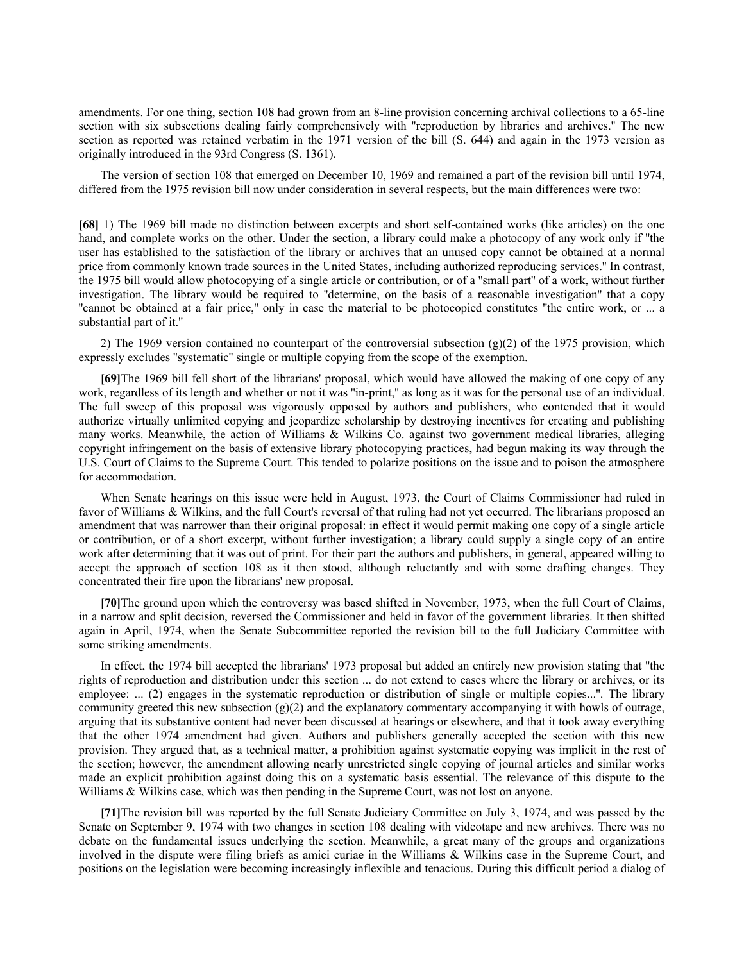amendments. For one thing, section 108 had grown from an 8-line provision concerning archival collections to a 65-line section with six subsections dealing fairly comprehensively with ''reproduction by libraries and archives.'' The new section as reported was retained verbatim in the 1971 version of the bill (S. 644) and again in the 1973 version as originally introduced in the 93rd Congress (S. 1361).

The version of section 108 that emerged on December 10, 1969 and remained a part of the revision bill until 1974, differed from the 1975 revision bill now under consideration in several respects, but the main differences were two:

**[68]** 1) The 1969 bill made no distinction between excerpts and short self-contained works (like articles) on the one hand, and complete works on the other. Under the section, a library could make a photocopy of any work only if ''the user has established to the satisfaction of the library or archives that an unused copy cannot be obtained at a normal price from commonly known trade sources in the United States, including authorized reproducing services.'' In contrast, the 1975 bill would allow photocopying of a single article or contribution, or of a ''small part'' of a work, without further investigation. The library would be required to ''determine, on the basis of a reasonable investigation'' that a copy ''cannot be obtained at a fair price,'' only in case the material to be photocopied constitutes ''the entire work, or ... a substantial part of it.''

2) The 1969 version contained no counterpart of the controversial subsection (g)(2) of the 1975 provision, which expressly excludes ''systematic'' single or multiple copying from the scope of the exemption.

**[69]**The 1969 bill fell short of the librarians' proposal, which would have allowed the making of one copy of any work, regardless of its length and whether or not it was ''in-print,'' as long as it was for the personal use of an individual. The full sweep of this proposal was vigorously opposed by authors and publishers, who contended that it would authorize virtually unlimited copying and jeopardize scholarship by destroying incentives for creating and publishing many works. Meanwhile, the action of Williams & Wilkins Co. against two government medical libraries, alleging copyright infringement on the basis of extensive library photocopying practices, had begun making its way through the U.S. Court of Claims to the Supreme Court. This tended to polarize positions on the issue and to poison the atmosphere for accommodation.

When Senate hearings on this issue were held in August, 1973, the Court of Claims Commissioner had ruled in favor of Williams & Wilkins, and the full Court's reversal of that ruling had not yet occurred. The librarians proposed an amendment that was narrower than their original proposal: in effect it would permit making one copy of a single article or contribution, or of a short excerpt, without further investigation; a library could supply a single copy of an entire work after determining that it was out of print. For their part the authors and publishers, in general, appeared willing to accept the approach of section 108 as it then stood, although reluctantly and with some drafting changes. They concentrated their fire upon the librarians' new proposal.

**[70]**The ground upon which the controversy was based shifted in November, 1973, when the full Court of Claims, in a narrow and split decision, reversed the Commissioner and held in favor of the government libraries. It then shifted again in April, 1974, when the Senate Subcommittee reported the revision bill to the full Judiciary Committee with some striking amendments.

In effect, the 1974 bill accepted the librarians' 1973 proposal but added an entirely new provision stating that ''the rights of reproduction and distribution under this section ... do not extend to cases where the library or archives, or its employee: ... (2) engages in the systematic reproduction or distribution of single or multiple copies...". The library community greeted this new subsection  $(g)(2)$  and the explanatory commentary accompanying it with howls of outrage, arguing that its substantive content had never been discussed at hearings or elsewhere, and that it took away everything that the other 1974 amendment had given. Authors and publishers generally accepted the section with this new provision. They argued that, as a technical matter, a prohibition against systematic copying was implicit in the rest of the section; however, the amendment allowing nearly unrestricted single copying of journal articles and similar works made an explicit prohibition against doing this on a systematic basis essential. The relevance of this dispute to the Williams & Wilkins case, which was then pending in the Supreme Court, was not lost on anyone.

**[71]**The revision bill was reported by the full Senate Judiciary Committee on July 3, 1974, and was passed by the Senate on September 9, 1974 with two changes in section 108 dealing with videotape and new archives. There was no debate on the fundamental issues underlying the section. Meanwhile, a great many of the groups and organizations involved in the dispute were filing briefs as amici curiae in the Williams & Wilkins case in the Supreme Court, and positions on the legislation were becoming increasingly inflexible and tenacious. During this difficult period a dialog of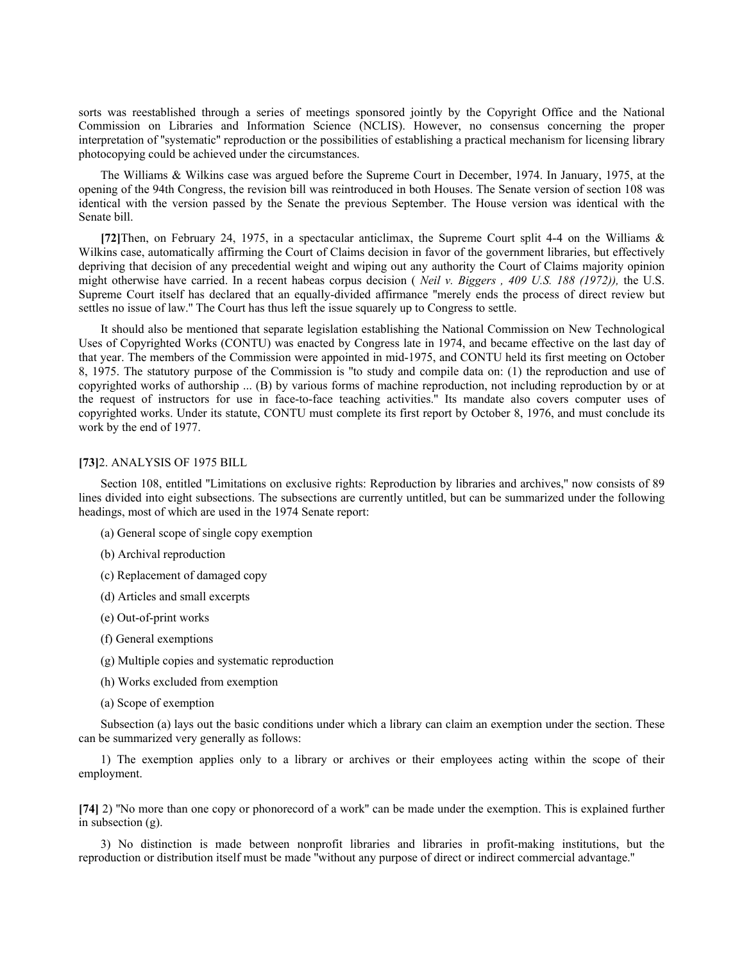sorts was reestablished through a series of meetings sponsored jointly by the Copyright Office and the National Commission on Libraries and Information Science (NCLIS). However, no consensus concerning the proper interpretation of ''systematic'' reproduction or the possibilities of establishing a practical mechanism for licensing library photocopying could be achieved under the circumstances.

The Williams & Wilkins case was argued before the Supreme Court in December, 1974. In January, 1975, at the opening of the 94th Congress, the revision bill was reintroduced in both Houses. The Senate version of section 108 was identical with the version passed by the Senate the previous September. The House version was identical with the Senate bill.

**[72]**Then, on February 24, 1975, in a spectacular anticlimax, the Supreme Court split 4-4 on the Williams & Wilkins case, automatically affirming the Court of Claims decision in favor of the government libraries, but effectively depriving that decision of any precedential weight and wiping out any authority the Court of Claims majority opinion might otherwise have carried. In a recent habeas corpus decision ( *Neil v. Biggers , 409 U.S. 188 (1972)),* the U.S. Supreme Court itself has declared that an equally-divided affirmance ''merely ends the process of direct review but settles no issue of law.'' The Court has thus left the issue squarely up to Congress to settle.

It should also be mentioned that separate legislation establishing the National Commission on New Technological Uses of Copyrighted Works (CONTU) was enacted by Congress late in 1974, and became effective on the last day of that year. The members of the Commission were appointed in mid-1975, and CONTU held its first meeting on October 8, 1975. The statutory purpose of the Commission is ''to study and compile data on: (1) the reproduction and use of copyrighted works of authorship ... (B) by various forms of machine reproduction, not including reproduction by or at the request of instructors for use in face-to-face teaching activities.'' Its mandate also covers computer uses of copyrighted works. Under its statute, CONTU must complete its first report by October 8, 1976, and must conclude its work by the end of 1977.

## **[73]**2. ANALYSIS OF 1975 BILL

Section 108, entitled ''Limitations on exclusive rights: Reproduction by libraries and archives,'' now consists of 89 lines divided into eight subsections. The subsections are currently untitled, but can be summarized under the following headings, most of which are used in the 1974 Senate report:

- (a) General scope of single copy exemption
- (b) Archival reproduction
- (c) Replacement of damaged copy
- (d) Articles and small excerpts
- (e) Out-of-print works
- (f) General exemptions
- (g) Multiple copies and systematic reproduction
- (h) Works excluded from exemption
- (a) Scope of exemption

Subsection (a) lays out the basic conditions under which a library can claim an exemption under the section. These can be summarized very generally as follows:

1) The exemption applies only to a library or archives or their employees acting within the scope of their employment.

**[74]** 2) ''No more than one copy or phonorecord of a work'' can be made under the exemption. This is explained further in subsection (g).

3) No distinction is made between nonprofit libraries and libraries in profit-making institutions, but the reproduction or distribution itself must be made ''without any purpose of direct or indirect commercial advantage.''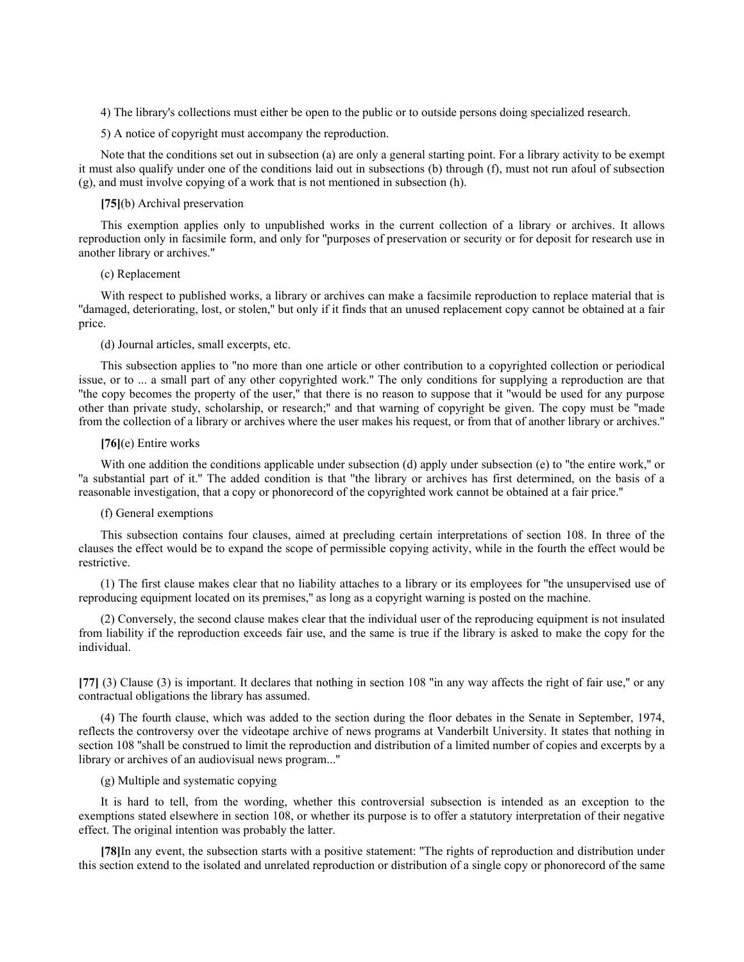4) The library's collections must either be open to the public or to outside persons doing specialized research.

5) A notice of copyright must accompany the reproduction.

Note that the conditions set out in subsection (a) are only a general starting point. For a library activity to be exempt it must also qualify under one of the conditions laid out in subsections (b) through (f), must not run afoul of subsection (g), and must involve copying of a work that is not mentioned in subsection (h).

## **[75]**(b) Archival preservation

This exemption applies only to unpublished works in the current collection of a library or archives. It allows reproduction only in facsimile form, and only for ''purposes of preservation or security or for deposit for research use in another library or archives.''

# (c) Replacement

With respect to published works, a library or archives can make a facsimile reproduction to replace material that is ''damaged, deteriorating, lost, or stolen,'' but only if it finds that an unused replacement copy cannot be obtained at a fair price.

(d) Journal articles, small excerpts, etc.

This subsection applies to ''no more than one article or other contribution to a copyrighted collection or periodical issue, or to ... a small part of any other copyrighted work.'' The only conditions for supplying a reproduction are that ''the copy becomes the property of the user,'' that there is no reason to suppose that it ''would be used for any purpose other than private study, scholarship, or research;'' and that warning of copyright be given. The copy must be ''made from the collection of a library or archives where the user makes his request, or from that of another library or archives.''

# **[76]**(e) Entire works

With one addition the conditions applicable under subsection (d) apply under subsection (e) to "the entire work," or ''a substantial part of it.'' The added condition is that ''the library or archives has first determined, on the basis of a reasonable investigation, that a copy or phonorecord of the copyrighted work cannot be obtained at a fair price.''

## (f) General exemptions

This subsection contains four clauses, aimed at precluding certain interpretations of section 108. In three of the clauses the effect would be to expand the scope of permissible copying activity, while in the fourth the effect would be restrictive.

(1) The first clause makes clear that no liability attaches to a library or its employees for ''the unsupervised use of reproducing equipment located on its premises,'' as long as a copyright warning is posted on the machine.

(2) Conversely, the second clause makes clear that the individual user of the reproducing equipment is not insulated from liability if the reproduction exceeds fair use, and the same is true if the library is asked to make the copy for the individual.

**[77]** (3) Clause (3) is important. It declares that nothing in section 108 ''in any way affects the right of fair use,'' or any contractual obligations the library has assumed.

(4) The fourth clause, which was added to the section during the floor debates in the Senate in September, 1974, reflects the controversy over the videotape archive of news programs at Vanderbilt University. It states that nothing in section 108 "shall be construed to limit the reproduction and distribution of a limited number of copies and excerpts by a library or archives of an audiovisual news program...''

# (g) Multiple and systematic copying

It is hard to tell, from the wording, whether this controversial subsection is intended as an exception to the exemptions stated elsewhere in section 108, or whether its purpose is to offer a statutory interpretation of their negative effect. The original intention was probably the latter.

**[78]**In any event, the subsection starts with a positive statement: ''The rights of reproduction and distribution under this section extend to the isolated and unrelated reproduction or distribution of a single copy or phonorecord of the same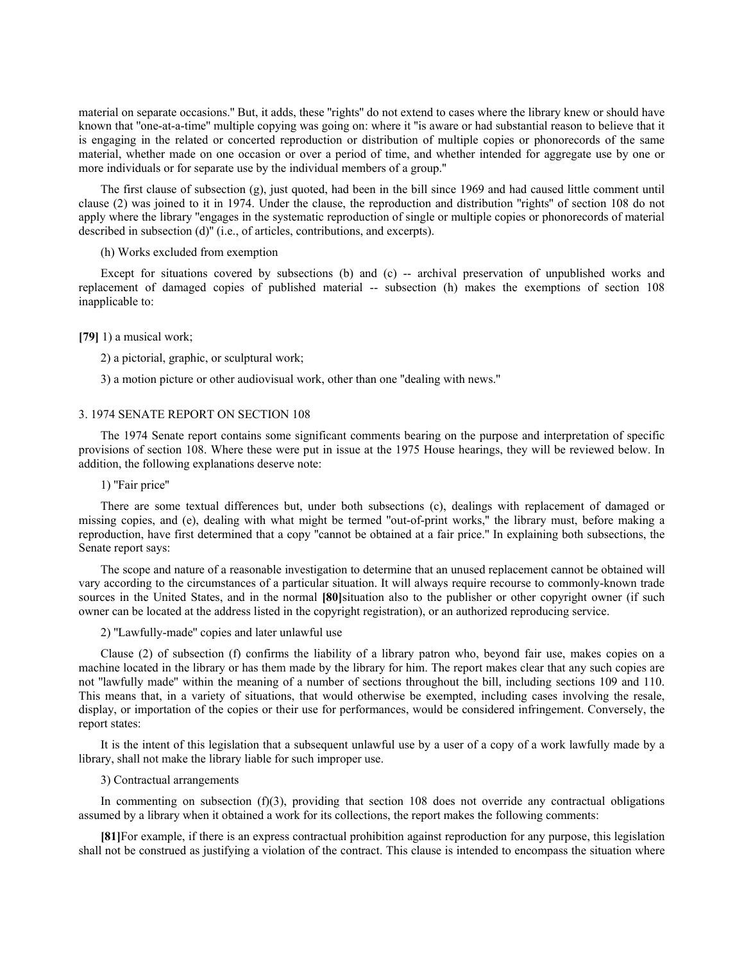material on separate occasions.'' But, it adds, these ''rights'' do not extend to cases where the library knew or should have known that ''one-at-a-time'' multiple copying was going on: where it ''is aware or had substantial reason to believe that it is engaging in the related or concerted reproduction or distribution of multiple copies or phonorecords of the same material, whether made on one occasion or over a period of time, and whether intended for aggregate use by one or more individuals or for separate use by the individual members of a group.''

The first clause of subsection (g), just quoted, had been in the bill since 1969 and had caused little comment until clause (2) was joined to it in 1974. Under the clause, the reproduction and distribution ''rights'' of section 108 do not apply where the library ''engages in the systematic reproduction of single or multiple copies or phonorecords of material described in subsection (d)'' (i.e., of articles, contributions, and excerpts).

(h) Works excluded from exemption

Except for situations covered by subsections (b) and (c) -- archival preservation of unpublished works and replacement of damaged copies of published material -- subsection (h) makes the exemptions of section 108 inapplicable to:

**[79]** 1) a musical work;

2) a pictorial, graphic, or sculptural work;

3) a motion picture or other audiovisual work, other than one ''dealing with news.''

## 3. 1974 SENATE REPORT ON SECTION 108

The 1974 Senate report contains some significant comments bearing on the purpose and interpretation of specific provisions of section 108. Where these were put in issue at the 1975 House hearings, they will be reviewed below. In addition, the following explanations deserve note:

## 1) ''Fair price''

There are some textual differences but, under both subsections (c), dealings with replacement of damaged or missing copies, and (e), dealing with what might be termed ''out-of-print works,'' the library must, before making a reproduction, have first determined that a copy ''cannot be obtained at a fair price.'' In explaining both subsections, the Senate report says:

The scope and nature of a reasonable investigation to determine that an unused replacement cannot be obtained will vary according to the circumstances of a particular situation. It will always require recourse to commonly-known trade sources in the United States, and in the normal **[80]**situation also to the publisher or other copyright owner (if such owner can be located at the address listed in the copyright registration), or an authorized reproducing service.

2) ''Lawfully-made'' copies and later unlawful use

Clause (2) of subsection (f) confirms the liability of a library patron who, beyond fair use, makes copies on a machine located in the library or has them made by the library for him. The report makes clear that any such copies are not ''lawfully made'' within the meaning of a number of sections throughout the bill, including sections 109 and 110. This means that, in a variety of situations, that would otherwise be exempted, including cases involving the resale, display, or importation of the copies or their use for performances, would be considered infringement. Conversely, the report states:

It is the intent of this legislation that a subsequent unlawful use by a user of a copy of a work lawfully made by a library, shall not make the library liable for such improper use.

## 3) Contractual arrangements

In commenting on subsection  $(f)(3)$ , providing that section 108 does not override any contractual obligations assumed by a library when it obtained a work for its collections, the report makes the following comments:

**[81]**For example, if there is an express contractual prohibition against reproduction for any purpose, this legislation shall not be construed as justifying a violation of the contract. This clause is intended to encompass the situation where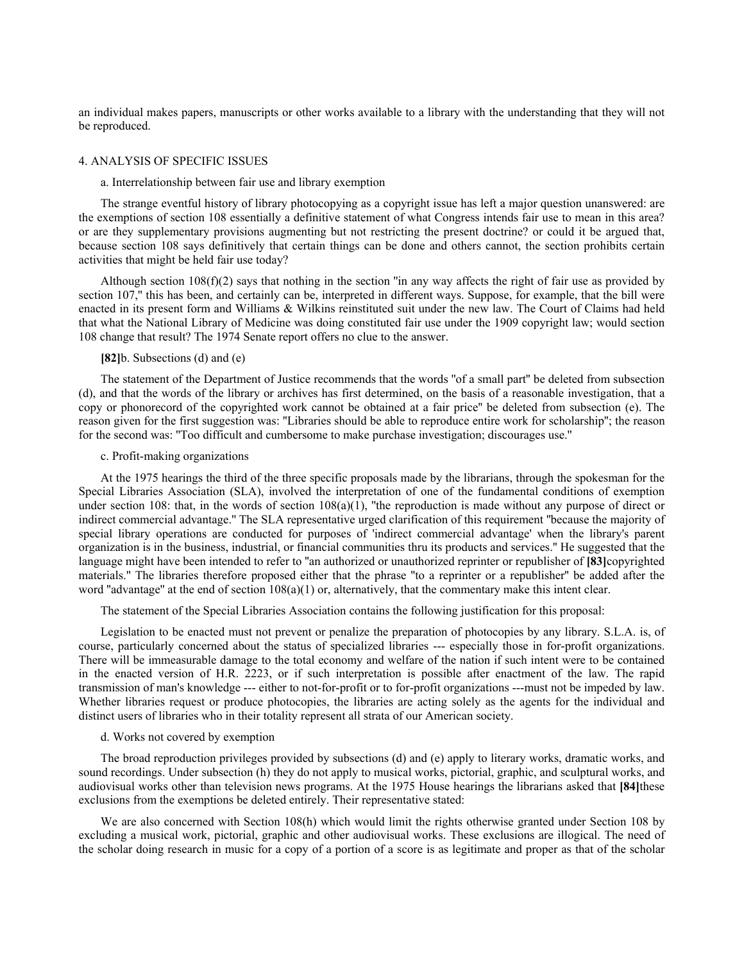an individual makes papers, manuscripts or other works available to a library with the understanding that they will not be reproduced.

## 4. ANALYSIS OF SPECIFIC ISSUES

#### a. Interrelationship between fair use and library exemption

The strange eventful history of library photocopying as a copyright issue has left a major question unanswered: are the exemptions of section 108 essentially a definitive statement of what Congress intends fair use to mean in this area? or are they supplementary provisions augmenting but not restricting the present doctrine? or could it be argued that, because section 108 says definitively that certain things can be done and others cannot, the section prohibits certain activities that might be held fair use today?

Although section  $108(f)(2)$  says that nothing in the section "in any way affects the right of fair use as provided by section 107,'' this has been, and certainly can be, interpreted in different ways. Suppose, for example, that the bill were enacted in its present form and Williams & Wilkins reinstituted suit under the new law. The Court of Claims had held that what the National Library of Medicine was doing constituted fair use under the 1909 copyright law; would section 108 change that result? The 1974 Senate report offers no clue to the answer.

## **[82]**b. Subsections (d) and (e)

The statement of the Department of Justice recommends that the words ''of a small part'' be deleted from subsection (d), and that the words of the library or archives has first determined, on the basis of a reasonable investigation, that a copy or phonorecord of the copyrighted work cannot be obtained at a fair price'' be deleted from subsection (e). The reason given for the first suggestion was: ''Libraries should be able to reproduce entire work for scholarship''; the reason for the second was: ''Too difficult and cumbersome to make purchase investigation; discourages use.''

c. Profit-making organizations

At the 1975 hearings the third of the three specific proposals made by the librarians, through the spokesman for the Special Libraries Association (SLA), involved the interpretation of one of the fundamental conditions of exemption under section 108: that, in the words of section  $108(a)(1)$ , "the reproduction is made without any purpose of direct or indirect commercial advantage.'' The SLA representative urged clarification of this requirement ''because the majority of special library operations are conducted for purposes of 'indirect commercial advantage' when the library's parent organization is in the business, industrial, or financial communities thru its products and services.'' He suggested that the language might have been intended to refer to ''an authorized or unauthorized reprinter or republisher of **[83]**copyrighted materials.'' The libraries therefore proposed either that the phrase ''to a reprinter or a republisher'' be added after the word ''advantage'' at the end of section 108(a)(1) or, alternatively, that the commentary make this intent clear.

The statement of the Special Libraries Association contains the following justification for this proposal:

Legislation to be enacted must not prevent or penalize the preparation of photocopies by any library. S.L.A. is, of course, particularly concerned about the status of specialized libraries --- especially those in for-profit organizations. There will be immeasurable damage to the total economy and welfare of the nation if such intent were to be contained in the enacted version of H.R. 2223, or if such interpretation is possible after enactment of the law. The rapid transmission of man's knowledge --- either to not-for-profit or to for-profit organizations ---must not be impeded by law. Whether libraries request or produce photocopies, the libraries are acting solely as the agents for the individual and distinct users of libraries who in their totality represent all strata of our American society.

#### d. Works not covered by exemption

The broad reproduction privileges provided by subsections (d) and (e) apply to literary works, dramatic works, and sound recordings. Under subsection (h) they do not apply to musical works, pictorial, graphic, and sculptural works, and audiovisual works other than television news programs. At the 1975 House hearings the librarians asked that **[84]**these exclusions from the exemptions be deleted entirely. Their representative stated:

We are also concerned with Section 108(h) which would limit the rights otherwise granted under Section 108 by excluding a musical work, pictorial, graphic and other audiovisual works. These exclusions are illogical. The need of the scholar doing research in music for a copy of a portion of a score is as legitimate and proper as that of the scholar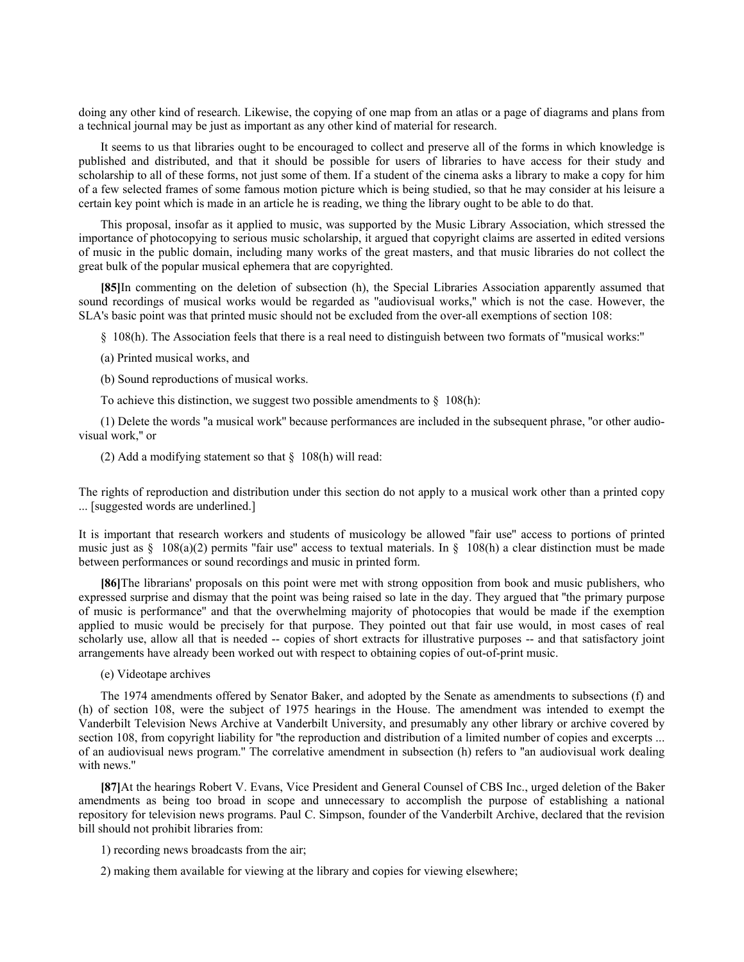doing any other kind of research. Likewise, the copying of one map from an atlas or a page of diagrams and plans from a technical journal may be just as important as any other kind of material for research.

It seems to us that libraries ought to be encouraged to collect and preserve all of the forms in which knowledge is published and distributed, and that it should be possible for users of libraries to have access for their study and scholarship to all of these forms, not just some of them. If a student of the cinema asks a library to make a copy for him of a few selected frames of some famous motion picture which is being studied, so that he may consider at his leisure a certain key point which is made in an article he is reading, we thing the library ought to be able to do that.

This proposal, insofar as it applied to music, was supported by the Music Library Association, which stressed the importance of photocopying to serious music scholarship, it argued that copyright claims are asserted in edited versions of music in the public domain, including many works of the great masters, and that music libraries do not collect the great bulk of the popular musical ephemera that are copyrighted.

**[85]**In commenting on the deletion of subsection (h), the Special Libraries Association apparently assumed that sound recordings of musical works would be regarded as ''audiovisual works,'' which is not the case. However, the SLA's basic point was that printed music should not be excluded from the over-all exemptions of section 108:

§ 108(h). The Association feels that there is a real need to distinguish between two formats of ''musical works:''

(a) Printed musical works, and

(b) Sound reproductions of musical works.

To achieve this distinction, we suggest two possible amendments to  $\S$  108(h):

(1) Delete the words ''a musical work'' because performances are included in the subsequent phrase, ''or other audiovisual work,'' or

(2) Add a modifying statement so that  $\S$  108(h) will read:

The rights of reproduction and distribution under this section do not apply to a musical work other than a printed copy ... [suggested words are underlined.]

It is important that research workers and students of musicology be allowed ''fair use'' access to portions of printed music just as  $\S$  108(a)(2) permits "fair use" access to textual materials. In  $\S$  108(h) a clear distinction must be made between performances or sound recordings and music in printed form.

**[86]**The librarians' proposals on this point were met with strong opposition from book and music publishers, who expressed surprise and dismay that the point was being raised so late in the day. They argued that ''the primary purpose of music is performance'' and that the overwhelming majority of photocopies that would be made if the exemption applied to music would be precisely for that purpose. They pointed out that fair use would, in most cases of real scholarly use, allow all that is needed -- copies of short extracts for illustrative purposes -- and that satisfactory joint arrangements have already been worked out with respect to obtaining copies of out-of-print music.

(e) Videotape archives

The 1974 amendments offered by Senator Baker, and adopted by the Senate as amendments to subsections (f) and (h) of section 108, were the subject of 1975 hearings in the House. The amendment was intended to exempt the Vanderbilt Television News Archive at Vanderbilt University, and presumably any other library or archive covered by section 108, from copyright liability for ''the reproduction and distribution of a limited number of copies and excerpts ... of an audiovisual news program.'' The correlative amendment in subsection (h) refers to ''an audiovisual work dealing with news.''

**[87]**At the hearings Robert V. Evans, Vice President and General Counsel of CBS Inc., urged deletion of the Baker amendments as being too broad in scope and unnecessary to accomplish the purpose of establishing a national repository for television news programs. Paul C. Simpson, founder of the Vanderbilt Archive, declared that the revision bill should not prohibit libraries from:

1) recording news broadcasts from the air;

2) making them available for viewing at the library and copies for viewing elsewhere;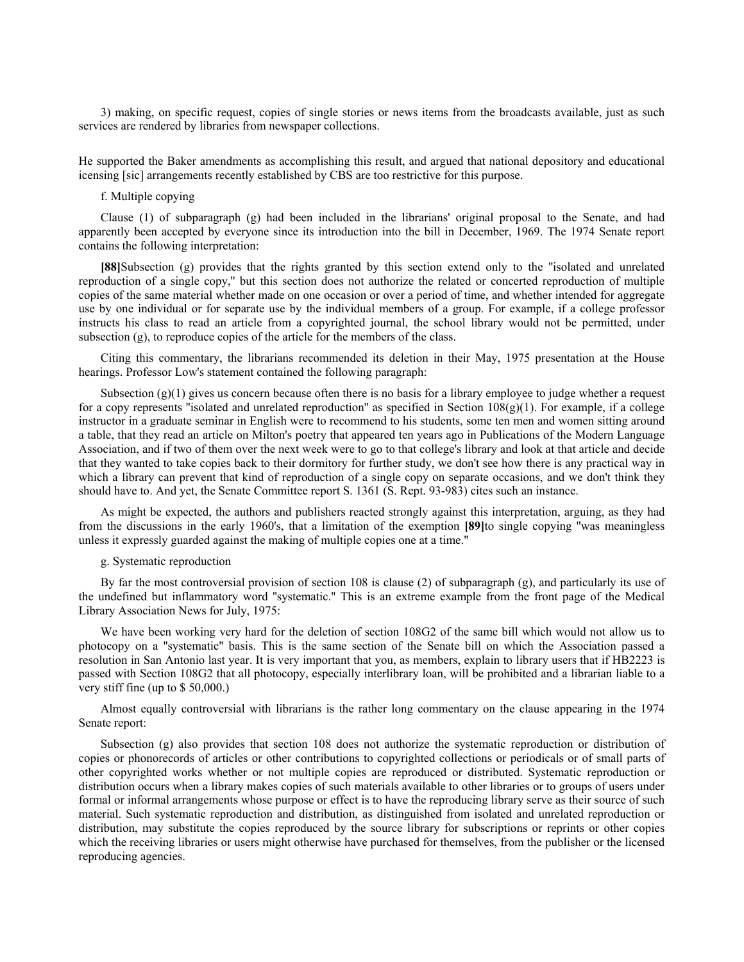3) making, on specific request, copies of single stories or news items from the broadcasts available, just as such services are rendered by libraries from newspaper collections.

He supported the Baker amendments as accomplishing this result, and argued that national depository and educational icensing [sic] arrangements recently established by CBS are too restrictive for this purpose.

### f. Multiple copying

Clause (1) of subparagraph (g) had been included in the librarians' original proposal to the Senate, and had apparently been accepted by everyone since its introduction into the bill in December, 1969. The 1974 Senate report contains the following interpretation:

**[88]**Subsection (g) provides that the rights granted by this section extend only to the ''isolated and unrelated reproduction of a single copy,'' but this section does not authorize the related or concerted reproduction of multiple copies of the same material whether made on one occasion or over a period of time, and whether intended for aggregate use by one individual or for separate use by the individual members of a group. For example, if a college professor instructs his class to read an article from a copyrighted journal, the school library would not be permitted, under subsection (g), to reproduce copies of the article for the members of the class.

Citing this commentary, the librarians recommended its deletion in their May, 1975 presentation at the House hearings. Professor Low's statement contained the following paragraph:

Subsection  $(g)(1)$  gives us concern because often there is no basis for a library employee to judge whether a request for a copy represents "isolated and unrelated reproduction" as specified in Section  $108(g)(1)$ . For example, if a college instructor in a graduate seminar in English were to recommend to his students, some ten men and women sitting around a table, that they read an article on Milton's poetry that appeared ten years ago in Publications of the Modern Language Association, and if two of them over the next week were to go to that college's library and look at that article and decide that they wanted to take copies back to their dormitory for further study, we don't see how there is any practical way in which a library can prevent that kind of reproduction of a single copy on separate occasions, and we don't think they should have to. And yet, the Senate Committee report S. 1361 (S. Rept. 93-983) cites such an instance.

As might be expected, the authors and publishers reacted strongly against this interpretation, arguing, as they had from the discussions in the early 1960's, that a limitation of the exemption **[89]**to single copying ''was meaningless unless it expressly guarded against the making of multiple copies one at a time.''

#### g. Systematic reproduction

By far the most controversial provision of section 108 is clause (2) of subparagraph (g), and particularly its use of the undefined but inflammatory word ''systematic.'' This is an extreme example from the front page of the Medical Library Association News for July, 1975:

We have been working very hard for the deletion of section 108G2 of the same bill which would not allow us to photocopy on a ''systematic'' basis. This is the same section of the Senate bill on which the Association passed a resolution in San Antonio last year. It is very important that you, as members, explain to library users that if HB2223 is passed with Section 108G2 that all photocopy, especially interlibrary loan, will be prohibited and a librarian liable to a very stiff fine (up to \$ 50,000.)

Almost equally controversial with librarians is the rather long commentary on the clause appearing in the 1974 Senate report:

Subsection (g) also provides that section 108 does not authorize the systematic reproduction or distribution of copies or phonorecords of articles or other contributions to copyrighted collections or periodicals or of small parts of other copyrighted works whether or not multiple copies are reproduced or distributed. Systematic reproduction or distribution occurs when a library makes copies of such materials available to other libraries or to groups of users under formal or informal arrangements whose purpose or effect is to have the reproducing library serve as their source of such material. Such systematic reproduction and distribution, as distinguished from isolated and unrelated reproduction or distribution, may substitute the copies reproduced by the source library for subscriptions or reprints or other copies which the receiving libraries or users might otherwise have purchased for themselves, from the publisher or the licensed reproducing agencies.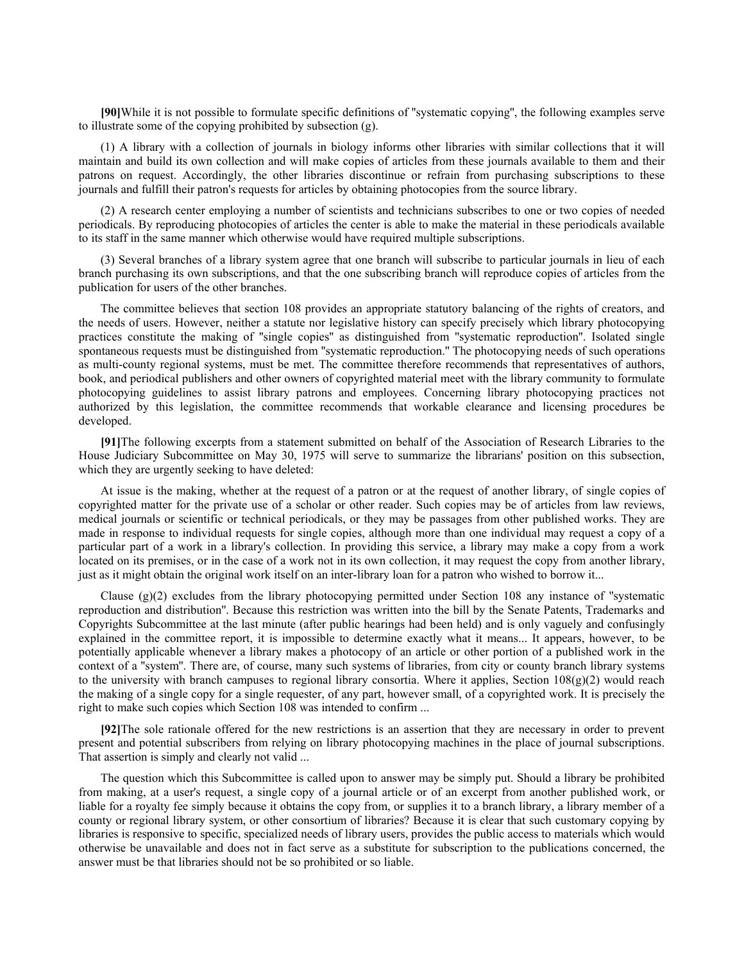**[90]**While it is not possible to formulate specific definitions of ''systematic copying'', the following examples serve to illustrate some of the copying prohibited by subsection (g).

(1) A library with a collection of journals in biology informs other libraries with similar collections that it will maintain and build its own collection and will make copies of articles from these journals available to them and their patrons on request. Accordingly, the other libraries discontinue or refrain from purchasing subscriptions to these journals and fulfill their patron's requests for articles by obtaining photocopies from the source library.

(2) A research center employing a number of scientists and technicians subscribes to one or two copies of needed periodicals. By reproducing photocopies of articles the center is able to make the material in these periodicals available to its staff in the same manner which otherwise would have required multiple subscriptions.

(3) Several branches of a library system agree that one branch will subscribe to particular journals in lieu of each branch purchasing its own subscriptions, and that the one subscribing branch will reproduce copies of articles from the publication for users of the other branches.

The committee believes that section 108 provides an appropriate statutory balancing of the rights of creators, and the needs of users. However, neither a statute nor legislative history can specify precisely which library photocopying practices constitute the making of ''single copies'' as distinguished from ''systematic reproduction''. Isolated single spontaneous requests must be distinguished from ''systematic reproduction.'' The photocopying needs of such operations as multi-county regional systems, must be met. The committee therefore recommends that representatives of authors, book, and periodical publishers and other owners of copyrighted material meet with the library community to formulate photocopying guidelines to assist library patrons and employees. Concerning library photocopying practices not authorized by this legislation, the committee recommends that workable clearance and licensing procedures be developed.

**[91]**The following excerpts from a statement submitted on behalf of the Association of Research Libraries to the House Judiciary Subcommittee on May 30, 1975 will serve to summarize the librarians' position on this subsection, which they are urgently seeking to have deleted:

At issue is the making, whether at the request of a patron or at the request of another library, of single copies of copyrighted matter for the private use of a scholar or other reader. Such copies may be of articles from law reviews, medical journals or scientific or technical periodicals, or they may be passages from other published works. They are made in response to individual requests for single copies, although more than one individual may request a copy of a particular part of a work in a library's collection. In providing this service, a library may make a copy from a work located on its premises, or in the case of a work not in its own collection, it may request the copy from another library, just as it might obtain the original work itself on an inter-library loan for a patron who wished to borrow it...

Clause  $(g)(2)$  excludes from the library photocopying permitted under Section 108 any instance of "systematic" reproduction and distribution''. Because this restriction was written into the bill by the Senate Patents, Trademarks and Copyrights Subcommittee at the last minute (after public hearings had been held) and is only vaguely and confusingly explained in the committee report, it is impossible to determine exactly what it means... It appears, however, to be potentially applicable whenever a library makes a photocopy of an article or other portion of a published work in the context of a ''system''. There are, of course, many such systems of libraries, from city or county branch library systems to the university with branch campuses to regional library consortia. Where it applies, Section  $108(g)(2)$  would reach the making of a single copy for a single requester, of any part, however small, of a copyrighted work. It is precisely the right to make such copies which Section 108 was intended to confirm ...

**[92]**The sole rationale offered for the new restrictions is an assertion that they are necessary in order to prevent present and potential subscribers from relying on library photocopying machines in the place of journal subscriptions. That assertion is simply and clearly not valid ...

The question which this Subcommittee is called upon to answer may be simply put. Should a library be prohibited from making, at a user's request, a single copy of a journal article or of an excerpt from another published work, or liable for a royalty fee simply because it obtains the copy from, or supplies it to a branch library, a library member of a county or regional library system, or other consortium of libraries? Because it is clear that such customary copying by libraries is responsive to specific, specialized needs of library users, provides the public access to materials which would otherwise be unavailable and does not in fact serve as a substitute for subscription to the publications concerned, the answer must be that libraries should not be so prohibited or so liable.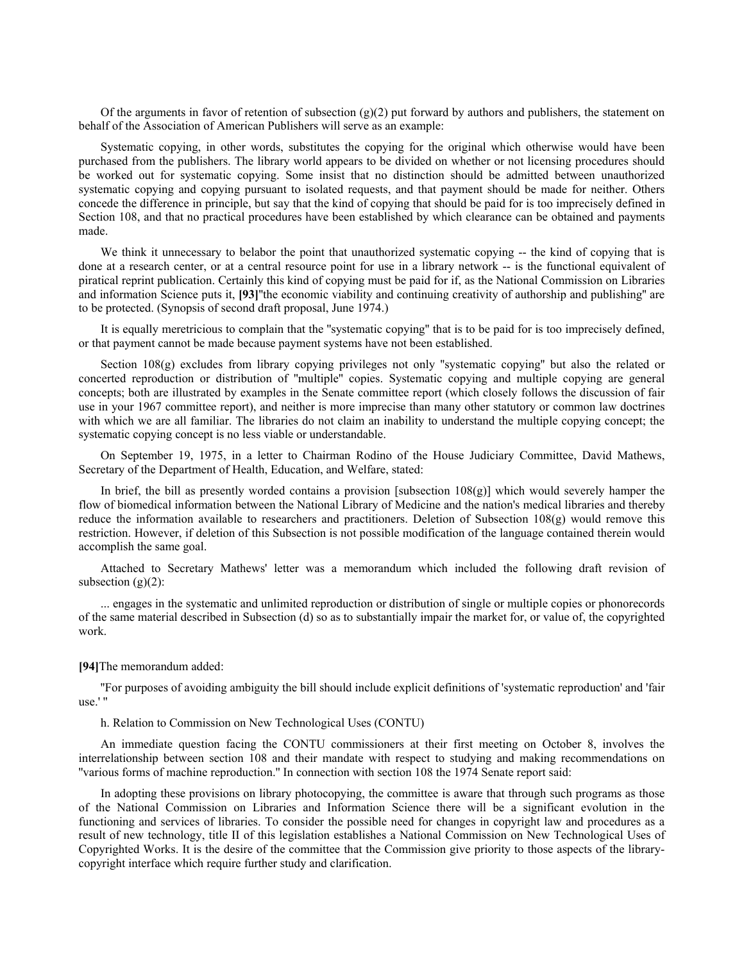Of the arguments in favor of retention of subsection  $(g)(2)$  put forward by authors and publishers, the statement on behalf of the Association of American Publishers will serve as an example:

Systematic copying, in other words, substitutes the copying for the original which otherwise would have been purchased from the publishers. The library world appears to be divided on whether or not licensing procedures should be worked out for systematic copying. Some insist that no distinction should be admitted between unauthorized systematic copying and copying pursuant to isolated requests, and that payment should be made for neither. Others concede the difference in principle, but say that the kind of copying that should be paid for is too imprecisely defined in Section 108, and that no practical procedures have been established by which clearance can be obtained and payments made.

We think it unnecessary to belabor the point that unauthorized systematic copying -- the kind of copying that is done at a research center, or at a central resource point for use in a library network -- is the functional equivalent of piratical reprint publication. Certainly this kind of copying must be paid for if, as the National Commission on Libraries and information Science puts it, **[93]**''the economic viability and continuing creativity of authorship and publishing'' are to be protected. (Synopsis of second draft proposal, June 1974.)

It is equally meretricious to complain that the ''systematic copying'' that is to be paid for is too imprecisely defined, or that payment cannot be made because payment systems have not been established.

Section 108(g) excludes from library copying privileges not only "systematic copying" but also the related or concerted reproduction or distribution of ''multiple'' copies. Systematic copying and multiple copying are general concepts; both are illustrated by examples in the Senate committee report (which closely follows the discussion of fair use in your 1967 committee report), and neither is more imprecise than many other statutory or common law doctrines with which we are all familiar. The libraries do not claim an inability to understand the multiple copying concept; the systematic copying concept is no less viable or understandable.

On September 19, 1975, in a letter to Chairman Rodino of the House Judiciary Committee, David Mathews, Secretary of the Department of Health, Education, and Welfare, stated:

In brief, the bill as presently worded contains a provision [subsection  $108(g)$ ] which would severely hamper the flow of biomedical information between the National Library of Medicine and the nation's medical libraries and thereby reduce the information available to researchers and practitioners. Deletion of Subsection 108(g) would remove this restriction. However, if deletion of this Subsection is not possible modification of the language contained therein would accomplish the same goal.

Attached to Secretary Mathews' letter was a memorandum which included the following draft revision of subsection  $(g)(2)$ :

... engages in the systematic and unlimited reproduction or distribution of single or multiple copies or phonorecords of the same material described in Subsection (d) so as to substantially impair the market for, or value of, the copyrighted work.

#### **[94]**The memorandum added:

''For purposes of avoiding ambiguity the bill should include explicit definitions of 'systematic reproduction' and 'fair use.' ''

h. Relation to Commission on New Technological Uses (CONTU)

An immediate question facing the CONTU commissioners at their first meeting on October 8, involves the interrelationship between section 108 and their mandate with respect to studying and making recommendations on ''various forms of machine reproduction.'' In connection with section 108 the 1974 Senate report said:

In adopting these provisions on library photocopying, the committee is aware that through such programs as those of the National Commission on Libraries and Information Science there will be a significant evolution in the functioning and services of libraries. To consider the possible need for changes in copyright law and procedures as a result of new technology, title II of this legislation establishes a National Commission on New Technological Uses of Copyrighted Works. It is the desire of the committee that the Commission give priority to those aspects of the librarycopyright interface which require further study and clarification.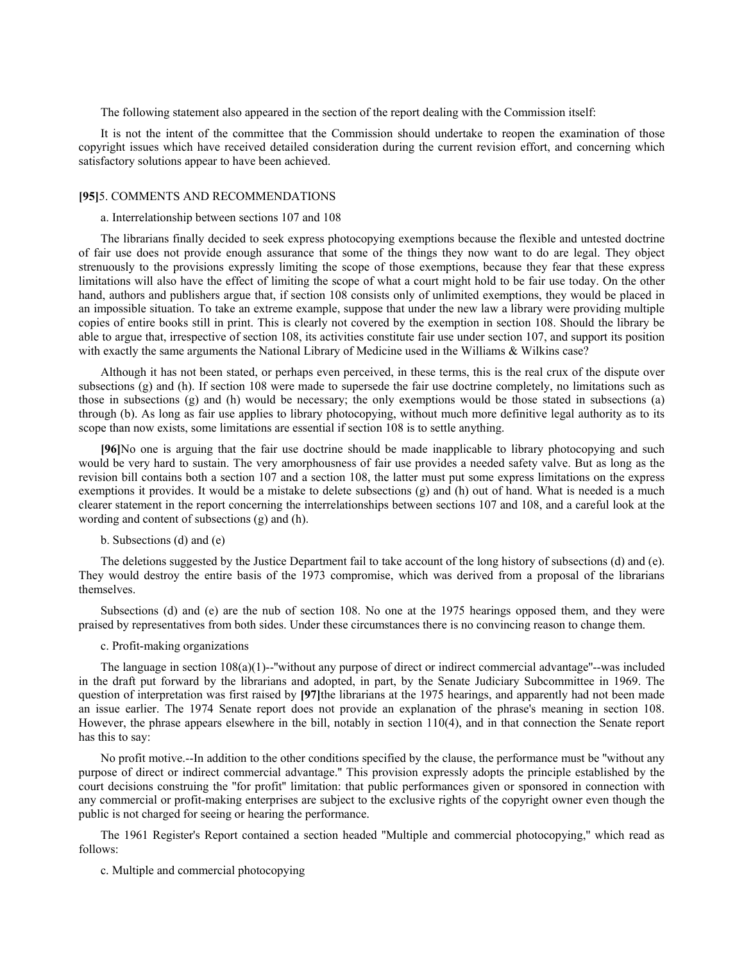The following statement also appeared in the section of the report dealing with the Commission itself:

It is not the intent of the committee that the Commission should undertake to reopen the examination of those copyright issues which have received detailed consideration during the current revision effort, and concerning which satisfactory solutions appear to have been achieved.

## **[95]**5. COMMENTS AND RECOMMENDATIONS

#### a. Interrelationship between sections 107 and 108

The librarians finally decided to seek express photocopying exemptions because the flexible and untested doctrine of fair use does not provide enough assurance that some of the things they now want to do are legal. They object strenuously to the provisions expressly limiting the scope of those exemptions, because they fear that these express limitations will also have the effect of limiting the scope of what a court might hold to be fair use today. On the other hand, authors and publishers argue that, if section 108 consists only of unlimited exemptions, they would be placed in an impossible situation. To take an extreme example, suppose that under the new law a library were providing multiple copies of entire books still in print. This is clearly not covered by the exemption in section 108. Should the library be able to argue that, irrespective of section 108, its activities constitute fair use under section 107, and support its position with exactly the same arguments the National Library of Medicine used in the Williams & Wilkins case?

Although it has not been stated, or perhaps even perceived, in these terms, this is the real crux of the dispute over subsections (g) and (h). If section 108 were made to supersede the fair use doctrine completely, no limitations such as those in subsections (g) and (h) would be necessary; the only exemptions would be those stated in subsections (a) through (b). As long as fair use applies to library photocopying, without much more definitive legal authority as to its scope than now exists, some limitations are essential if section 108 is to settle anything.

**[96]**No one is arguing that the fair use doctrine should be made inapplicable to library photocopying and such would be very hard to sustain. The very amorphousness of fair use provides a needed safety valve. But as long as the revision bill contains both a section 107 and a section 108, the latter must put some express limitations on the express exemptions it provides. It would be a mistake to delete subsections  $(g)$  and  $(h)$  out of hand. What is needed is a much clearer statement in the report concerning the interrelationships between sections 107 and 108, and a careful look at the wording and content of subsections (g) and (h).

## b. Subsections (d) and (e)

The deletions suggested by the Justice Department fail to take account of the long history of subsections (d) and (e). They would destroy the entire basis of the 1973 compromise, which was derived from a proposal of the librarians themselves.

Subsections (d) and (e) are the nub of section 108. No one at the 1975 hearings opposed them, and they were praised by representatives from both sides. Under these circumstances there is no convincing reason to change them.

## c. Profit-making organizations

The language in section  $108(a)(1)$ --"without any purpose of direct or indirect commercial advantage"--was included in the draft put forward by the librarians and adopted, in part, by the Senate Judiciary Subcommittee in 1969. The question of interpretation was first raised by **[97]**the librarians at the 1975 hearings, and apparently had not been made an issue earlier. The 1974 Senate report does not provide an explanation of the phrase's meaning in section 108. However, the phrase appears elsewhere in the bill, notably in section 110(4), and in that connection the Senate report has this to say:

No profit motive.--In addition to the other conditions specified by the clause, the performance must be ''without any purpose of direct or indirect commercial advantage.'' This provision expressly adopts the principle established by the court decisions construing the ''for profit'' limitation: that public performances given or sponsored in connection with any commercial or profit-making enterprises are subject to the exclusive rights of the copyright owner even though the public is not charged for seeing or hearing the performance.

The 1961 Register's Report contained a section headed ''Multiple and commercial photocopying,'' which read as follows:

c. Multiple and commercial photocopying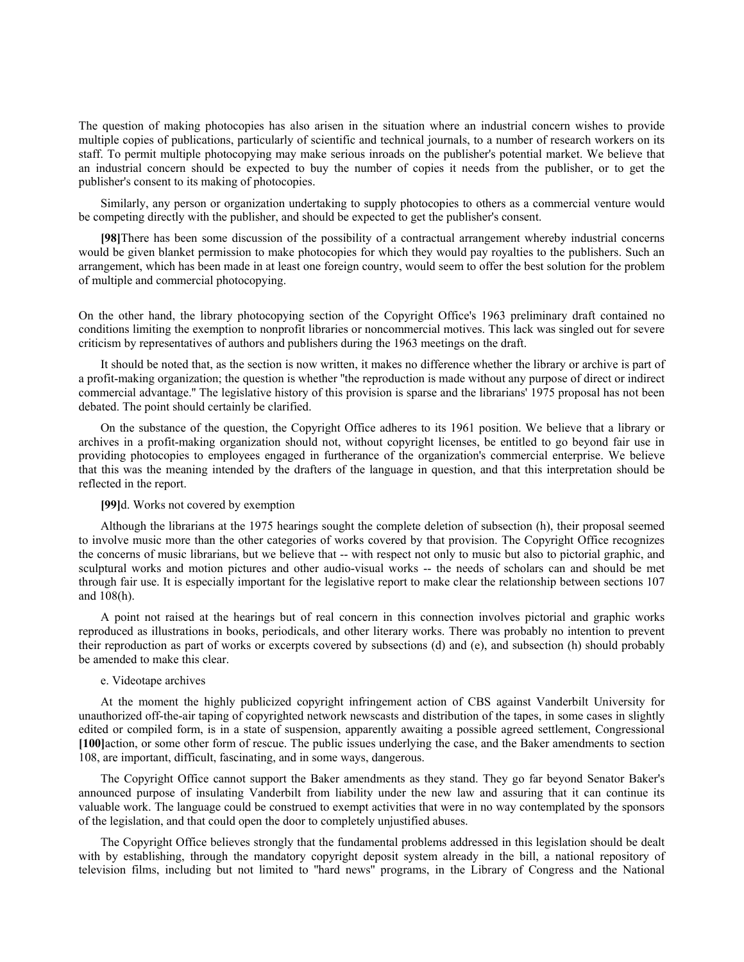The question of making photocopies has also arisen in the situation where an industrial concern wishes to provide multiple copies of publications, particularly of scientific and technical journals, to a number of research workers on its staff. To permit multiple photocopying may make serious inroads on the publisher's potential market. We believe that an industrial concern should be expected to buy the number of copies it needs from the publisher, or to get the publisher's consent to its making of photocopies.

Similarly, any person or organization undertaking to supply photocopies to others as a commercial venture would be competing directly with the publisher, and should be expected to get the publisher's consent.

**[98]**There has been some discussion of the possibility of a contractual arrangement whereby industrial concerns would be given blanket permission to make photocopies for which they would pay royalties to the publishers. Such an arrangement, which has been made in at least one foreign country, would seem to offer the best solution for the problem of multiple and commercial photocopying.

On the other hand, the library photocopying section of the Copyright Office's 1963 preliminary draft contained no conditions limiting the exemption to nonprofit libraries or noncommercial motives. This lack was singled out for severe criticism by representatives of authors and publishers during the 1963 meetings on the draft.

It should be noted that, as the section is now written, it makes no difference whether the library or archive is part of a profit-making organization; the question is whether ''the reproduction is made without any purpose of direct or indirect commercial advantage.'' The legislative history of this provision is sparse and the librarians' 1975 proposal has not been debated. The point should certainly be clarified.

On the substance of the question, the Copyright Office adheres to its 1961 position. We believe that a library or archives in a profit-making organization should not, without copyright licenses, be entitled to go beyond fair use in providing photocopies to employees engaged in furtherance of the organization's commercial enterprise. We believe that this was the meaning intended by the drafters of the language in question, and that this interpretation should be reflected in the report.

### **[99]**d. Works not covered by exemption

Although the librarians at the 1975 hearings sought the complete deletion of subsection (h), their proposal seemed to involve music more than the other categories of works covered by that provision. The Copyright Office recognizes the concerns of music librarians, but we believe that -- with respect not only to music but also to pictorial graphic, and sculptural works and motion pictures and other audio-visual works -- the needs of scholars can and should be met through fair use. It is especially important for the legislative report to make clear the relationship between sections 107 and 108(h).

A point not raised at the hearings but of real concern in this connection involves pictorial and graphic works reproduced as illustrations in books, periodicals, and other literary works. There was probably no intention to prevent their reproduction as part of works or excerpts covered by subsections (d) and (e), and subsection (h) should probably be amended to make this clear.

# e. Videotape archives

At the moment the highly publicized copyright infringement action of CBS against Vanderbilt University for unauthorized off-the-air taping of copyrighted network newscasts and distribution of the tapes, in some cases in slightly edited or compiled form, is in a state of suspension, apparently awaiting a possible agreed settlement, Congressional **[100]**action, or some other form of rescue. The public issues underlying the case, and the Baker amendments to section 108, are important, difficult, fascinating, and in some ways, dangerous.

The Copyright Office cannot support the Baker amendments as they stand. They go far beyond Senator Baker's announced purpose of insulating Vanderbilt from liability under the new law and assuring that it can continue its valuable work. The language could be construed to exempt activities that were in no way contemplated by the sponsors of the legislation, and that could open the door to completely unjustified abuses.

The Copyright Office believes strongly that the fundamental problems addressed in this legislation should be dealt with by establishing, through the mandatory copyright deposit system already in the bill, a national repository of television films, including but not limited to ''hard news'' programs, in the Library of Congress and the National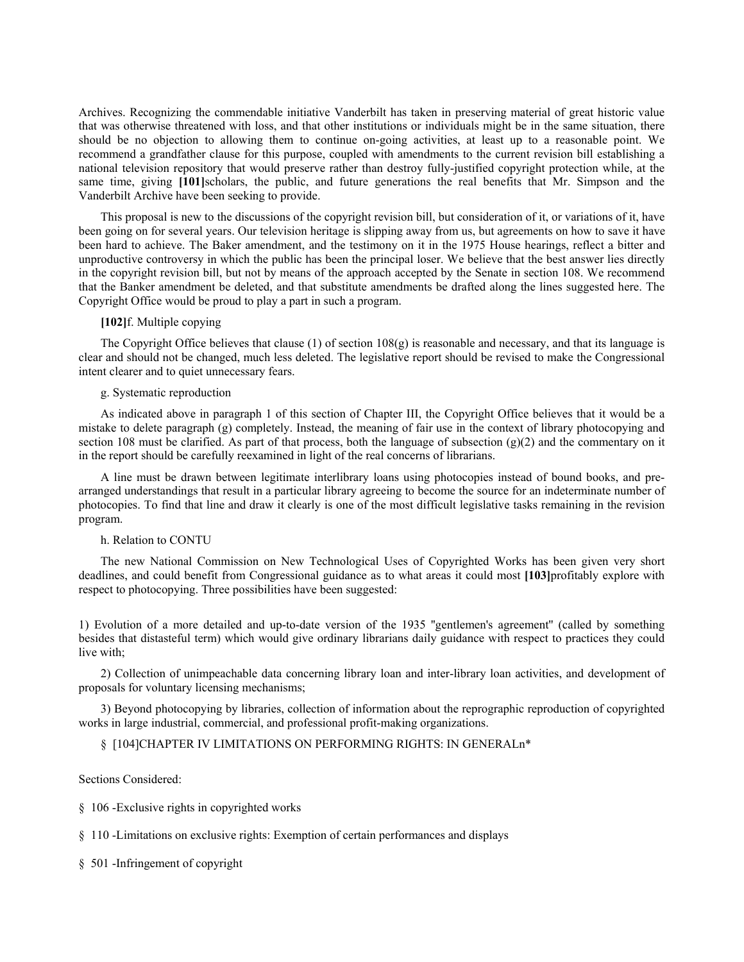Archives. Recognizing the commendable initiative Vanderbilt has taken in preserving material of great historic value that was otherwise threatened with loss, and that other institutions or individuals might be in the same situation, there should be no objection to allowing them to continue on-going activities, at least up to a reasonable point. We recommend a grandfather clause for this purpose, coupled with amendments to the current revision bill establishing a national television repository that would preserve rather than destroy fully-justified copyright protection while, at the same time, giving **[101]**scholars, the public, and future generations the real benefits that Mr. Simpson and the Vanderbilt Archive have been seeking to provide.

This proposal is new to the discussions of the copyright revision bill, but consideration of it, or variations of it, have been going on for several years. Our television heritage is slipping away from us, but agreements on how to save it have been hard to achieve. The Baker amendment, and the testimony on it in the 1975 House hearings, reflect a bitter and unproductive controversy in which the public has been the principal loser. We believe that the best answer lies directly in the copyright revision bill, but not by means of the approach accepted by the Senate in section 108. We recommend that the Banker amendment be deleted, and that substitute amendments be drafted along the lines suggested here. The Copyright Office would be proud to play a part in such a program.

# **[102]**f. Multiple copying

The Copyright Office believes that clause  $(1)$  of section  $108(g)$  is reasonable and necessary, and that its language is clear and should not be changed, much less deleted. The legislative report should be revised to make the Congressional intent clearer and to quiet unnecessary fears.

### g. Systematic reproduction

As indicated above in paragraph 1 of this section of Chapter III, the Copyright Office believes that it would be a mistake to delete paragraph (g) completely. Instead, the meaning of fair use in the context of library photocopying and section 108 must be clarified. As part of that process, both the language of subsection  $(g)(2)$  and the commentary on it in the report should be carefully reexamined in light of the real concerns of librarians.

A line must be drawn between legitimate interlibrary loans using photocopies instead of bound books, and prearranged understandings that result in a particular library agreeing to become the source for an indeterminate number of photocopies. To find that line and draw it clearly is one of the most difficult legislative tasks remaining in the revision program.

## h. Relation to CONTU

The new National Commission on New Technological Uses of Copyrighted Works has been given very short deadlines, and could benefit from Congressional guidance as to what areas it could most **[103]**profitably explore with respect to photocopying. Three possibilities have been suggested:

1) Evolution of a more detailed and up-to-date version of the 1935 ''gentlemen's agreement'' (called by something besides that distasteful term) which would give ordinary librarians daily guidance with respect to practices they could live with;

2) Collection of unimpeachable data concerning library loan and inter-library loan activities, and development of proposals for voluntary licensing mechanisms;

3) Beyond photocopying by libraries, collection of information about the reprographic reproduction of copyrighted works in large industrial, commercial, and professional profit-making organizations.

# § [104]CHAPTER IV LIMITATIONS ON PERFORMING RIGHTS: IN GENERALn\*

Sections Considered:

§ 106 -Exclusive rights in copyrighted works

§ 110 -Limitations on exclusive rights: Exemption of certain performances and displays

§ 501 -Infringement of copyright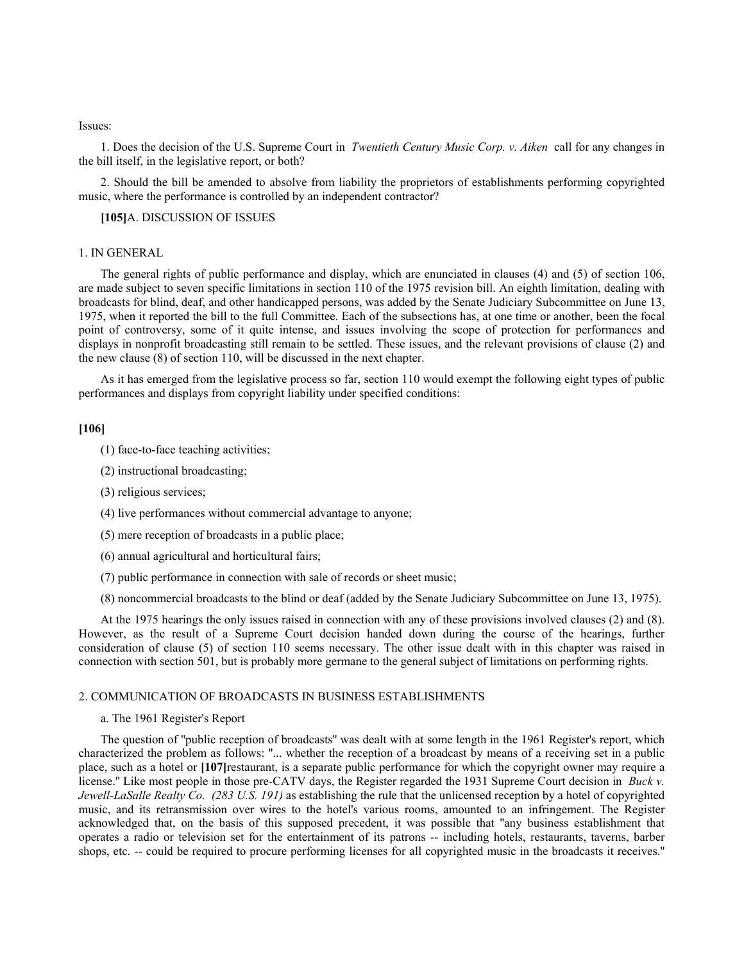Issues:

1. Does the decision of the U.S. Supreme Court in *Twentieth Century Music Corp. v. Aiken* call for any changes in the bill itself, in the legislative report, or both?

2. Should the bill be amended to absolve from liability the proprietors of establishments performing copyrighted music, where the performance is controlled by an independent contractor?

#### **[105]**A. DISCUSSION OF ISSUES

#### 1. IN GENERAL

The general rights of public performance and display, which are enunciated in clauses (4) and (5) of section 106, are made subject to seven specific limitations in section 110 of the 1975 revision bill. An eighth limitation, dealing with broadcasts for blind, deaf, and other handicapped persons, was added by the Senate Judiciary Subcommittee on June 13, 1975, when it reported the bill to the full Committee. Each of the subsections has, at one time or another, been the focal point of controversy, some of it quite intense, and issues involving the scope of protection for performances and displays in nonprofit broadcasting still remain to be settled. These issues, and the relevant provisions of clause (2) and the new clause (8) of section 110, will be discussed in the next chapter.

As it has emerged from the legislative process so far, section 110 would exempt the following eight types of public performances and displays from copyright liability under specified conditions:

## **[106]**

- (1) face-to-face teaching activities;
- (2) instructional broadcasting;
- (3) religious services;
- (4) live performances without commercial advantage to anyone;
- (5) mere reception of broadcasts in a public place;
- (6) annual agricultural and horticultural fairs;
- (7) public performance in connection with sale of records or sheet music;

(8) noncommercial broadcasts to the blind or deaf (added by the Senate Judiciary Subcommittee on June 13, 1975).

At the 1975 hearings the only issues raised in connection with any of these provisions involved clauses (2) and (8). However, as the result of a Supreme Court decision handed down during the course of the hearings, further consideration of clause (5) of section 110 seems necessary. The other issue dealt with in this chapter was raised in connection with section 501, but is probably more germane to the general subject of limitations on performing rights.

## 2. COMMUNICATION OF BROADCASTS IN BUSINESS ESTABLISHMENTS

#### a. The 1961 Register's Report

The question of ''public reception of broadcasts'' was dealt with at some length in the 1961 Register's report, which characterized the problem as follows: ''... whether the reception of a broadcast by means of a receiving set in a public place, such as a hotel or **[107]**restaurant, is a separate public performance for which the copyright owner may require a license.'' Like most people in those pre-CATV days, the Register regarded the 1931 Supreme Court decision in *Buck v. Jewell-LaSalle Realty Co. (283 U.S. 191)* as establishing the rule that the unlicensed reception by a hotel of copyrighted music, and its retransmission over wires to the hotel's various rooms, amounted to an infringement. The Register acknowledged that, on the basis of this supposed precedent, it was possible that ''any business establishment that operates a radio or television set for the entertainment of its patrons -- including hotels, restaurants, taverns, barber shops, etc. -- could be required to procure performing licenses for all copyrighted music in the broadcasts it receives.''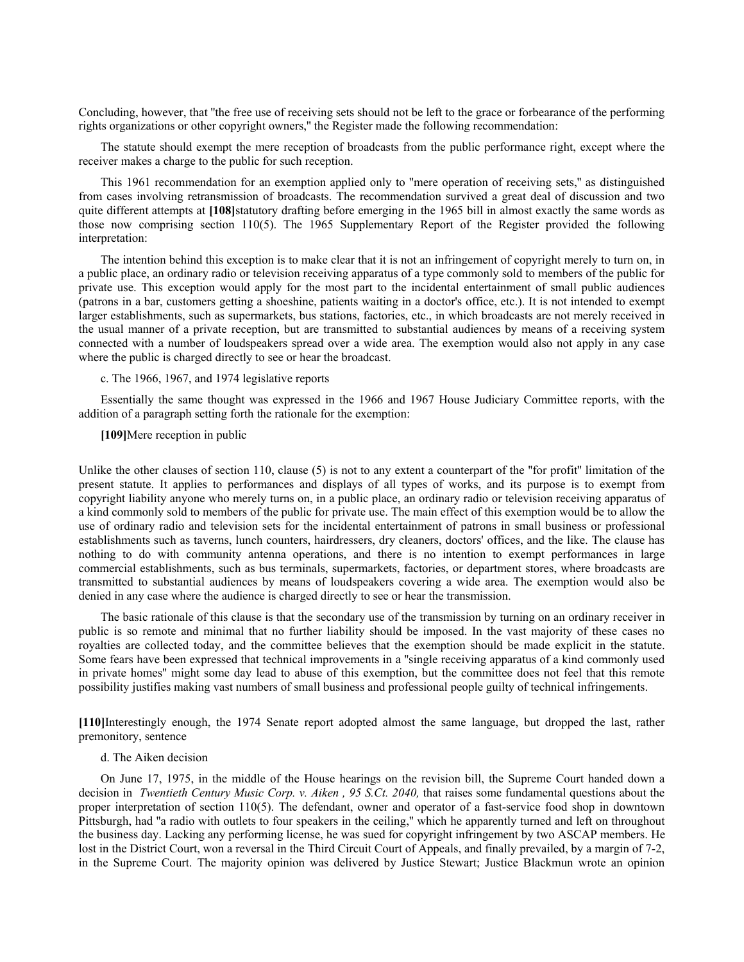Concluding, however, that ''the free use of receiving sets should not be left to the grace or forbearance of the performing rights organizations or other copyright owners,'' the Register made the following recommendation:

The statute should exempt the mere reception of broadcasts from the public performance right, except where the receiver makes a charge to the public for such reception.

This 1961 recommendation for an exemption applied only to ''mere operation of receiving sets,'' as distinguished from cases involving retransmission of broadcasts. The recommendation survived a great deal of discussion and two quite different attempts at **[108]**statutory drafting before emerging in the 1965 bill in almost exactly the same words as those now comprising section 110(5). The 1965 Supplementary Report of the Register provided the following interpretation:

The intention behind this exception is to make clear that it is not an infringement of copyright merely to turn on, in a public place, an ordinary radio or television receiving apparatus of a type commonly sold to members of the public for private use. This exception would apply for the most part to the incidental entertainment of small public audiences (patrons in a bar, customers getting a shoeshine, patients waiting in a doctor's office, etc.). It is not intended to exempt larger establishments, such as supermarkets, bus stations, factories, etc., in which broadcasts are not merely received in the usual manner of a private reception, but are transmitted to substantial audiences by means of a receiving system connected with a number of loudspeakers spread over a wide area. The exemption would also not apply in any case where the public is charged directly to see or hear the broadcast.

c. The 1966, 1967, and 1974 legislative reports

Essentially the same thought was expressed in the 1966 and 1967 House Judiciary Committee reports, with the addition of a paragraph setting forth the rationale for the exemption:

**[109]**Mere reception in public

Unlike the other clauses of section 110, clause (5) is not to any extent a counterpart of the ''for profit'' limitation of the present statute. It applies to performances and displays of all types of works, and its purpose is to exempt from copyright liability anyone who merely turns on, in a public place, an ordinary radio or television receiving apparatus of a kind commonly sold to members of the public for private use. The main effect of this exemption would be to allow the use of ordinary radio and television sets for the incidental entertainment of patrons in small business or professional establishments such as taverns, lunch counters, hairdressers, dry cleaners, doctors' offices, and the like. The clause has nothing to do with community antenna operations, and there is no intention to exempt performances in large commercial establishments, such as bus terminals, supermarkets, factories, or department stores, where broadcasts are transmitted to substantial audiences by means of loudspeakers covering a wide area. The exemption would also be denied in any case where the audience is charged directly to see or hear the transmission.

The basic rationale of this clause is that the secondary use of the transmission by turning on an ordinary receiver in public is so remote and minimal that no further liability should be imposed. In the vast majority of these cases no royalties are collected today, and the committee believes that the exemption should be made explicit in the statute. Some fears have been expressed that technical improvements in a ''single receiving apparatus of a kind commonly used in private homes'' might some day lead to abuse of this exemption, but the committee does not feel that this remote possibility justifies making vast numbers of small business and professional people guilty of technical infringements.

**[110]**Interestingly enough, the 1974 Senate report adopted almost the same language, but dropped the last, rather premonitory, sentence

#### d. The Aiken decision

On June 17, 1975, in the middle of the House hearings on the revision bill, the Supreme Court handed down a decision in *Twentieth Century Music Corp. v. Aiken , 95 S.Ct. 2040,* that raises some fundamental questions about the proper interpretation of section 110(5). The defendant, owner and operator of a fast-service food shop in downtown Pittsburgh, had "a radio with outlets to four speakers in the ceiling," which he apparently turned and left on throughout the business day. Lacking any performing license, he was sued for copyright infringement by two ASCAP members. He lost in the District Court, won a reversal in the Third Circuit Court of Appeals, and finally prevailed, by a margin of 7-2, in the Supreme Court. The majority opinion was delivered by Justice Stewart; Justice Blackmun wrote an opinion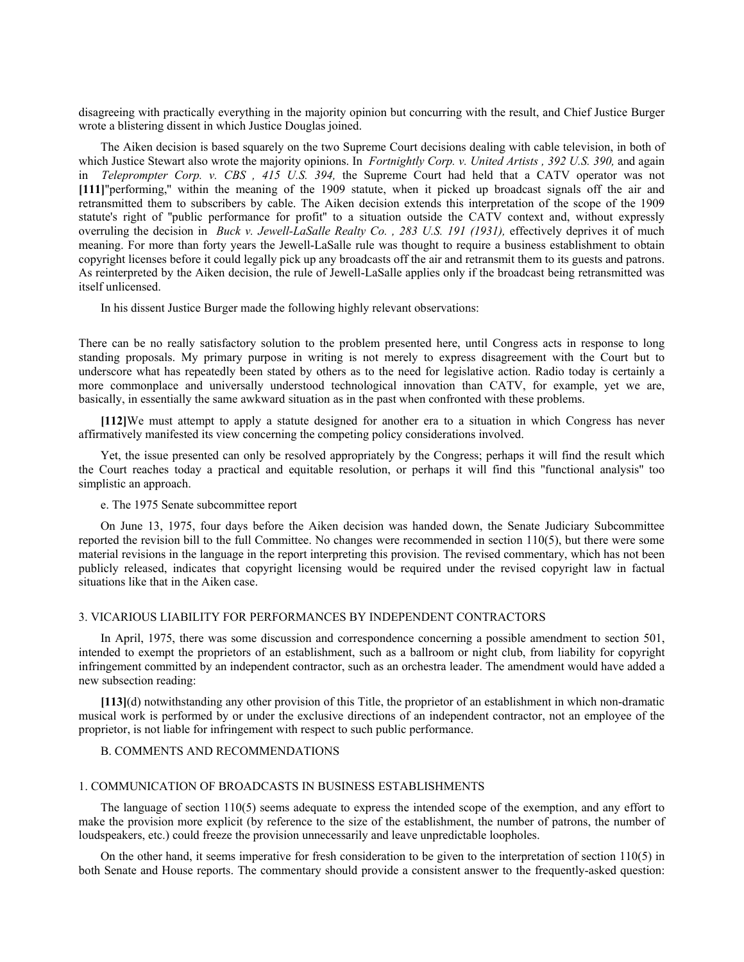disagreeing with practically everything in the majority opinion but concurring with the result, and Chief Justice Burger wrote a blistering dissent in which Justice Douglas joined.

The Aiken decision is based squarely on the two Supreme Court decisions dealing with cable television, in both of which Justice Stewart also wrote the majority opinions. In *Fortnightly Corp. v. United Artists , 392 U.S. 390,* and again in *Teleprompter Corp. v. CBS , 415 U.S. 394,* the Supreme Court had held that a CATV operator was not **[111]**''performing,'' within the meaning of the 1909 statute, when it picked up broadcast signals off the air and retransmitted them to subscribers by cable. The Aiken decision extends this interpretation of the scope of the 1909 statute's right of ''public performance for profit'' to a situation outside the CATV context and, without expressly overruling the decision in *Buck v. Jewell-LaSalle Realty Co. , 283 U.S. 191 (1931),* effectively deprives it of much meaning. For more than forty years the Jewell-LaSalle rule was thought to require a business establishment to obtain copyright licenses before it could legally pick up any broadcasts off the air and retransmit them to its guests and patrons. As reinterpreted by the Aiken decision, the rule of Jewell-LaSalle applies only if the broadcast being retransmitted was itself unlicensed.

In his dissent Justice Burger made the following highly relevant observations:

There can be no really satisfactory solution to the problem presented here, until Congress acts in response to long standing proposals. My primary purpose in writing is not merely to express disagreement with the Court but to underscore what has repeatedly been stated by others as to the need for legislative action. Radio today is certainly a more commonplace and universally understood technological innovation than CATV, for example, yet we are, basically, in essentially the same awkward situation as in the past when confronted with these problems.

**[112]**We must attempt to apply a statute designed for another era to a situation in which Congress has never affirmatively manifested its view concerning the competing policy considerations involved.

Yet, the issue presented can only be resolved appropriately by the Congress; perhaps it will find the result which the Court reaches today a practical and equitable resolution, or perhaps it will find this ''functional analysis'' too simplistic an approach.

### e. The 1975 Senate subcommittee report

On June 13, 1975, four days before the Aiken decision was handed down, the Senate Judiciary Subcommittee reported the revision bill to the full Committee. No changes were recommended in section 110(5), but there were some material revisions in the language in the report interpreting this provision. The revised commentary, which has not been publicly released, indicates that copyright licensing would be required under the revised copyright law in factual situations like that in the Aiken case.

# 3. VICARIOUS LIABILITY FOR PERFORMANCES BY INDEPENDENT CONTRACTORS

In April, 1975, there was some discussion and correspondence concerning a possible amendment to section 501, intended to exempt the proprietors of an establishment, such as a ballroom or night club, from liability for copyright infringement committed by an independent contractor, such as an orchestra leader. The amendment would have added a new subsection reading:

**[113]**(d) notwithstanding any other provision of this Title, the proprietor of an establishment in which non-dramatic musical work is performed by or under the exclusive directions of an independent contractor, not an employee of the proprietor, is not liable for infringement with respect to such public performance.

### B. COMMENTS AND RECOMMENDATIONS

# 1. COMMUNICATION OF BROADCASTS IN BUSINESS ESTABLISHMENTS

The language of section 110(5) seems adequate to express the intended scope of the exemption, and any effort to make the provision more explicit (by reference to the size of the establishment, the number of patrons, the number of loudspeakers, etc.) could freeze the provision unnecessarily and leave unpredictable loopholes.

On the other hand, it seems imperative for fresh consideration to be given to the interpretation of section 110(5) in both Senate and House reports. The commentary should provide a consistent answer to the frequently-asked question: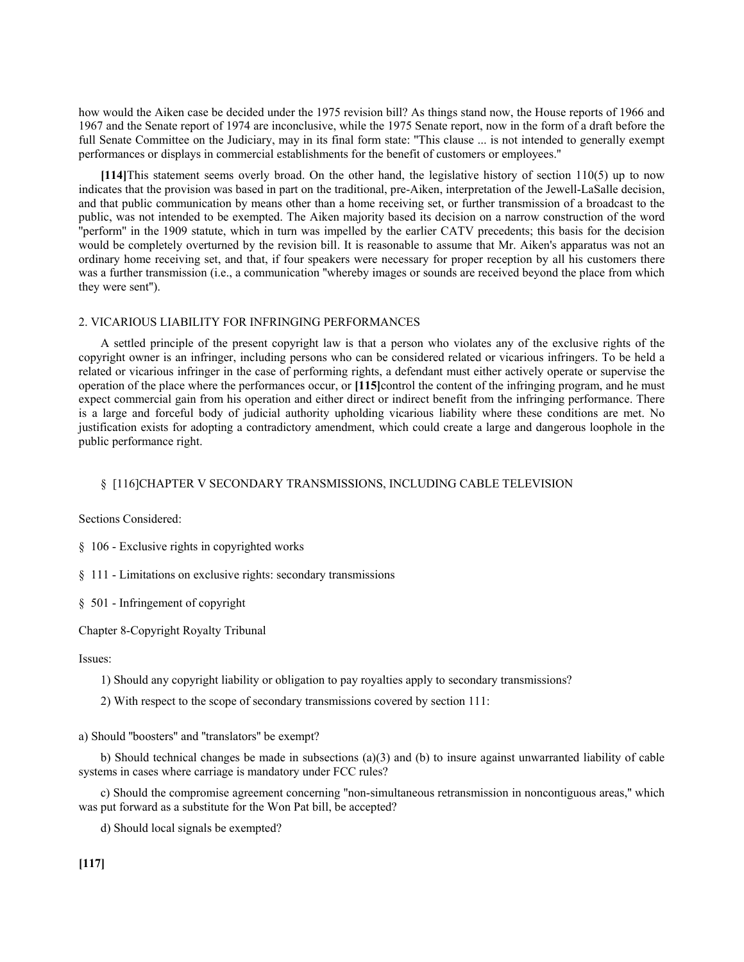how would the Aiken case be decided under the 1975 revision bill? As things stand now, the House reports of 1966 and 1967 and the Senate report of 1974 are inconclusive, while the 1975 Senate report, now in the form of a draft before the full Senate Committee on the Judiciary, may in its final form state: "This clause ... is not intended to generally exempt performances or displays in commercial establishments for the benefit of customers or employees.''

**[114]**This statement seems overly broad. On the other hand, the legislative history of section 110(5) up to now indicates that the provision was based in part on the traditional, pre-Aiken, interpretation of the Jewell-LaSalle decision, and that public communication by means other than a home receiving set, or further transmission of a broadcast to the public, was not intended to be exempted. The Aiken majority based its decision on a narrow construction of the word ''perform'' in the 1909 statute, which in turn was impelled by the earlier CATV precedents; this basis for the decision would be completely overturned by the revision bill. It is reasonable to assume that Mr. Aiken's apparatus was not an ordinary home receiving set, and that, if four speakers were necessary for proper reception by all his customers there was a further transmission (i.e., a communication ''whereby images or sounds are received beyond the place from which they were sent'').

### 2. VICARIOUS LIABILITY FOR INFRINGING PERFORMANCES

A settled principle of the present copyright law is that a person who violates any of the exclusive rights of the copyright owner is an infringer, including persons who can be considered related or vicarious infringers. To be held a related or vicarious infringer in the case of performing rights, a defendant must either actively operate or supervise the operation of the place where the performances occur, or **[115]**control the content of the infringing program, and he must expect commercial gain from his operation and either direct or indirect benefit from the infringing performance. There is a large and forceful body of judicial authority upholding vicarious liability where these conditions are met. No justification exists for adopting a contradictory amendment, which could create a large and dangerous loophole in the public performance right.

### § [116]CHAPTER V SECONDARY TRANSMISSIONS, INCLUDING CABLE TELEVISION

Sections Considered:

§ 106 - Exclusive rights in copyrighted works

§ 111 - Limitations on exclusive rights: secondary transmissions

§ 501 - Infringement of copyright

Chapter 8-Copyright Royalty Tribunal

Issues:

1) Should any copyright liability or obligation to pay royalties apply to secondary transmissions?

2) With respect to the scope of secondary transmissions covered by section 111:

a) Should ''boosters'' and ''translators'' be exempt?

b) Should technical changes be made in subsections (a)(3) and (b) to insure against unwarranted liability of cable systems in cases where carriage is mandatory under FCC rules?

c) Should the compromise agreement concerning ''non-simultaneous retransmission in noncontiguous areas,'' which was put forward as a substitute for the Won Pat bill, be accepted?

d) Should local signals be exempted?

**[117]**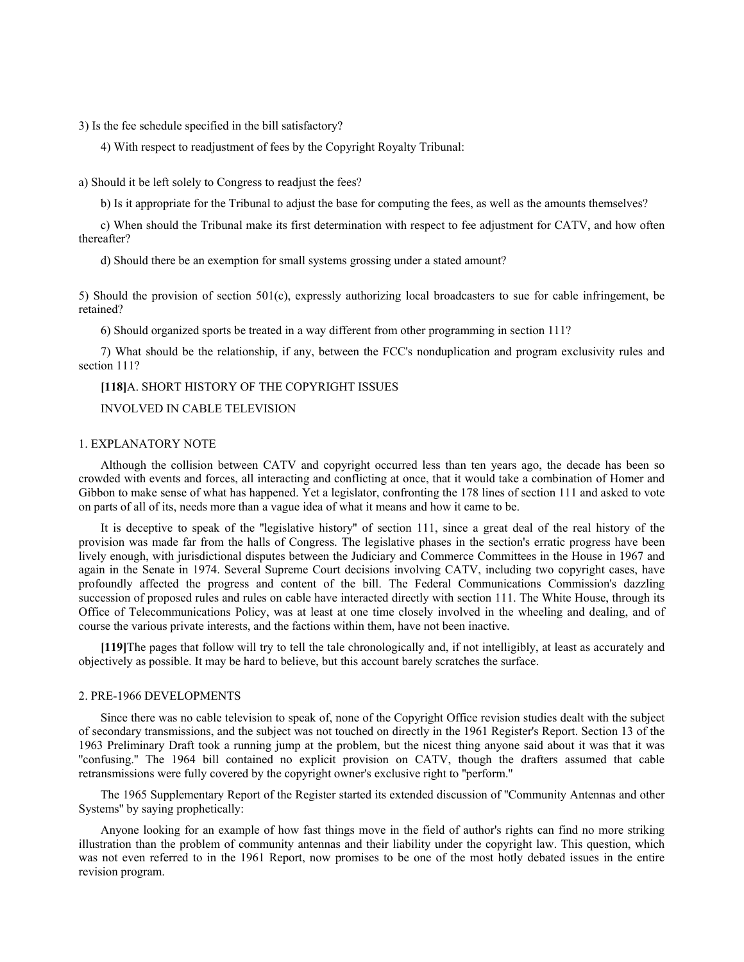3) Is the fee schedule specified in the bill satisfactory?

4) With respect to readjustment of fees by the Copyright Royalty Tribunal:

a) Should it be left solely to Congress to readjust the fees?

b) Is it appropriate for the Tribunal to adjust the base for computing the fees, as well as the amounts themselves?

c) When should the Tribunal make its first determination with respect to fee adjustment for CATV, and how often thereafter?

d) Should there be an exemption for small systems grossing under a stated amount?

5) Should the provision of section 501(c), expressly authorizing local broadcasters to sue for cable infringement, be retained?

6) Should organized sports be treated in a way different from other programming in section 111?

7) What should be the relationship, if any, between the FCC's nonduplication and program exclusivity rules and section 111?

# **[118]**A. SHORT HISTORY OF THE COPYRIGHT ISSUES

INVOLVED IN CABLE TELEVISION

# 1. EXPLANATORY NOTE

Although the collision between CATV and copyright occurred less than ten years ago, the decade has been so crowded with events and forces, all interacting and conflicting at once, that it would take a combination of Homer and Gibbon to make sense of what has happened. Yet a legislator, confronting the 178 lines of section 111 and asked to vote on parts of all of its, needs more than a vague idea of what it means and how it came to be.

It is deceptive to speak of the ''legislative history'' of section 111, since a great deal of the real history of the provision was made far from the halls of Congress. The legislative phases in the section's erratic progress have been lively enough, with jurisdictional disputes between the Judiciary and Commerce Committees in the House in 1967 and again in the Senate in 1974. Several Supreme Court decisions involving CATV, including two copyright cases, have profoundly affected the progress and content of the bill. The Federal Communications Commission's dazzling succession of proposed rules and rules on cable have interacted directly with section 111. The White House, through its Office of Telecommunications Policy, was at least at one time closely involved in the wheeling and dealing, and of course the various private interests, and the factions within them, have not been inactive.

**[119]**The pages that follow will try to tell the tale chronologically and, if not intelligibly, at least as accurately and objectively as possible. It may be hard to believe, but this account barely scratches the surface.

### 2. PRE-1966 DEVELOPMENTS

Since there was no cable television to speak of, none of the Copyright Office revision studies dealt with the subject of secondary transmissions, and the subject was not touched on directly in the 1961 Register's Report. Section 13 of the 1963 Preliminary Draft took a running jump at the problem, but the nicest thing anyone said about it was that it was ''confusing.'' The 1964 bill contained no explicit provision on CATV, though the drafters assumed that cable retransmissions were fully covered by the copyright owner's exclusive right to ''perform.''

The 1965 Supplementary Report of the Register started its extended discussion of ''Community Antennas and other Systems'' by saying prophetically:

Anyone looking for an example of how fast things move in the field of author's rights can find no more striking illustration than the problem of community antennas and their liability under the copyright law. This question, which was not even referred to in the 1961 Report, now promises to be one of the most hotly debated issues in the entire revision program.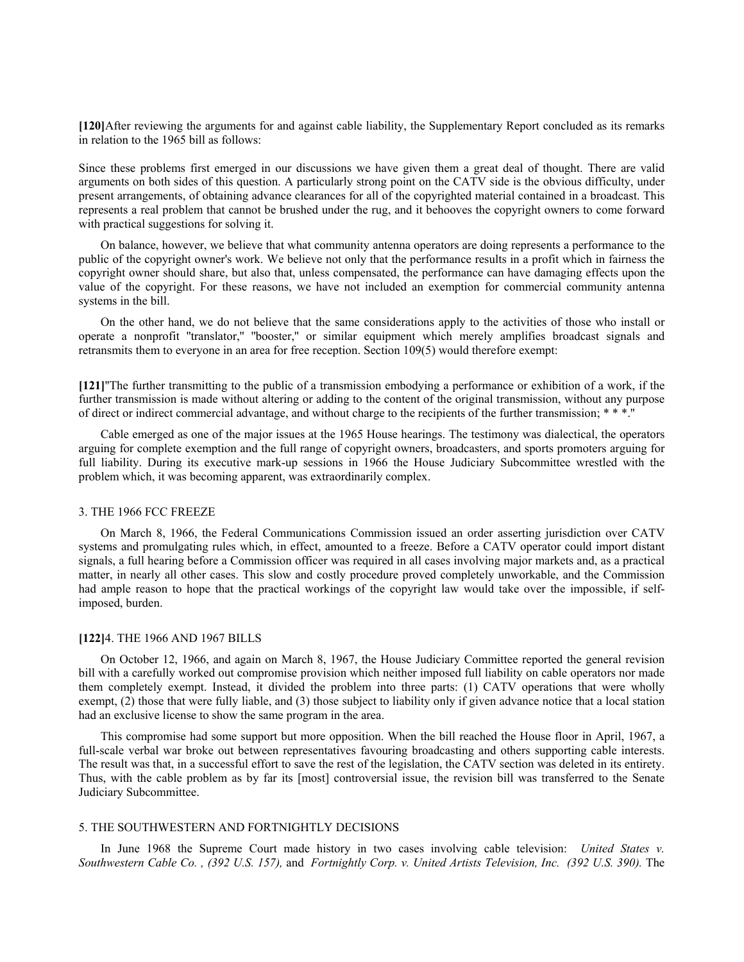**[120]**After reviewing the arguments for and against cable liability, the Supplementary Report concluded as its remarks in relation to the 1965 bill as follows:

Since these problems first emerged in our discussions we have given them a great deal of thought. There are valid arguments on both sides of this question. A particularly strong point on the CATV side is the obvious difficulty, under present arrangements, of obtaining advance clearances for all of the copyrighted material contained in a broadcast. This represents a real problem that cannot be brushed under the rug, and it behooves the copyright owners to come forward with practical suggestions for solving it.

On balance, however, we believe that what community antenna operators are doing represents a performance to the public of the copyright owner's work. We believe not only that the performance results in a profit which in fairness the copyright owner should share, but also that, unless compensated, the performance can have damaging effects upon the value of the copyright. For these reasons, we have not included an exemption for commercial community antenna systems in the bill.

On the other hand, we do not believe that the same considerations apply to the activities of those who install or operate a nonprofit ''translator,'' ''booster,'' or similar equipment which merely amplifies broadcast signals and retransmits them to everyone in an area for free reception. Section 109(5) would therefore exempt:

**[121]**''The further transmitting to the public of a transmission embodying a performance or exhibition of a work, if the further transmission is made without altering or adding to the content of the original transmission, without any purpose of direct or indirect commercial advantage, and without charge to the recipients of the further transmission; \* \* \*.''

Cable emerged as one of the major issues at the 1965 House hearings. The testimony was dialectical, the operators arguing for complete exemption and the full range of copyright owners, broadcasters, and sports promoters arguing for full liability. During its executive mark-up sessions in 1966 the House Judiciary Subcommittee wrestled with the problem which, it was becoming apparent, was extraordinarily complex.

# 3. THE 1966 FCC FREEZE

On March 8, 1966, the Federal Communications Commission issued an order asserting jurisdiction over CATV systems and promulgating rules which, in effect, amounted to a freeze. Before a CATV operator could import distant signals, a full hearing before a Commission officer was required in all cases involving major markets and, as a practical matter, in nearly all other cases. This slow and costly procedure proved completely unworkable, and the Commission had ample reason to hope that the practical workings of the copyright law would take over the impossible, if selfimposed, burden.

### **[122]**4. THE 1966 AND 1967 BILLS

On October 12, 1966, and again on March 8, 1967, the House Judiciary Committee reported the general revision bill with a carefully worked out compromise provision which neither imposed full liability on cable operators nor made them completely exempt. Instead, it divided the problem into three parts: (1) CATV operations that were wholly exempt, (2) those that were fully liable, and (3) those subject to liability only if given advance notice that a local station had an exclusive license to show the same program in the area.

This compromise had some support but more opposition. When the bill reached the House floor in April, 1967, a full-scale verbal war broke out between representatives favouring broadcasting and others supporting cable interests. The result was that, in a successful effort to save the rest of the legislation, the CATV section was deleted in its entirety. Thus, with the cable problem as by far its [most] controversial issue, the revision bill was transferred to the Senate Judiciary Subcommittee.

# 5. THE SOUTHWESTERN AND FORTNIGHTLY DECISIONS

In June 1968 the Supreme Court made history in two cases involving cable television: *United States v. Southwestern Cable Co. , (392 U.S. 157),* and *Fortnightly Corp. v. United Artists Television, Inc. (392 U.S. 390).* The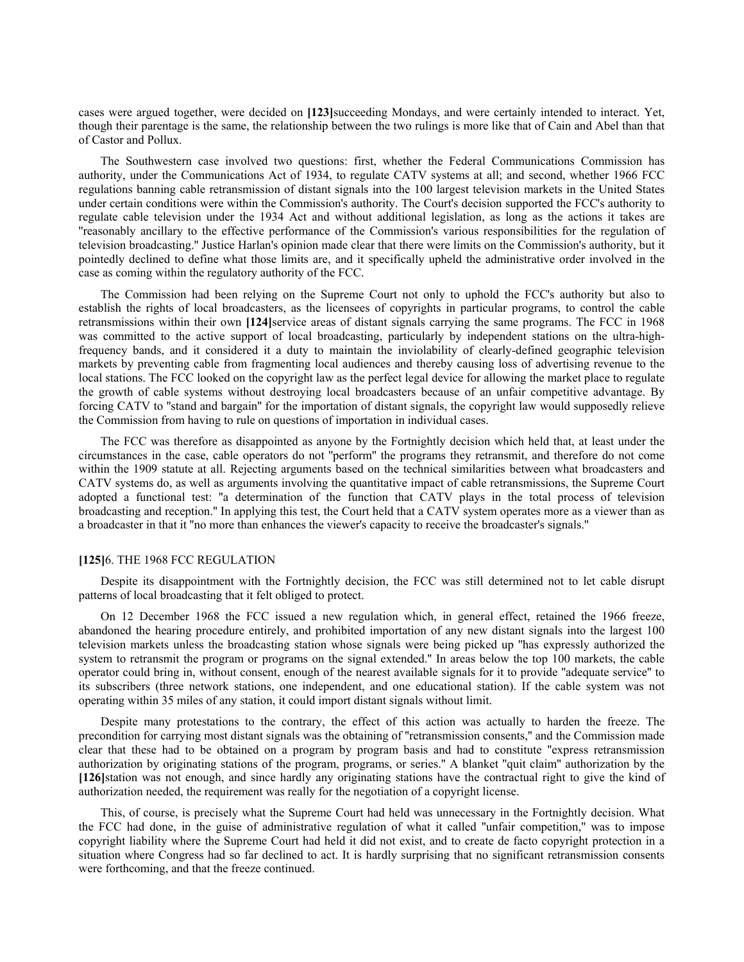cases were argued together, were decided on **[123]**succeeding Mondays, and were certainly intended to interact. Yet, though their parentage is the same, the relationship between the two rulings is more like that of Cain and Abel than that of Castor and Pollux.

The Southwestern case involved two questions: first, whether the Federal Communications Commission has authority, under the Communications Act of 1934, to regulate CATV systems at all; and second, whether 1966 FCC regulations banning cable retransmission of distant signals into the 100 largest television markets in the United States under certain conditions were within the Commission's authority. The Court's decision supported the FCC's authority to regulate cable television under the 1934 Act and without additional legislation, as long as the actions it takes are ''reasonably ancillary to the effective performance of the Commission's various responsibilities for the regulation of television broadcasting.'' Justice Harlan's opinion made clear that there were limits on the Commission's authority, but it pointedly declined to define what those limits are, and it specifically upheld the administrative order involved in the case as coming within the regulatory authority of the FCC.

The Commission had been relying on the Supreme Court not only to uphold the FCC's authority but also to establish the rights of local broadcasters, as the licensees of copyrights in particular programs, to control the cable retransmissions within their own **[124]**service areas of distant signals carrying the same programs. The FCC in 1968 was committed to the active support of local broadcasting, particularly by independent stations on the ultra-highfrequency bands, and it considered it a duty to maintain the inviolability of clearly-defined geographic television markets by preventing cable from fragmenting local audiences and thereby causing loss of advertising revenue to the local stations. The FCC looked on the copyright law as the perfect legal device for allowing the market place to regulate the growth of cable systems without destroying local broadcasters because of an unfair competitive advantage. By forcing CATV to ''stand and bargain'' for the importation of distant signals, the copyright law would supposedly relieve the Commission from having to rule on questions of importation in individual cases.

The FCC was therefore as disappointed as anyone by the Fortnightly decision which held that, at least under the circumstances in the case, cable operators do not ''perform'' the programs they retransmit, and therefore do not come within the 1909 statute at all. Rejecting arguments based on the technical similarities between what broadcasters and CATV systems do, as well as arguments involving the quantitative impact of cable retransmissions, the Supreme Court adopted a functional test: ''a determination of the function that CATV plays in the total process of television broadcasting and reception.'' In applying this test, the Court held that a CATV system operates more as a viewer than as a broadcaster in that it ''no more than enhances the viewer's capacity to receive the broadcaster's signals.''

# **[125]**6. THE 1968 FCC REGULATION

Despite its disappointment with the Fortnightly decision, the FCC was still determined not to let cable disrupt patterns of local broadcasting that it felt obliged to protect.

On 12 December 1968 the FCC issued a new regulation which, in general effect, retained the 1966 freeze, abandoned the hearing procedure entirely, and prohibited importation of any new distant signals into the largest 100 television markets unless the broadcasting station whose signals were being picked up ''has expressly authorized the system to retransmit the program or programs on the signal extended.'' In areas below the top 100 markets, the cable operator could bring in, without consent, enough of the nearest available signals for it to provide ''adequate service'' to its subscribers (three network stations, one independent, and one educational station). If the cable system was not operating within 35 miles of any station, it could import distant signals without limit.

Despite many protestations to the contrary, the effect of this action was actually to harden the freeze. The precondition for carrying most distant signals was the obtaining of ''retransmission consents,'' and the Commission made clear that these had to be obtained on a program by program basis and had to constitute ''express retransmission authorization by originating stations of the program, programs, or series.'' A blanket ''quit claim'' authorization by the **[126]**station was not enough, and since hardly any originating stations have the contractual right to give the kind of authorization needed, the requirement was really for the negotiation of a copyright license.

This, of course, is precisely what the Supreme Court had held was unnecessary in the Fortnightly decision. What the FCC had done, in the guise of administrative regulation of what it called ''unfair competition,'' was to impose copyright liability where the Supreme Court had held it did not exist, and to create de facto copyright protection in a situation where Congress had so far declined to act. It is hardly surprising that no significant retransmission consents were forthcoming, and that the freeze continued.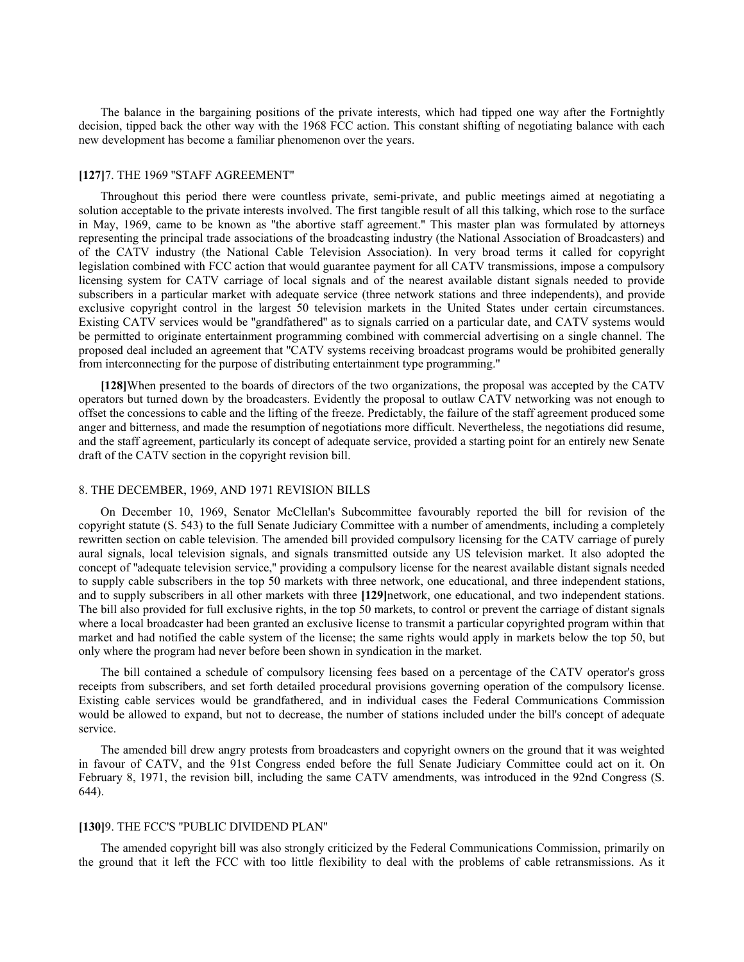The balance in the bargaining positions of the private interests, which had tipped one way after the Fortnightly decision, tipped back the other way with the 1968 FCC action. This constant shifting of negotiating balance with each new development has become a familiar phenomenon over the years.

### **[127]**7. THE 1969 ''STAFF AGREEMENT''

Throughout this period there were countless private, semi-private, and public meetings aimed at negotiating a solution acceptable to the private interests involved. The first tangible result of all this talking, which rose to the surface in May, 1969, came to be known as ''the abortive staff agreement.'' This master plan was formulated by attorneys representing the principal trade associations of the broadcasting industry (the National Association of Broadcasters) and of the CATV industry (the National Cable Television Association). In very broad terms it called for copyright legislation combined with FCC action that would guarantee payment for all CATV transmissions, impose a compulsory licensing system for CATV carriage of local signals and of the nearest available distant signals needed to provide subscribers in a particular market with adequate service (three network stations and three independents), and provide exclusive copyright control in the largest 50 television markets in the United States under certain circumstances. Existing CATV services would be ''grandfathered'' as to signals carried on a particular date, and CATV systems would be permitted to originate entertainment programming combined with commercial advertising on a single channel. The proposed deal included an agreement that ''CATV systems receiving broadcast programs would be prohibited generally from interconnecting for the purpose of distributing entertainment type programming.''

**[128]**When presented to the boards of directors of the two organizations, the proposal was accepted by the CATV operators but turned down by the broadcasters. Evidently the proposal to outlaw CATV networking was not enough to offset the concessions to cable and the lifting of the freeze. Predictably, the failure of the staff agreement produced some anger and bitterness, and made the resumption of negotiations more difficult. Nevertheless, the negotiations did resume, and the staff agreement, particularly its concept of adequate service, provided a starting point for an entirely new Senate draft of the CATV section in the copyright revision bill.

### 8. THE DECEMBER, 1969, AND 1971 REVISION BILLS

On December 10, 1969, Senator McClellan's Subcommittee favourably reported the bill for revision of the copyright statute (S. 543) to the full Senate Judiciary Committee with a number of amendments, including a completely rewritten section on cable television. The amended bill provided compulsory licensing for the CATV carriage of purely aural signals, local television signals, and signals transmitted outside any US television market. It also adopted the concept of ''adequate television service,'' providing a compulsory license for the nearest available distant signals needed to supply cable subscribers in the top 50 markets with three network, one educational, and three independent stations, and to supply subscribers in all other markets with three **[129]**network, one educational, and two independent stations. The bill also provided for full exclusive rights, in the top 50 markets, to control or prevent the carriage of distant signals where a local broadcaster had been granted an exclusive license to transmit a particular copyrighted program within that market and had notified the cable system of the license; the same rights would apply in markets below the top 50, but only where the program had never before been shown in syndication in the market.

The bill contained a schedule of compulsory licensing fees based on a percentage of the CATV operator's gross receipts from subscribers, and set forth detailed procedural provisions governing operation of the compulsory license. Existing cable services would be grandfathered, and in individual cases the Federal Communications Commission would be allowed to expand, but not to decrease, the number of stations included under the bill's concept of adequate service.

The amended bill drew angry protests from broadcasters and copyright owners on the ground that it was weighted in favour of CATV, and the 91st Congress ended before the full Senate Judiciary Committee could act on it. On February 8, 1971, the revision bill, including the same CATV amendments, was introduced in the 92nd Congress (S. 644).

#### **[130]**9. THE FCC'S ''PUBLIC DIVIDEND PLAN''

The amended copyright bill was also strongly criticized by the Federal Communications Commission, primarily on the ground that it left the FCC with too little flexibility to deal with the problems of cable retransmissions. As it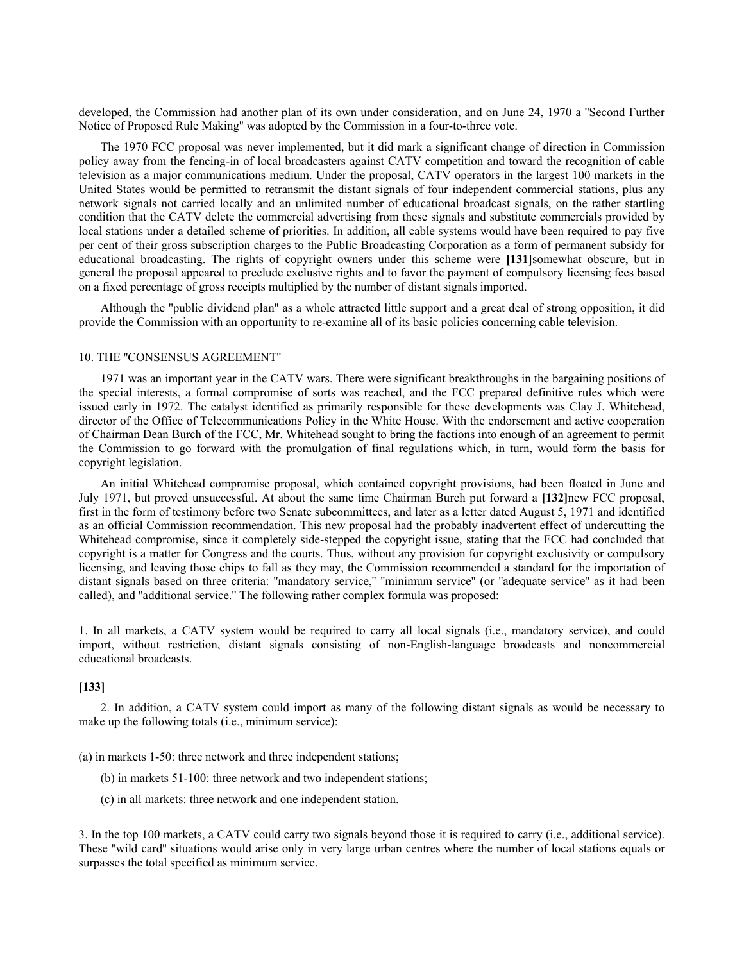developed, the Commission had another plan of its own under consideration, and on June 24, 1970 a ''Second Further Notice of Proposed Rule Making'' was adopted by the Commission in a four-to-three vote.

The 1970 FCC proposal was never implemented, but it did mark a significant change of direction in Commission policy away from the fencing-in of local broadcasters against CATV competition and toward the recognition of cable television as a major communications medium. Under the proposal, CATV operators in the largest 100 markets in the United States would be permitted to retransmit the distant signals of four independent commercial stations, plus any network signals not carried locally and an unlimited number of educational broadcast signals, on the rather startling condition that the CATV delete the commercial advertising from these signals and substitute commercials provided by local stations under a detailed scheme of priorities. In addition, all cable systems would have been required to pay five per cent of their gross subscription charges to the Public Broadcasting Corporation as a form of permanent subsidy for educational broadcasting. The rights of copyright owners under this scheme were **[131]**somewhat obscure, but in general the proposal appeared to preclude exclusive rights and to favor the payment of compulsory licensing fees based on a fixed percentage of gross receipts multiplied by the number of distant signals imported.

Although the ''public dividend plan'' as a whole attracted little support and a great deal of strong opposition, it did provide the Commission with an opportunity to re-examine all of its basic policies concerning cable television.

### 10. THE ''CONSENSUS AGREEMENT''

1971 was an important year in the CATV wars. There were significant breakthroughs in the bargaining positions of the special interests, a formal compromise of sorts was reached, and the FCC prepared definitive rules which were issued early in 1972. The catalyst identified as primarily responsible for these developments was Clay J. Whitehead, director of the Office of Telecommunications Policy in the White House. With the endorsement and active cooperation of Chairman Dean Burch of the FCC, Mr. Whitehead sought to bring the factions into enough of an agreement to permit the Commission to go forward with the promulgation of final regulations which, in turn, would form the basis for copyright legislation.

An initial Whitehead compromise proposal, which contained copyright provisions, had been floated in June and July 1971, but proved unsuccessful. At about the same time Chairman Burch put forward a **[132]**new FCC proposal, first in the form of testimony before two Senate subcommittees, and later as a letter dated August 5, 1971 and identified as an official Commission recommendation. This new proposal had the probably inadvertent effect of undercutting the Whitehead compromise, since it completely side-stepped the copyright issue, stating that the FCC had concluded that copyright is a matter for Congress and the courts. Thus, without any provision for copyright exclusivity or compulsory licensing, and leaving those chips to fall as they may, the Commission recommended a standard for the importation of distant signals based on three criteria: ''mandatory service,'' ''minimum service'' (or ''adequate service'' as it had been called), and ''additional service.'' The following rather complex formula was proposed:

1. In all markets, a CATV system would be required to carry all local signals (i.e., mandatory service), and could import, without restriction, distant signals consisting of non-English-language broadcasts and noncommercial educational broadcasts.

## **[133]**

2. In addition, a CATV system could import as many of the following distant signals as would be necessary to make up the following totals (i.e., minimum service):

(a) in markets 1-50: three network and three independent stations;

- (b) in markets 51-100: three network and two independent stations;
- (c) in all markets: three network and one independent station.

3. In the top 100 markets, a CATV could carry two signals beyond those it is required to carry (i.e., additional service). These ''wild card'' situations would arise only in very large urban centres where the number of local stations equals or surpasses the total specified as minimum service.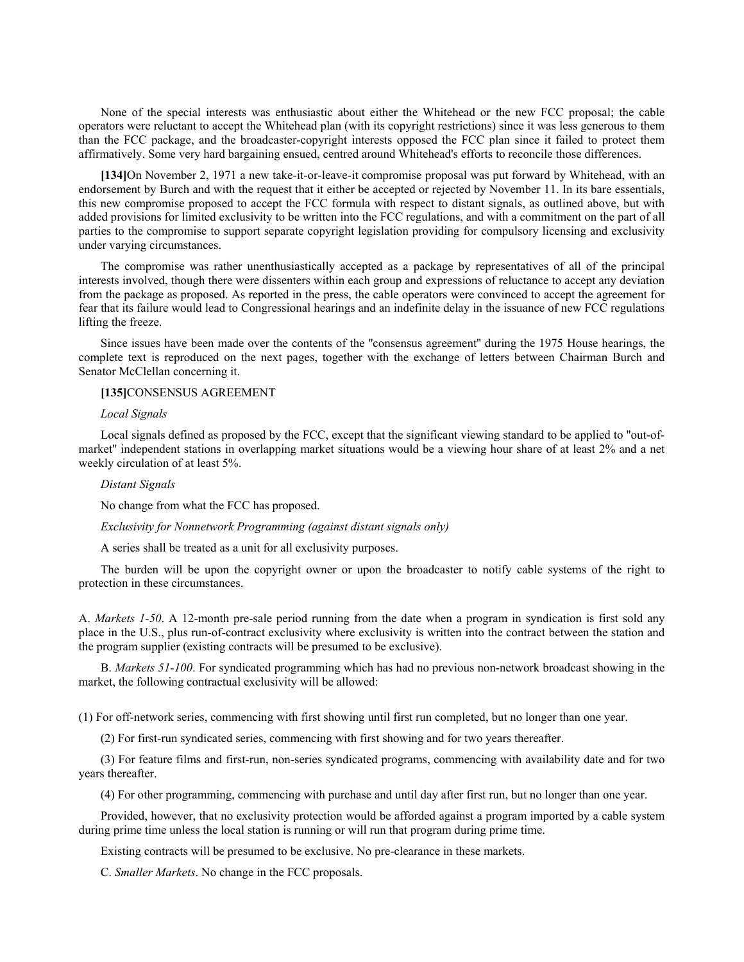None of the special interests was enthusiastic about either the Whitehead or the new FCC proposal; the cable operators were reluctant to accept the Whitehead plan (with its copyright restrictions) since it was less generous to them than the FCC package, and the broadcaster-copyright interests opposed the FCC plan since it failed to protect them affirmatively. Some very hard bargaining ensued, centred around Whitehead's efforts to reconcile those differences.

**[134]**On November 2, 1971 a new take-it-or-leave-it compromise proposal was put forward by Whitehead, with an endorsement by Burch and with the request that it either be accepted or rejected by November 11. In its bare essentials, this new compromise proposed to accept the FCC formula with respect to distant signals, as outlined above, but with added provisions for limited exclusivity to be written into the FCC regulations, and with a commitment on the part of all parties to the compromise to support separate copyright legislation providing for compulsory licensing and exclusivity under varying circumstances.

The compromise was rather unenthusiastically accepted as a package by representatives of all of the principal interests involved, though there were dissenters within each group and expressions of reluctance to accept any deviation from the package as proposed. As reported in the press, the cable operators were convinced to accept the agreement for fear that its failure would lead to Congressional hearings and an indefinite delay in the issuance of new FCC regulations lifting the freeze.

Since issues have been made over the contents of the ''consensus agreement'' during the 1975 House hearings, the complete text is reproduced on the next pages, together with the exchange of letters between Chairman Burch and Senator McClellan concerning it.

### **[135]**CONSENSUS AGREEMENT

### *Local Signals*

Local signals defined as proposed by the FCC, except that the significant viewing standard to be applied to "out-ofmarket'' independent stations in overlapping market situations would be a viewing hour share of at least 2% and a net weekly circulation of at least 5%.

# *Distant Signals*

No change from what the FCC has proposed.

# *Exclusivity for Nonnetwork Programming (against distant signals only)*

A series shall be treated as a unit for all exclusivity purposes.

The burden will be upon the copyright owner or upon the broadcaster to notify cable systems of the right to protection in these circumstances.

A. *Markets 1-50*. A 12-month pre-sale period running from the date when a program in syndication is first sold any place in the U.S., plus run-of-contract exclusivity where exclusivity is written into the contract between the station and the program supplier (existing contracts will be presumed to be exclusive).

B. *Markets 51-100*. For syndicated programming which has had no previous non-network broadcast showing in the market, the following contractual exclusivity will be allowed:

(1) For off-network series, commencing with first showing until first run completed, but no longer than one year.

(2) For first-run syndicated series, commencing with first showing and for two years thereafter.

(3) For feature films and first-run, non-series syndicated programs, commencing with availability date and for two years thereafter.

(4) For other programming, commencing with purchase and until day after first run, but no longer than one year.

Provided, however, that no exclusivity protection would be afforded against a program imported by a cable system during prime time unless the local station is running or will run that program during prime time.

Existing contracts will be presumed to be exclusive. No pre-clearance in these markets.

C. *Smaller Markets*. No change in the FCC proposals.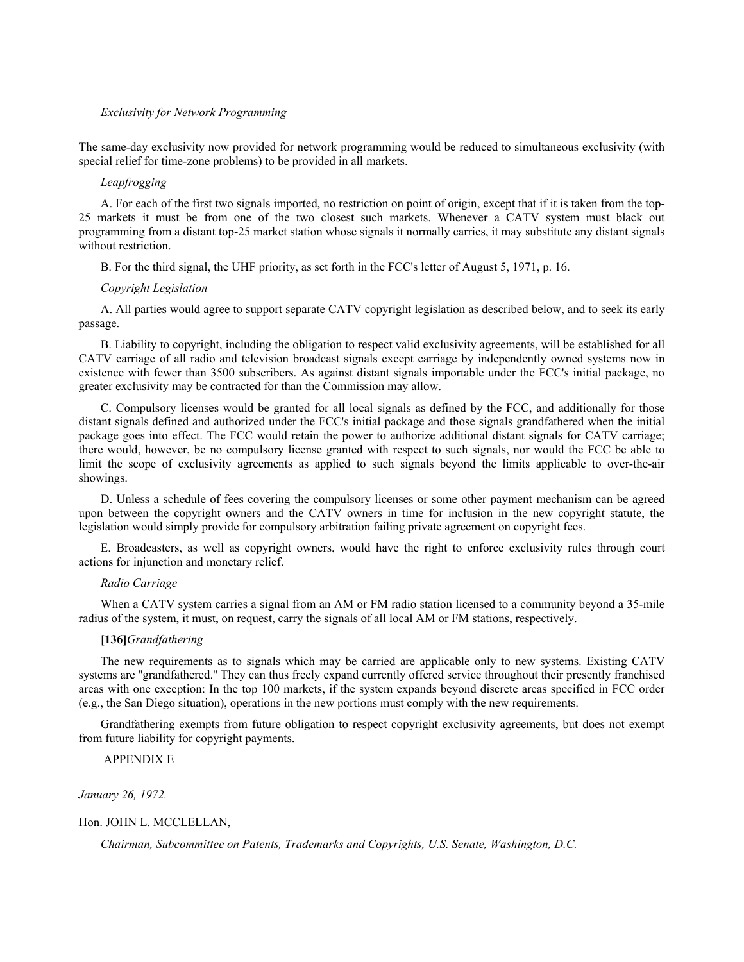### *Exclusivity for Network Programming*

The same-day exclusivity now provided for network programming would be reduced to simultaneous exclusivity (with special relief for time-zone problems) to be provided in all markets.

### *Leapfrogging*

A. For each of the first two signals imported, no restriction on point of origin, except that if it is taken from the top-25 markets it must be from one of the two closest such markets. Whenever a CATV system must black out programming from a distant top-25 market station whose signals it normally carries, it may substitute any distant signals without restriction.

B. For the third signal, the UHF priority, as set forth in the FCC's letter of August 5, 1971, p. 16.

#### *Copyright Legislation*

A. All parties would agree to support separate CATV copyright legislation as described below, and to seek its early passage.

B. Liability to copyright, including the obligation to respect valid exclusivity agreements, will be established for all CATV carriage of all radio and television broadcast signals except carriage by independently owned systems now in existence with fewer than 3500 subscribers. As against distant signals importable under the FCC's initial package, no greater exclusivity may be contracted for than the Commission may allow.

C. Compulsory licenses would be granted for all local signals as defined by the FCC, and additionally for those distant signals defined and authorized under the FCC's initial package and those signals grandfathered when the initial package goes into effect. The FCC would retain the power to authorize additional distant signals for CATV carriage; there would, however, be no compulsory license granted with respect to such signals, nor would the FCC be able to limit the scope of exclusivity agreements as applied to such signals beyond the limits applicable to over-the-air showings.

D. Unless a schedule of fees covering the compulsory licenses or some other payment mechanism can be agreed upon between the copyright owners and the CATV owners in time for inclusion in the new copyright statute, the legislation would simply provide for compulsory arbitration failing private agreement on copyright fees.

E. Broadcasters, as well as copyright owners, would have the right to enforce exclusivity rules through court actions for injunction and monetary relief.

# *Radio Carriage*

When a CATV system carries a signal from an AM or FM radio station licensed to a community beyond a 35-mile radius of the system, it must, on request, carry the signals of all local AM or FM stations, respectively.

### **[136]***Grandfathering*

The new requirements as to signals which may be carried are applicable only to new systems. Existing CATV systems are ''grandfathered.'' They can thus freely expand currently offered service throughout their presently franchised areas with one exception: In the top 100 markets, if the system expands beyond discrete areas specified in FCC order (e.g., the San Diego situation), operations in the new portions must comply with the new requirements.

Grandfathering exempts from future obligation to respect copyright exclusivity agreements, but does not exempt from future liability for copyright payments.

APPENDIX E

*January 26, 1972.*

### Hon. JOHN L. MCCLELLAN,

*Chairman, Subcommittee on Patents, Trademarks and Copyrights, U.S. Senate, Washington, D.C.*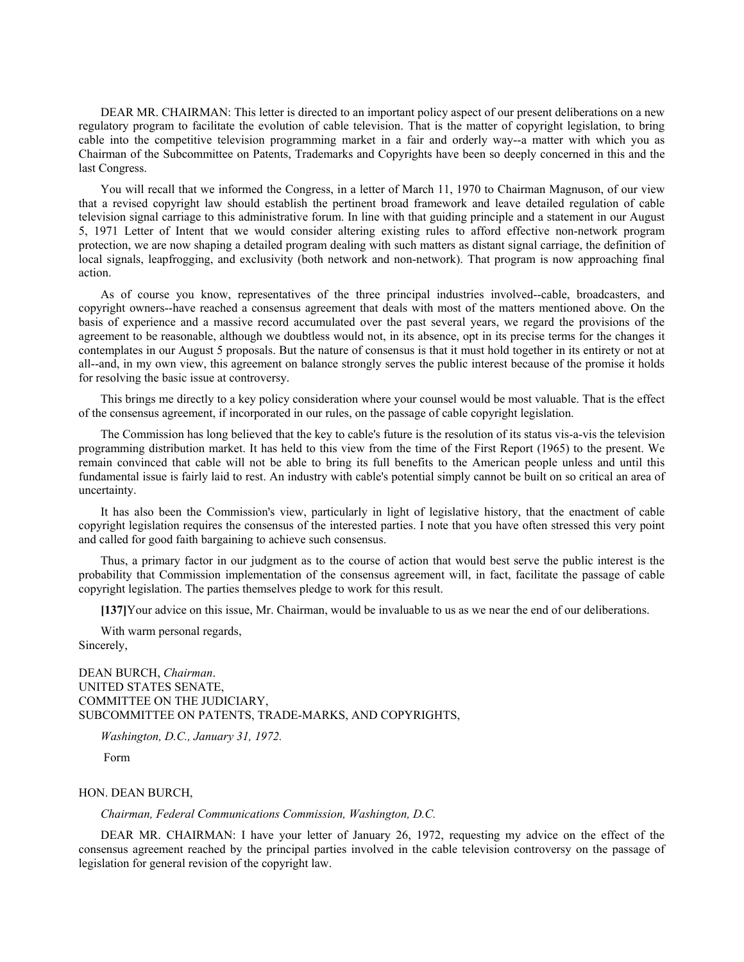DEAR MR. CHAIRMAN: This letter is directed to an important policy aspect of our present deliberations on a new regulatory program to facilitate the evolution of cable television. That is the matter of copyright legislation, to bring cable into the competitive television programming market in a fair and orderly way--a matter with which you as Chairman of the Subcommittee on Patents, Trademarks and Copyrights have been so deeply concerned in this and the last Congress.

You will recall that we informed the Congress, in a letter of March 11, 1970 to Chairman Magnuson, of our view that a revised copyright law should establish the pertinent broad framework and leave detailed regulation of cable television signal carriage to this administrative forum. In line with that guiding principle and a statement in our August 5, 1971 Letter of Intent that we would consider altering existing rules to afford effective non-network program protection, we are now shaping a detailed program dealing with such matters as distant signal carriage, the definition of local signals, leapfrogging, and exclusivity (both network and non-network). That program is now approaching final action.

As of course you know, representatives of the three principal industries involved--cable, broadcasters, and copyright owners--have reached a consensus agreement that deals with most of the matters mentioned above. On the basis of experience and a massive record accumulated over the past several years, we regard the provisions of the agreement to be reasonable, although we doubtless would not, in its absence, opt in its precise terms for the changes it contemplates in our August 5 proposals. But the nature of consensus is that it must hold together in its entirety or not at all--and, in my own view, this agreement on balance strongly serves the public interest because of the promise it holds for resolving the basic issue at controversy.

This brings me directly to a key policy consideration where your counsel would be most valuable. That is the effect of the consensus agreement, if incorporated in our rules, on the passage of cable copyright legislation.

The Commission has long believed that the key to cable's future is the resolution of its status vis-a-vis the television programming distribution market. It has held to this view from the time of the First Report (1965) to the present. We remain convinced that cable will not be able to bring its full benefits to the American people unless and until this fundamental issue is fairly laid to rest. An industry with cable's potential simply cannot be built on so critical an area of uncertainty.

It has also been the Commission's view, particularly in light of legislative history, that the enactment of cable copyright legislation requires the consensus of the interested parties. I note that you have often stressed this very point and called for good faith bargaining to achieve such consensus.

Thus, a primary factor in our judgment as to the course of action that would best serve the public interest is the probability that Commission implementation of the consensus agreement will, in fact, facilitate the passage of cable copyright legislation. The parties themselves pledge to work for this result.

**[137]**Your advice on this issue, Mr. Chairman, would be invaluable to us as we near the end of our deliberations.

With warm personal regards, Sincerely,

DEAN BURCH, *Chairman*. UNITED STATES SENATE, COMMITTEE ON THE JUDICIARY, SUBCOMMITTEE ON PATENTS, TRADE-MARKS, AND COPYRIGHTS,

*Washington, D.C., January 31, 1972.*

Form

#### HON. DEAN BURCH,

*Chairman, Federal Communications Commission, Washington, D.C.*

DEAR MR. CHAIRMAN: I have your letter of January 26, 1972, requesting my advice on the effect of the consensus agreement reached by the principal parties involved in the cable television controversy on the passage of legislation for general revision of the copyright law.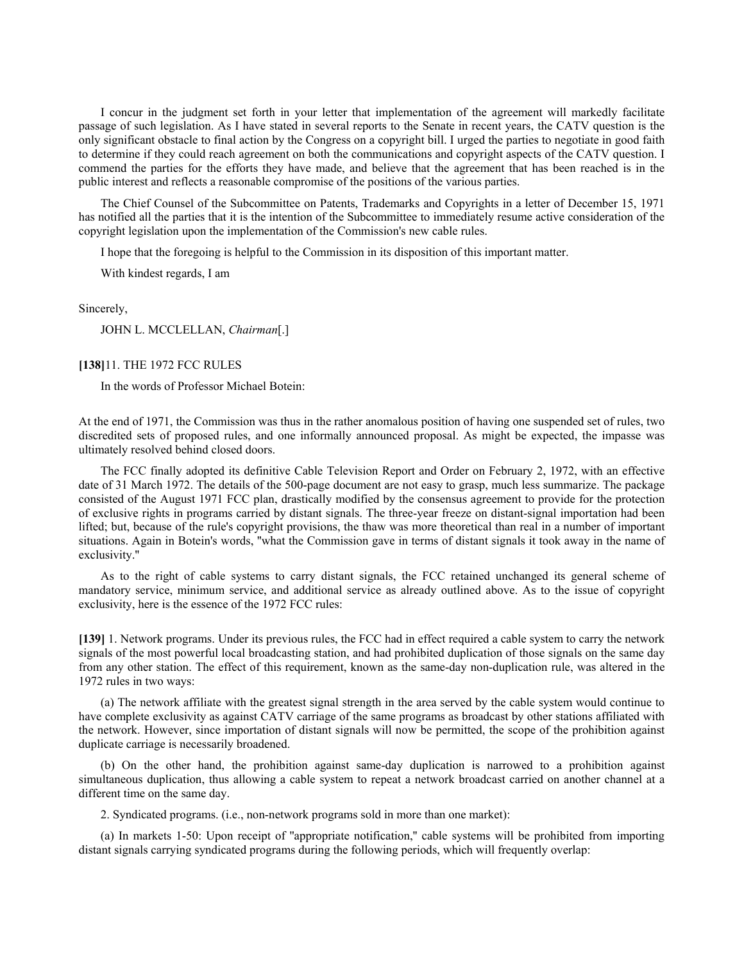I concur in the judgment set forth in your letter that implementation of the agreement will markedly facilitate passage of such legislation. As I have stated in several reports to the Senate in recent years, the CATV question is the only significant obstacle to final action by the Congress on a copyright bill. I urged the parties to negotiate in good faith to determine if they could reach agreement on both the communications and copyright aspects of the CATV question. I commend the parties for the efforts they have made, and believe that the agreement that has been reached is in the public interest and reflects a reasonable compromise of the positions of the various parties.

The Chief Counsel of the Subcommittee on Patents, Trademarks and Copyrights in a letter of December 15, 1971 has notified all the parties that it is the intention of the Subcommittee to immediately resume active consideration of the copyright legislation upon the implementation of the Commission's new cable rules.

I hope that the foregoing is helpful to the Commission in its disposition of this important matter.

With kindest regards, I am

Sincerely,

JOHN L. MCCLELLAN, *Chairman*[.]

### **[138]**11. THE 1972 FCC RULES

In the words of Professor Michael Botein:

At the end of 1971, the Commission was thus in the rather anomalous position of having one suspended set of rules, two discredited sets of proposed rules, and one informally announced proposal. As might be expected, the impasse was ultimately resolved behind closed doors.

The FCC finally adopted its definitive Cable Television Report and Order on February 2, 1972, with an effective date of 31 March 1972. The details of the 500-page document are not easy to grasp, much less summarize. The package consisted of the August 1971 FCC plan, drastically modified by the consensus agreement to provide for the protection of exclusive rights in programs carried by distant signals. The three-year freeze on distant-signal importation had been lifted; but, because of the rule's copyright provisions, the thaw was more theoretical than real in a number of important situations. Again in Botein's words, ''what the Commission gave in terms of distant signals it took away in the name of exclusivity.''

As to the right of cable systems to carry distant signals, the FCC retained unchanged its general scheme of mandatory service, minimum service, and additional service as already outlined above. As to the issue of copyright exclusivity, here is the essence of the 1972 FCC rules:

**[139]** 1. Network programs. Under its previous rules, the FCC had in effect required a cable system to carry the network signals of the most powerful local broadcasting station, and had prohibited duplication of those signals on the same day from any other station. The effect of this requirement, known as the same-day non-duplication rule, was altered in the 1972 rules in two ways:

(a) The network affiliate with the greatest signal strength in the area served by the cable system would continue to have complete exclusivity as against CATV carriage of the same programs as broadcast by other stations affiliated with the network. However, since importation of distant signals will now be permitted, the scope of the prohibition against duplicate carriage is necessarily broadened.

(b) On the other hand, the prohibition against same-day duplication is narrowed to a prohibition against simultaneous duplication, thus allowing a cable system to repeat a network broadcast carried on another channel at a different time on the same day.

2. Syndicated programs. (i.e., non-network programs sold in more than one market):

(a) In markets 1-50: Upon receipt of ''appropriate notification,'' cable systems will be prohibited from importing distant signals carrying syndicated programs during the following periods, which will frequently overlap: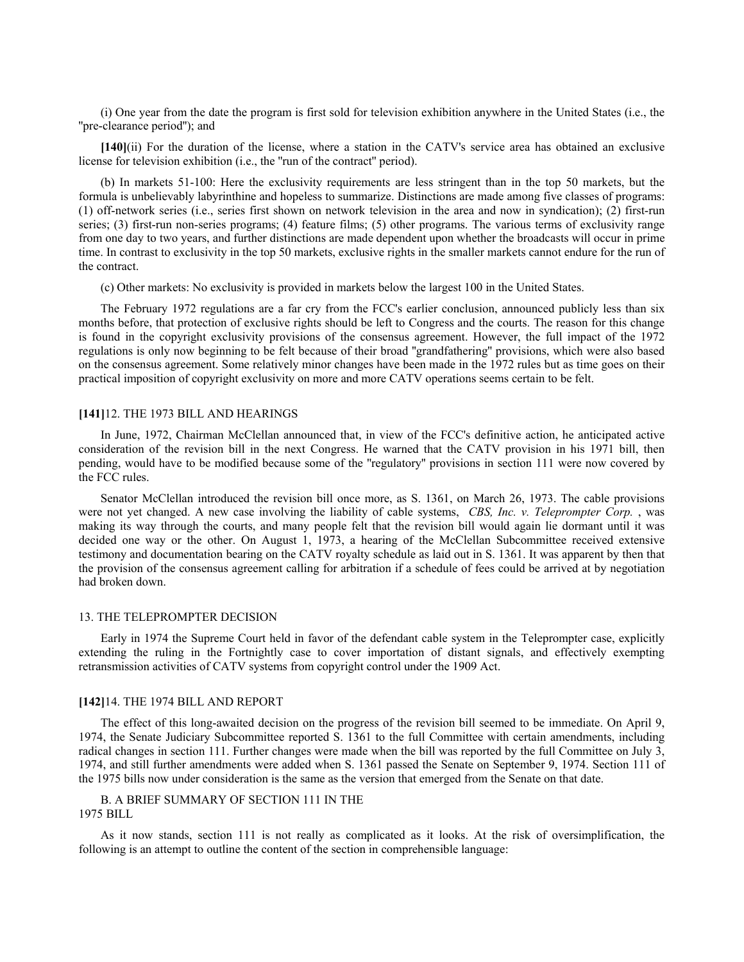(i) One year from the date the program is first sold for television exhibition anywhere in the United States (i.e., the ''pre-clearance period''); and

**[140]**(ii) For the duration of the license, where a station in the CATV's service area has obtained an exclusive license for television exhibition (i.e., the ''run of the contract'' period).

(b) In markets 51-100: Here the exclusivity requirements are less stringent than in the top 50 markets, but the formula is unbelievably labyrinthine and hopeless to summarize. Distinctions are made among five classes of programs: (1) off-network series (i.e., series first shown on network television in the area and now in syndication); (2) first-run series; (3) first-run non-series programs; (4) feature films; (5) other programs. The various terms of exclusivity range from one day to two years, and further distinctions are made dependent upon whether the broadcasts will occur in prime time. In contrast to exclusivity in the top 50 markets, exclusive rights in the smaller markets cannot endure for the run of the contract.

(c) Other markets: No exclusivity is provided in markets below the largest 100 in the United States.

The February 1972 regulations are a far cry from the FCC's earlier conclusion, announced publicly less than six months before, that protection of exclusive rights should be left to Congress and the courts. The reason for this change is found in the copyright exclusivity provisions of the consensus agreement. However, the full impact of the 1972 regulations is only now beginning to be felt because of their broad ''grandfathering'' provisions, which were also based on the consensus agreement. Some relatively minor changes have been made in the 1972 rules but as time goes on their practical imposition of copyright exclusivity on more and more CATV operations seems certain to be felt.

# **[141]**12. THE 1973 BILL AND HEARINGS

In June, 1972, Chairman McClellan announced that, in view of the FCC's definitive action, he anticipated active consideration of the revision bill in the next Congress. He warned that the CATV provision in his 1971 bill, then pending, would have to be modified because some of the ''regulatory'' provisions in section 111 were now covered by the FCC rules.

Senator McClellan introduced the revision bill once more, as S. 1361, on March 26, 1973. The cable provisions were not yet changed. A new case involving the liability of cable systems, *CBS, Inc. v. Teleprompter Corp.* , was making its way through the courts, and many people felt that the revision bill would again lie dormant until it was decided one way or the other. On August 1, 1973, a hearing of the McClellan Subcommittee received extensive testimony and documentation bearing on the CATV royalty schedule as laid out in S. 1361. It was apparent by then that the provision of the consensus agreement calling for arbitration if a schedule of fees could be arrived at by negotiation had broken down.

### 13. THE TELEPROMPTER DECISION

Early in 1974 the Supreme Court held in favor of the defendant cable system in the Teleprompter case, explicitly extending the ruling in the Fortnightly case to cover importation of distant signals, and effectively exempting retransmission activities of CATV systems from copyright control under the 1909 Act.

### **[142]**14. THE 1974 BILL AND REPORT

The effect of this long-awaited decision on the progress of the revision bill seemed to be immediate. On April 9, 1974, the Senate Judiciary Subcommittee reported S. 1361 to the full Committee with certain amendments, including radical changes in section 111. Further changes were made when the bill was reported by the full Committee on July 3, 1974, and still further amendments were added when S. 1361 passed the Senate on September 9, 1974. Section 111 of the 1975 bills now under consideration is the same as the version that emerged from the Senate on that date.

# B. A BRIEF SUMMARY OF SECTION 111 IN THE

1975 BILL

As it now stands, section 111 is not really as complicated as it looks. At the risk of oversimplification, the following is an attempt to outline the content of the section in comprehensible language: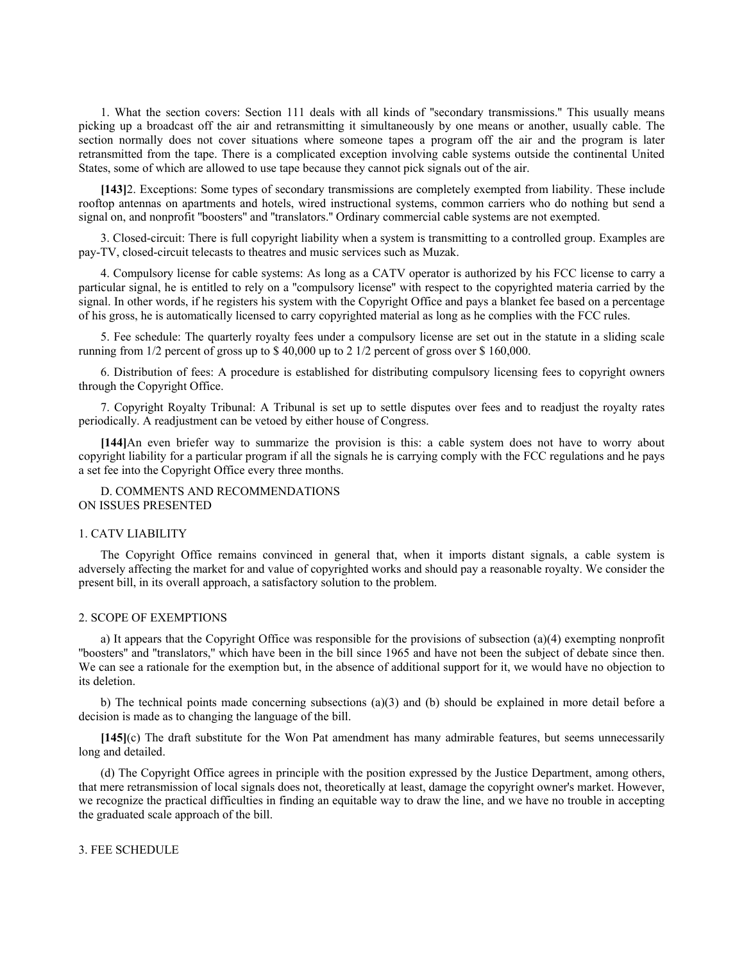1. What the section covers: Section 111 deals with all kinds of ''secondary transmissions.'' This usually means picking up a broadcast off the air and retransmitting it simultaneously by one means or another, usually cable. The section normally does not cover situations where someone tapes a program off the air and the program is later retransmitted from the tape. There is a complicated exception involving cable systems outside the continental United States, some of which are allowed to use tape because they cannot pick signals out of the air.

**[143]**2. Exceptions: Some types of secondary transmissions are completely exempted from liability. These include rooftop antennas on apartments and hotels, wired instructional systems, common carriers who do nothing but send a signal on, and nonprofit ''boosters'' and ''translators.'' Ordinary commercial cable systems are not exempted.

3. Closed-circuit: There is full copyright liability when a system is transmitting to a controlled group. Examples are pay-TV, closed-circuit telecasts to theatres and music services such as Muzak.

4. Compulsory license for cable systems: As long as a CATV operator is authorized by his FCC license to carry a particular signal, he is entitled to rely on a ''compulsory license'' with respect to the copyrighted materia carried by the signal. In other words, if he registers his system with the Copyright Office and pays a blanket fee based on a percentage of his gross, he is automatically licensed to carry copyrighted material as long as he complies with the FCC rules.

5. Fee schedule: The quarterly royalty fees under a compulsory license are set out in the statute in a sliding scale running from 1/2 percent of gross up to \$ 40,000 up to 2 1/2 percent of gross over \$ 160,000.

6. Distribution of fees: A procedure is established for distributing compulsory licensing fees to copyright owners through the Copyright Office.

7. Copyright Royalty Tribunal: A Tribunal is set up to settle disputes over fees and to readjust the royalty rates periodically. A readjustment can be vetoed by either house of Congress.

**[144]**An even briefer way to summarize the provision is this: a cable system does not have to worry about copyright liability for a particular program if all the signals he is carrying comply with the FCC regulations and he pays a set fee into the Copyright Office every three months.

D. COMMENTS AND RECOMMENDATIONS ON ISSUES PRESENTED

# 1. CATV LIABILITY

The Copyright Office remains convinced in general that, when it imports distant signals, a cable system is adversely affecting the market for and value of copyrighted works and should pay a reasonable royalty. We consider the present bill, in its overall approach, a satisfactory solution to the problem.

#### 2. SCOPE OF EXEMPTIONS

a) It appears that the Copyright Office was responsible for the provisions of subsection (a)(4) exempting nonprofit ''boosters'' and ''translators,'' which have been in the bill since 1965 and have not been the subject of debate since then. We can see a rationale for the exemption but, in the absence of additional support for it, we would have no objection to its deletion.

b) The technical points made concerning subsections (a)(3) and (b) should be explained in more detail before a decision is made as to changing the language of the bill.

**[145]**(c) The draft substitute for the Won Pat amendment has many admirable features, but seems unnecessarily long and detailed.

(d) The Copyright Office agrees in principle with the position expressed by the Justice Department, among others, that mere retransmission of local signals does not, theoretically at least, damage the copyright owner's market. However, we recognize the practical difficulties in finding an equitable way to draw the line, and we have no trouble in accepting the graduated scale approach of the bill.

### 3. FEE SCHEDULE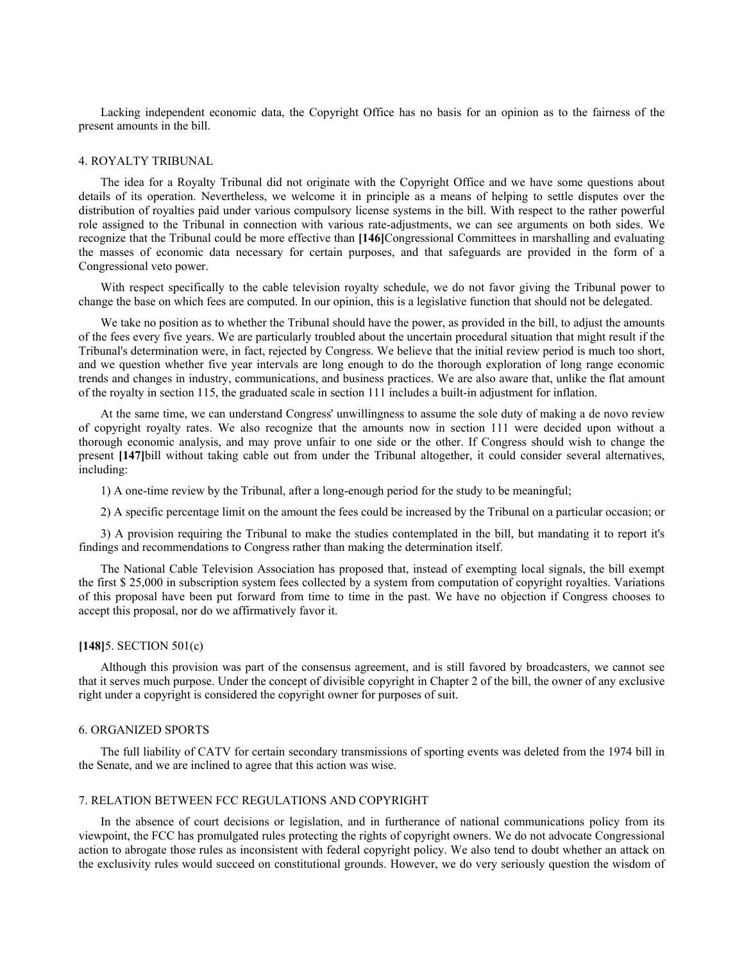Lacking independent economic data, the Copyright Office has no basis for an opinion as to the fairness of the present amounts in the bill.

# 4. ROYALTY TRIBUNAL

The idea for a Royalty Tribunal did not originate with the Copyright Office and we have some questions about details of its operation. Nevertheless, we welcome it in principle as a means of helping to settle disputes over the distribution of royalties paid under various compulsory license systems in the bill. With respect to the rather powerful role assigned to the Tribunal in connection with various rate-adjustments, we can see arguments on both sides. We recognize that the Tribunal could be more effective than **[146]**Congressional Committees in marshalling and evaluating the masses of economic data necessary for certain purposes, and that safeguards are provided in the form of a Congressional veto power.

With respect specifically to the cable television royalty schedule, we do not favor giving the Tribunal power to change the base on which fees are computed. In our opinion, this is a legislative function that should not be delegated.

We take no position as to whether the Tribunal should have the power, as provided in the bill, to adjust the amounts of the fees every five years. We are particularly troubled about the uncertain procedural situation that might result if the Tribunal's determination were, in fact, rejected by Congress. We believe that the initial review period is much too short, and we question whether five year intervals are long enough to do the thorough exploration of long range economic trends and changes in industry, communications, and business practices. We are also aware that, unlike the flat amount of the royalty in section 115, the graduated scale in section 111 includes a built-in adjustment for inflation.

At the same time, we can understand Congress' unwillingness to assume the sole duty of making a de novo review of copyright royalty rates. We also recognize that the amounts now in section 111 were decided upon without a thorough economic analysis, and may prove unfair to one side or the other. If Congress should wish to change the present **[147]**bill without taking cable out from under the Tribunal altogether, it could consider several alternatives, including:

1) A one-time review by the Tribunal, after a long-enough period for the study to be meaningful;

2) A specific percentage limit on the amount the fees could be increased by the Tribunal on a particular occasion; or

3) A provision requiring the Tribunal to make the studies contemplated in the bill, but mandating it to report it's findings and recommendations to Congress rather than making the determination itself.

The National Cable Television Association has proposed that, instead of exempting local signals, the bill exempt the first \$ 25,000 in subscription system fees collected by a system from computation of copyright royalties. Variations of this proposal have been put forward from time to time in the past. We have no objection if Congress chooses to accept this proposal, nor do we affirmatively favor it.

#### **[148]**5. SECTION 501(c)

Although this provision was part of the consensus agreement, and is still favored by broadcasters, we cannot see that it serves much purpose. Under the concept of divisible copyright in Chapter 2 of the bill, the owner of any exclusive right under a copyright is considered the copyright owner for purposes of suit.

# 6. ORGANIZED SPORTS

The full liability of CATV for certain secondary transmissions of sporting events was deleted from the 1974 bill in the Senate, and we are inclined to agree that this action was wise.

### 7. RELATION BETWEEN FCC REGULATIONS AND COPYRIGHT

In the absence of court decisions or legislation, and in furtherance of national communications policy from its viewpoint, the FCC has promulgated rules protecting the rights of copyright owners. We do not advocate Congressional action to abrogate those rules as inconsistent with federal copyright policy. We also tend to doubt whether an attack on the exclusivity rules would succeed on constitutional grounds. However, we do very seriously question the wisdom of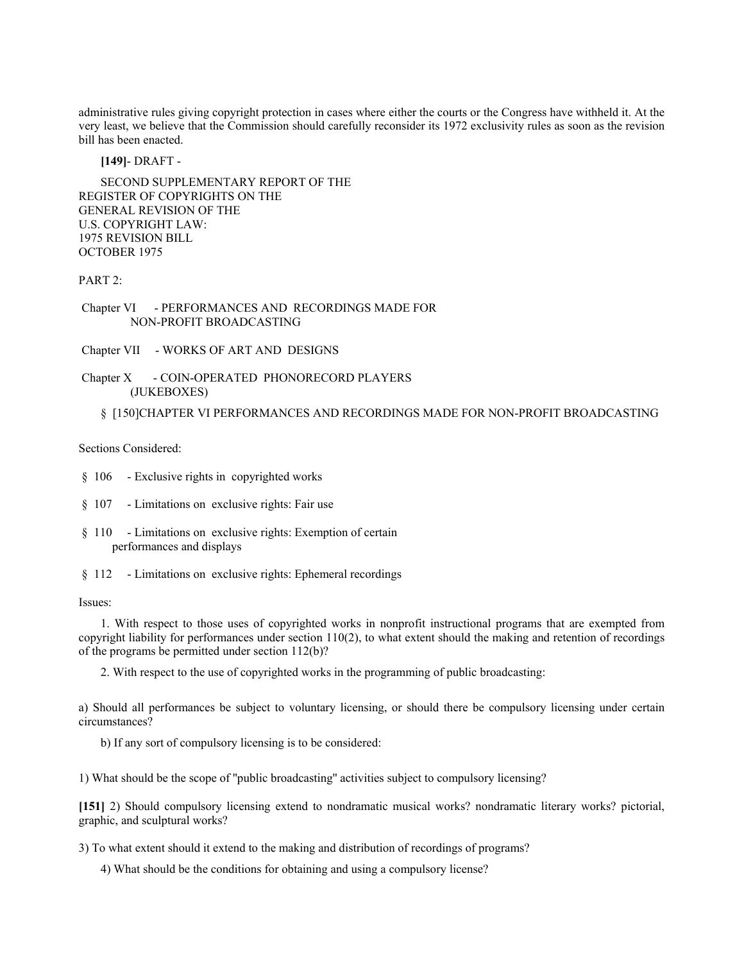administrative rules giving copyright protection in cases where either the courts or the Congress have withheld it. At the very least, we believe that the Commission should carefully reconsider its 1972 exclusivity rules as soon as the revision bill has been enacted.

**[149]**- DRAFT -

SECOND SUPPLEMENTARY REPORT OF THE REGISTER OF COPYRIGHTS ON THE GENERAL REVISION OF THE U.S. COPYRIGHT LAW: 1975 REVISION BILL OCTOBER 1975

PART 2:

 Chapter VI - PERFORMANCES AND RECORDINGS MADE FOR NON-PROFIT BROADCASTING

Chapter VII - WORKS OF ART AND DESIGNS

 Chapter X - COIN-OPERATED PHONORECORD PLAYERS (JUKEBOXES)

§ [150]CHAPTER VI PERFORMANCES AND RECORDINGS MADE FOR NON-PROFIT BROADCASTING

Sections Considered:

§ 106 - Exclusive rights in copyrighted works

- § 107 Limitations on exclusive rights: Fair use
- § 110 Limitations on exclusive rights: Exemption of certain performances and displays
- § 112 Limitations on exclusive rights: Ephemeral recordings

# Issues:

1. With respect to those uses of copyrighted works in nonprofit instructional programs that are exempted from copyright liability for performances under section  $110(2)$ , to what extent should the making and retention of recordings of the programs be permitted under section 112(b)?

2. With respect to the use of copyrighted works in the programming of public broadcasting:

a) Should all performances be subject to voluntary licensing, or should there be compulsory licensing under certain circumstances?

b) If any sort of compulsory licensing is to be considered:

1) What should be the scope of ''public broadcasting'' activities subject to compulsory licensing?

**[151]** 2) Should compulsory licensing extend to nondramatic musical works? nondramatic literary works? pictorial, graphic, and sculptural works?

3) To what extent should it extend to the making and distribution of recordings of programs?

4) What should be the conditions for obtaining and using a compulsory license?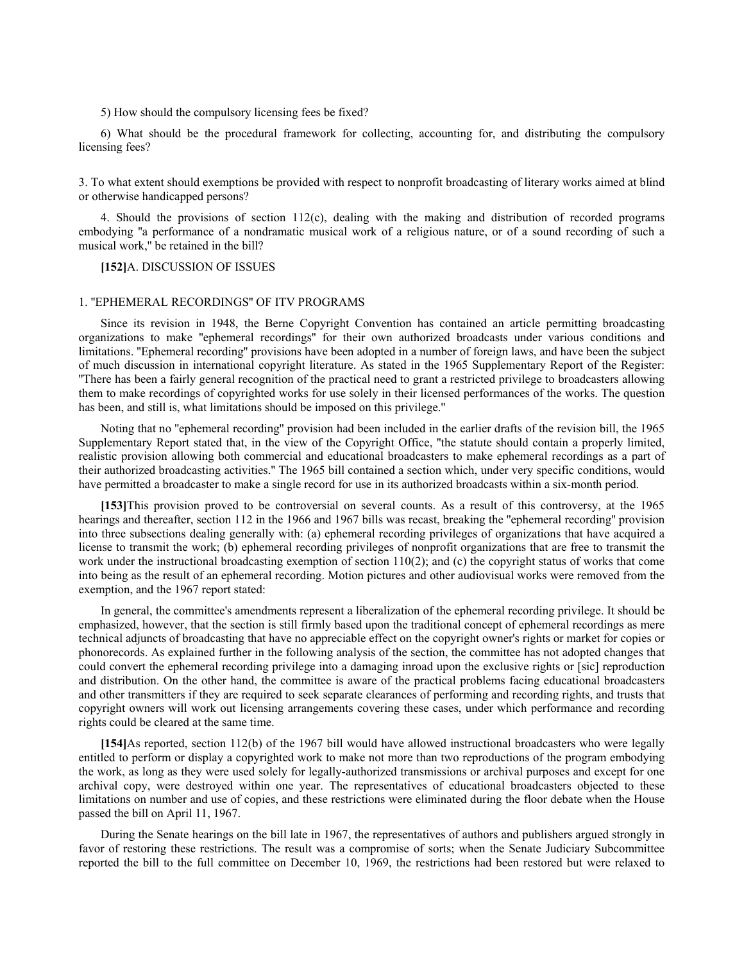5) How should the compulsory licensing fees be fixed?

6) What should be the procedural framework for collecting, accounting for, and distributing the compulsory licensing fees?

3. To what extent should exemptions be provided with respect to nonprofit broadcasting of literary works aimed at blind or otherwise handicapped persons?

4. Should the provisions of section 112(c), dealing with the making and distribution of recorded programs embodying ''a performance of a nondramatic musical work of a religious nature, or of a sound recording of such a musical work,'' be retained in the bill?

**[152]**A. DISCUSSION OF ISSUES

# 1. ''EPHEMERAL RECORDINGS'' OF ITV PROGRAMS

Since its revision in 1948, the Berne Copyright Convention has contained an article permitting broadcasting organizations to make ''ephemeral recordings'' for their own authorized broadcasts under various conditions and limitations. ''Ephemeral recording'' provisions have been adopted in a number of foreign laws, and have been the subject of much discussion in international copyright literature. As stated in the 1965 Supplementary Report of the Register: ''There has been a fairly general recognition of the practical need to grant a restricted privilege to broadcasters allowing them to make recordings of copyrighted works for use solely in their licensed performances of the works. The question has been, and still is, what limitations should be imposed on this privilege.''

Noting that no ''ephemeral recording'' provision had been included in the earlier drafts of the revision bill, the 1965 Supplementary Report stated that, in the view of the Copyright Office, ''the statute should contain a properly limited, realistic provision allowing both commercial and educational broadcasters to make ephemeral recordings as a part of their authorized broadcasting activities.'' The 1965 bill contained a section which, under very specific conditions, would have permitted a broadcaster to make a single record for use in its authorized broadcasts within a six-month period.

**[153]**This provision proved to be controversial on several counts. As a result of this controversy, at the 1965 hearings and thereafter, section 112 in the 1966 and 1967 bills was recast, breaking the ''ephemeral recording'' provision into three subsections dealing generally with: (a) ephemeral recording privileges of organizations that have acquired a license to transmit the work; (b) ephemeral recording privileges of nonprofit organizations that are free to transmit the work under the instructional broadcasting exemption of section 110(2); and (c) the copyright status of works that come into being as the result of an ephemeral recording. Motion pictures and other audiovisual works were removed from the exemption, and the 1967 report stated:

In general, the committee's amendments represent a liberalization of the ephemeral recording privilege. It should be emphasized, however, that the section is still firmly based upon the traditional concept of ephemeral recordings as mere technical adjuncts of broadcasting that have no appreciable effect on the copyright owner's rights or market for copies or phonorecords. As explained further in the following analysis of the section, the committee has not adopted changes that could convert the ephemeral recording privilege into a damaging inroad upon the exclusive rights or [sic] reproduction and distribution. On the other hand, the committee is aware of the practical problems facing educational broadcasters and other transmitters if they are required to seek separate clearances of performing and recording rights, and trusts that copyright owners will work out licensing arrangements covering these cases, under which performance and recording rights could be cleared at the same time.

**[154]**As reported, section 112(b) of the 1967 bill would have allowed instructional broadcasters who were legally entitled to perform or display a copyrighted work to make not more than two reproductions of the program embodying the work, as long as they were used solely for legally-authorized transmissions or archival purposes and except for one archival copy, were destroyed within one year. The representatives of educational broadcasters objected to these limitations on number and use of copies, and these restrictions were eliminated during the floor debate when the House passed the bill on April 11, 1967.

During the Senate hearings on the bill late in 1967, the representatives of authors and publishers argued strongly in favor of restoring these restrictions. The result was a compromise of sorts; when the Senate Judiciary Subcommittee reported the bill to the full committee on December 10, 1969, the restrictions had been restored but were relaxed to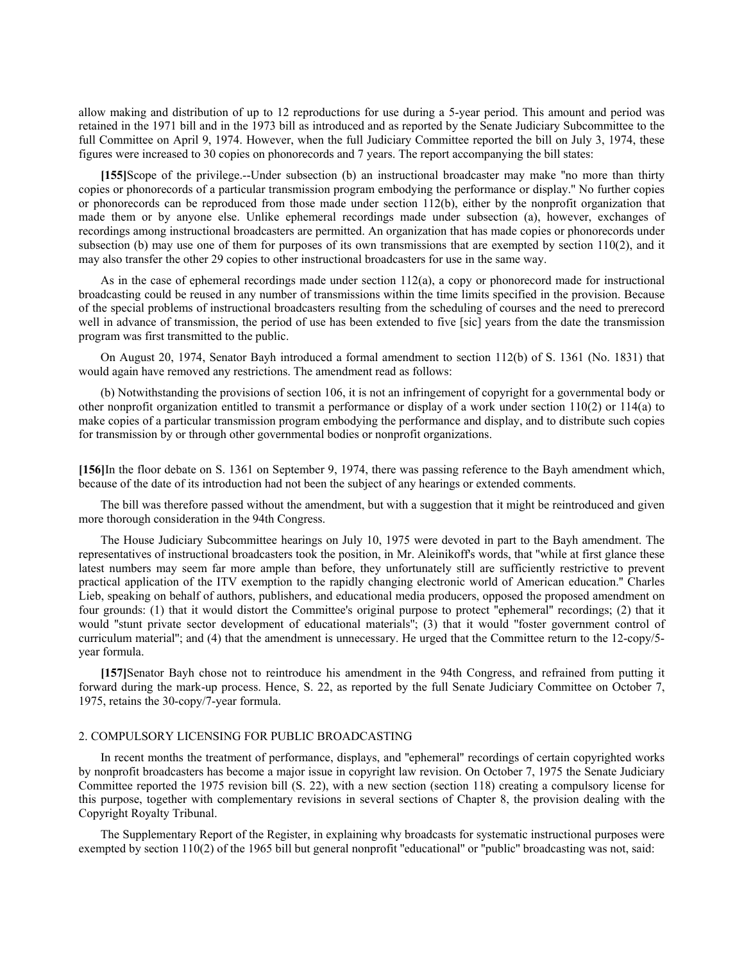allow making and distribution of up to 12 reproductions for use during a 5-year period. This amount and period was retained in the 1971 bill and in the 1973 bill as introduced and as reported by the Senate Judiciary Subcommittee to the full Committee on April 9, 1974. However, when the full Judiciary Committee reported the bill on July 3, 1974, these figures were increased to 30 copies on phonorecords and 7 years. The report accompanying the bill states:

**[155]**Scope of the privilege.--Under subsection (b) an instructional broadcaster may make ''no more than thirty copies or phonorecords of a particular transmission program embodying the performance or display.'' No further copies or phonorecords can be reproduced from those made under section 112(b), either by the nonprofit organization that made them or by anyone else. Unlike ephemeral recordings made under subsection (a), however, exchanges of recordings among instructional broadcasters are permitted. An organization that has made copies or phonorecords under subsection (b) may use one of them for purposes of its own transmissions that are exempted by section  $110(2)$ , and it may also transfer the other 29 copies to other instructional broadcasters for use in the same way.

As in the case of ephemeral recordings made under section  $112(a)$ , a copy or phonorecord made for instructional broadcasting could be reused in any number of transmissions within the time limits specified in the provision. Because of the special problems of instructional broadcasters resulting from the scheduling of courses and the need to prerecord well in advance of transmission, the period of use has been extended to five [sic] years from the date the transmission program was first transmitted to the public.

On August 20, 1974, Senator Bayh introduced a formal amendment to section 112(b) of S. 1361 (No. 1831) that would again have removed any restrictions. The amendment read as follows:

(b) Notwithstanding the provisions of section 106, it is not an infringement of copyright for a governmental body or other nonprofit organization entitled to transmit a performance or display of a work under section 110(2) or 114(a) to make copies of a particular transmission program embodying the performance and display, and to distribute such copies for transmission by or through other governmental bodies or nonprofit organizations.

**[156]**In the floor debate on S. 1361 on September 9, 1974, there was passing reference to the Bayh amendment which, because of the date of its introduction had not been the subject of any hearings or extended comments.

The bill was therefore passed without the amendment, but with a suggestion that it might be reintroduced and given more thorough consideration in the 94th Congress.

The House Judiciary Subcommittee hearings on July 10, 1975 were devoted in part to the Bayh amendment. The representatives of instructional broadcasters took the position, in Mr. Aleinikoff's words, that ''while at first glance these latest numbers may seem far more ample than before, they unfortunately still are sufficiently restrictive to prevent practical application of the ITV exemption to the rapidly changing electronic world of American education.'' Charles Lieb, speaking on behalf of authors, publishers, and educational media producers, opposed the proposed amendment on four grounds: (1) that it would distort the Committee's original purpose to protect ''ephemeral'' recordings; (2) that it would "stunt private sector development of educational materials"; (3) that it would "foster government control of curriculum material''; and (4) that the amendment is unnecessary. He urged that the Committee return to the 12-copy/5 year formula.

**[157]**Senator Bayh chose not to reintroduce his amendment in the 94th Congress, and refrained from putting it forward during the mark-up process. Hence, S. 22, as reported by the full Senate Judiciary Committee on October 7, 1975, retains the 30-copy/7-year formula.

# 2. COMPULSORY LICENSING FOR PUBLIC BROADCASTING

In recent months the treatment of performance, displays, and ''ephemeral'' recordings of certain copyrighted works by nonprofit broadcasters has become a major issue in copyright law revision. On October 7, 1975 the Senate Judiciary Committee reported the 1975 revision bill (S. 22), with a new section (section 118) creating a compulsory license for this purpose, together with complementary revisions in several sections of Chapter 8, the provision dealing with the Copyright Royalty Tribunal.

The Supplementary Report of the Register, in explaining why broadcasts for systematic instructional purposes were exempted by section 110(2) of the 1965 bill but general nonprofit ''educational'' or ''public'' broadcasting was not, said: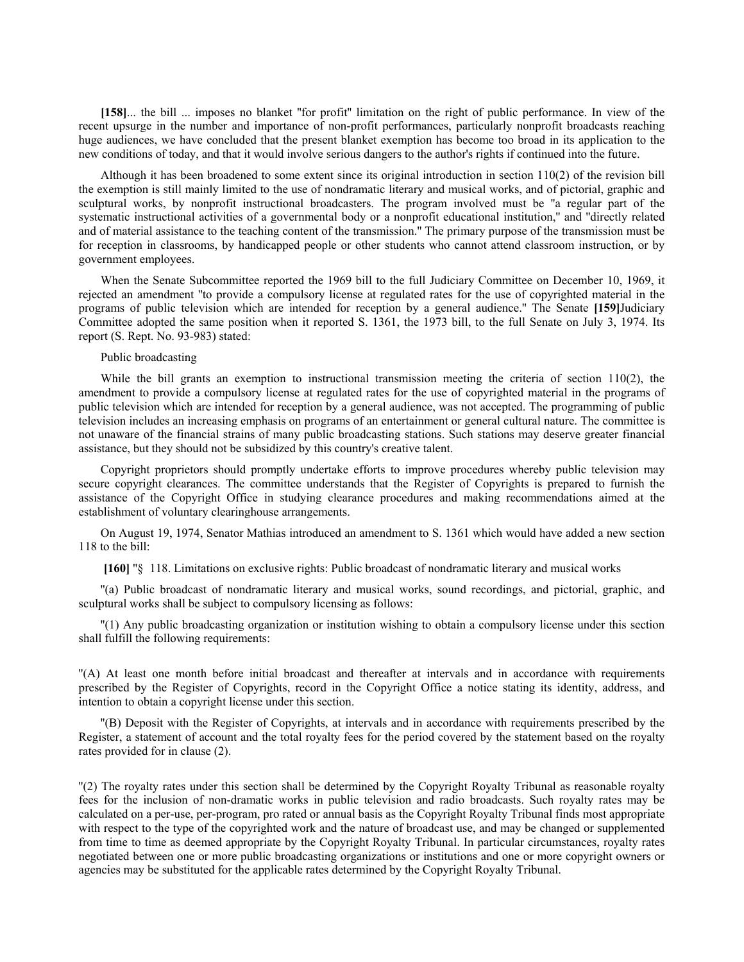**[158]**... the bill ... imposes no blanket ''for profit'' limitation on the right of public performance. In view of the recent upsurge in the number and importance of non-profit performances, particularly nonprofit broadcasts reaching huge audiences, we have concluded that the present blanket exemption has become too broad in its application to the new conditions of today, and that it would involve serious dangers to the author's rights if continued into the future.

Although it has been broadened to some extent since its original introduction in section 110(2) of the revision bill the exemption is still mainly limited to the use of nondramatic literary and musical works, and of pictorial, graphic and sculptural works, by nonprofit instructional broadcasters. The program involved must be "a regular part of the systematic instructional activities of a governmental body or a nonprofit educational institution,'' and ''directly related and of material assistance to the teaching content of the transmission.'' The primary purpose of the transmission must be for reception in classrooms, by handicapped people or other students who cannot attend classroom instruction, or by government employees.

When the Senate Subcommittee reported the 1969 bill to the full Judiciary Committee on December 10, 1969, it rejected an amendment ''to provide a compulsory license at regulated rates for the use of copyrighted material in the programs of public television which are intended for reception by a general audience.'' The Senate **[159]**Judiciary Committee adopted the same position when it reported S. 1361, the 1973 bill, to the full Senate on July 3, 1974. Its report (S. Rept. No. 93-983) stated:

# Public broadcasting

While the bill grants an exemption to instructional transmission meeting the criteria of section 110(2), the amendment to provide a compulsory license at regulated rates for the use of copyrighted material in the programs of public television which are intended for reception by a general audience, was not accepted. The programming of public television includes an increasing emphasis on programs of an entertainment or general cultural nature. The committee is not unaware of the financial strains of many public broadcasting stations. Such stations may deserve greater financial assistance, but they should not be subsidized by this country's creative talent.

Copyright proprietors should promptly undertake efforts to improve procedures whereby public television may secure copyright clearances. The committee understands that the Register of Copyrights is prepared to furnish the assistance of the Copyright Office in studying clearance procedures and making recommendations aimed at the establishment of voluntary clearinghouse arrangements.

On August 19, 1974, Senator Mathias introduced an amendment to S. 1361 which would have added a new section 118 to the bill:

**[160]** ''§ 118. Limitations on exclusive rights: Public broadcast of nondramatic literary and musical works

''(a) Public broadcast of nondramatic literary and musical works, sound recordings, and pictorial, graphic, and sculptural works shall be subject to compulsory licensing as follows:

''(1) Any public broadcasting organization or institution wishing to obtain a compulsory license under this section shall fulfill the following requirements:

''(A) At least one month before initial broadcast and thereafter at intervals and in accordance with requirements prescribed by the Register of Copyrights, record in the Copyright Office a notice stating its identity, address, and intention to obtain a copyright license under this section.

''(B) Deposit with the Register of Copyrights, at intervals and in accordance with requirements prescribed by the Register, a statement of account and the total royalty fees for the period covered by the statement based on the royalty rates provided for in clause (2).

''(2) The royalty rates under this section shall be determined by the Copyright Royalty Tribunal as reasonable royalty fees for the inclusion of non-dramatic works in public television and radio broadcasts. Such royalty rates may be calculated on a per-use, per-program, pro rated or annual basis as the Copyright Royalty Tribunal finds most appropriate with respect to the type of the copyrighted work and the nature of broadcast use, and may be changed or supplemented from time to time as deemed appropriate by the Copyright Royalty Tribunal. In particular circumstances, royalty rates negotiated between one or more public broadcasting organizations or institutions and one or more copyright owners or agencies may be substituted for the applicable rates determined by the Copyright Royalty Tribunal.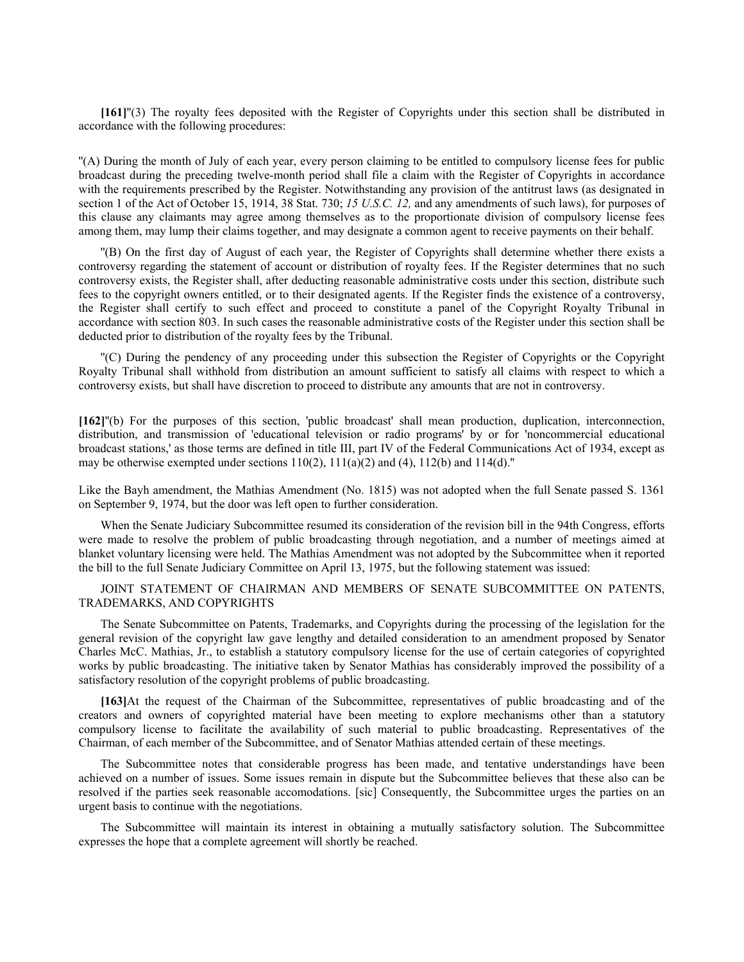**[161]**''(3) The royalty fees deposited with the Register of Copyrights under this section shall be distributed in accordance with the following procedures:

''(A) During the month of July of each year, every person claiming to be entitled to compulsory license fees for public broadcast during the preceding twelve-month period shall file a claim with the Register of Copyrights in accordance with the requirements prescribed by the Register. Notwithstanding any provision of the antitrust laws (as designated in section 1 of the Act of October 15, 1914, 38 Stat. 730; *15 U.S.C. 12,* and any amendments of such laws), for purposes of this clause any claimants may agree among themselves as to the proportionate division of compulsory license fees among them, may lump their claims together, and may designate a common agent to receive payments on their behalf.

''(B) On the first day of August of each year, the Register of Copyrights shall determine whether there exists a controversy regarding the statement of account or distribution of royalty fees. If the Register determines that no such controversy exists, the Register shall, after deducting reasonable administrative costs under this section, distribute such fees to the copyright owners entitled, or to their designated agents. If the Register finds the existence of a controversy, the Register shall certify to such effect and proceed to constitute a panel of the Copyright Royalty Tribunal in accordance with section 803. In such cases the reasonable administrative costs of the Register under this section shall be deducted prior to distribution of the royalty fees by the Tribunal.

''(C) During the pendency of any proceeding under this subsection the Register of Copyrights or the Copyright Royalty Tribunal shall withhold from distribution an amount sufficient to satisfy all claims with respect to which a controversy exists, but shall have discretion to proceed to distribute any amounts that are not in controversy.

**[162]**''(b) For the purposes of this section, 'public broadcast' shall mean production, duplication, interconnection, distribution, and transmission of 'educational television or radio programs' by or for 'noncommercial educational broadcast stations,' as those terms are defined in title III, part IV of the Federal Communications Act of 1934, except as may be otherwise exempted under sections  $110(2)$ ,  $111(a)(2)$  and  $(4)$ ,  $112(b)$  and  $114(d)$ ."

Like the Bayh amendment, the Mathias Amendment (No. 1815) was not adopted when the full Senate passed S. 1361 on September 9, 1974, but the door was left open to further consideration.

When the Senate Judiciary Subcommittee resumed its consideration of the revision bill in the 94th Congress, efforts were made to resolve the problem of public broadcasting through negotiation, and a number of meetings aimed at blanket voluntary licensing were held. The Mathias Amendment was not adopted by the Subcommittee when it reported the bill to the full Senate Judiciary Committee on April 13, 1975, but the following statement was issued:

# JOINT STATEMENT OF CHAIRMAN AND MEMBERS OF SENATE SUBCOMMITTEE ON PATENTS, TRADEMARKS, AND COPYRIGHTS

The Senate Subcommittee on Patents, Trademarks, and Copyrights during the processing of the legislation for the general revision of the copyright law gave lengthy and detailed consideration to an amendment proposed by Senator Charles McC. Mathias, Jr., to establish a statutory compulsory license for the use of certain categories of copyrighted works by public broadcasting. The initiative taken by Senator Mathias has considerably improved the possibility of a satisfactory resolution of the copyright problems of public broadcasting.

**[163]**At the request of the Chairman of the Subcommittee, representatives of public broadcasting and of the creators and owners of copyrighted material have been meeting to explore mechanisms other than a statutory compulsory license to facilitate the availability of such material to public broadcasting. Representatives of the Chairman, of each member of the Subcommittee, and of Senator Mathias attended certain of these meetings.

The Subcommittee notes that considerable progress has been made, and tentative understandings have been achieved on a number of issues. Some issues remain in dispute but the Subcommittee believes that these also can be resolved if the parties seek reasonable accomodations. [sic] Consequently, the Subcommittee urges the parties on an urgent basis to continue with the negotiations.

The Subcommittee will maintain its interest in obtaining a mutually satisfactory solution. The Subcommittee expresses the hope that a complete agreement will shortly be reached.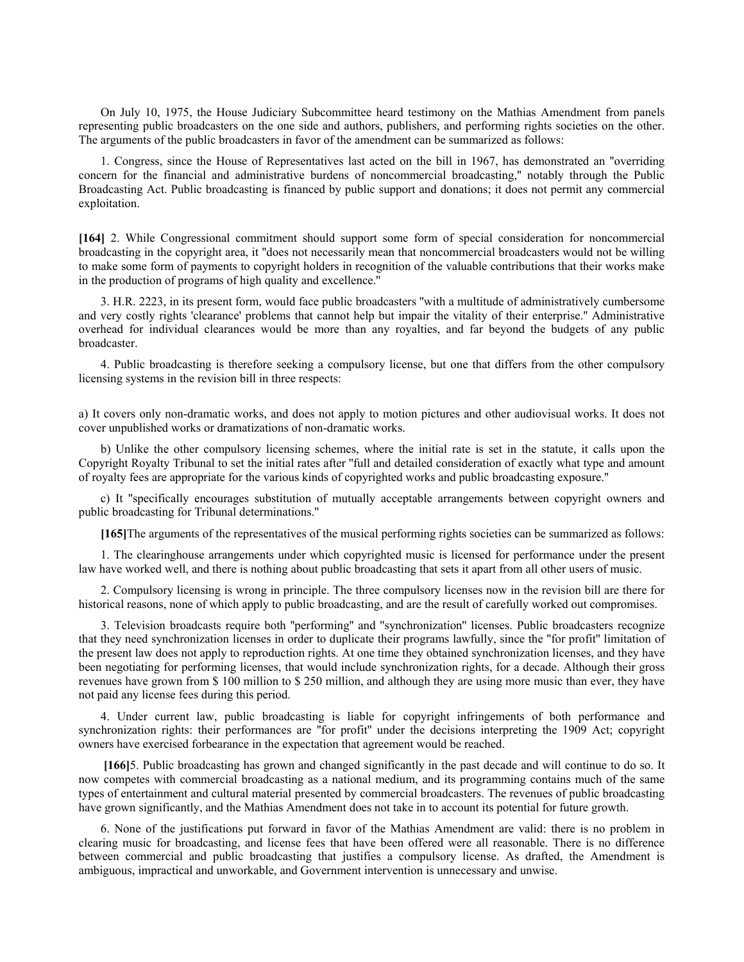On July 10, 1975, the House Judiciary Subcommittee heard testimony on the Mathias Amendment from panels representing public broadcasters on the one side and authors, publishers, and performing rights societies on the other. The arguments of the public broadcasters in favor of the amendment can be summarized as follows:

1. Congress, since the House of Representatives last acted on the bill in 1967, has demonstrated an ''overriding concern for the financial and administrative burdens of noncommercial broadcasting,'' notably through the Public Broadcasting Act. Public broadcasting is financed by public support and donations; it does not permit any commercial exploitation.

**[164]** 2. While Congressional commitment should support some form of special consideration for noncommercial broadcasting in the copyright area, it ''does not necessarily mean that noncommercial broadcasters would not be willing to make some form of payments to copyright holders in recognition of the valuable contributions that their works make in the production of programs of high quality and excellence.''

3. H.R. 2223, in its present form, would face public broadcasters ''with a multitude of administratively cumbersome and very costly rights 'clearance' problems that cannot help but impair the vitality of their enterprise.'' Administrative overhead for individual clearances would be more than any royalties, and far beyond the budgets of any public broadcaster.

4. Public broadcasting is therefore seeking a compulsory license, but one that differs from the other compulsory licensing systems in the revision bill in three respects:

a) It covers only non-dramatic works, and does not apply to motion pictures and other audiovisual works. It does not cover unpublished works or dramatizations of non-dramatic works.

b) Unlike the other compulsory licensing schemes, where the initial rate is set in the statute, it calls upon the Copyright Royalty Tribunal to set the initial rates after ''full and detailed consideration of exactly what type and amount of royalty fees are appropriate for the various kinds of copyrighted works and public broadcasting exposure.''

c) It ''specifically encourages substitution of mutually acceptable arrangements between copyright owners and public broadcasting for Tribunal determinations.''

**[165]**The arguments of the representatives of the musical performing rights societies can be summarized as follows:

1. The clearinghouse arrangements under which copyrighted music is licensed for performance under the present law have worked well, and there is nothing about public broadcasting that sets it apart from all other users of music.

2. Compulsory licensing is wrong in principle. The three compulsory licenses now in the revision bill are there for historical reasons, none of which apply to public broadcasting, and are the result of carefully worked out compromises.

3. Television broadcasts require both ''performing'' and ''synchronization'' licenses. Public broadcasters recognize that they need synchronization licenses in order to duplicate their programs lawfully, since the ''for profit'' limitation of the present law does not apply to reproduction rights. At one time they obtained synchronization licenses, and they have been negotiating for performing licenses, that would include synchronization rights, for a decade. Although their gross revenues have grown from \$ 100 million to \$ 250 million, and although they are using more music than ever, they have not paid any license fees during this period.

4. Under current law, public broadcasting is liable for copyright infringements of both performance and synchronization rights: their performances are "for profit" under the decisions interpreting the 1909 Act; copyright owners have exercised forbearance in the expectation that agreement would be reached.

 **[166]**5. Public broadcasting has grown and changed significantly in the past decade and will continue to do so. It now competes with commercial broadcasting as a national medium, and its programming contains much of the same types of entertainment and cultural material presented by commercial broadcasters. The revenues of public broadcasting have grown significantly, and the Mathias Amendment does not take in to account its potential for future growth.

6. None of the justifications put forward in favor of the Mathias Amendment are valid: there is no problem in clearing music for broadcasting, and license fees that have been offered were all reasonable. There is no difference between commercial and public broadcasting that justifies a compulsory license. As drafted, the Amendment is ambiguous, impractical and unworkable, and Government intervention is unnecessary and unwise.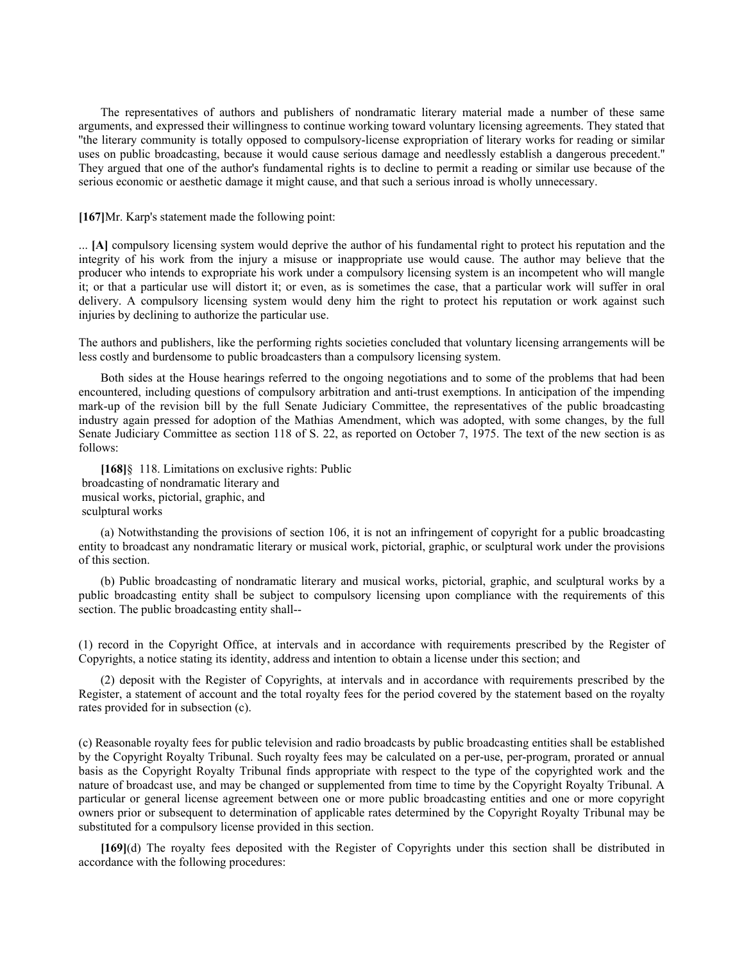The representatives of authors and publishers of nondramatic literary material made a number of these same arguments, and expressed their willingness to continue working toward voluntary licensing agreements. They stated that ''the literary community is totally opposed to compulsory-license expropriation of literary works for reading or similar uses on public broadcasting, because it would cause serious damage and needlessly establish a dangerous precedent.'' They argued that one of the author's fundamental rights is to decline to permit a reading or similar use because of the serious economic or aesthetic damage it might cause, and that such a serious inroad is wholly unnecessary.

**[167]**Mr. Karp's statement made the following point:

... **[A]** compulsory licensing system would deprive the author of his fundamental right to protect his reputation and the integrity of his work from the injury a misuse or inappropriate use would cause. The author may believe that the producer who intends to expropriate his work under a compulsory licensing system is an incompetent who will mangle it; or that a particular use will distort it; or even, as is sometimes the case, that a particular work will suffer in oral delivery. A compulsory licensing system would deny him the right to protect his reputation or work against such injuries by declining to authorize the particular use.

The authors and publishers, like the performing rights societies concluded that voluntary licensing arrangements will be less costly and burdensome to public broadcasters than a compulsory licensing system.

Both sides at the House hearings referred to the ongoing negotiations and to some of the problems that had been encountered, including questions of compulsory arbitration and anti-trust exemptions. In anticipation of the impending mark-up of the revision bill by the full Senate Judiciary Committee, the representatives of the public broadcasting industry again pressed for adoption of the Mathias Amendment, which was adopted, with some changes, by the full Senate Judiciary Committee as section 118 of S. 22, as reported on October 7, 1975. The text of the new section is as follows:

**[168]**§ 118. Limitations on exclusive rights: Public broadcasting of nondramatic literary and musical works, pictorial, graphic, and sculptural works

(a) Notwithstanding the provisions of section 106, it is not an infringement of copyright for a public broadcasting entity to broadcast any nondramatic literary or musical work, pictorial, graphic, or sculptural work under the provisions of this section.

(b) Public broadcasting of nondramatic literary and musical works, pictorial, graphic, and sculptural works by a public broadcasting entity shall be subject to compulsory licensing upon compliance with the requirements of this section. The public broadcasting entity shall--

(1) record in the Copyright Office, at intervals and in accordance with requirements prescribed by the Register of Copyrights, a notice stating its identity, address and intention to obtain a license under this section; and

(2) deposit with the Register of Copyrights, at intervals and in accordance with requirements prescribed by the Register, a statement of account and the total royalty fees for the period covered by the statement based on the royalty rates provided for in subsection (c).

(c) Reasonable royalty fees for public television and radio broadcasts by public broadcasting entities shall be established by the Copyright Royalty Tribunal. Such royalty fees may be calculated on a per-use, per-program, prorated or annual basis as the Copyright Royalty Tribunal finds appropriate with respect to the type of the copyrighted work and the nature of broadcast use, and may be changed or supplemented from time to time by the Copyright Royalty Tribunal. A particular or general license agreement between one or more public broadcasting entities and one or more copyright owners prior or subsequent to determination of applicable rates determined by the Copyright Royalty Tribunal may be substituted for a compulsory license provided in this section.

**[169]**(d) The royalty fees deposited with the Register of Copyrights under this section shall be distributed in accordance with the following procedures: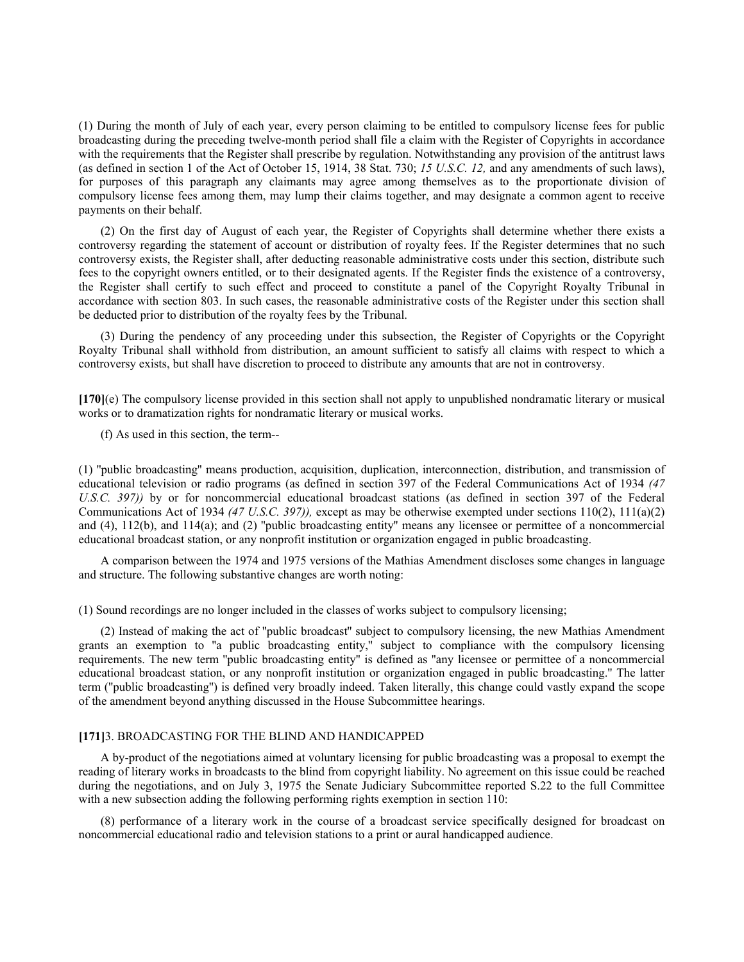(1) During the month of July of each year, every person claiming to be entitled to compulsory license fees for public broadcasting during the preceding twelve-month period shall file a claim with the Register of Copyrights in accordance with the requirements that the Register shall prescribe by regulation. Notwithstanding any provision of the antitrust laws (as defined in section 1 of the Act of October 15, 1914, 38 Stat. 730; *15 U.S.C. 12,* and any amendments of such laws), for purposes of this paragraph any claimants may agree among themselves as to the proportionate division of compulsory license fees among them, may lump their claims together, and may designate a common agent to receive payments on their behalf.

(2) On the first day of August of each year, the Register of Copyrights shall determine whether there exists a controversy regarding the statement of account or distribution of royalty fees. If the Register determines that no such controversy exists, the Register shall, after deducting reasonable administrative costs under this section, distribute such fees to the copyright owners entitled, or to their designated agents. If the Register finds the existence of a controversy, the Register shall certify to such effect and proceed to constitute a panel of the Copyright Royalty Tribunal in accordance with section 803. In such cases, the reasonable administrative costs of the Register under this section shall be deducted prior to distribution of the royalty fees by the Tribunal.

(3) During the pendency of any proceeding under this subsection, the Register of Copyrights or the Copyright Royalty Tribunal shall withhold from distribution, an amount sufficient to satisfy all claims with respect to which a controversy exists, but shall have discretion to proceed to distribute any amounts that are not in controversy.

**[170]**(e) The compulsory license provided in this section shall not apply to unpublished nondramatic literary or musical works or to dramatization rights for nondramatic literary or musical works.

(f) As used in this section, the term--

(1) ''public broadcasting'' means production, acquisition, duplication, interconnection, distribution, and transmission of educational television or radio programs (as defined in section 397 of the Federal Communications Act of 1934 *(47 U.S.C. 397))* by or for noncommercial educational broadcast stations (as defined in section 397 of the Federal Communications Act of 1934 *(47 U.S.C. 397)),* except as may be otherwise exempted under sections 110(2), 111(a)(2) and (4), 112(b), and 114(a); and (2) ''public broadcasting entity'' means any licensee or permittee of a noncommercial educational broadcast station, or any nonprofit institution or organization engaged in public broadcasting.

A comparison between the 1974 and 1975 versions of the Mathias Amendment discloses some changes in language and structure. The following substantive changes are worth noting:

(1) Sound recordings are no longer included in the classes of works subject to compulsory licensing;

(2) Instead of making the act of ''public broadcast'' subject to compulsory licensing, the new Mathias Amendment grants an exemption to ''a public broadcasting entity,'' subject to compliance with the compulsory licensing requirements. The new term ''public broadcasting entity'' is defined as ''any licensee or permittee of a noncommercial educational broadcast station, or any nonprofit institution or organization engaged in public broadcasting.'' The latter term (''public broadcasting'') is defined very broadly indeed. Taken literally, this change could vastly expand the scope of the amendment beyond anything discussed in the House Subcommittee hearings.

# **[171]**3. BROADCASTING FOR THE BLIND AND HANDICAPPED

A by-product of the negotiations aimed at voluntary licensing for public broadcasting was a proposal to exempt the reading of literary works in broadcasts to the blind from copyright liability. No agreement on this issue could be reached during the negotiations, and on July 3, 1975 the Senate Judiciary Subcommittee reported S.22 to the full Committee with a new subsection adding the following performing rights exemption in section 110:

(8) performance of a literary work in the course of a broadcast service specifically designed for broadcast on noncommercial educational radio and television stations to a print or aural handicapped audience.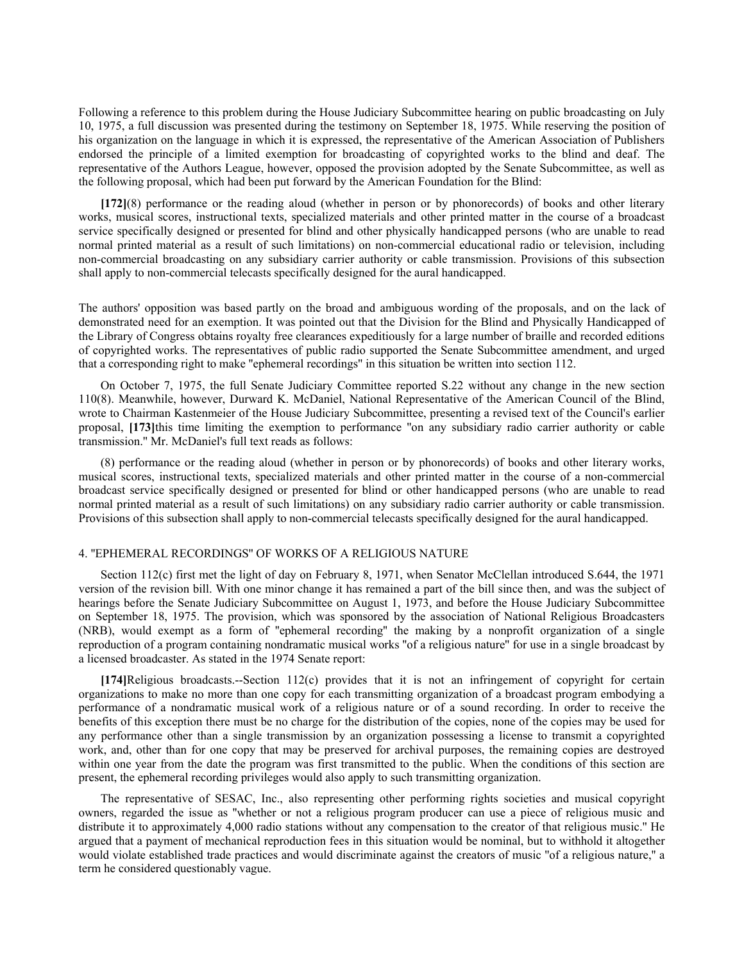Following a reference to this problem during the House Judiciary Subcommittee hearing on public broadcasting on July 10, 1975, a full discussion was presented during the testimony on September 18, 1975. While reserving the position of his organization on the language in which it is expressed, the representative of the American Association of Publishers endorsed the principle of a limited exemption for broadcasting of copyrighted works to the blind and deaf. The representative of the Authors League, however, opposed the provision adopted by the Senate Subcommittee, as well as the following proposal, which had been put forward by the American Foundation for the Blind:

**[172]**(8) performance or the reading aloud (whether in person or by phonorecords) of books and other literary works, musical scores, instructional texts, specialized materials and other printed matter in the course of a broadcast service specifically designed or presented for blind and other physically handicapped persons (who are unable to read normal printed material as a result of such limitations) on non-commercial educational radio or television, including non-commercial broadcasting on any subsidiary carrier authority or cable transmission. Provisions of this subsection shall apply to non-commercial telecasts specifically designed for the aural handicapped.

The authors' opposition was based partly on the broad and ambiguous wording of the proposals, and on the lack of demonstrated need for an exemption. It was pointed out that the Division for the Blind and Physically Handicapped of the Library of Congress obtains royalty free clearances expeditiously for a large number of braille and recorded editions of copyrighted works. The representatives of public radio supported the Senate Subcommittee amendment, and urged that a corresponding right to make ''ephemeral recordings'' in this situation be written into section 112.

On October 7, 1975, the full Senate Judiciary Committee reported S.22 without any change in the new section 110(8). Meanwhile, however, Durward K. McDaniel, National Representative of the American Council of the Blind, wrote to Chairman Kastenmeier of the House Judiciary Subcommittee, presenting a revised text of the Council's earlier proposal, **[173]**this time limiting the exemption to performance ''on any subsidiary radio carrier authority or cable transmission.'' Mr. McDaniel's full text reads as follows:

(8) performance or the reading aloud (whether in person or by phonorecords) of books and other literary works, musical scores, instructional texts, specialized materials and other printed matter in the course of a non-commercial broadcast service specifically designed or presented for blind or other handicapped persons (who are unable to read normal printed material as a result of such limitations) on any subsidiary radio carrier authority or cable transmission. Provisions of this subsection shall apply to non-commercial telecasts specifically designed for the aural handicapped.

# 4. ''EPHEMERAL RECORDINGS'' OF WORKS OF A RELIGIOUS NATURE

Section 112(c) first met the light of day on February 8, 1971, when Senator McClellan introduced S.644, the 1971 version of the revision bill. With one minor change it has remained a part of the bill since then, and was the subject of hearings before the Senate Judiciary Subcommittee on August 1, 1973, and before the House Judiciary Subcommittee on September 18, 1975. The provision, which was sponsored by the association of National Religious Broadcasters (NRB), would exempt as a form of ''ephemeral recording'' the making by a nonprofit organization of a single reproduction of a program containing nondramatic musical works ''of a religious nature'' for use in a single broadcast by a licensed broadcaster. As stated in the 1974 Senate report:

**[174]**Religious broadcasts.--Section 112(c) provides that it is not an infringement of copyright for certain organizations to make no more than one copy for each transmitting organization of a broadcast program embodying a performance of a nondramatic musical work of a religious nature or of a sound recording. In order to receive the benefits of this exception there must be no charge for the distribution of the copies, none of the copies may be used for any performance other than a single transmission by an organization possessing a license to transmit a copyrighted work, and, other than for one copy that may be preserved for archival purposes, the remaining copies are destroyed within one year from the date the program was first transmitted to the public. When the conditions of this section are present, the ephemeral recording privileges would also apply to such transmitting organization.

The representative of SESAC, Inc., also representing other performing rights societies and musical copyright owners, regarded the issue as ''whether or not a religious program producer can use a piece of religious music and distribute it to approximately 4,000 radio stations without any compensation to the creator of that religious music.'' He argued that a payment of mechanical reproduction fees in this situation would be nominal, but to withhold it altogether would violate established trade practices and would discriminate against the creators of music ''of a religious nature,'' a term he considered questionably vague.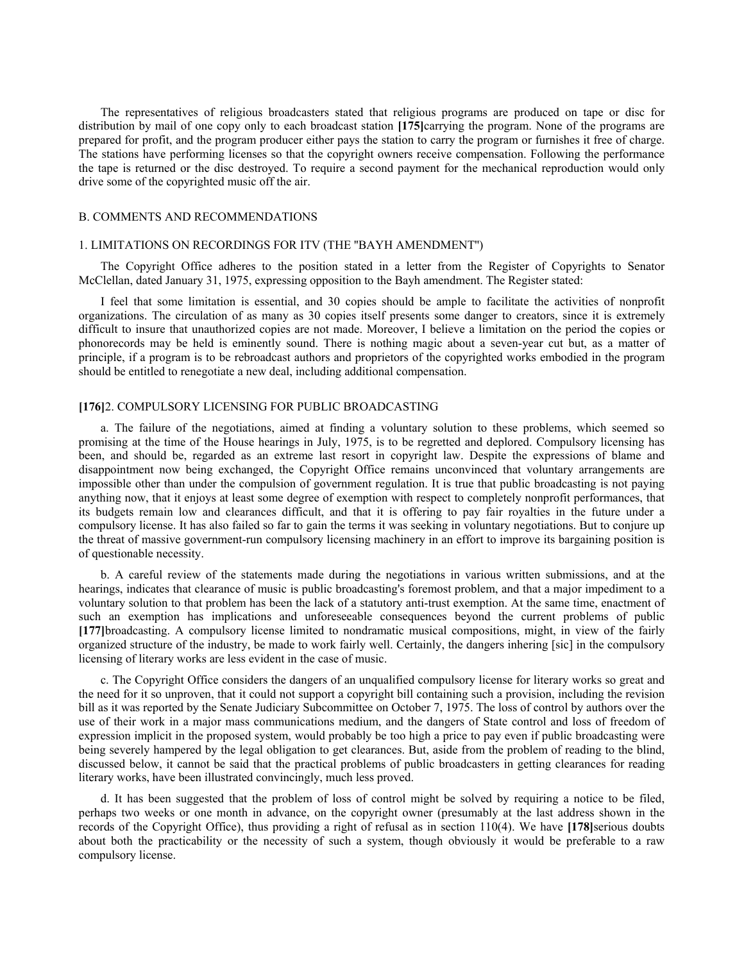The representatives of religious broadcasters stated that religious programs are produced on tape or disc for distribution by mail of one copy only to each broadcast station **[175]**carrying the program. None of the programs are prepared for profit, and the program producer either pays the station to carry the program or furnishes it free of charge. The stations have performing licenses so that the copyright owners receive compensation. Following the performance the tape is returned or the disc destroyed. To require a second payment for the mechanical reproduction would only drive some of the copyrighted music off the air.

### B. COMMENTS AND RECOMMENDATIONS

# 1. LIMITATIONS ON RECORDINGS FOR ITV (THE ''BAYH AMENDMENT'')

The Copyright Office adheres to the position stated in a letter from the Register of Copyrights to Senator McClellan, dated January 31, 1975, expressing opposition to the Bayh amendment. The Register stated:

I feel that some limitation is essential, and 30 copies should be ample to facilitate the activities of nonprofit organizations. The circulation of as many as 30 copies itself presents some danger to creators, since it is extremely difficult to insure that unauthorized copies are not made. Moreover, I believe a limitation on the period the copies or phonorecords may be held is eminently sound. There is nothing magic about a seven-year cut but, as a matter of principle, if a program is to be rebroadcast authors and proprietors of the copyrighted works embodied in the program should be entitled to renegotiate a new deal, including additional compensation.

# **[176]**2. COMPULSORY LICENSING FOR PUBLIC BROADCASTING

a. The failure of the negotiations, aimed at finding a voluntary solution to these problems, which seemed so promising at the time of the House hearings in July, 1975, is to be regretted and deplored. Compulsory licensing has been, and should be, regarded as an extreme last resort in copyright law. Despite the expressions of blame and disappointment now being exchanged, the Copyright Office remains unconvinced that voluntary arrangements are impossible other than under the compulsion of government regulation. It is true that public broadcasting is not paying anything now, that it enjoys at least some degree of exemption with respect to completely nonprofit performances, that its budgets remain low and clearances difficult, and that it is offering to pay fair royalties in the future under a compulsory license. It has also failed so far to gain the terms it was seeking in voluntary negotiations. But to conjure up the threat of massive government-run compulsory licensing machinery in an effort to improve its bargaining position is of questionable necessity.

b. A careful review of the statements made during the negotiations in various written submissions, and at the hearings, indicates that clearance of music is public broadcasting's foremost problem, and that a major impediment to a voluntary solution to that problem has been the lack of a statutory anti-trust exemption. At the same time, enactment of such an exemption has implications and unforeseeable consequences beyond the current problems of public **[177]**broadcasting. A compulsory license limited to nondramatic musical compositions, might, in view of the fairly organized structure of the industry, be made to work fairly well. Certainly, the dangers inhering [sic] in the compulsory licensing of literary works are less evident in the case of music.

c. The Copyright Office considers the dangers of an unqualified compulsory license for literary works so great and the need for it so unproven, that it could not support a copyright bill containing such a provision, including the revision bill as it was reported by the Senate Judiciary Subcommittee on October 7, 1975. The loss of control by authors over the use of their work in a major mass communications medium, and the dangers of State control and loss of freedom of expression implicit in the proposed system, would probably be too high a price to pay even if public broadcasting were being severely hampered by the legal obligation to get clearances. But, aside from the problem of reading to the blind, discussed below, it cannot be said that the practical problems of public broadcasters in getting clearances for reading literary works, have been illustrated convincingly, much less proved.

d. It has been suggested that the problem of loss of control might be solved by requiring a notice to be filed, perhaps two weeks or one month in advance, on the copyright owner (presumably at the last address shown in the records of the Copyright Office), thus providing a right of refusal as in section 110(4). We have **[178]**serious doubts about both the practicability or the necessity of such a system, though obviously it would be preferable to a raw compulsory license.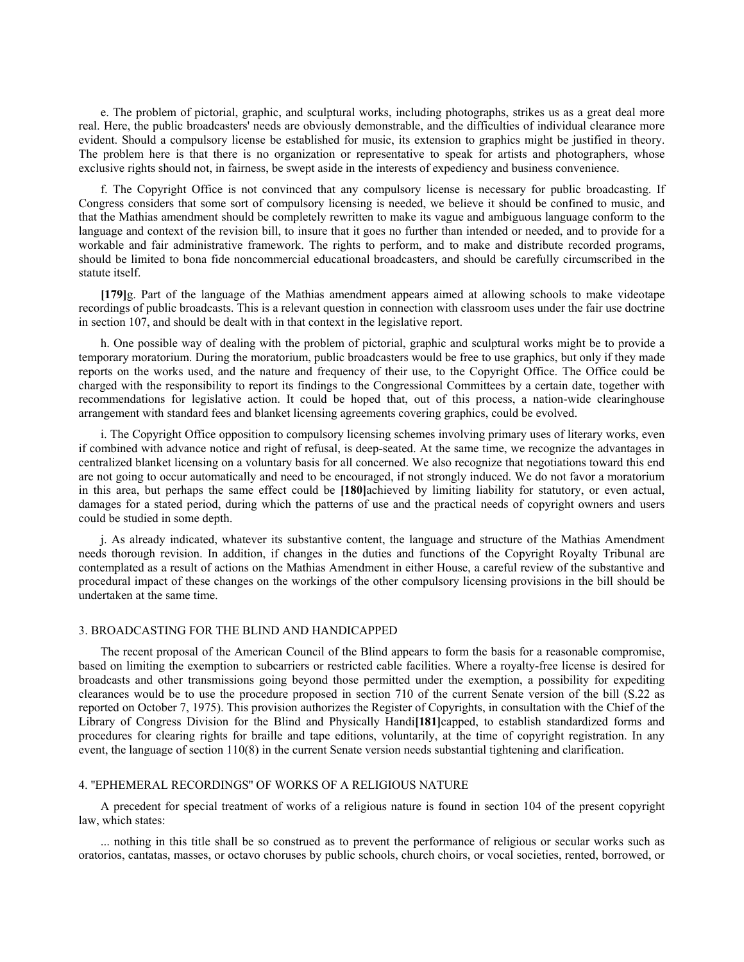e. The problem of pictorial, graphic, and sculptural works, including photographs, strikes us as a great deal more real. Here, the public broadcasters' needs are obviously demonstrable, and the difficulties of individual clearance more evident. Should a compulsory license be established for music, its extension to graphics might be justified in theory. The problem here is that there is no organization or representative to speak for artists and photographers, whose exclusive rights should not, in fairness, be swept aside in the interests of expediency and business convenience.

f. The Copyright Office is not convinced that any compulsory license is necessary for public broadcasting. If Congress considers that some sort of compulsory licensing is needed, we believe it should be confined to music, and that the Mathias amendment should be completely rewritten to make its vague and ambiguous language conform to the language and context of the revision bill, to insure that it goes no further than intended or needed, and to provide for a workable and fair administrative framework. The rights to perform, and to make and distribute recorded programs, should be limited to bona fide noncommercial educational broadcasters, and should be carefully circumscribed in the statute itself.

**[179]**g. Part of the language of the Mathias amendment appears aimed at allowing schools to make videotape recordings of public broadcasts. This is a relevant question in connection with classroom uses under the fair use doctrine in section 107, and should be dealt with in that context in the legislative report.

h. One possible way of dealing with the problem of pictorial, graphic and sculptural works might be to provide a temporary moratorium. During the moratorium, public broadcasters would be free to use graphics, but only if they made reports on the works used, and the nature and frequency of their use, to the Copyright Office. The Office could be charged with the responsibility to report its findings to the Congressional Committees by a certain date, together with recommendations for legislative action. It could be hoped that, out of this process, a nation-wide clearinghouse arrangement with standard fees and blanket licensing agreements covering graphics, could be evolved.

i. The Copyright Office opposition to compulsory licensing schemes involving primary uses of literary works, even if combined with advance notice and right of refusal, is deep-seated. At the same time, we recognize the advantages in centralized blanket licensing on a voluntary basis for all concerned. We also recognize that negotiations toward this end are not going to occur automatically and need to be encouraged, if not strongly induced. We do not favor a moratorium in this area, but perhaps the same effect could be **[180]**achieved by limiting liability for statutory, or even actual, damages for a stated period, during which the patterns of use and the practical needs of copyright owners and users could be studied in some depth.

j. As already indicated, whatever its substantive content, the language and structure of the Mathias Amendment needs thorough revision. In addition, if changes in the duties and functions of the Copyright Royalty Tribunal are contemplated as a result of actions on the Mathias Amendment in either House, a careful review of the substantive and procedural impact of these changes on the workings of the other compulsory licensing provisions in the bill should be undertaken at the same time.

# 3. BROADCASTING FOR THE BLIND AND HANDICAPPED

The recent proposal of the American Council of the Blind appears to form the basis for a reasonable compromise, based on limiting the exemption to subcarriers or restricted cable facilities. Where a royalty-free license is desired for broadcasts and other transmissions going beyond those permitted under the exemption, a possibility for expediting clearances would be to use the procedure proposed in section 710 of the current Senate version of the bill (S.22 as reported on October 7, 1975). This provision authorizes the Register of Copyrights, in consultation with the Chief of the Library of Congress Division for the Blind and Physically Handi**[181]**capped, to establish standardized forms and procedures for clearing rights for braille and tape editions, voluntarily, at the time of copyright registration. In any event, the language of section 110(8) in the current Senate version needs substantial tightening and clarification.

# 4. ''EPHEMERAL RECORDINGS'' OF WORKS OF A RELIGIOUS NATURE

A precedent for special treatment of works of a religious nature is found in section 104 of the present copyright law, which states:

... nothing in this title shall be so construed as to prevent the performance of religious or secular works such as oratorios, cantatas, masses, or octavo choruses by public schools, church choirs, or vocal societies, rented, borrowed, or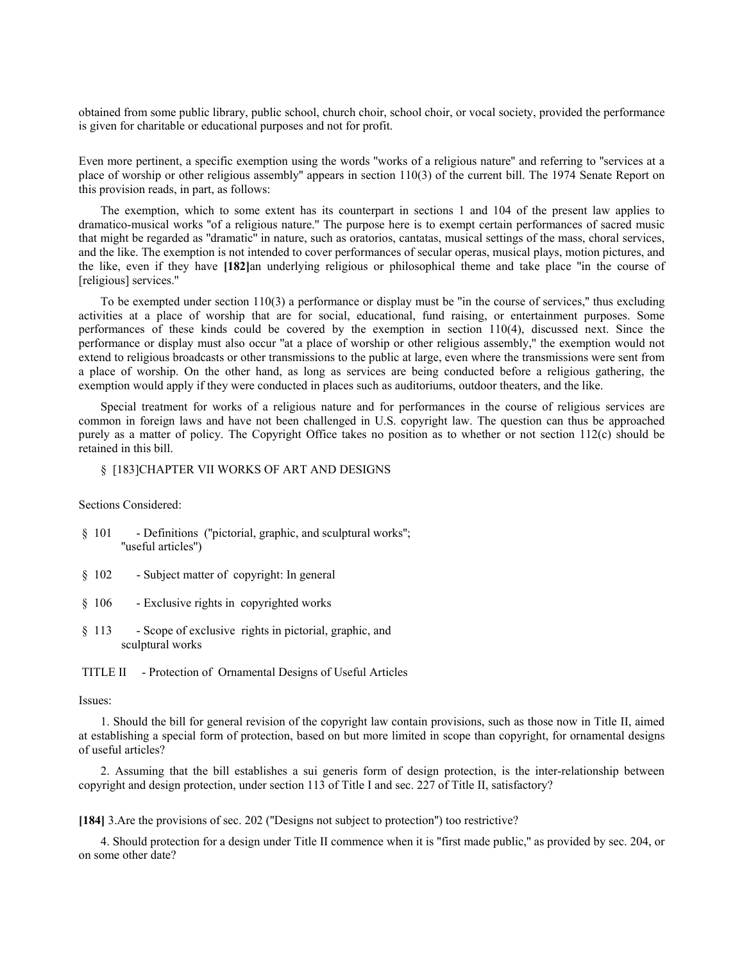obtained from some public library, public school, church choir, school choir, or vocal society, provided the performance is given for charitable or educational purposes and not for profit.

Even more pertinent, a specific exemption using the words ''works of a religious nature'' and referring to ''services at a place of worship or other religious assembly'' appears in section 110(3) of the current bill. The 1974 Senate Report on this provision reads, in part, as follows:

The exemption, which to some extent has its counterpart in sections 1 and 104 of the present law applies to dramatico-musical works ''of a religious nature.'' The purpose here is to exempt certain performances of sacred music that might be regarded as ''dramatic'' in nature, such as oratorios, cantatas, musical settings of the mass, choral services, and the like. The exemption is not intended to cover performances of secular operas, musical plays, motion pictures, and the like, even if they have **[182]**an underlying religious or philosophical theme and take place ''in the course of [religious] services."

To be exempted under section 110(3) a performance or display must be ''in the course of services,'' thus excluding activities at a place of worship that are for social, educational, fund raising, or entertainment purposes. Some performances of these kinds could be covered by the exemption in section 110(4), discussed next. Since the performance or display must also occur ''at a place of worship or other religious assembly,'' the exemption would not extend to religious broadcasts or other transmissions to the public at large, even where the transmissions were sent from a place of worship. On the other hand, as long as services are being conducted before a religious gathering, the exemption would apply if they were conducted in places such as auditoriums, outdoor theaters, and the like.

Special treatment for works of a religious nature and for performances in the course of religious services are common in foreign laws and have not been challenged in U.S. copyright law. The question can thus be approached purely as a matter of policy. The Copyright Office takes no position as to whether or not section 112(c) should be retained in this bill.

### § [183]CHAPTER VII WORKS OF ART AND DESIGNS

Sections Considered:

- § 101 Definitions (''pictorial, graphic, and sculptural works''; ''useful articles'')
- § 102 Subject matter of copyright: In general
- § 106 Exclusive rights in copyrighted works
- § 113 Scope of exclusive rights in pictorial, graphic, and sculptural works

TITLE II - Protection of Ornamental Designs of Useful Articles

Issues:

1. Should the bill for general revision of the copyright law contain provisions, such as those now in Title II, aimed at establishing a special form of protection, based on but more limited in scope than copyright, for ornamental designs of useful articles?

2. Assuming that the bill establishes a sui generis form of design protection, is the inter-relationship between copyright and design protection, under section 113 of Title I and sec. 227 of Title II, satisfactory?

**[184]** 3.Are the provisions of sec. 202 (''Designs not subject to protection'') too restrictive?

4. Should protection for a design under Title II commence when it is ''first made public,'' as provided by sec. 204, or on some other date?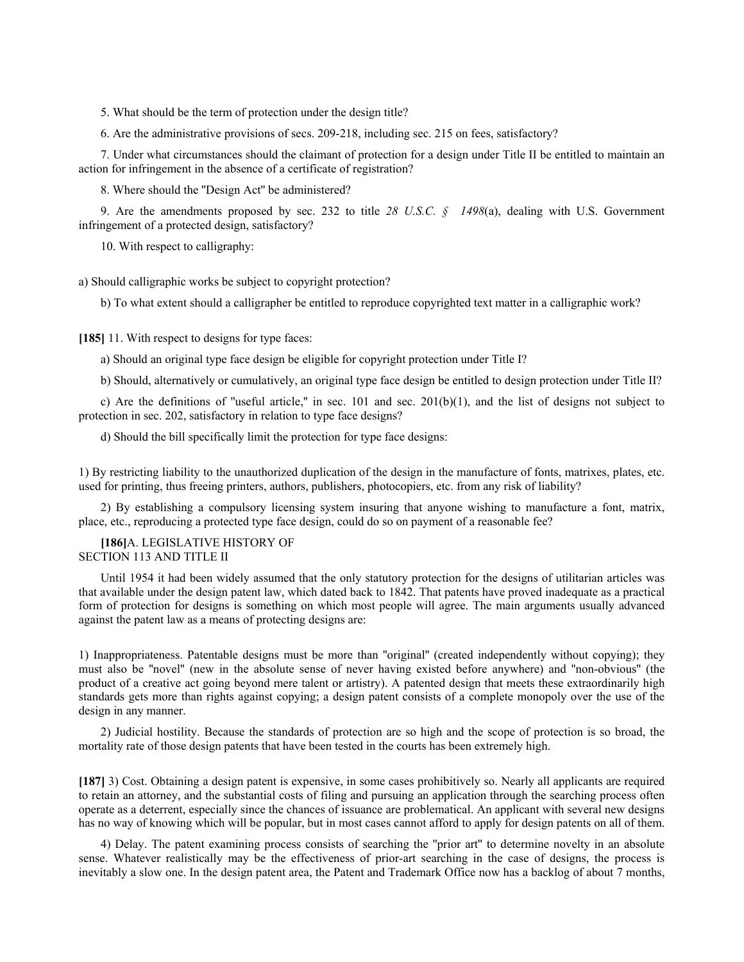5. What should be the term of protection under the design title?

6. Are the administrative provisions of secs. 209-218, including sec. 215 on fees, satisfactory?

7. Under what circumstances should the claimant of protection for a design under Title II be entitled to maintain an action for infringement in the absence of a certificate of registration?

8. Where should the ''Design Act'' be administered?

9. Are the amendments proposed by sec. 232 to title *28 U.S.C. § 1498*(a), dealing with U.S. Government infringement of a protected design, satisfactory?

10. With respect to calligraphy:

a) Should calligraphic works be subject to copyright protection?

b) To what extent should a calligrapher be entitled to reproduce copyrighted text matter in a calligraphic work?

[185] 11. With respect to designs for type faces:

a) Should an original type face design be eligible for copyright protection under Title I?

b) Should, alternatively or cumulatively, an original type face design be entitled to design protection under Title II?

c) Are the definitions of "useful article," in sec. 101 and sec.  $201(b)(1)$ , and the list of designs not subject to protection in sec. 202, satisfactory in relation to type face designs?

d) Should the bill specifically limit the protection for type face designs:

1) By restricting liability to the unauthorized duplication of the design in the manufacture of fonts, matrixes, plates, etc. used for printing, thus freeing printers, authors, publishers, photocopiers, etc. from any risk of liability?

2) By establishing a compulsory licensing system insuring that anyone wishing to manufacture a font, matrix, place, etc., reproducing a protected type face design, could do so on payment of a reasonable fee?

**[186]**A. LEGISLATIVE HISTORY OF SECTION 113 AND TITLE II

Until 1954 it had been widely assumed that the only statutory protection for the designs of utilitarian articles was that available under the design patent law, which dated back to 1842. That patents have proved inadequate as a practical form of protection for designs is something on which most people will agree. The main arguments usually advanced against the patent law as a means of protecting designs are:

1) Inappropriateness. Patentable designs must be more than ''original'' (created independently without copying); they must also be ''novel'' (new in the absolute sense of never having existed before anywhere) and ''non-obvious'' (the product of a creative act going beyond mere talent or artistry). A patented design that meets these extraordinarily high standards gets more than rights against copying; a design patent consists of a complete monopoly over the use of the design in any manner.

2) Judicial hostility. Because the standards of protection are so high and the scope of protection is so broad, the mortality rate of those design patents that have been tested in the courts has been extremely high.

**[187]** 3) Cost. Obtaining a design patent is expensive, in some cases prohibitively so. Nearly all applicants are required to retain an attorney, and the substantial costs of filing and pursuing an application through the searching process often operate as a deterrent, especially since the chances of issuance are problematical. An applicant with several new designs has no way of knowing which will be popular, but in most cases cannot afford to apply for design patents on all of them.

4) Delay. The patent examining process consists of searching the ''prior art'' to determine novelty in an absolute sense. Whatever realistically may be the effectiveness of prior-art searching in the case of designs, the process is inevitably a slow one. In the design patent area, the Patent and Trademark Office now has a backlog of about 7 months,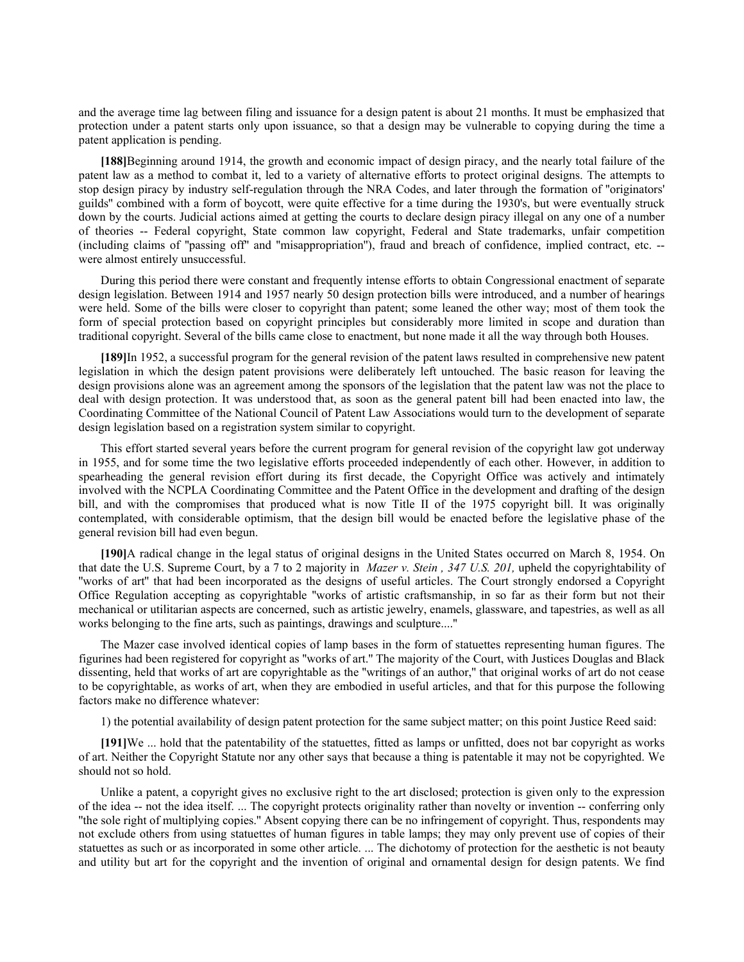and the average time lag between filing and issuance for a design patent is about 21 months. It must be emphasized that protection under a patent starts only upon issuance, so that a design may be vulnerable to copying during the time a patent application is pending.

**[188]**Beginning around 1914, the growth and economic impact of design piracy, and the nearly total failure of the patent law as a method to combat it, led to a variety of alternative efforts to protect original designs. The attempts to stop design piracy by industry self-regulation through the NRA Codes, and later through the formation of ''originators' guilds'' combined with a form of boycott, were quite effective for a time during the 1930's, but were eventually struck down by the courts. Judicial actions aimed at getting the courts to declare design piracy illegal on any one of a number of theories -- Federal copyright, State common law copyright, Federal and State trademarks, unfair competition (including claims of ''passing off'' and ''misappropriation''), fraud and breach of confidence, implied contract, etc. - were almost entirely unsuccessful.

During this period there were constant and frequently intense efforts to obtain Congressional enactment of separate design legislation. Between 1914 and 1957 nearly 50 design protection bills were introduced, and a number of hearings were held. Some of the bills were closer to copyright than patent; some leaned the other way; most of them took the form of special protection based on copyright principles but considerably more limited in scope and duration than traditional copyright. Several of the bills came close to enactment, but none made it all the way through both Houses.

**[189]**In 1952, a successful program for the general revision of the patent laws resulted in comprehensive new patent legislation in which the design patent provisions were deliberately left untouched. The basic reason for leaving the design provisions alone was an agreement among the sponsors of the legislation that the patent law was not the place to deal with design protection. It was understood that, as soon as the general patent bill had been enacted into law, the Coordinating Committee of the National Council of Patent Law Associations would turn to the development of separate design legislation based on a registration system similar to copyright.

This effort started several years before the current program for general revision of the copyright law got underway in 1955, and for some time the two legislative efforts proceeded independently of each other. However, in addition to spearheading the general revision effort during its first decade, the Copyright Office was actively and intimately involved with the NCPLA Coordinating Committee and the Patent Office in the development and drafting of the design bill, and with the compromises that produced what is now Title II of the 1975 copyright bill. It was originally contemplated, with considerable optimism, that the design bill would be enacted before the legislative phase of the general revision bill had even begun.

**[190]**A radical change in the legal status of original designs in the United States occurred on March 8, 1954. On that date the U.S. Supreme Court, by a 7 to 2 majority in *Mazer v. Stein , 347 U.S. 201,* upheld the copyrightability of ''works of art'' that had been incorporated as the designs of useful articles. The Court strongly endorsed a Copyright Office Regulation accepting as copyrightable ''works of artistic craftsmanship, in so far as their form but not their mechanical or utilitarian aspects are concerned, such as artistic jewelry, enamels, glassware, and tapestries, as well as all works belonging to the fine arts, such as paintings, drawings and sculpture....''

The Mazer case involved identical copies of lamp bases in the form of statuettes representing human figures. The figurines had been registered for copyright as ''works of art.'' The majority of the Court, with Justices Douglas and Black dissenting, held that works of art are copyrightable as the ''writings of an author,'' that original works of art do not cease to be copyrightable, as works of art, when they are embodied in useful articles, and that for this purpose the following factors make no difference whatever:

1) the potential availability of design patent protection for the same subject matter; on this point Justice Reed said:

**[191]**We ... hold that the patentability of the statuettes, fitted as lamps or unfitted, does not bar copyright as works of art. Neither the Copyright Statute nor any other says that because a thing is patentable it may not be copyrighted. We should not so hold.

Unlike a patent, a copyright gives no exclusive right to the art disclosed; protection is given only to the expression of the idea -- not the idea itself. ... The copyright protects originality rather than novelty or invention -- conferring only ''the sole right of multiplying copies.'' Absent copying there can be no infringement of copyright. Thus, respondents may not exclude others from using statuettes of human figures in table lamps; they may only prevent use of copies of their statuettes as such or as incorporated in some other article. ... The dichotomy of protection for the aesthetic is not beauty and utility but art for the copyright and the invention of original and ornamental design for design patents. We find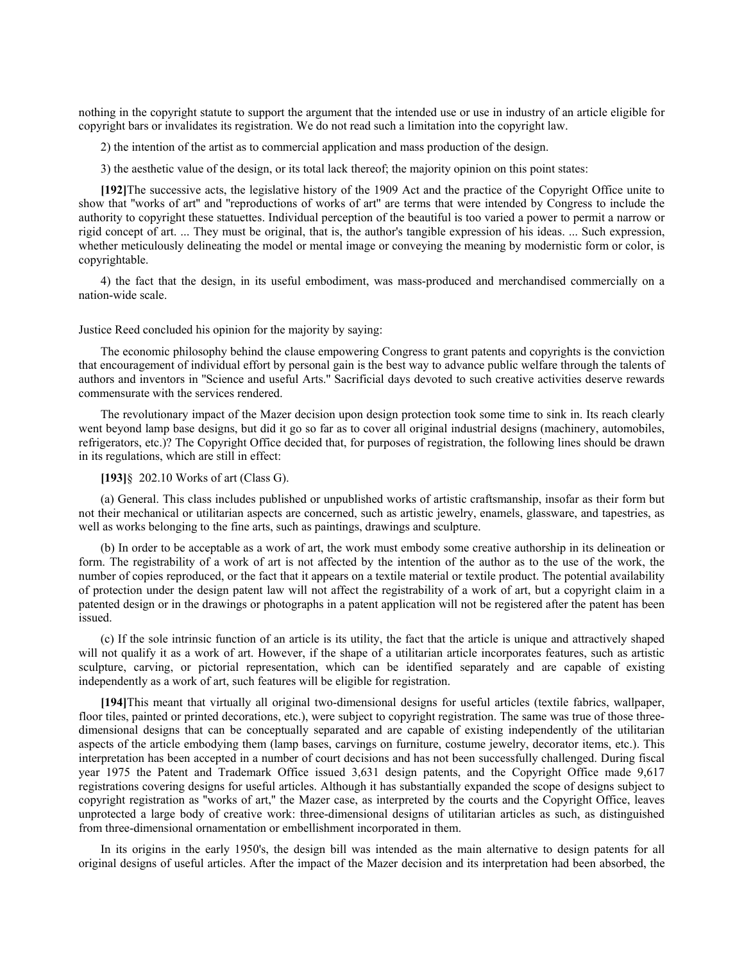nothing in the copyright statute to support the argument that the intended use or use in industry of an article eligible for copyright bars or invalidates its registration. We do not read such a limitation into the copyright law.

2) the intention of the artist as to commercial application and mass production of the design.

3) the aesthetic value of the design, or its total lack thereof; the majority opinion on this point states:

**[192]**The successive acts, the legislative history of the 1909 Act and the practice of the Copyright Office unite to show that ''works of art'' and ''reproductions of works of art'' are terms that were intended by Congress to include the authority to copyright these statuettes. Individual perception of the beautiful is too varied a power to permit a narrow or rigid concept of art. ... They must be original, that is, the author's tangible expression of his ideas. ... Such expression, whether meticulously delineating the model or mental image or conveying the meaning by modernistic form or color, is copyrightable.

4) the fact that the design, in its useful embodiment, was mass-produced and merchandised commercially on a nation-wide scale.

Justice Reed concluded his opinion for the majority by saying:

The economic philosophy behind the clause empowering Congress to grant patents and copyrights is the conviction that encouragement of individual effort by personal gain is the best way to advance public welfare through the talents of authors and inventors in ''Science and useful Arts.'' Sacrificial days devoted to such creative activities deserve rewards commensurate with the services rendered.

The revolutionary impact of the Mazer decision upon design protection took some time to sink in. Its reach clearly went beyond lamp base designs, but did it go so far as to cover all original industrial designs (machinery, automobiles, refrigerators, etc.)? The Copyright Office decided that, for purposes of registration, the following lines should be drawn in its regulations, which are still in effect:

#### **[193]**§ 202.10 Works of art (Class G).

(a) General. This class includes published or unpublished works of artistic craftsmanship, insofar as their form but not their mechanical or utilitarian aspects are concerned, such as artistic jewelry, enamels, glassware, and tapestries, as well as works belonging to the fine arts, such as paintings, drawings and sculpture.

(b) In order to be acceptable as a work of art, the work must embody some creative authorship in its delineation or form. The registrability of a work of art is not affected by the intention of the author as to the use of the work, the number of copies reproduced, or the fact that it appears on a textile material or textile product. The potential availability of protection under the design patent law will not affect the registrability of a work of art, but a copyright claim in a patented design or in the drawings or photographs in a patent application will not be registered after the patent has been issued.

(c) If the sole intrinsic function of an article is its utility, the fact that the article is unique and attractively shaped will not qualify it as a work of art. However, if the shape of a utilitarian article incorporates features, such as artistic sculpture, carving, or pictorial representation, which can be identified separately and are capable of existing independently as a work of art, such features will be eligible for registration.

**[194]**This meant that virtually all original two-dimensional designs for useful articles (textile fabrics, wallpaper, floor tiles, painted or printed decorations, etc.), were subject to copyright registration. The same was true of those threedimensional designs that can be conceptually separated and are capable of existing independently of the utilitarian aspects of the article embodying them (lamp bases, carvings on furniture, costume jewelry, decorator items, etc.). This interpretation has been accepted in a number of court decisions and has not been successfully challenged. During fiscal year 1975 the Patent and Trademark Office issued 3,631 design patents, and the Copyright Office made 9,617 registrations covering designs for useful articles. Although it has substantially expanded the scope of designs subject to copyright registration as ''works of art,'' the Mazer case, as interpreted by the courts and the Copyright Office, leaves unprotected a large body of creative work: three-dimensional designs of utilitarian articles as such, as distinguished from three-dimensional ornamentation or embellishment incorporated in them.

In its origins in the early 1950's, the design bill was intended as the main alternative to design patents for all original designs of useful articles. After the impact of the Mazer decision and its interpretation had been absorbed, the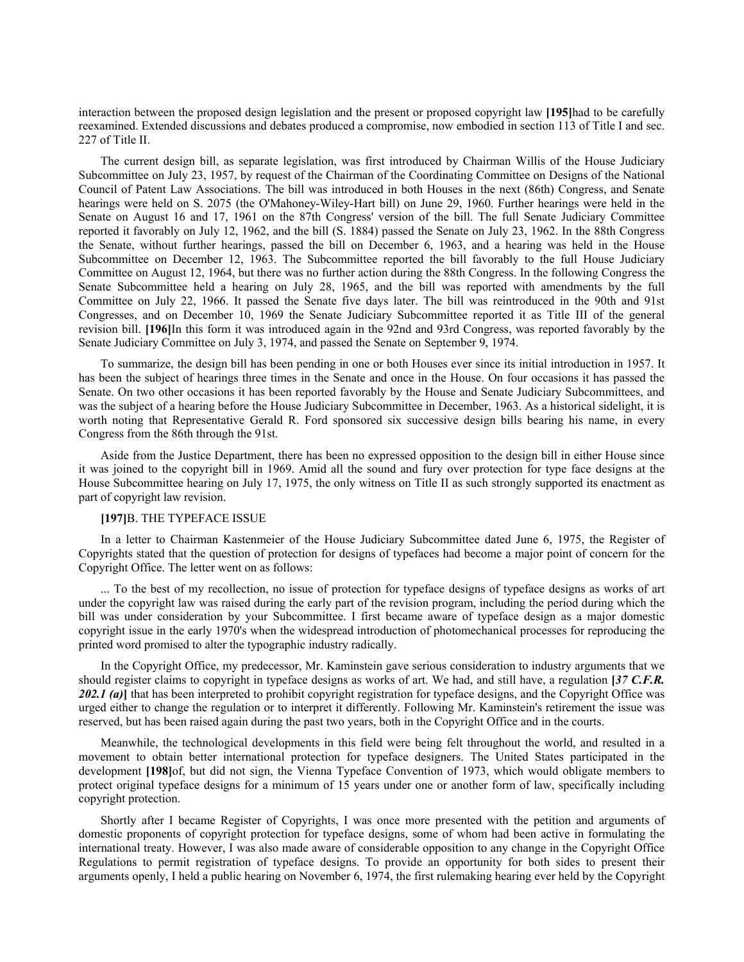interaction between the proposed design legislation and the present or proposed copyright law **[195]**had to be carefully reexamined. Extended discussions and debates produced a compromise, now embodied in section 113 of Title I and sec. 227 of Title II.

The current design bill, as separate legislation, was first introduced by Chairman Willis of the House Judiciary Subcommittee on July 23, 1957, by request of the Chairman of the Coordinating Committee on Designs of the National Council of Patent Law Associations. The bill was introduced in both Houses in the next (86th) Congress, and Senate hearings were held on S. 2075 (the O'Mahoney-Wiley-Hart bill) on June 29, 1960. Further hearings were held in the Senate on August 16 and 17, 1961 on the 87th Congress' version of the bill. The full Senate Judiciary Committee reported it favorably on July 12, 1962, and the bill (S. 1884) passed the Senate on July 23, 1962. In the 88th Congress the Senate, without further hearings, passed the bill on December 6, 1963, and a hearing was held in the House Subcommittee on December 12, 1963. The Subcommittee reported the bill favorably to the full House Judiciary Committee on August 12, 1964, but there was no further action during the 88th Congress. In the following Congress the Senate Subcommittee held a hearing on July 28, 1965, and the bill was reported with amendments by the full Committee on July 22, 1966. It passed the Senate five days later. The bill was reintroduced in the 90th and 91st Congresses, and on December 10, 1969 the Senate Judiciary Subcommittee reported it as Title III of the general revision bill. **[196]**In this form it was introduced again in the 92nd and 93rd Congress, was reported favorably by the Senate Judiciary Committee on July 3, 1974, and passed the Senate on September 9, 1974.

To summarize, the design bill has been pending in one or both Houses ever since its initial introduction in 1957. It has been the subject of hearings three times in the Senate and once in the House. On four occasions it has passed the Senate. On two other occasions it has been reported favorably by the House and Senate Judiciary Subcommittees, and was the subject of a hearing before the House Judiciary Subcommittee in December, 1963. As a historical sidelight, it is worth noting that Representative Gerald R. Ford sponsored six successive design bills bearing his name, in every Congress from the 86th through the 91st.

Aside from the Justice Department, there has been no expressed opposition to the design bill in either House since it was joined to the copyright bill in 1969. Amid all the sound and fury over protection for type face designs at the House Subcommittee hearing on July 17, 1975, the only witness on Title II as such strongly supported its enactment as part of copyright law revision.

# **[197]**B. THE TYPEFACE ISSUE

In a letter to Chairman Kastenmeier of the House Judiciary Subcommittee dated June 6, 1975, the Register of Copyrights stated that the question of protection for designs of typefaces had become a major point of concern for the Copyright Office. The letter went on as follows:

... To the best of my recollection, no issue of protection for typeface designs of typeface designs as works of art under the copyright law was raised during the early part of the revision program, including the period during which the bill was under consideration by your Subcommittee. I first became aware of typeface design as a major domestic copyright issue in the early 1970's when the widespread introduction of photomechanical processes for reproducing the printed word promised to alter the typographic industry radically.

In the Copyright Office, my predecessor, Mr. Kaminstein gave serious consideration to industry arguments that we should register claims to copyright in typeface designs as works of art. We had, and still have, a regulation **[***37 C.F.R. 202.1 (a)***]** that has been interpreted to prohibit copyright registration for typeface designs, and the Copyright Office was urged either to change the regulation or to interpret it differently. Following Mr. Kaminstein's retirement the issue was reserved, but has been raised again during the past two years, both in the Copyright Office and in the courts.

Meanwhile, the technological developments in this field were being felt throughout the world, and resulted in a movement to obtain better international protection for typeface designers. The United States participated in the development **[198]**of, but did not sign, the Vienna Typeface Convention of 1973, which would obligate members to protect original typeface designs for a minimum of 15 years under one or another form of law, specifically including copyright protection.

Shortly after I became Register of Copyrights, I was once more presented with the petition and arguments of domestic proponents of copyright protection for typeface designs, some of whom had been active in formulating the international treaty. However, I was also made aware of considerable opposition to any change in the Copyright Office Regulations to permit registration of typeface designs. To provide an opportunity for both sides to present their arguments openly, I held a public hearing on November 6, 1974, the first rulemaking hearing ever held by the Copyright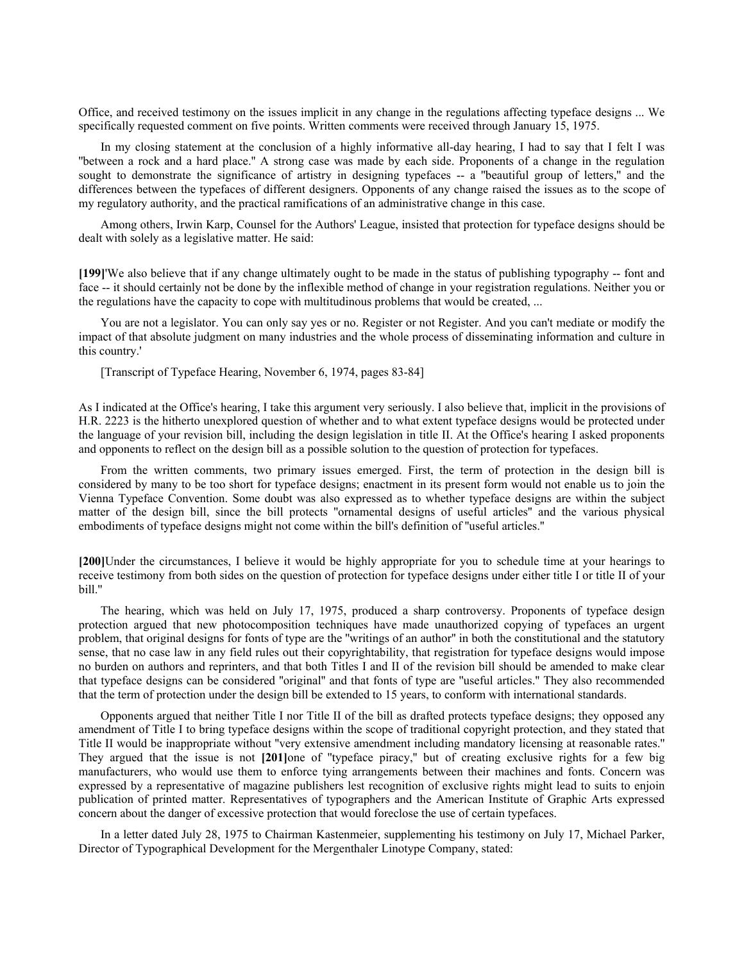Office, and received testimony on the issues implicit in any change in the regulations affecting typeface designs ... We specifically requested comment on five points. Written comments were received through January 15, 1975.

In my closing statement at the conclusion of a highly informative all-day hearing, I had to say that I felt I was ''between a rock and a hard place.'' A strong case was made by each side. Proponents of a change in the regulation sought to demonstrate the significance of artistry in designing typefaces -- a "beautiful group of letters," and the differences between the typefaces of different designers. Opponents of any change raised the issues as to the scope of my regulatory authority, and the practical ramifications of an administrative change in this case.

Among others, Irwin Karp, Counsel for the Authors' League, insisted that protection for typeface designs should be dealt with solely as a legislative matter. He said:

**[199]**'We also believe that if any change ultimately ought to be made in the status of publishing typography -- font and face -- it should certainly not be done by the inflexible method of change in your registration regulations. Neither you or the regulations have the capacity to cope with multitudinous problems that would be created, ...

You are not a legislator. You can only say yes or no. Register or not Register. And you can't mediate or modify the impact of that absolute judgment on many industries and the whole process of disseminating information and culture in this country.'

[Transcript of Typeface Hearing, November 6, 1974, pages 83-84]

As I indicated at the Office's hearing, I take this argument very seriously. I also believe that, implicit in the provisions of H.R. 2223 is the hitherto unexplored question of whether and to what extent typeface designs would be protected under the language of your revision bill, including the design legislation in title II. At the Office's hearing I asked proponents and opponents to reflect on the design bill as a possible solution to the question of protection for typefaces.

From the written comments, two primary issues emerged. First, the term of protection in the design bill is considered by many to be too short for typeface designs; enactment in its present form would not enable us to join the Vienna Typeface Convention. Some doubt was also expressed as to whether typeface designs are within the subject matter of the design bill, since the bill protects ''ornamental designs of useful articles'' and the various physical embodiments of typeface designs might not come within the bill's definition of ''useful articles.''

**[200]**Under the circumstances, I believe it would be highly appropriate for you to schedule time at your hearings to receive testimony from both sides on the question of protection for typeface designs under either title I or title II of your bill.''

The hearing, which was held on July 17, 1975, produced a sharp controversy. Proponents of typeface design protection argued that new photocomposition techniques have made unauthorized copying of typefaces an urgent problem, that original designs for fonts of type are the ''writings of an author'' in both the constitutional and the statutory sense, that no case law in any field rules out their copyrightability, that registration for typeface designs would impose no burden on authors and reprinters, and that both Titles I and II of the revision bill should be amended to make clear that typeface designs can be considered ''original'' and that fonts of type are ''useful articles.'' They also recommended that the term of protection under the design bill be extended to 15 years, to conform with international standards.

Opponents argued that neither Title I nor Title II of the bill as drafted protects typeface designs; they opposed any amendment of Title I to bring typeface designs within the scope of traditional copyright protection, and they stated that Title II would be inappropriate without ''very extensive amendment including mandatory licensing at reasonable rates.'' They argued that the issue is not **[201]**one of ''typeface piracy,'' but of creating exclusive rights for a few big manufacturers, who would use them to enforce tying arrangements between their machines and fonts. Concern was expressed by a representative of magazine publishers lest recognition of exclusive rights might lead to suits to enjoin publication of printed matter. Representatives of typographers and the American Institute of Graphic Arts expressed concern about the danger of excessive protection that would foreclose the use of certain typefaces.

In a letter dated July 28, 1975 to Chairman Kastenmeier, supplementing his testimony on July 17, Michael Parker, Director of Typographical Development for the Mergenthaler Linotype Company, stated: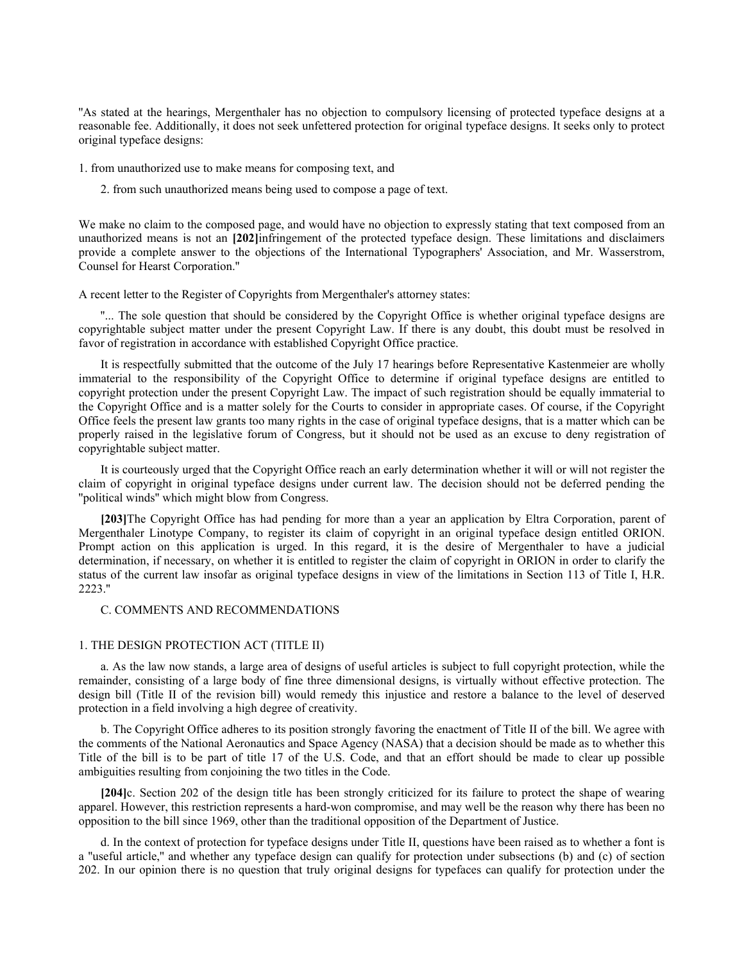''As stated at the hearings, Mergenthaler has no objection to compulsory licensing of protected typeface designs at a reasonable fee. Additionally, it does not seek unfettered protection for original typeface designs. It seeks only to protect original typeface designs:

1. from unauthorized use to make means for composing text, and

2. from such unauthorized means being used to compose a page of text.

We make no claim to the composed page, and would have no objection to expressly stating that text composed from an unauthorized means is not an **[202]**infringement of the protected typeface design. These limitations and disclaimers provide a complete answer to the objections of the International Typographers' Association, and Mr. Wasserstrom, Counsel for Hearst Corporation.''

A recent letter to the Register of Copyrights from Mergenthaler's attorney states:

''... The sole question that should be considered by the Copyright Office is whether original typeface designs are copyrightable subject matter under the present Copyright Law. If there is any doubt, this doubt must be resolved in favor of registration in accordance with established Copyright Office practice.

It is respectfully submitted that the outcome of the July 17 hearings before Representative Kastenmeier are wholly immaterial to the responsibility of the Copyright Office to determine if original typeface designs are entitled to copyright protection under the present Copyright Law. The impact of such registration should be equally immaterial to the Copyright Office and is a matter solely for the Courts to consider in appropriate cases. Of course, if the Copyright Office feels the present law grants too many rights in the case of original typeface designs, that is a matter which can be properly raised in the legislative forum of Congress, but it should not be used as an excuse to deny registration of copyrightable subject matter.

It is courteously urged that the Copyright Office reach an early determination whether it will or will not register the claim of copyright in original typeface designs under current law. The decision should not be deferred pending the ''political winds'' which might blow from Congress.

**[203]**The Copyright Office has had pending for more than a year an application by Eltra Corporation, parent of Mergenthaler Linotype Company, to register its claim of copyright in an original typeface design entitled ORION. Prompt action on this application is urged. In this regard, it is the desire of Mergenthaler to have a judicial determination, if necessary, on whether it is entitled to register the claim of copyright in ORION in order to clarify the status of the current law insofar as original typeface designs in view of the limitations in Section 113 of Title I, H.R. 2223.''

# C. COMMENTS AND RECOMMENDATIONS

# 1. THE DESIGN PROTECTION ACT (TITLE II)

a. As the law now stands, a large area of designs of useful articles is subject to full copyright protection, while the remainder, consisting of a large body of fine three dimensional designs, is virtually without effective protection. The design bill (Title II of the revision bill) would remedy this injustice and restore a balance to the level of deserved protection in a field involving a high degree of creativity.

b. The Copyright Office adheres to its position strongly favoring the enactment of Title II of the bill. We agree with the comments of the National Aeronautics and Space Agency (NASA) that a decision should be made as to whether this Title of the bill is to be part of title 17 of the U.S. Code, and that an effort should be made to clear up possible ambiguities resulting from conjoining the two titles in the Code.

**[204]**c. Section 202 of the design title has been strongly criticized for its failure to protect the shape of wearing apparel. However, this restriction represents a hard-won compromise, and may well be the reason why there has been no opposition to the bill since 1969, other than the traditional opposition of the Department of Justice.

d. In the context of protection for typeface designs under Title II, questions have been raised as to whether a font is a ''useful article,'' and whether any typeface design can qualify for protection under subsections (b) and (c) of section 202. In our opinion there is no question that truly original designs for typefaces can qualify for protection under the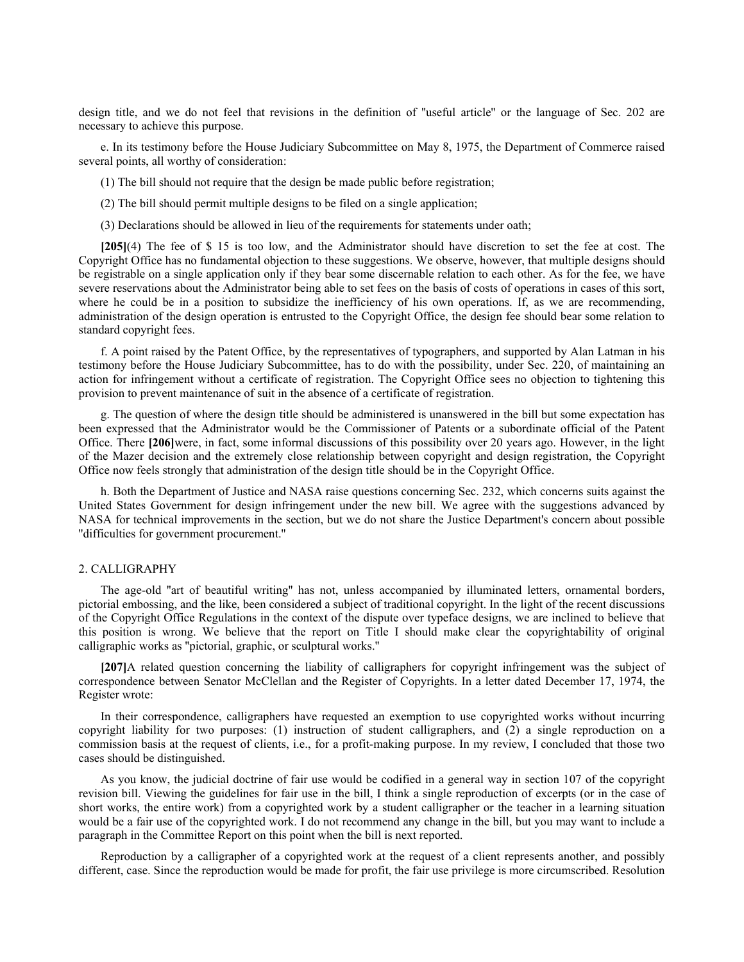design title, and we do not feel that revisions in the definition of ''useful article'' or the language of Sec. 202 are necessary to achieve this purpose.

e. In its testimony before the House Judiciary Subcommittee on May 8, 1975, the Department of Commerce raised several points, all worthy of consideration:

(1) The bill should not require that the design be made public before registration;

(2) The bill should permit multiple designs to be filed on a single application;

(3) Declarations should be allowed in lieu of the requirements for statements under oath;

**[205]**(4) The fee of \$ 15 is too low, and the Administrator should have discretion to set the fee at cost. The Copyright Office has no fundamental objection to these suggestions. We observe, however, that multiple designs should be registrable on a single application only if they bear some discernable relation to each other. As for the fee, we have severe reservations about the Administrator being able to set fees on the basis of costs of operations in cases of this sort, where he could be in a position to subsidize the inefficiency of his own operations. If, as we are recommending, administration of the design operation is entrusted to the Copyright Office, the design fee should bear some relation to standard copyright fees.

f. A point raised by the Patent Office, by the representatives of typographers, and supported by Alan Latman in his testimony before the House Judiciary Subcommittee, has to do with the possibility, under Sec. 220, of maintaining an action for infringement without a certificate of registration. The Copyright Office sees no objection to tightening this provision to prevent maintenance of suit in the absence of a certificate of registration.

g. The question of where the design title should be administered is unanswered in the bill but some expectation has been expressed that the Administrator would be the Commissioner of Patents or a subordinate official of the Patent Office. There **[206]**were, in fact, some informal discussions of this possibility over 20 years ago. However, in the light of the Mazer decision and the extremely close relationship between copyright and design registration, the Copyright Office now feels strongly that administration of the design title should be in the Copyright Office.

h. Both the Department of Justice and NASA raise questions concerning Sec. 232, which concerns suits against the United States Government for design infringement under the new bill. We agree with the suggestions advanced by NASA for technical improvements in the section, but we do not share the Justice Department's concern about possible ''difficulties for government procurement.''

# 2. CALLIGRAPHY

The age-old ''art of beautiful writing'' has not, unless accompanied by illuminated letters, ornamental borders, pictorial embossing, and the like, been considered a subject of traditional copyright. In the light of the recent discussions of the Copyright Office Regulations in the context of the dispute over typeface designs, we are inclined to believe that this position is wrong. We believe that the report on Title I should make clear the copyrightability of original calligraphic works as ''pictorial, graphic, or sculptural works.''

**[207]**A related question concerning the liability of calligraphers for copyright infringement was the subject of correspondence between Senator McClellan and the Register of Copyrights. In a letter dated December 17, 1974, the Register wrote:

In their correspondence, calligraphers have requested an exemption to use copyrighted works without incurring copyright liability for two purposes: (1) instruction of student calligraphers, and (2) a single reproduction on a commission basis at the request of clients, i.e., for a profit-making purpose. In my review, I concluded that those two cases should be distinguished.

As you know, the judicial doctrine of fair use would be codified in a general way in section 107 of the copyright revision bill. Viewing the guidelines for fair use in the bill, I think a single reproduction of excerpts (or in the case of short works, the entire work) from a copyrighted work by a student calligrapher or the teacher in a learning situation would be a fair use of the copyrighted work. I do not recommend any change in the bill, but you may want to include a paragraph in the Committee Report on this point when the bill is next reported.

Reproduction by a calligrapher of a copyrighted work at the request of a client represents another, and possibly different, case. Since the reproduction would be made for profit, the fair use privilege is more circumscribed. Resolution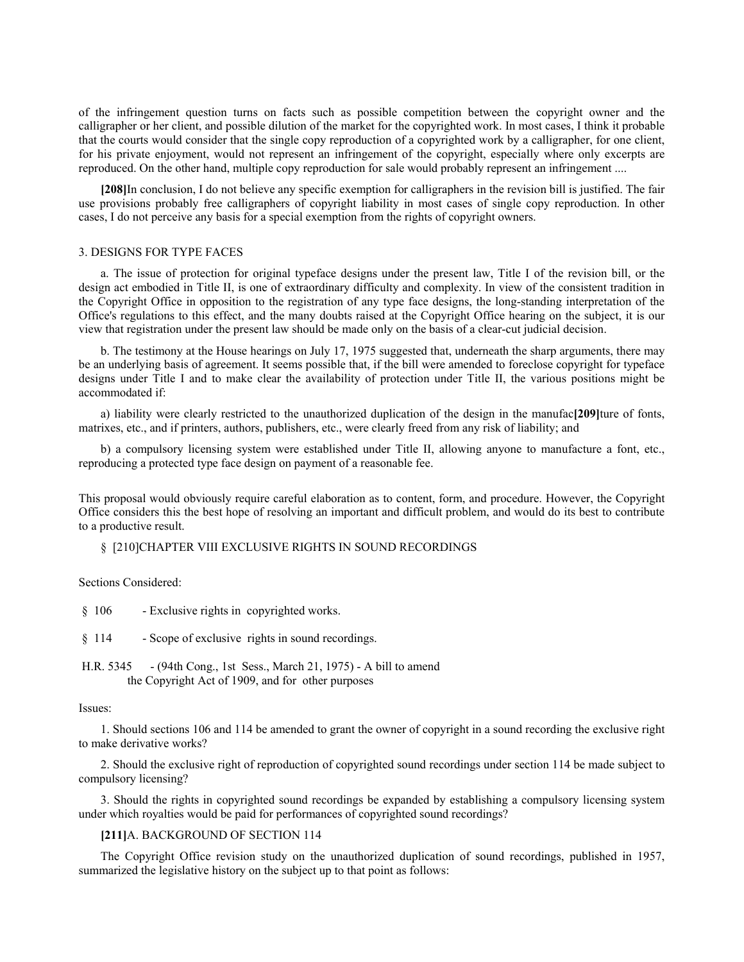of the infringement question turns on facts such as possible competition between the copyright owner and the calligrapher or her client, and possible dilution of the market for the copyrighted work. In most cases, I think it probable that the courts would consider that the single copy reproduction of a copyrighted work by a calligrapher, for one client, for his private enjoyment, would not represent an infringement of the copyright, especially where only excerpts are reproduced. On the other hand, multiple copy reproduction for sale would probably represent an infringement ....

**[208]**In conclusion, I do not believe any specific exemption for calligraphers in the revision bill is justified. The fair use provisions probably free calligraphers of copyright liability in most cases of single copy reproduction. In other cases, I do not perceive any basis for a special exemption from the rights of copyright owners.

# 3. DESIGNS FOR TYPE FACES

a. The issue of protection for original typeface designs under the present law, Title I of the revision bill, or the design act embodied in Title II, is one of extraordinary difficulty and complexity. In view of the consistent tradition in the Copyright Office in opposition to the registration of any type face designs, the long-standing interpretation of the Office's regulations to this effect, and the many doubts raised at the Copyright Office hearing on the subject, it is our view that registration under the present law should be made only on the basis of a clear-cut judicial decision.

b. The testimony at the House hearings on July 17, 1975 suggested that, underneath the sharp arguments, there may be an underlying basis of agreement. It seems possible that, if the bill were amended to foreclose copyright for typeface designs under Title I and to make clear the availability of protection under Title II, the various positions might be accommodated if:

a) liability were clearly restricted to the unauthorized duplication of the design in the manufac**[209]**ture of fonts, matrixes, etc., and if printers, authors, publishers, etc., were clearly freed from any risk of liability; and

b) a compulsory licensing system were established under Title II, allowing anyone to manufacture a font, etc., reproducing a protected type face design on payment of a reasonable fee.

This proposal would obviously require careful elaboration as to content, form, and procedure. However, the Copyright Office considers this the best hope of resolving an important and difficult problem, and would do its best to contribute to a productive result.

§ [210]CHAPTER VIII EXCLUSIVE RIGHTS IN SOUND RECORDINGS

Sections Considered:

§ 106 - Exclusive rights in copyrighted works.

- § 114 Scope of exclusive rights in sound recordings.
- H.R. 5345 (94th Cong., 1st Sess., March 21, 1975) A bill to amend the Copyright Act of 1909, and for other purposes

### Issues:

1. Should sections 106 and 114 be amended to grant the owner of copyright in a sound recording the exclusive right to make derivative works?

2. Should the exclusive right of reproduction of copyrighted sound recordings under section 114 be made subject to compulsory licensing?

3. Should the rights in copyrighted sound recordings be expanded by establishing a compulsory licensing system under which royalties would be paid for performances of copyrighted sound recordings?

# **[211]**A. BACKGROUND OF SECTION 114

The Copyright Office revision study on the unauthorized duplication of sound recordings, published in 1957, summarized the legislative history on the subject up to that point as follows: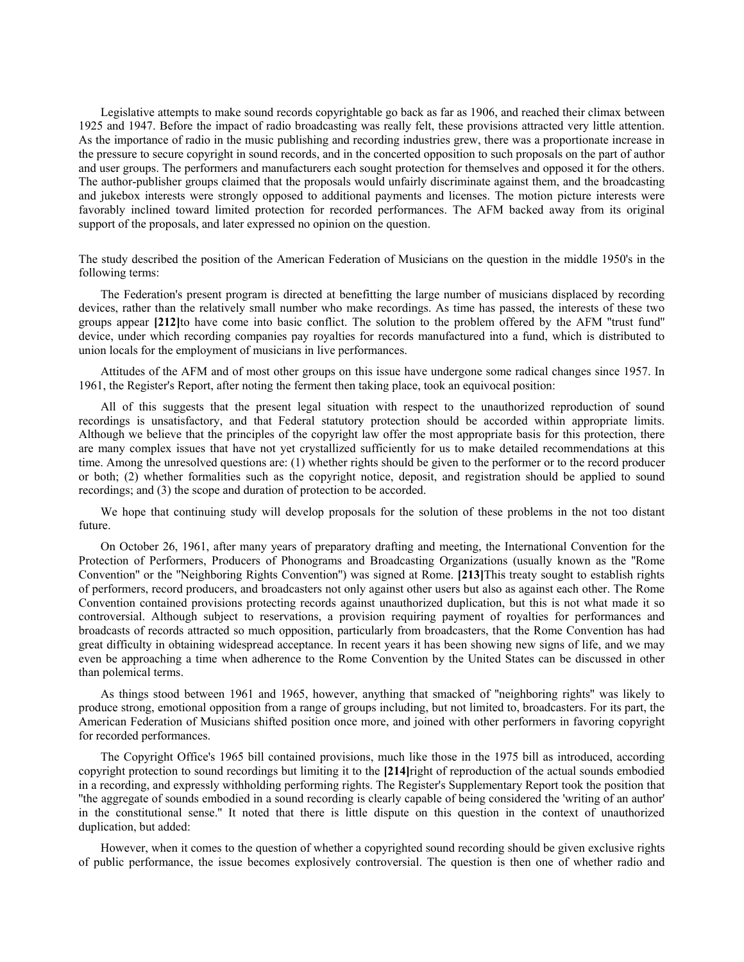Legislative attempts to make sound records copyrightable go back as far as 1906, and reached their climax between 1925 and 1947. Before the impact of radio broadcasting was really felt, these provisions attracted very little attention. As the importance of radio in the music publishing and recording industries grew, there was a proportionate increase in the pressure to secure copyright in sound records, and in the concerted opposition to such proposals on the part of author and user groups. The performers and manufacturers each sought protection for themselves and opposed it for the others. The author-publisher groups claimed that the proposals would unfairly discriminate against them, and the broadcasting and jukebox interests were strongly opposed to additional payments and licenses. The motion picture interests were favorably inclined toward limited protection for recorded performances. The AFM backed away from its original support of the proposals, and later expressed no opinion on the question.

The study described the position of the American Federation of Musicians on the question in the middle 1950's in the following terms:

The Federation's present program is directed at benefitting the large number of musicians displaced by recording devices, rather than the relatively small number who make recordings. As time has passed, the interests of these two groups appear **[212]**to have come into basic conflict. The solution to the problem offered by the AFM ''trust fund'' device, under which recording companies pay royalties for records manufactured into a fund, which is distributed to union locals for the employment of musicians in live performances.

Attitudes of the AFM and of most other groups on this issue have undergone some radical changes since 1957. In 1961, the Register's Report, after noting the ferment then taking place, took an equivocal position:

All of this suggests that the present legal situation with respect to the unauthorized reproduction of sound recordings is unsatisfactory, and that Federal statutory protection should be accorded within appropriate limits. Although we believe that the principles of the copyright law offer the most appropriate basis for this protection, there are many complex issues that have not yet crystallized sufficiently for us to make detailed recommendations at this time. Among the unresolved questions are: (1) whether rights should be given to the performer or to the record producer or both; (2) whether formalities such as the copyright notice, deposit, and registration should be applied to sound recordings; and (3) the scope and duration of protection to be accorded.

We hope that continuing study will develop proposals for the solution of these problems in the not too distant future.

On October 26, 1961, after many years of preparatory drafting and meeting, the International Convention for the Protection of Performers, Producers of Phonograms and Broadcasting Organizations (usually known as the ''Rome Convention'' or the ''Neighboring Rights Convention'') was signed at Rome. **[213]**This treaty sought to establish rights of performers, record producers, and broadcasters not only against other users but also as against each other. The Rome Convention contained provisions protecting records against unauthorized duplication, but this is not what made it so controversial. Although subject to reservations, a provision requiring payment of royalties for performances and broadcasts of records attracted so much opposition, particularly from broadcasters, that the Rome Convention has had great difficulty in obtaining widespread acceptance. In recent years it has been showing new signs of life, and we may even be approaching a time when adherence to the Rome Convention by the United States can be discussed in other than polemical terms.

As things stood between 1961 and 1965, however, anything that smacked of ''neighboring rights'' was likely to produce strong, emotional opposition from a range of groups including, but not limited to, broadcasters. For its part, the American Federation of Musicians shifted position once more, and joined with other performers in favoring copyright for recorded performances.

The Copyright Office's 1965 bill contained provisions, much like those in the 1975 bill as introduced, according copyright protection to sound recordings but limiting it to the **[214]**right of reproduction of the actual sounds embodied in a recording, and expressly withholding performing rights. The Register's Supplementary Report took the position that ''the aggregate of sounds embodied in a sound recording is clearly capable of being considered the 'writing of an author' in the constitutional sense.'' It noted that there is little dispute on this question in the context of unauthorized duplication, but added:

However, when it comes to the question of whether a copyrighted sound recording should be given exclusive rights of public performance, the issue becomes explosively controversial. The question is then one of whether radio and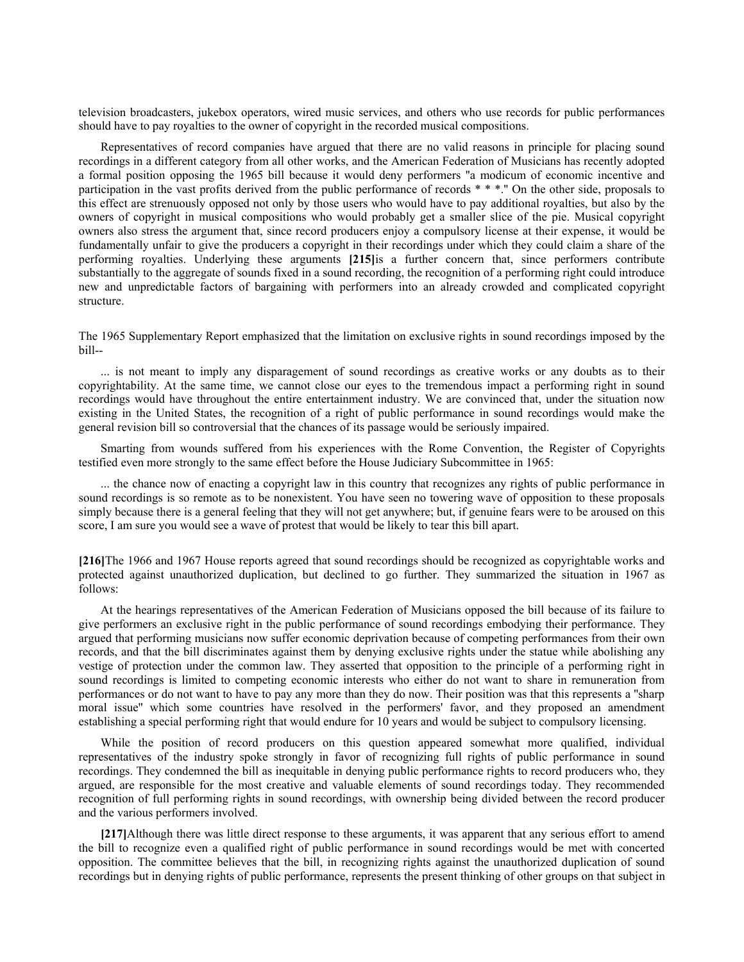television broadcasters, jukebox operators, wired music services, and others who use records for public performances should have to pay royalties to the owner of copyright in the recorded musical compositions.

Representatives of record companies have argued that there are no valid reasons in principle for placing sound recordings in a different category from all other works, and the American Federation of Musicians has recently adopted a formal position opposing the 1965 bill because it would deny performers ''a modicum of economic incentive and participation in the vast profits derived from the public performance of records \* \* \*.'' On the other side, proposals to this effect are strenuously opposed not only by those users who would have to pay additional royalties, but also by the owners of copyright in musical compositions who would probably get a smaller slice of the pie. Musical copyright owners also stress the argument that, since record producers enjoy a compulsory license at their expense, it would be fundamentally unfair to give the producers a copyright in their recordings under which they could claim a share of the performing royalties. Underlying these arguments **[215]**is a further concern that, since performers contribute substantially to the aggregate of sounds fixed in a sound recording, the recognition of a performing right could introduce new and unpredictable factors of bargaining with performers into an already crowded and complicated copyright structure.

The 1965 Supplementary Report emphasized that the limitation on exclusive rights in sound recordings imposed by the bill--

... is not meant to imply any disparagement of sound recordings as creative works or any doubts as to their copyrightability. At the same time, we cannot close our eyes to the tremendous impact a performing right in sound recordings would have throughout the entire entertainment industry. We are convinced that, under the situation now existing in the United States, the recognition of a right of public performance in sound recordings would make the general revision bill so controversial that the chances of its passage would be seriously impaired.

Smarting from wounds suffered from his experiences with the Rome Convention, the Register of Copyrights testified even more strongly to the same effect before the House Judiciary Subcommittee in 1965:

... the chance now of enacting a copyright law in this country that recognizes any rights of public performance in sound recordings is so remote as to be nonexistent. You have seen no towering wave of opposition to these proposals simply because there is a general feeling that they will not get anywhere; but, if genuine fears were to be aroused on this score, I am sure you would see a wave of protest that would be likely to tear this bill apart.

**[216]**The 1966 and 1967 House reports agreed that sound recordings should be recognized as copyrightable works and protected against unauthorized duplication, but declined to go further. They summarized the situation in 1967 as follows:

At the hearings representatives of the American Federation of Musicians opposed the bill because of its failure to give performers an exclusive right in the public performance of sound recordings embodying their performance. They argued that performing musicians now suffer economic deprivation because of competing performances from their own records, and that the bill discriminates against them by denying exclusive rights under the statue while abolishing any vestige of protection under the common law. They asserted that opposition to the principle of a performing right in sound recordings is limited to competing economic interests who either do not want to share in remuneration from performances or do not want to have to pay any more than they do now. Their position was that this represents a ''sharp moral issue'' which some countries have resolved in the performers' favor, and they proposed an amendment establishing a special performing right that would endure for 10 years and would be subject to compulsory licensing.

While the position of record producers on this question appeared somewhat more qualified, individual representatives of the industry spoke strongly in favor of recognizing full rights of public performance in sound recordings. They condemned the bill as inequitable in denying public performance rights to record producers who, they argued, are responsible for the most creative and valuable elements of sound recordings today. They recommended recognition of full performing rights in sound recordings, with ownership being divided between the record producer and the various performers involved.

**[217]**Although there was little direct response to these arguments, it was apparent that any serious effort to amend the bill to recognize even a qualified right of public performance in sound recordings would be met with concerted opposition. The committee believes that the bill, in recognizing rights against the unauthorized duplication of sound recordings but in denying rights of public performance, represents the present thinking of other groups on that subject in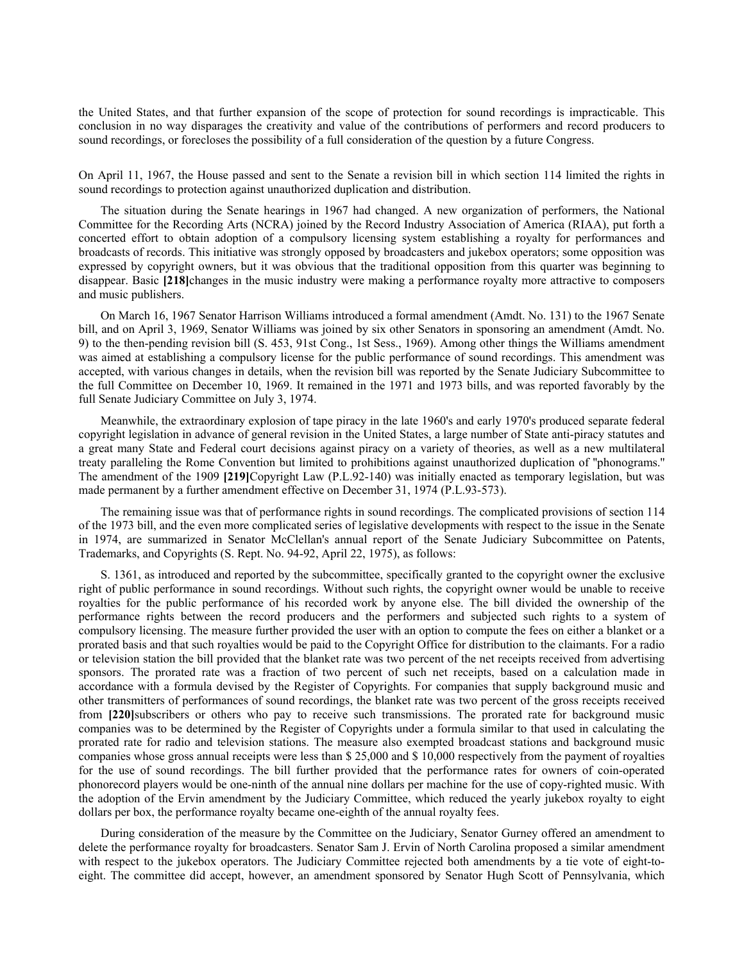the United States, and that further expansion of the scope of protection for sound recordings is impracticable. This conclusion in no way disparages the creativity and value of the contributions of performers and record producers to sound recordings, or forecloses the possibility of a full consideration of the question by a future Congress.

On April 11, 1967, the House passed and sent to the Senate a revision bill in which section 114 limited the rights in sound recordings to protection against unauthorized duplication and distribution.

The situation during the Senate hearings in 1967 had changed. A new organization of performers, the National Committee for the Recording Arts (NCRA) joined by the Record Industry Association of America (RIAA), put forth a concerted effort to obtain adoption of a compulsory licensing system establishing a royalty for performances and broadcasts of records. This initiative was strongly opposed by broadcasters and jukebox operators; some opposition was expressed by copyright owners, but it was obvious that the traditional opposition from this quarter was beginning to disappear. Basic **[218]**changes in the music industry were making a performance royalty more attractive to composers and music publishers.

On March 16, 1967 Senator Harrison Williams introduced a formal amendment (Amdt. No. 131) to the 1967 Senate bill, and on April 3, 1969, Senator Williams was joined by six other Senators in sponsoring an amendment (Amdt. No. 9) to the then-pending revision bill (S. 453, 91st Cong., 1st Sess., 1969). Among other things the Williams amendment was aimed at establishing a compulsory license for the public performance of sound recordings. This amendment was accepted, with various changes in details, when the revision bill was reported by the Senate Judiciary Subcommittee to the full Committee on December 10, 1969. It remained in the 1971 and 1973 bills, and was reported favorably by the full Senate Judiciary Committee on July 3, 1974.

Meanwhile, the extraordinary explosion of tape piracy in the late 1960's and early 1970's produced separate federal copyright legislation in advance of general revision in the United States, a large number of State anti-piracy statutes and a great many State and Federal court decisions against piracy on a variety of theories, as well as a new multilateral treaty paralleling the Rome Convention but limited to prohibitions against unauthorized duplication of ''phonograms.'' The amendment of the 1909 **[219]**Copyright Law (P.L.92-140) was initially enacted as temporary legislation, but was made permanent by a further amendment effective on December 31, 1974 (P.L.93-573).

The remaining issue was that of performance rights in sound recordings. The complicated provisions of section 114 of the 1973 bill, and the even more complicated series of legislative developments with respect to the issue in the Senate in 1974, are summarized in Senator McClellan's annual report of the Senate Judiciary Subcommittee on Patents, Trademarks, and Copyrights (S. Rept. No. 94-92, April 22, 1975), as follows:

S. 1361, as introduced and reported by the subcommittee, specifically granted to the copyright owner the exclusive right of public performance in sound recordings. Without such rights, the copyright owner would be unable to receive royalties for the public performance of his recorded work by anyone else. The bill divided the ownership of the performance rights between the record producers and the performers and subjected such rights to a system of compulsory licensing. The measure further provided the user with an option to compute the fees on either a blanket or a prorated basis and that such royalties would be paid to the Copyright Office for distribution to the claimants. For a radio or television station the bill provided that the blanket rate was two percent of the net receipts received from advertising sponsors. The prorated rate was a fraction of two percent of such net receipts, based on a calculation made in accordance with a formula devised by the Register of Copyrights. For companies that supply background music and other transmitters of performances of sound recordings, the blanket rate was two percent of the gross receipts received from **[220]**subscribers or others who pay to receive such transmissions. The prorated rate for background music companies was to be determined by the Register of Copyrights under a formula similar to that used in calculating the prorated rate for radio and television stations. The measure also exempted broadcast stations and background music companies whose gross annual receipts were less than \$ 25,000 and \$ 10,000 respectively from the payment of royalties for the use of sound recordings. The bill further provided that the performance rates for owners of coin-operated phonorecord players would be one-ninth of the annual nine dollars per machine for the use of copy-righted music. With the adoption of the Ervin amendment by the Judiciary Committee, which reduced the yearly jukebox royalty to eight dollars per box, the performance royalty became one-eighth of the annual royalty fees.

During consideration of the measure by the Committee on the Judiciary, Senator Gurney offered an amendment to delete the performance royalty for broadcasters. Senator Sam J. Ervin of North Carolina proposed a similar amendment with respect to the jukebox operators. The Judiciary Committee rejected both amendments by a tie vote of eight-toeight. The committee did accept, however, an amendment sponsored by Senator Hugh Scott of Pennsylvania, which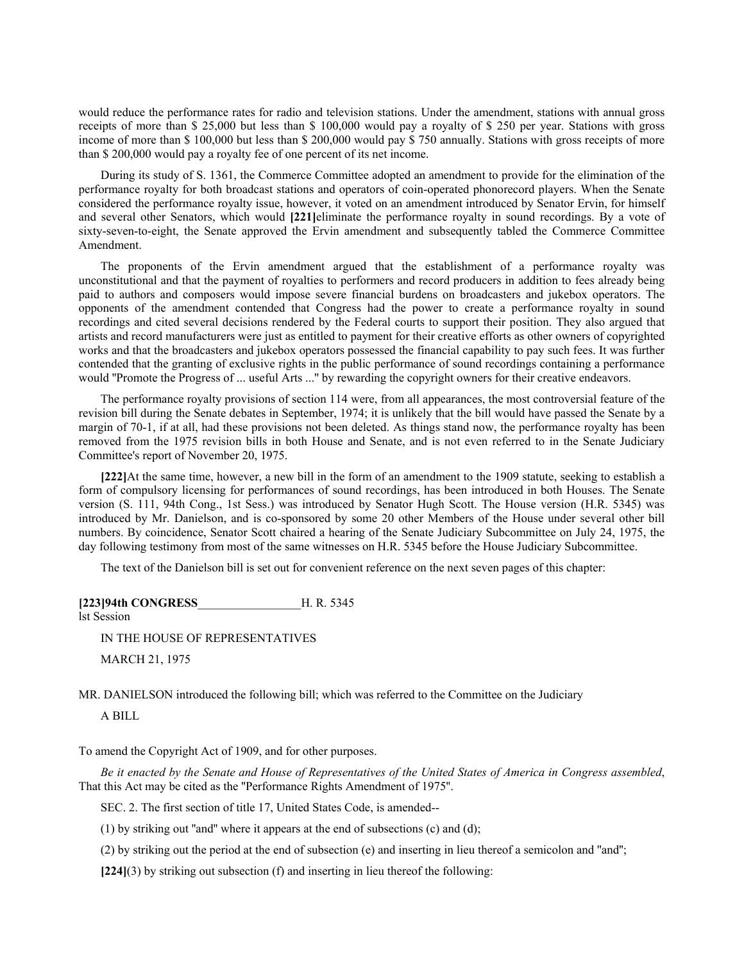would reduce the performance rates for radio and television stations. Under the amendment, stations with annual gross receipts of more than \$ 25,000 but less than \$ 100,000 would pay a royalty of \$ 250 per year. Stations with gross income of more than \$ 100,000 but less than \$ 200,000 would pay \$ 750 annually. Stations with gross receipts of more than \$ 200,000 would pay a royalty fee of one percent of its net income.

During its study of S. 1361, the Commerce Committee adopted an amendment to provide for the elimination of the performance royalty for both broadcast stations and operators of coin-operated phonorecord players. When the Senate considered the performance royalty issue, however, it voted on an amendment introduced by Senator Ervin, for himself and several other Senators, which would **[221]**eliminate the performance royalty in sound recordings. By a vote of sixty-seven-to-eight, the Senate approved the Ervin amendment and subsequently tabled the Commerce Committee Amendment.

The proponents of the Ervin amendment argued that the establishment of a performance royalty was unconstitutional and that the payment of royalties to performers and record producers in addition to fees already being paid to authors and composers would impose severe financial burdens on broadcasters and jukebox operators. The opponents of the amendment contended that Congress had the power to create a performance royalty in sound recordings and cited several decisions rendered by the Federal courts to support their position. They also argued that artists and record manufacturers were just as entitled to payment for their creative efforts as other owners of copyrighted works and that the broadcasters and jukebox operators possessed the financial capability to pay such fees. It was further contended that the granting of exclusive rights in the public performance of sound recordings containing a performance would "Promote the Progress of ... useful Arts ..." by rewarding the copyright owners for their creative endeavors.

The performance royalty provisions of section 114 were, from all appearances, the most controversial feature of the revision bill during the Senate debates in September, 1974; it is unlikely that the bill would have passed the Senate by a margin of 70-1, if at all, had these provisions not been deleted. As things stand now, the performance royalty has been removed from the 1975 revision bills in both House and Senate, and is not even referred to in the Senate Judiciary Committee's report of November 20, 1975.

**[222]**At the same time, however, a new bill in the form of an amendment to the 1909 statute, seeking to establish a form of compulsory licensing for performances of sound recordings, has been introduced in both Houses. The Senate version (S. 111, 94th Cong., 1st Sess.) was introduced by Senator Hugh Scott. The House version (H.R. 5345) was introduced by Mr. Danielson, and is co-sponsored by some 20 other Members of the House under several other bill numbers. By coincidence, Senator Scott chaired a hearing of the Senate Judiciary Subcommittee on July 24, 1975, the day following testimony from most of the same witnesses on H.R. 5345 before the House Judiciary Subcommittee.

The text of the Danielson bill is set out for convenient reference on the next seven pages of this chapter:

**[223]94th CONGRESS**\_\_\_\_\_\_\_\_\_\_\_\_\_\_\_\_\_H. R. 5345 lst Session IN THE HOUSE OF REPRESENTATIVES

MARCH 21, 1975

MR. DANIELSON introduced the following bill; which was referred to the Committee on the Judiciary

A BILL

To amend the Copyright Act of 1909, and for other purposes.

*Be it enacted by the Senate and House of Representatives of the United States of America in Congress assembled*, That this Act may be cited as the ''Performance Rights Amendment of 1975''.

SEC. 2. The first section of title 17, United States Code, is amended--

(1) by striking out ''and'' where it appears at the end of subsections (c) and (d);

(2) by striking out the period at the end of subsection (e) and inserting in lieu thereof a semicolon and ''and'';

**[224]**(3) by striking out subsection (f) and inserting in lieu thereof the following: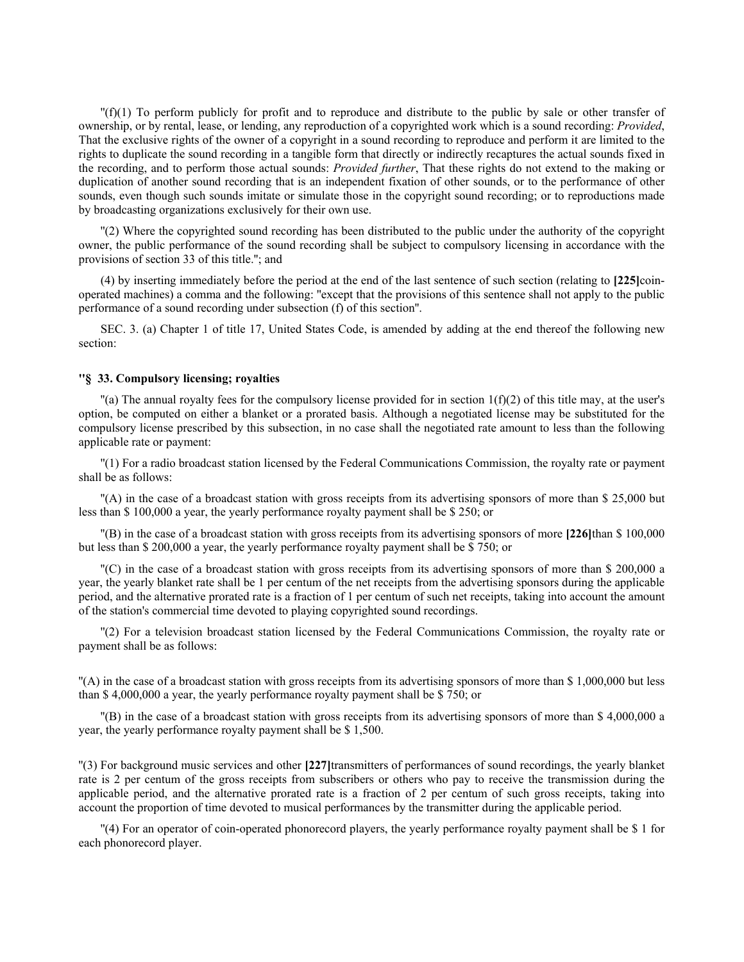''(f)(1) To perform publicly for profit and to reproduce and distribute to the public by sale or other transfer of ownership, or by rental, lease, or lending, any reproduction of a copyrighted work which is a sound recording: *Provided*, That the exclusive rights of the owner of a copyright in a sound recording to reproduce and perform it are limited to the rights to duplicate the sound recording in a tangible form that directly or indirectly recaptures the actual sounds fixed in the recording, and to perform those actual sounds: *Provided further*, That these rights do not extend to the making or duplication of another sound recording that is an independent fixation of other sounds, or to the performance of other sounds, even though such sounds imitate or simulate those in the copyright sound recording; or to reproductions made by broadcasting organizations exclusively for their own use.

''(2) Where the copyrighted sound recording has been distributed to the public under the authority of the copyright owner, the public performance of the sound recording shall be subject to compulsory licensing in accordance with the provisions of section 33 of this title.''; and

(4) by inserting immediately before the period at the end of the last sentence of such section (relating to **[225]**coinoperated machines) a comma and the following: ''except that the provisions of this sentence shall not apply to the public performance of a sound recording under subsection (f) of this section''.

SEC. 3. (a) Chapter 1 of title 17, United States Code, is amended by adding at the end thereof the following new section:

### **''§ 33. Compulsory licensing; royalties**

"(a) The annual royalty fees for the compulsory license provided for in section  $1(f)(2)$  of this title may, at the user's option, be computed on either a blanket or a prorated basis. Although a negotiated license may be substituted for the compulsory license prescribed by this subsection, in no case shall the negotiated rate amount to less than the following applicable rate or payment:

''(1) For a radio broadcast station licensed by the Federal Communications Commission, the royalty rate or payment shall be as follows:

''(A) in the case of a broadcast station with gross receipts from its advertising sponsors of more than \$ 25,000 but less than \$ 100,000 a year, the yearly performance royalty payment shall be \$ 250; or

''(B) in the case of a broadcast station with gross receipts from its advertising sponsors of more **[226]**than \$ 100,000 but less than \$ 200,000 a year, the yearly performance royalty payment shall be \$ 750; or

''(C) in the case of a broadcast station with gross receipts from its advertising sponsors of more than \$ 200,000 a year, the yearly blanket rate shall be 1 per centum of the net receipts from the advertising sponsors during the applicable period, and the alternative prorated rate is a fraction of 1 per centum of such net receipts, taking into account the amount of the station's commercial time devoted to playing copyrighted sound recordings.

''(2) For a television broadcast station licensed by the Federal Communications Commission, the royalty rate or payment shall be as follows:

''(A) in the case of a broadcast station with gross receipts from its advertising sponsors of more than \$ 1,000,000 but less than \$ 4,000,000 a year, the yearly performance royalty payment shall be \$ 750; or

''(B) in the case of a broadcast station with gross receipts from its advertising sponsors of more than \$ 4,000,000 a year, the yearly performance royalty payment shall be \$ 1,500.

''(3) For background music services and other **[227]**transmitters of performances of sound recordings, the yearly blanket rate is 2 per centum of the gross receipts from subscribers or others who pay to receive the transmission during the applicable period, and the alternative prorated rate is a fraction of 2 per centum of such gross receipts, taking into account the proportion of time devoted to musical performances by the transmitter during the applicable period.

''(4) For an operator of coin-operated phonorecord players, the yearly performance royalty payment shall be \$ 1 for each phonorecord player.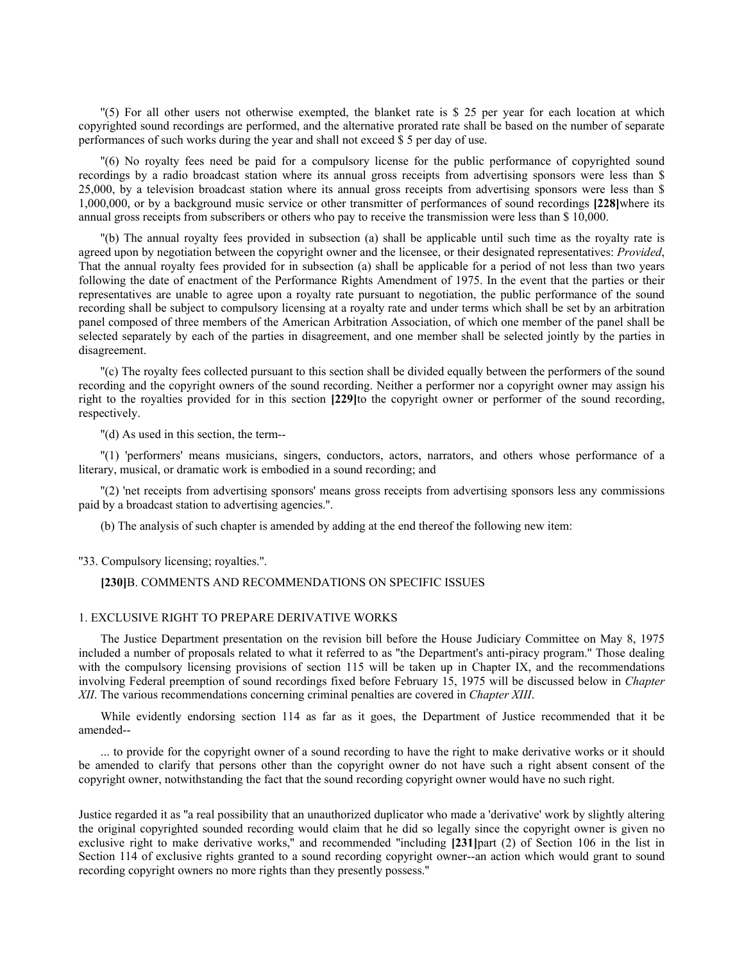''(5) For all other users not otherwise exempted, the blanket rate is \$ 25 per year for each location at which copyrighted sound recordings are performed, and the alternative prorated rate shall be based on the number of separate performances of such works during the year and shall not exceed \$ 5 per day of use.

''(6) No royalty fees need be paid for a compulsory license for the public performance of copyrighted sound recordings by a radio broadcast station where its annual gross receipts from advertising sponsors were less than \$ 25,000, by a television broadcast station where its annual gross receipts from advertising sponsors were less than \$ 1,000,000, or by a background music service or other transmitter of performances of sound recordings **[228]**where its annual gross receipts from subscribers or others who pay to receive the transmission were less than \$ 10,000.

''(b) The annual royalty fees provided in subsection (a) shall be applicable until such time as the royalty rate is agreed upon by negotiation between the copyright owner and the licensee, or their designated representatives: *Provided*, That the annual royalty fees provided for in subsection (a) shall be applicable for a period of not less than two years following the date of enactment of the Performance Rights Amendment of 1975. In the event that the parties or their representatives are unable to agree upon a royalty rate pursuant to negotiation, the public performance of the sound recording shall be subject to compulsory licensing at a royalty rate and under terms which shall be set by an arbitration panel composed of three members of the American Arbitration Association, of which one member of the panel shall be selected separately by each of the parties in disagreement, and one member shall be selected jointly by the parties in disagreement.

''(c) The royalty fees collected pursuant to this section shall be divided equally between the performers of the sound recording and the copyright owners of the sound recording. Neither a performer nor a copyright owner may assign his right to the royalties provided for in this section **[229]**to the copyright owner or performer of the sound recording, respectively.

''(d) As used in this section, the term--

''(1) 'performers' means musicians, singers, conductors, actors, narrators, and others whose performance of a literary, musical, or dramatic work is embodied in a sound recording; and

''(2) 'net receipts from advertising sponsors' means gross receipts from advertising sponsors less any commissions paid by a broadcast station to advertising agencies.''.

(b) The analysis of such chapter is amended by adding at the end thereof the following new item:

# ''33. Compulsory licensing; royalties.''.

**[230]**B. COMMENTS AND RECOMMENDATIONS ON SPECIFIC ISSUES

# 1. EXCLUSIVE RIGHT TO PREPARE DERIVATIVE WORKS

The Justice Department presentation on the revision bill before the House Judiciary Committee on May 8, 1975 included a number of proposals related to what it referred to as ''the Department's anti-piracy program.'' Those dealing with the compulsory licensing provisions of section 115 will be taken up in Chapter IX, and the recommendations involving Federal preemption of sound recordings fixed before February 15, 1975 will be discussed below in *Chapter XII*. The various recommendations concerning criminal penalties are covered in *Chapter XIII*.

While evidently endorsing section 114 as far as it goes, the Department of Justice recommended that it be amended--

... to provide for the copyright owner of a sound recording to have the right to make derivative works or it should be amended to clarify that persons other than the copyright owner do not have such a right absent consent of the copyright owner, notwithstanding the fact that the sound recording copyright owner would have no such right.

Justice regarded it as ''a real possibility that an unauthorized duplicator who made a 'derivative' work by slightly altering the original copyrighted sounded recording would claim that he did so legally since the copyright owner is given no exclusive right to make derivative works,'' and recommended ''including **[231]**part (2) of Section 106 in the list in Section 114 of exclusive rights granted to a sound recording copyright owner--an action which would grant to sound recording copyright owners no more rights than they presently possess.''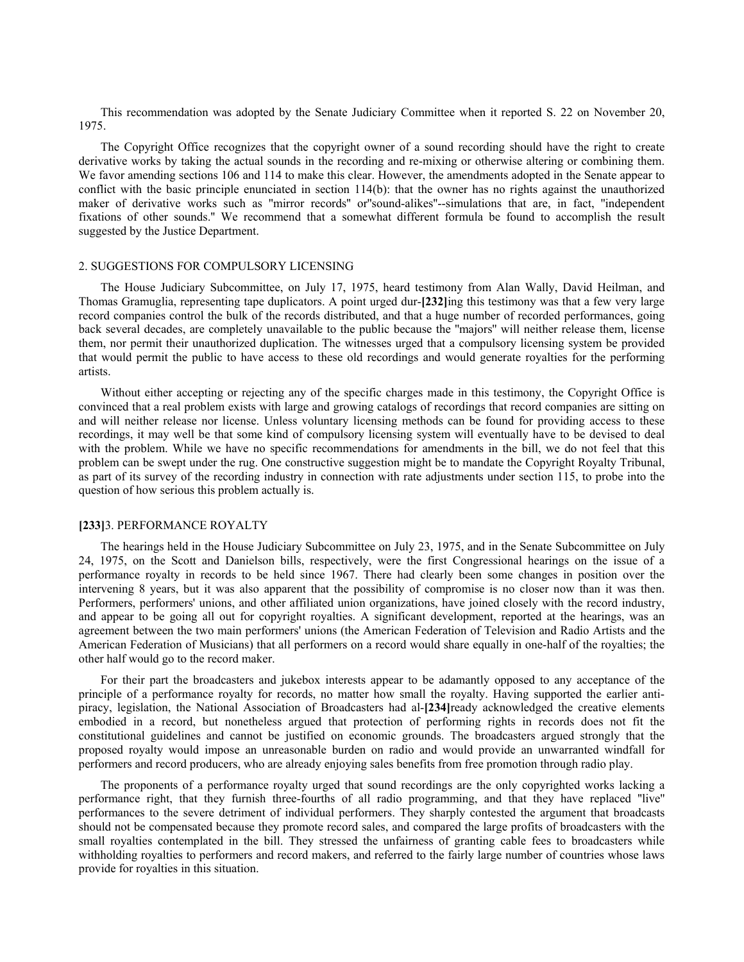This recommendation was adopted by the Senate Judiciary Committee when it reported S. 22 on November 20, 1975.

The Copyright Office recognizes that the copyright owner of a sound recording should have the right to create derivative works by taking the actual sounds in the recording and re-mixing or otherwise altering or combining them. We favor amending sections 106 and 114 to make this clear. However, the amendments adopted in the Senate appear to conflict with the basic principle enunciated in section 114(b): that the owner has no rights against the unauthorized maker of derivative works such as ''mirror records'' or''sound-alikes''--simulations that are, in fact, ''independent fixations of other sounds.'' We recommend that a somewhat different formula be found to accomplish the result suggested by the Justice Department.

# 2. SUGGESTIONS FOR COMPULSORY LICENSING

The House Judiciary Subcommittee, on July 17, 1975, heard testimony from Alan Wally, David Heilman, and Thomas Gramuglia, representing tape duplicators. A point urged dur-**[232]**ing this testimony was that a few very large record companies control the bulk of the records distributed, and that a huge number of recorded performances, going back several decades, are completely unavailable to the public because the ''majors'' will neither release them, license them, nor permit their unauthorized duplication. The witnesses urged that a compulsory licensing system be provided that would permit the public to have access to these old recordings and would generate royalties for the performing artists.

Without either accepting or rejecting any of the specific charges made in this testimony, the Copyright Office is convinced that a real problem exists with large and growing catalogs of recordings that record companies are sitting on and will neither release nor license. Unless voluntary licensing methods can be found for providing access to these recordings, it may well be that some kind of compulsory licensing system will eventually have to be devised to deal with the problem. While we have no specific recommendations for amendments in the bill, we do not feel that this problem can be swept under the rug. One constructive suggestion might be to mandate the Copyright Royalty Tribunal, as part of its survey of the recording industry in connection with rate adjustments under section 115, to probe into the question of how serious this problem actually is.

### **[233]**3. PERFORMANCE ROYALTY

The hearings held in the House Judiciary Subcommittee on July 23, 1975, and in the Senate Subcommittee on July 24, 1975, on the Scott and Danielson bills, respectively, were the first Congressional hearings on the issue of a performance royalty in records to be held since 1967. There had clearly been some changes in position over the intervening 8 years, but it was also apparent that the possibility of compromise is no closer now than it was then. Performers, performers' unions, and other affiliated union organizations, have joined closely with the record industry, and appear to be going all out for copyright royalties. A significant development, reported at the hearings, was an agreement between the two main performers' unions (the American Federation of Television and Radio Artists and the American Federation of Musicians) that all performers on a record would share equally in one-half of the royalties; the other half would go to the record maker.

For their part the broadcasters and jukebox interests appear to be adamantly opposed to any acceptance of the principle of a performance royalty for records, no matter how small the royalty. Having supported the earlier antipiracy, legislation, the National Association of Broadcasters had al-**[234]**ready acknowledged the creative elements embodied in a record, but nonetheless argued that protection of performing rights in records does not fit the constitutional guidelines and cannot be justified on economic grounds. The broadcasters argued strongly that the proposed royalty would impose an unreasonable burden on radio and would provide an unwarranted windfall for performers and record producers, who are already enjoying sales benefits from free promotion through radio play.

The proponents of a performance royalty urged that sound recordings are the only copyrighted works lacking a performance right, that they furnish three-fourths of all radio programming, and that they have replaced ''live'' performances to the severe detriment of individual performers. They sharply contested the argument that broadcasts should not be compensated because they promote record sales, and compared the large profits of broadcasters with the small royalties contemplated in the bill. They stressed the unfairness of granting cable fees to broadcasters while withholding royalties to performers and record makers, and referred to the fairly large number of countries whose laws provide for royalties in this situation.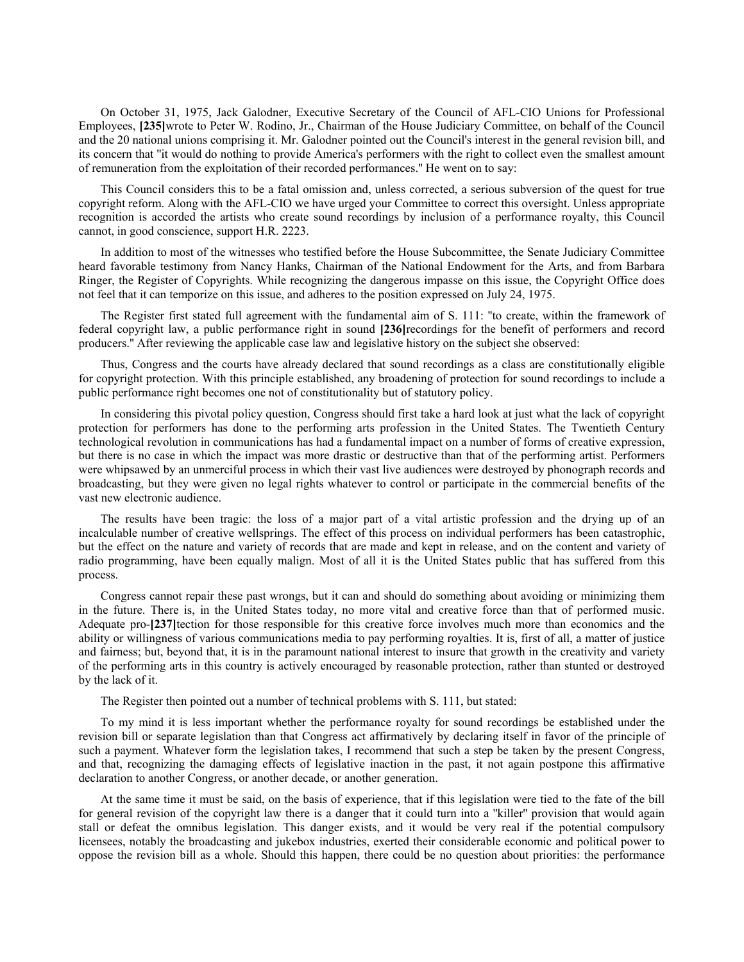On October 31, 1975, Jack Galodner, Executive Secretary of the Council of AFL-CIO Unions for Professional Employees, **[235]**wrote to Peter W. Rodino, Jr., Chairman of the House Judiciary Committee, on behalf of the Council and the 20 national unions comprising it. Mr. Galodner pointed out the Council's interest in the general revision bill, and its concern that ''it would do nothing to provide America's performers with the right to collect even the smallest amount of remuneration from the exploitation of their recorded performances.'' He went on to say:

This Council considers this to be a fatal omission and, unless corrected, a serious subversion of the quest for true copyright reform. Along with the AFL-CIO we have urged your Committee to correct this oversight. Unless appropriate recognition is accorded the artists who create sound recordings by inclusion of a performance royalty, this Council cannot, in good conscience, support H.R. 2223.

In addition to most of the witnesses who testified before the House Subcommittee, the Senate Judiciary Committee heard favorable testimony from Nancy Hanks, Chairman of the National Endowment for the Arts, and from Barbara Ringer, the Register of Copyrights. While recognizing the dangerous impasse on this issue, the Copyright Office does not feel that it can temporize on this issue, and adheres to the position expressed on July 24, 1975.

The Register first stated full agreement with the fundamental aim of S. 111: ''to create, within the framework of federal copyright law, a public performance right in sound **[236]**recordings for the benefit of performers and record producers.'' After reviewing the applicable case law and legislative history on the subject she observed:

Thus, Congress and the courts have already declared that sound recordings as a class are constitutionally eligible for copyright protection. With this principle established, any broadening of protection for sound recordings to include a public performance right becomes one not of constitutionality but of statutory policy.

In considering this pivotal policy question, Congress should first take a hard look at just what the lack of copyright protection for performers has done to the performing arts profession in the United States. The Twentieth Century technological revolution in communications has had a fundamental impact on a number of forms of creative expression, but there is no case in which the impact was more drastic or destructive than that of the performing artist. Performers were whipsawed by an unmerciful process in which their vast live audiences were destroyed by phonograph records and broadcasting, but they were given no legal rights whatever to control or participate in the commercial benefits of the vast new electronic audience.

The results have been tragic: the loss of a major part of a vital artistic profession and the drying up of an incalculable number of creative wellsprings. The effect of this process on individual performers has been catastrophic, but the effect on the nature and variety of records that are made and kept in release, and on the content and variety of radio programming, have been equally malign. Most of all it is the United States public that has suffered from this process.

Congress cannot repair these past wrongs, but it can and should do something about avoiding or minimizing them in the future. There is, in the United States today, no more vital and creative force than that of performed music. Adequate pro-**[237]**tection for those responsible for this creative force involves much more than economics and the ability or willingness of various communications media to pay performing royalties. It is, first of all, a matter of justice and fairness; but, beyond that, it is in the paramount national interest to insure that growth in the creativity and variety of the performing arts in this country is actively encouraged by reasonable protection, rather than stunted or destroyed by the lack of it.

The Register then pointed out a number of technical problems with S. 111, but stated:

To my mind it is less important whether the performance royalty for sound recordings be established under the revision bill or separate legislation than that Congress act affirmatively by declaring itself in favor of the principle of such a payment. Whatever form the legislation takes, I recommend that such a step be taken by the present Congress, and that, recognizing the damaging effects of legislative inaction in the past, it not again postpone this affirmative declaration to another Congress, or another decade, or another generation.

At the same time it must be said, on the basis of experience, that if this legislation were tied to the fate of the bill for general revision of the copyright law there is a danger that it could turn into a ''killer'' provision that would again stall or defeat the omnibus legislation. This danger exists, and it would be very real if the potential compulsory licensees, notably the broadcasting and jukebox industries, exerted their considerable economic and political power to oppose the revision bill as a whole. Should this happen, there could be no question about priorities: the performance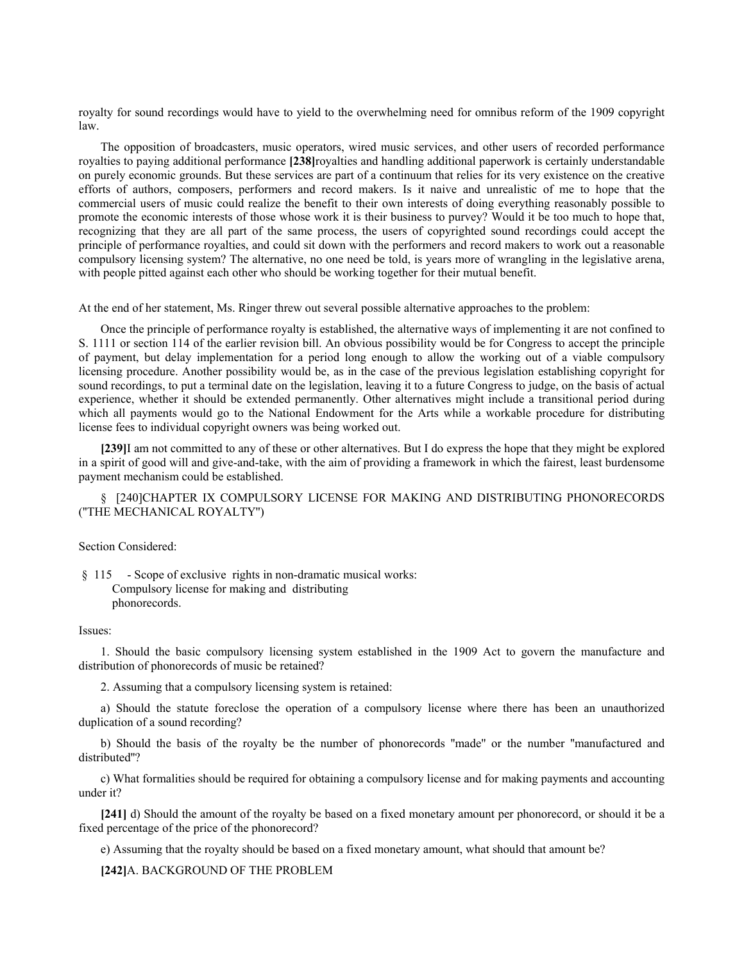royalty for sound recordings would have to yield to the overwhelming need for omnibus reform of the 1909 copyright law.

The opposition of broadcasters, music operators, wired music services, and other users of recorded performance royalties to paying additional performance **[238]**royalties and handling additional paperwork is certainly understandable on purely economic grounds. But these services are part of a continuum that relies for its very existence on the creative efforts of authors, composers, performers and record makers. Is it naive and unrealistic of me to hope that the commercial users of music could realize the benefit to their own interests of doing everything reasonably possible to promote the economic interests of those whose work it is their business to purvey? Would it be too much to hope that, recognizing that they are all part of the same process, the users of copyrighted sound recordings could accept the principle of performance royalties, and could sit down with the performers and record makers to work out a reasonable compulsory licensing system? The alternative, no one need be told, is years more of wrangling in the legislative arena, with people pitted against each other who should be working together for their mutual benefit.

At the end of her statement, Ms. Ringer threw out several possible alternative approaches to the problem:

Once the principle of performance royalty is established, the alternative ways of implementing it are not confined to S. 1111 or section 114 of the earlier revision bill. An obvious possibility would be for Congress to accept the principle of payment, but delay implementation for a period long enough to allow the working out of a viable compulsory licensing procedure. Another possibility would be, as in the case of the previous legislation establishing copyright for sound recordings, to put a terminal date on the legislation, leaving it to a future Congress to judge, on the basis of actual experience, whether it should be extended permanently. Other alternatives might include a transitional period during which all payments would go to the National Endowment for the Arts while a workable procedure for distributing license fees to individual copyright owners was being worked out.

**[239]**I am not committed to any of these or other alternatives. But I do express the hope that they might be explored in a spirit of good will and give-and-take, with the aim of providing a framework in which the fairest, least burdensome payment mechanism could be established.

# § [240]CHAPTER IX COMPULSORY LICENSE FOR MAKING AND DISTRIBUTING PHONORECORDS (''THE MECHANICAL ROYALTY'')

### Section Considered:

 § 115 - Scope of exclusive rights in non-dramatic musical works: Compulsory license for making and distributing phonorecords.

#### Issues:

1. Should the basic compulsory licensing system established in the 1909 Act to govern the manufacture and distribution of phonorecords of music be retained?

2. Assuming that a compulsory licensing system is retained:

a) Should the statute foreclose the operation of a compulsory license where there has been an unauthorized duplication of a sound recording?

b) Should the basis of the royalty be the number of phonorecords ''made'' or the number ''manufactured and distributed''?

c) What formalities should be required for obtaining a compulsory license and for making payments and accounting under it?

**[241]** d) Should the amount of the royalty be based on a fixed monetary amount per phonorecord, or should it be a fixed percentage of the price of the phonorecord?

e) Assuming that the royalty should be based on a fixed monetary amount, what should that amount be?

**[242]**A. BACKGROUND OF THE PROBLEM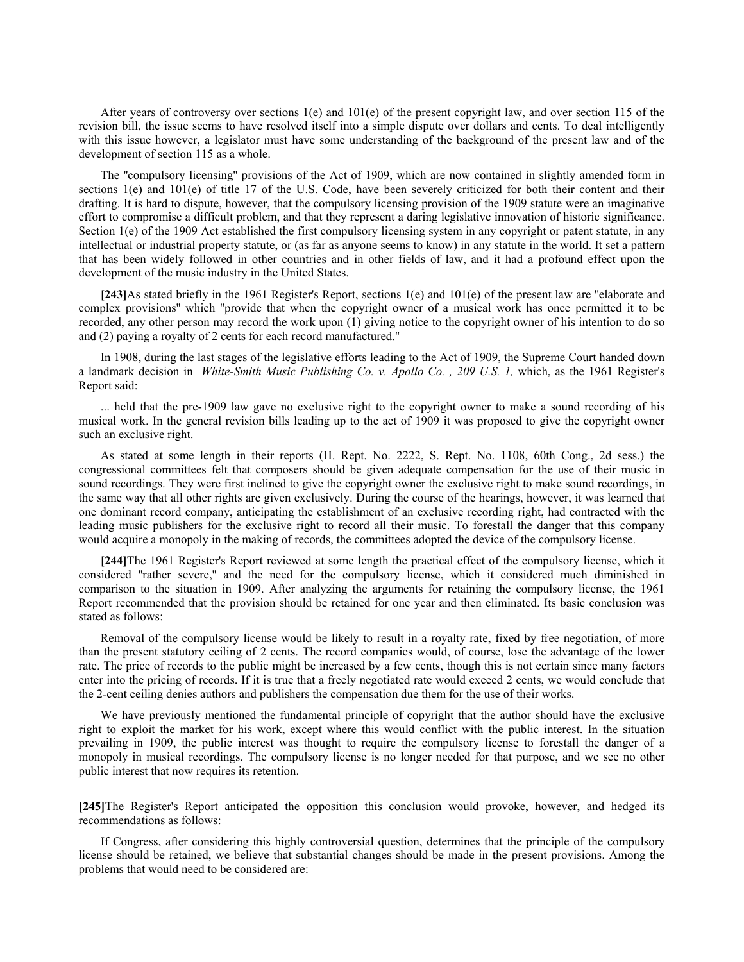After years of controversy over sections  $1(e)$  and  $101(e)$  of the present copyright law, and over section 115 of the revision bill, the issue seems to have resolved itself into a simple dispute over dollars and cents. To deal intelligently with this issue however, a legislator must have some understanding of the background of the present law and of the development of section 115 as a whole.

The ''compulsory licensing'' provisions of the Act of 1909, which are now contained in slightly amended form in sections 1(e) and 101(e) of title 17 of the U.S. Code, have been severely criticized for both their content and their drafting. It is hard to dispute, however, that the compulsory licensing provision of the 1909 statute were an imaginative effort to compromise a difficult problem, and that they represent a daring legislative innovation of historic significance. Section 1(e) of the 1909 Act established the first compulsory licensing system in any copyright or patent statute, in any intellectual or industrial property statute, or (as far as anyone seems to know) in any statute in the world. It set a pattern that has been widely followed in other countries and in other fields of law, and it had a profound effect upon the development of the music industry in the United States.

**[243]**As stated briefly in the 1961 Register's Report, sections 1(e) and 101(e) of the present law are ''elaborate and complex provisions'' which ''provide that when the copyright owner of a musical work has once permitted it to be recorded, any other person may record the work upon (1) giving notice to the copyright owner of his intention to do so and (2) paying a royalty of 2 cents for each record manufactured.''

In 1908, during the last stages of the legislative efforts leading to the Act of 1909, the Supreme Court handed down a landmark decision in *White-Smith Music Publishing Co. v. Apollo Co. , 209 U.S. 1,* which, as the 1961 Register's Report said:

... held that the pre-1909 law gave no exclusive right to the copyright owner to make a sound recording of his musical work. In the general revision bills leading up to the act of 1909 it was proposed to give the copyright owner such an exclusive right.

As stated at some length in their reports (H. Rept. No. 2222, S. Rept. No. 1108, 60th Cong., 2d sess.) the congressional committees felt that composers should be given adequate compensation for the use of their music in sound recordings. They were first inclined to give the copyright owner the exclusive right to make sound recordings, in the same way that all other rights are given exclusively. During the course of the hearings, however, it was learned that one dominant record company, anticipating the establishment of an exclusive recording right, had contracted with the leading music publishers for the exclusive right to record all their music. To forestall the danger that this company would acquire a monopoly in the making of records, the committees adopted the device of the compulsory license.

**[244]**The 1961 Register's Report reviewed at some length the practical effect of the compulsory license, which it considered ''rather severe,'' and the need for the compulsory license, which it considered much diminished in comparison to the situation in 1909. After analyzing the arguments for retaining the compulsory license, the 1961 Report recommended that the provision should be retained for one year and then eliminated. Its basic conclusion was stated as follows:

Removal of the compulsory license would be likely to result in a royalty rate, fixed by free negotiation, of more than the present statutory ceiling of 2 cents. The record companies would, of course, lose the advantage of the lower rate. The price of records to the public might be increased by a few cents, though this is not certain since many factors enter into the pricing of records. If it is true that a freely negotiated rate would exceed 2 cents, we would conclude that the 2-cent ceiling denies authors and publishers the compensation due them for the use of their works.

We have previously mentioned the fundamental principle of copyright that the author should have the exclusive right to exploit the market for his work, except where this would conflict with the public interest. In the situation prevailing in 1909, the public interest was thought to require the compulsory license to forestall the danger of a monopoly in musical recordings. The compulsory license is no longer needed for that purpose, and we see no other public interest that now requires its retention.

**[245]**The Register's Report anticipated the opposition this conclusion would provoke, however, and hedged its recommendations as follows:

If Congress, after considering this highly controversial question, determines that the principle of the compulsory license should be retained, we believe that substantial changes should be made in the present provisions. Among the problems that would need to be considered are: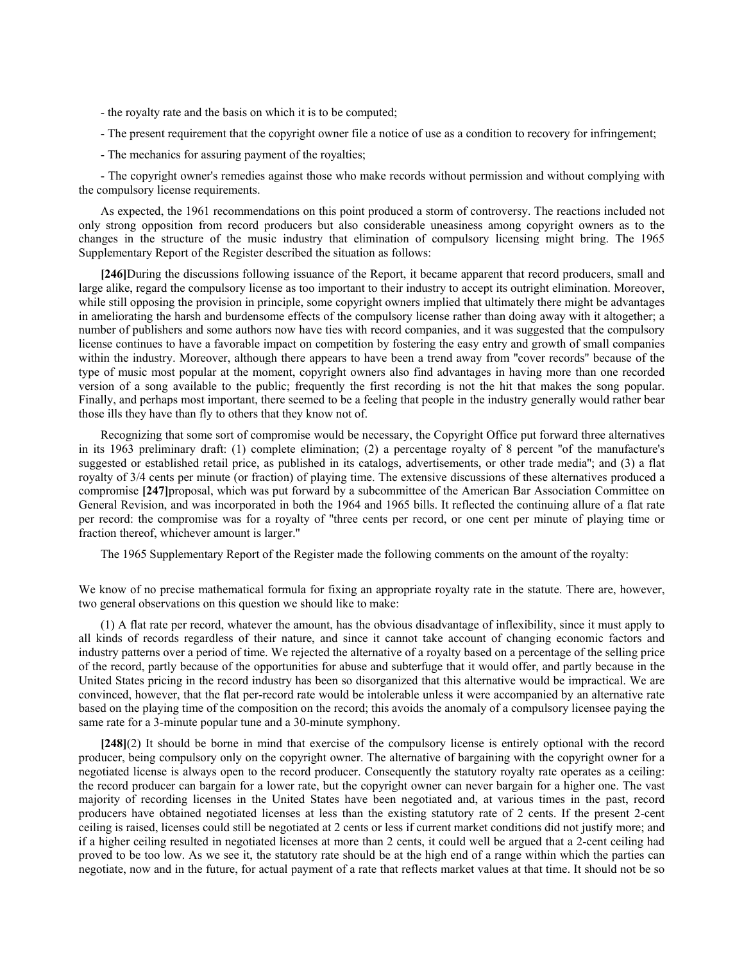- the royalty rate and the basis on which it is to be computed;
- The present requirement that the copyright owner file a notice of use as a condition to recovery for infringement;
- The mechanics for assuring payment of the royalties;

- The copyright owner's remedies against those who make records without permission and without complying with the compulsory license requirements.

As expected, the 1961 recommendations on this point produced a storm of controversy. The reactions included not only strong opposition from record producers but also considerable uneasiness among copyright owners as to the changes in the structure of the music industry that elimination of compulsory licensing might bring. The 1965 Supplementary Report of the Register described the situation as follows:

**[246]**During the discussions following issuance of the Report, it became apparent that record producers, small and large alike, regard the compulsory license as too important to their industry to accept its outright elimination. Moreover, while still opposing the provision in principle, some copyright owners implied that ultimately there might be advantages in ameliorating the harsh and burdensome effects of the compulsory license rather than doing away with it altogether; a number of publishers and some authors now have ties with record companies, and it was suggested that the compulsory license continues to have a favorable impact on competition by fostering the easy entry and growth of small companies within the industry. Moreover, although there appears to have been a trend away from ''cover records'' because of the type of music most popular at the moment, copyright owners also find advantages in having more than one recorded version of a song available to the public; frequently the first recording is not the hit that makes the song popular. Finally, and perhaps most important, there seemed to be a feeling that people in the industry generally would rather bear those ills they have than fly to others that they know not of.

Recognizing that some sort of compromise would be necessary, the Copyright Office put forward three alternatives in its 1963 preliminary draft: (1) complete elimination; (2) a percentage royalty of 8 percent ''of the manufacture's suggested or established retail price, as published in its catalogs, advertisements, or other trade media''; and (3) a flat royalty of 3/4 cents per minute (or fraction) of playing time. The extensive discussions of these alternatives produced a compromise **[247]**proposal, which was put forward by a subcommittee of the American Bar Association Committee on General Revision, and was incorporated in both the 1964 and 1965 bills. It reflected the continuing allure of a flat rate per record: the compromise was for a royalty of ''three cents per record, or one cent per minute of playing time or fraction thereof, whichever amount is larger.''

The 1965 Supplementary Report of the Register made the following comments on the amount of the royalty:

We know of no precise mathematical formula for fixing an appropriate royalty rate in the statute. There are, however, two general observations on this question we should like to make:

(1) A flat rate per record, whatever the amount, has the obvious disadvantage of inflexibility, since it must apply to all kinds of records regardless of their nature, and since it cannot take account of changing economic factors and industry patterns over a period of time. We rejected the alternative of a royalty based on a percentage of the selling price of the record, partly because of the opportunities for abuse and subterfuge that it would offer, and partly because in the United States pricing in the record industry has been so disorganized that this alternative would be impractical. We are convinced, however, that the flat per-record rate would be intolerable unless it were accompanied by an alternative rate based on the playing time of the composition on the record; this avoids the anomaly of a compulsory licensee paying the same rate for a 3-minute popular tune and a 30-minute symphony.

**[248]**(2) It should be borne in mind that exercise of the compulsory license is entirely optional with the record producer, being compulsory only on the copyright owner. The alternative of bargaining with the copyright owner for a negotiated license is always open to the record producer. Consequently the statutory royalty rate operates as a ceiling: the record producer can bargain for a lower rate, but the copyright owner can never bargain for a higher one. The vast majority of recording licenses in the United States have been negotiated and, at various times in the past, record producers have obtained negotiated licenses at less than the existing statutory rate of 2 cents. If the present 2-cent ceiling is raised, licenses could still be negotiated at 2 cents or less if current market conditions did not justify more; and if a higher ceiling resulted in negotiated licenses at more than 2 cents, it could well be argued that a 2-cent ceiling had proved to be too low. As we see it, the statutory rate should be at the high end of a range within which the parties can negotiate, now and in the future, for actual payment of a rate that reflects market values at that time. It should not be so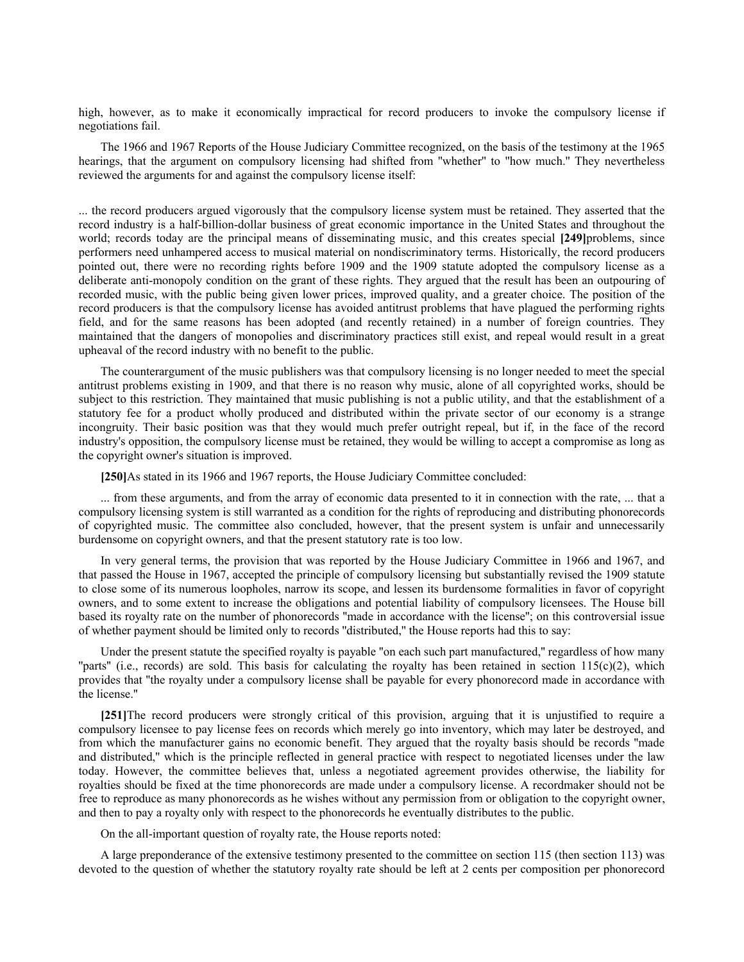high, however, as to make it economically impractical for record producers to invoke the compulsory license if negotiations fail.

The 1966 and 1967 Reports of the House Judiciary Committee recognized, on the basis of the testimony at the 1965 hearings, that the argument on compulsory licensing had shifted from ''whether'' to ''how much.'' They nevertheless reviewed the arguments for and against the compulsory license itself:

... the record producers argued vigorously that the compulsory license system must be retained. They asserted that the record industry is a half-billion-dollar business of great economic importance in the United States and throughout the world; records today are the principal means of disseminating music, and this creates special **[249]**problems, since performers need unhampered access to musical material on nondiscriminatory terms. Historically, the record producers pointed out, there were no recording rights before 1909 and the 1909 statute adopted the compulsory license as a deliberate anti-monopoly condition on the grant of these rights. They argued that the result has been an outpouring of recorded music, with the public being given lower prices, improved quality, and a greater choice. The position of the record producers is that the compulsory license has avoided antitrust problems that have plagued the performing rights field, and for the same reasons has been adopted (and recently retained) in a number of foreign countries. They maintained that the dangers of monopolies and discriminatory practices still exist, and repeal would result in a great upheaval of the record industry with no benefit to the public.

The counterargument of the music publishers was that compulsory licensing is no longer needed to meet the special antitrust problems existing in 1909, and that there is no reason why music, alone of all copyrighted works, should be subject to this restriction. They maintained that music publishing is not a public utility, and that the establishment of a statutory fee for a product wholly produced and distributed within the private sector of our economy is a strange incongruity. Their basic position was that they would much prefer outright repeal, but if, in the face of the record industry's opposition, the compulsory license must be retained, they would be willing to accept a compromise as long as the copyright owner's situation is improved.

**[250]**As stated in its 1966 and 1967 reports, the House Judiciary Committee concluded:

... from these arguments, and from the array of economic data presented to it in connection with the rate, ... that a compulsory licensing system is still warranted as a condition for the rights of reproducing and distributing phonorecords of copyrighted music. The committee also concluded, however, that the present system is unfair and unnecessarily burdensome on copyright owners, and that the present statutory rate is too low.

In very general terms, the provision that was reported by the House Judiciary Committee in 1966 and 1967, and that passed the House in 1967, accepted the principle of compulsory licensing but substantially revised the 1909 statute to close some of its numerous loopholes, narrow its scope, and lessen its burdensome formalities in favor of copyright owners, and to some extent to increase the obligations and potential liability of compulsory licensees. The House bill based its royalty rate on the number of phonorecords ''made in accordance with the license''; on this controversial issue of whether payment should be limited only to records ''distributed,'' the House reports had this to say:

Under the present statute the specified royalty is payable "on each such part manufactured," regardless of how many "parts" (i.e., records) are sold. This basis for calculating the royalty has been retained in section  $115(c)(2)$ , which provides that ''the royalty under a compulsory license shall be payable for every phonorecord made in accordance with the license.''

**[251]**The record producers were strongly critical of this provision, arguing that it is unjustified to require a compulsory licensee to pay license fees on records which merely go into inventory, which may later be destroyed, and from which the manufacturer gains no economic benefit. They argued that the royalty basis should be records ''made and distributed,'' which is the principle reflected in general practice with respect to negotiated licenses under the law today. However, the committee believes that, unless a negotiated agreement provides otherwise, the liability for royalties should be fixed at the time phonorecords are made under a compulsory license. A recordmaker should not be free to reproduce as many phonorecords as he wishes without any permission from or obligation to the copyright owner, and then to pay a royalty only with respect to the phonorecords he eventually distributes to the public.

On the all-important question of royalty rate, the House reports noted:

A large preponderance of the extensive testimony presented to the committee on section 115 (then section 113) was devoted to the question of whether the statutory royalty rate should be left at 2 cents per composition per phonorecord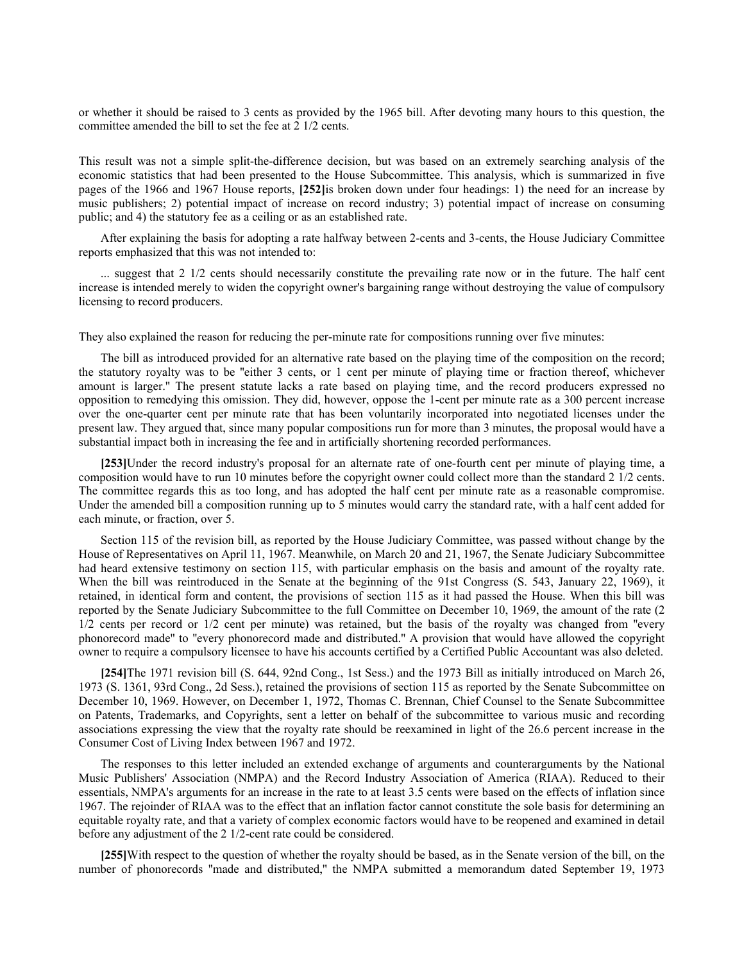or whether it should be raised to 3 cents as provided by the 1965 bill. After devoting many hours to this question, the committee amended the bill to set the fee at 2 1/2 cents.

This result was not a simple split-the-difference decision, but was based on an extremely searching analysis of the economic statistics that had been presented to the House Subcommittee. This analysis, which is summarized in five pages of the 1966 and 1967 House reports, **[252]**is broken down under four headings: 1) the need for an increase by music publishers; 2) potential impact of increase on record industry; 3) potential impact of increase on consuming public; and 4) the statutory fee as a ceiling or as an established rate.

After explaining the basis for adopting a rate halfway between 2-cents and 3-cents, the House Judiciary Committee reports emphasized that this was not intended to:

... suggest that 2 1/2 cents should necessarily constitute the prevailing rate now or in the future. The half cent increase is intended merely to widen the copyright owner's bargaining range without destroying the value of compulsory licensing to record producers.

They also explained the reason for reducing the per-minute rate for compositions running over five minutes:

The bill as introduced provided for an alternative rate based on the playing time of the composition on the record; the statutory royalty was to be ''either 3 cents, or 1 cent per minute of playing time or fraction thereof, whichever amount is larger.'' The present statute lacks a rate based on playing time, and the record producers expressed no opposition to remedying this omission. They did, however, oppose the 1-cent per minute rate as a 300 percent increase over the one-quarter cent per minute rate that has been voluntarily incorporated into negotiated licenses under the present law. They argued that, since many popular compositions run for more than 3 minutes, the proposal would have a substantial impact both in increasing the fee and in artificially shortening recorded performances.

**[253]**Under the record industry's proposal for an alternate rate of one-fourth cent per minute of playing time, a composition would have to run 10 minutes before the copyright owner could collect more than the standard 2 1/2 cents. The committee regards this as too long, and has adopted the half cent per minute rate as a reasonable compromise. Under the amended bill a composition running up to 5 minutes would carry the standard rate, with a half cent added for each minute, or fraction, over 5.

Section 115 of the revision bill, as reported by the House Judiciary Committee, was passed without change by the House of Representatives on April 11, 1967. Meanwhile, on March 20 and 21, 1967, the Senate Judiciary Subcommittee had heard extensive testimony on section 115, with particular emphasis on the basis and amount of the royalty rate. When the bill was reintroduced in the Senate at the beginning of the 91st Congress (S. 543, January 22, 1969), it retained, in identical form and content, the provisions of section 115 as it had passed the House. When this bill was reported by the Senate Judiciary Subcommittee to the full Committee on December 10, 1969, the amount of the rate (2 1/2 cents per record or 1/2 cent per minute) was retained, but the basis of the royalty was changed from "every phonorecord made'' to ''every phonorecord made and distributed.'' A provision that would have allowed the copyright owner to require a compulsory licensee to have his accounts certified by a Certified Public Accountant was also deleted.

**[254]**The 1971 revision bill (S. 644, 92nd Cong., 1st Sess.) and the 1973 Bill as initially introduced on March 26, 1973 (S. 1361, 93rd Cong., 2d Sess.), retained the provisions of section 115 as reported by the Senate Subcommittee on December 10, 1969. However, on December 1, 1972, Thomas C. Brennan, Chief Counsel to the Senate Subcommittee on Patents, Trademarks, and Copyrights, sent a letter on behalf of the subcommittee to various music and recording associations expressing the view that the royalty rate should be reexamined in light of the 26.6 percent increase in the Consumer Cost of Living Index between 1967 and 1972.

The responses to this letter included an extended exchange of arguments and counterarguments by the National Music Publishers' Association (NMPA) and the Record Industry Association of America (RIAA). Reduced to their essentials, NMPA's arguments for an increase in the rate to at least 3.5 cents were based on the effects of inflation since 1967. The rejoinder of RIAA was to the effect that an inflation factor cannot constitute the sole basis for determining an equitable royalty rate, and that a variety of complex economic factors would have to be reopened and examined in detail before any adjustment of the 2 1/2-cent rate could be considered.

**[255]**With respect to the question of whether the royalty should be based, as in the Senate version of the bill, on the number of phonorecords ''made and distributed,'' the NMPA submitted a memorandum dated September 19, 1973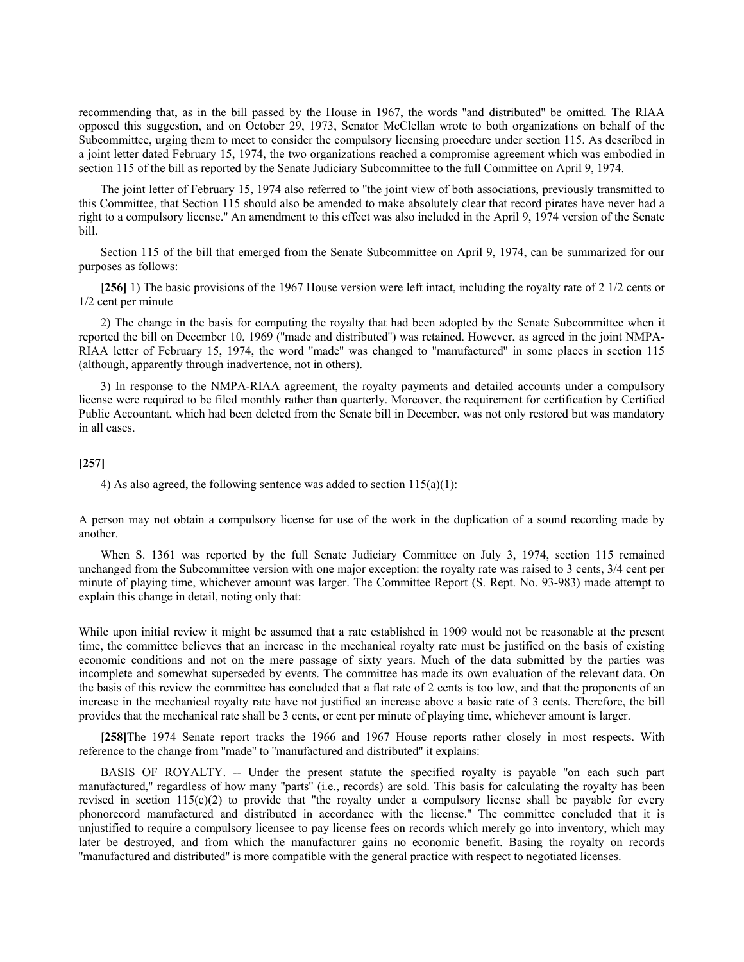recommending that, as in the bill passed by the House in 1967, the words ''and distributed'' be omitted. The RIAA opposed this suggestion, and on October 29, 1973, Senator McClellan wrote to both organizations on behalf of the Subcommittee, urging them to meet to consider the compulsory licensing procedure under section 115. As described in a joint letter dated February 15, 1974, the two organizations reached a compromise agreement which was embodied in section 115 of the bill as reported by the Senate Judiciary Subcommittee to the full Committee on April 9, 1974.

The joint letter of February 15, 1974 also referred to ''the joint view of both associations, previously transmitted to this Committee, that Section 115 should also be amended to make absolutely clear that record pirates have never had a right to a compulsory license.'' An amendment to this effect was also included in the April 9, 1974 version of the Senate bill.

Section 115 of the bill that emerged from the Senate Subcommittee on April 9, 1974, can be summarized for our purposes as follows:

**[256]** 1) The basic provisions of the 1967 House version were left intact, including the royalty rate of 2 1/2 cents or 1/2 cent per minute

2) The change in the basis for computing the royalty that had been adopted by the Senate Subcommittee when it reported the bill on December 10, 1969 (''made and distributed'') was retained. However, as agreed in the joint NMPA-RIAA letter of February 15, 1974, the word ''made'' was changed to ''manufactured'' in some places in section 115 (although, apparently through inadvertence, not in others).

3) In response to the NMPA-RIAA agreement, the royalty payments and detailed accounts under a compulsory license were required to be filed monthly rather than quarterly. Moreover, the requirement for certification by Certified Public Accountant, which had been deleted from the Senate bill in December, was not only restored but was mandatory in all cases.

# **[257]**

4) As also agreed, the following sentence was added to section  $115(a)(1)$ :

A person may not obtain a compulsory license for use of the work in the duplication of a sound recording made by another.

When S. 1361 was reported by the full Senate Judiciary Committee on July 3, 1974, section 115 remained unchanged from the Subcommittee version with one major exception: the royalty rate was raised to 3 cents, 3/4 cent per minute of playing time, whichever amount was larger. The Committee Report (S. Rept. No. 93-983) made attempt to explain this change in detail, noting only that:

While upon initial review it might be assumed that a rate established in 1909 would not be reasonable at the present time, the committee believes that an increase in the mechanical royalty rate must be justified on the basis of existing economic conditions and not on the mere passage of sixty years. Much of the data submitted by the parties was incomplete and somewhat superseded by events. The committee has made its own evaluation of the relevant data. On the basis of this review the committee has concluded that a flat rate of 2 cents is too low, and that the proponents of an increase in the mechanical royalty rate have not justified an increase above a basic rate of 3 cents. Therefore, the bill provides that the mechanical rate shall be 3 cents, or cent per minute of playing time, whichever amount is larger.

**[258]**The 1974 Senate report tracks the 1966 and 1967 House reports rather closely in most respects. With reference to the change from ''made'' to ''manufactured and distributed'' it explains:

BASIS OF ROYALTY. -- Under the present statute the specified royalty is payable ''on each such part manufactured,'' regardless of how many ''parts'' (i.e., records) are sold. This basis for calculating the royalty has been revised in section 115(c)(2) to provide that ''the royalty under a compulsory license shall be payable for every phonorecord manufactured and distributed in accordance with the license.'' The committee concluded that it is unjustified to require a compulsory licensee to pay license fees on records which merely go into inventory, which may later be destroyed, and from which the manufacturer gains no economic benefit. Basing the royalty on records ''manufactured and distributed'' is more compatible with the general practice with respect to negotiated licenses.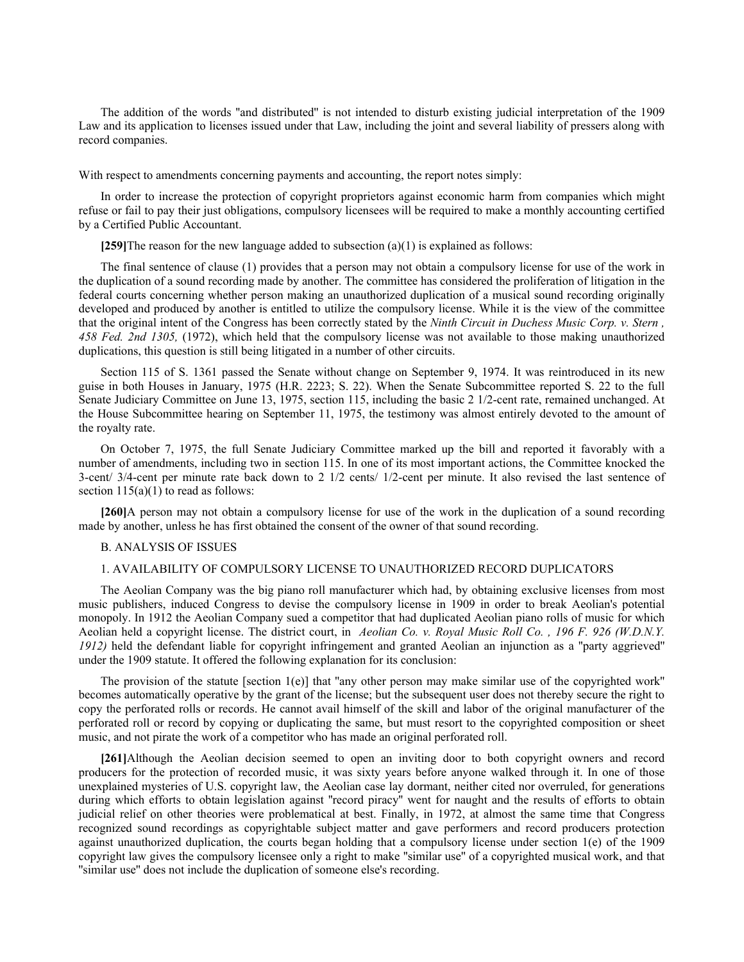The addition of the words ''and distributed'' is not intended to disturb existing judicial interpretation of the 1909 Law and its application to licenses issued under that Law, including the joint and several liability of pressers along with record companies.

With respect to amendments concerning payments and accounting, the report notes simply:

In order to increase the protection of copyright proprietors against economic harm from companies which might refuse or fail to pay their just obligations, compulsory licensees will be required to make a monthly accounting certified by a Certified Public Accountant.

**[259]**The reason for the new language added to subsection (a)(1) is explained as follows:

The final sentence of clause (1) provides that a person may not obtain a compulsory license for use of the work in the duplication of a sound recording made by another. The committee has considered the proliferation of litigation in the federal courts concerning whether person making an unauthorized duplication of a musical sound recording originally developed and produced by another is entitled to utilize the compulsory license. While it is the view of the committee that the original intent of the Congress has been correctly stated by the *Ninth Circuit in Duchess Music Corp. v. Stern , 458 Fed. 2nd 1305,* (1972), which held that the compulsory license was not available to those making unauthorized duplications, this question is still being litigated in a number of other circuits.

Section 115 of S. 1361 passed the Senate without change on September 9, 1974. It was reintroduced in its new guise in both Houses in January, 1975 (H.R. 2223; S. 22). When the Senate Subcommittee reported S. 22 to the full Senate Judiciary Committee on June 13, 1975, section 115, including the basic 2 1/2-cent rate, remained unchanged. At the House Subcommittee hearing on September 11, 1975, the testimony was almost entirely devoted to the amount of the royalty rate.

On October 7, 1975, the full Senate Judiciary Committee marked up the bill and reported it favorably with a number of amendments, including two in section 115. In one of its most important actions, the Committee knocked the 3-cent/ 3/4-cent per minute rate back down to 2 1/2 cents/ 1/2-cent per minute. It also revised the last sentence of section  $115(a)(1)$  to read as follows:

**[260]**A person may not obtain a compulsory license for use of the work in the duplication of a sound recording made by another, unless he has first obtained the consent of the owner of that sound recording.

### B. ANALYSIS OF ISSUES

## 1. AVAILABILITY OF COMPULSORY LICENSE TO UNAUTHORIZED RECORD DUPLICATORS

The Aeolian Company was the big piano roll manufacturer which had, by obtaining exclusive licenses from most music publishers, induced Congress to devise the compulsory license in 1909 in order to break Aeolian's potential monopoly. In 1912 the Aeolian Company sued a competitor that had duplicated Aeolian piano rolls of music for which Aeolian held a copyright license. The district court, in *Aeolian Co. v. Royal Music Roll Co. , 196 F. 926 (W.D.N.Y. 1912)* held the defendant liable for copyright infringement and granted Aeolian an injunction as a ''party aggrieved'' under the 1909 statute. It offered the following explanation for its conclusion:

The provision of the statute [section  $1(e)$ ] that "any other person may make similar use of the copyrighted work" becomes automatically operative by the grant of the license; but the subsequent user does not thereby secure the right to copy the perforated rolls or records. He cannot avail himself of the skill and labor of the original manufacturer of the perforated roll or record by copying or duplicating the same, but must resort to the copyrighted composition or sheet music, and not pirate the work of a competitor who has made an original perforated roll.

**[261]**Although the Aeolian decision seemed to open an inviting door to both copyright owners and record producers for the protection of recorded music, it was sixty years before anyone walked through it. In one of those unexplained mysteries of U.S. copyright law, the Aeolian case lay dormant, neither cited nor overruled, for generations during which efforts to obtain legislation against ''record piracy'' went for naught and the results of efforts to obtain judicial relief on other theories were problematical at best. Finally, in 1972, at almost the same time that Congress recognized sound recordings as copyrightable subject matter and gave performers and record producers protection against unauthorized duplication, the courts began holding that a compulsory license under section 1(e) of the 1909 copyright law gives the compulsory licensee only a right to make "similar use" of a copyrighted musical work, and that ''similar use'' does not include the duplication of someone else's recording.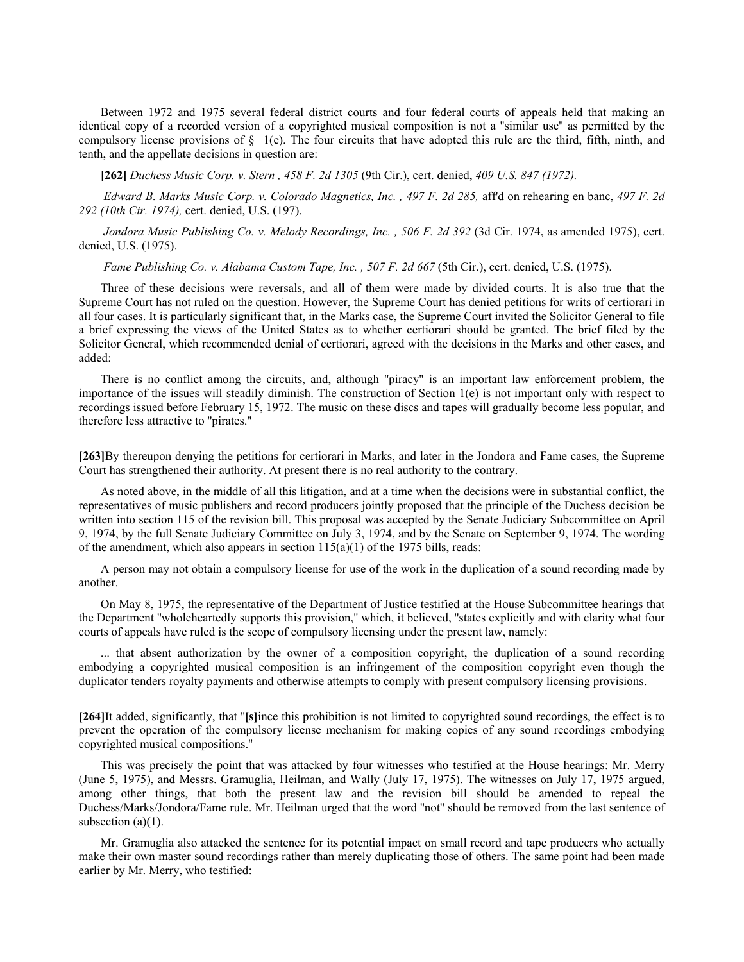Between 1972 and 1975 several federal district courts and four federal courts of appeals held that making an identical copy of a recorded version of a copyrighted musical composition is not a ''similar use'' as permitted by the compulsory license provisions of § 1(e). The four circuits that have adopted this rule are the third, fifth, ninth, and tenth, and the appellate decisions in question are:

**[262]** *Duchess Music Corp. v. Stern , 458 F. 2d 1305* (9th Cir.), cert. denied, *409 U.S. 847 (1972).*

 *Edward B. Marks Music Corp. v. Colorado Magnetics, Inc. , 497 F. 2d 285,* aff'd on rehearing en banc, *497 F. 2d 292 (10th Cir. 1974),* cert. denied, U.S. (197).

 *Jondora Music Publishing Co. v. Melody Recordings, Inc. , 506 F. 2d 392* (3d Cir. 1974, as amended 1975), cert. denied, U.S. (1975).

 *Fame Publishing Co. v. Alabama Custom Tape, Inc. , 507 F. 2d 667* (5th Cir.), cert. denied, U.S. (1975).

Three of these decisions were reversals, and all of them were made by divided courts. It is also true that the Supreme Court has not ruled on the question. However, the Supreme Court has denied petitions for writs of certiorari in all four cases. It is particularly significant that, in the Marks case, the Supreme Court invited the Solicitor General to file a brief expressing the views of the United States as to whether certiorari should be granted. The brief filed by the Solicitor General, which recommended denial of certiorari, agreed with the decisions in the Marks and other cases, and added:

There is no conflict among the circuits, and, although "piracy" is an important law enforcement problem, the importance of the issues will steadily diminish. The construction of Section 1(e) is not important only with respect to recordings issued before February 15, 1972. The music on these discs and tapes will gradually become less popular, and therefore less attractive to ''pirates.''

**[263]**By thereupon denying the petitions for certiorari in Marks, and later in the Jondora and Fame cases, the Supreme Court has strengthened their authority. At present there is no real authority to the contrary.

As noted above, in the middle of all this litigation, and at a time when the decisions were in substantial conflict, the representatives of music publishers and record producers jointly proposed that the principle of the Duchess decision be written into section 115 of the revision bill. This proposal was accepted by the Senate Judiciary Subcommittee on April 9, 1974, by the full Senate Judiciary Committee on July 3, 1974, and by the Senate on September 9, 1974. The wording of the amendment, which also appears in section  $115(a)(1)$  of the 1975 bills, reads:

A person may not obtain a compulsory license for use of the work in the duplication of a sound recording made by another.

On May 8, 1975, the representative of the Department of Justice testified at the House Subcommittee hearings that the Department ''wholeheartedly supports this provision,'' which, it believed, ''states explicitly and with clarity what four courts of appeals have ruled is the scope of compulsory licensing under the present law, namely:

... that absent authorization by the owner of a composition copyright, the duplication of a sound recording embodying a copyrighted musical composition is an infringement of the composition copyright even though the duplicator tenders royalty payments and otherwise attempts to comply with present compulsory licensing provisions.

**[264]**It added, significantly, that ''**[s]**ince this prohibition is not limited to copyrighted sound recordings, the effect is to prevent the operation of the compulsory license mechanism for making copies of any sound recordings embodying copyrighted musical compositions.''

This was precisely the point that was attacked by four witnesses who testified at the House hearings: Mr. Merry (June 5, 1975), and Messrs. Gramuglia, Heilman, and Wally (July 17, 1975). The witnesses on July 17, 1975 argued, among other things, that both the present law and the revision bill should be amended to repeal the Duchess/Marks/Jondora/Fame rule. Mr. Heilman urged that the word ''not'' should be removed from the last sentence of subsection  $(a)(1)$ .

Mr. Gramuglia also attacked the sentence for its potential impact on small record and tape producers who actually make their own master sound recordings rather than merely duplicating those of others. The same point had been made earlier by Mr. Merry, who testified: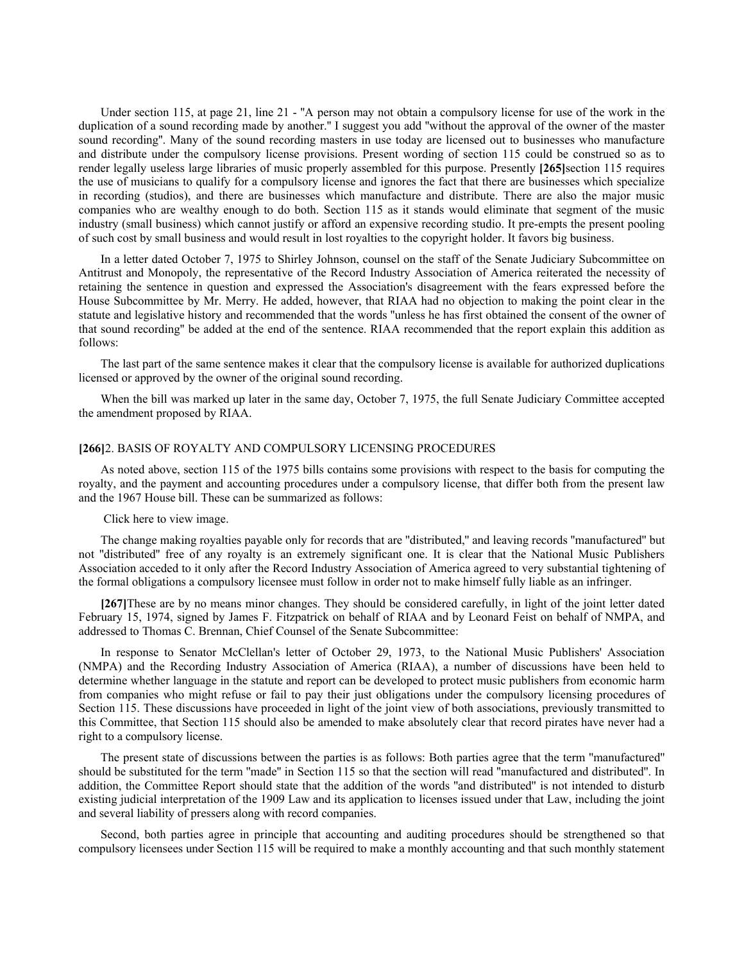Under section 115, at page 21, line 21 - "A person may not obtain a compulsory license for use of the work in the duplication of a sound recording made by another.'' I suggest you add ''without the approval of the owner of the master sound recording''. Many of the sound recording masters in use today are licensed out to businesses who manufacture and distribute under the compulsory license provisions. Present wording of section 115 could be construed so as to render legally useless large libraries of music properly assembled for this purpose. Presently **[265]**section 115 requires the use of musicians to qualify for a compulsory license and ignores the fact that there are businesses which specialize in recording (studios), and there are businesses which manufacture and distribute. There are also the major music companies who are wealthy enough to do both. Section 115 as it stands would eliminate that segment of the music industry (small business) which cannot justify or afford an expensive recording studio. It pre-empts the present pooling of such cost by small business and would result in lost royalties to the copyright holder. It favors big business.

In a letter dated October 7, 1975 to Shirley Johnson, counsel on the staff of the Senate Judiciary Subcommittee on Antitrust and Monopoly, the representative of the Record Industry Association of America reiterated the necessity of retaining the sentence in question and expressed the Association's disagreement with the fears expressed before the House Subcommittee by Mr. Merry. He added, however, that RIAA had no objection to making the point clear in the statute and legislative history and recommended that the words ''unless he has first obtained the consent of the owner of that sound recording'' be added at the end of the sentence. RIAA recommended that the report explain this addition as follows:

The last part of the same sentence makes it clear that the compulsory license is available for authorized duplications licensed or approved by the owner of the original sound recording.

When the bill was marked up later in the same day, October 7, 1975, the full Senate Judiciary Committee accepted the amendment proposed by RIAA.

#### **[266]**2. BASIS OF ROYALTY AND COMPULSORY LICENSING PROCEDURES

As noted above, section 115 of the 1975 bills contains some provisions with respect to the basis for computing the royalty, and the payment and accounting procedures under a compulsory license, that differ both from the present law and the 1967 House bill. These can be summarized as follows:

### Click here to view image.

The change making royalties payable only for records that are ''distributed,'' and leaving records ''manufactured'' but not ''distributed'' free of any royalty is an extremely significant one. It is clear that the National Music Publishers Association acceded to it only after the Record Industry Association of America agreed to very substantial tightening of the formal obligations a compulsory licensee must follow in order not to make himself fully liable as an infringer.

**[267]**These are by no means minor changes. They should be considered carefully, in light of the joint letter dated February 15, 1974, signed by James F. Fitzpatrick on behalf of RIAA and by Leonard Feist on behalf of NMPA, and addressed to Thomas C. Brennan, Chief Counsel of the Senate Subcommittee:

In response to Senator McClellan's letter of October 29, 1973, to the National Music Publishers' Association (NMPA) and the Recording Industry Association of America (RIAA), a number of discussions have been held to determine whether language in the statute and report can be developed to protect music publishers from economic harm from companies who might refuse or fail to pay their just obligations under the compulsory licensing procedures of Section 115. These discussions have proceeded in light of the joint view of both associations, previously transmitted to this Committee, that Section 115 should also be amended to make absolutely clear that record pirates have never had a right to a compulsory license.

The present state of discussions between the parties is as follows: Both parties agree that the term ''manufactured'' should be substituted for the term ''made'' in Section 115 so that the section will read ''manufactured and distributed''. In addition, the Committee Report should state that the addition of the words ''and distributed'' is not intended to disturb existing judicial interpretation of the 1909 Law and its application to licenses issued under that Law, including the joint and several liability of pressers along with record companies.

Second, both parties agree in principle that accounting and auditing procedures should be strengthened so that compulsory licensees under Section 115 will be required to make a monthly accounting and that such monthly statement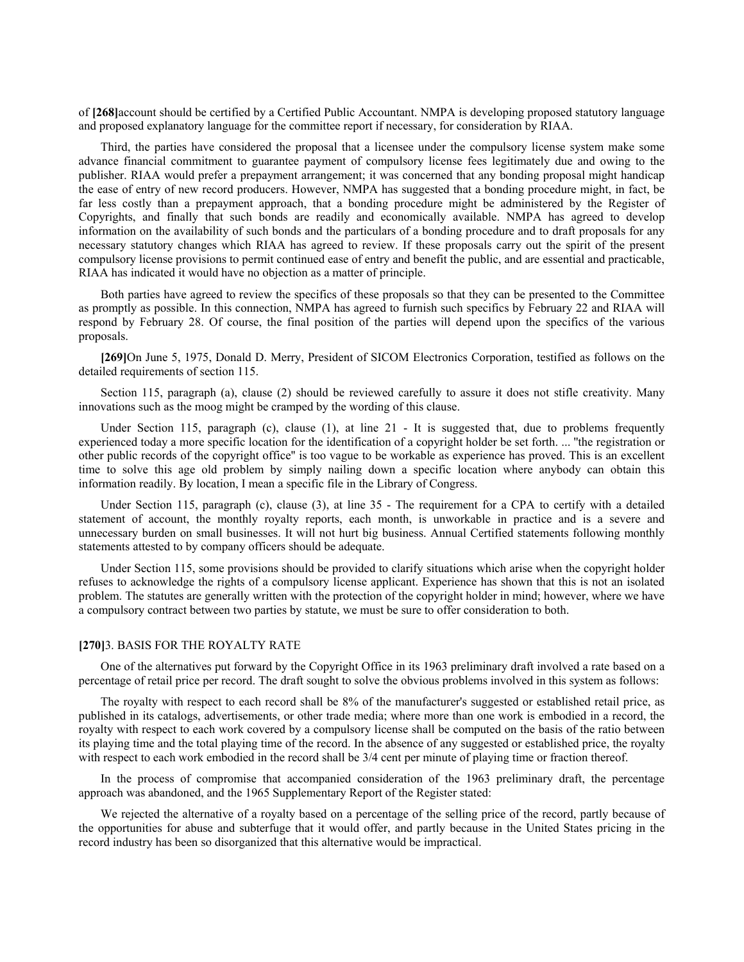of **[268]**account should be certified by a Certified Public Accountant. NMPA is developing proposed statutory language and proposed explanatory language for the committee report if necessary, for consideration by RIAA.

Third, the parties have considered the proposal that a licensee under the compulsory license system make some advance financial commitment to guarantee payment of compulsory license fees legitimately due and owing to the publisher. RIAA would prefer a prepayment arrangement; it was concerned that any bonding proposal might handicap the ease of entry of new record producers. However, NMPA has suggested that a bonding procedure might, in fact, be far less costly than a prepayment approach, that a bonding procedure might be administered by the Register of Copyrights, and finally that such bonds are readily and economically available. NMPA has agreed to develop information on the availability of such bonds and the particulars of a bonding procedure and to draft proposals for any necessary statutory changes which RIAA has agreed to review. If these proposals carry out the spirit of the present compulsory license provisions to permit continued ease of entry and benefit the public, and are essential and practicable, RIAA has indicated it would have no objection as a matter of principle.

Both parties have agreed to review the specifics of these proposals so that they can be presented to the Committee as promptly as possible. In this connection, NMPA has agreed to furnish such specifics by February 22 and RIAA will respond by February 28. Of course, the final position of the parties will depend upon the specifics of the various proposals.

**[269]**On June 5, 1975, Donald D. Merry, President of SICOM Electronics Corporation, testified as follows on the detailed requirements of section 115.

Section 115, paragraph (a), clause (2) should be reviewed carefully to assure it does not stifle creativity. Many innovations such as the moog might be cramped by the wording of this clause.

Under Section 115, paragraph (c), clause (1), at line 21 - It is suggested that, due to problems frequently experienced today a more specific location for the identification of a copyright holder be set forth. ... ''the registration or other public records of the copyright office'' is too vague to be workable as experience has proved. This is an excellent time to solve this age old problem by simply nailing down a specific location where anybody can obtain this information readily. By location, I mean a specific file in the Library of Congress.

Under Section 115, paragraph (c), clause (3), at line 35 - The requirement for a CPA to certify with a detailed statement of account, the monthly royalty reports, each month, is unworkable in practice and is a severe and unnecessary burden on small businesses. It will not hurt big business. Annual Certified statements following monthly statements attested to by company officers should be adequate.

Under Section 115, some provisions should be provided to clarify situations which arise when the copyright holder refuses to acknowledge the rights of a compulsory license applicant. Experience has shown that this is not an isolated problem. The statutes are generally written with the protection of the copyright holder in mind; however, where we have a compulsory contract between two parties by statute, we must be sure to offer consideration to both.

#### **[270]**3. BASIS FOR THE ROYALTY RATE

One of the alternatives put forward by the Copyright Office in its 1963 preliminary draft involved a rate based on a percentage of retail price per record. The draft sought to solve the obvious problems involved in this system as follows:

The royalty with respect to each record shall be 8% of the manufacturer's suggested or established retail price, as published in its catalogs, advertisements, or other trade media; where more than one work is embodied in a record, the royalty with respect to each work covered by a compulsory license shall be computed on the basis of the ratio between its playing time and the total playing time of the record. In the absence of any suggested or established price, the royalty with respect to each work embodied in the record shall be  $3/4$  cent per minute of playing time or fraction thereof.

In the process of compromise that accompanied consideration of the 1963 preliminary draft, the percentage approach was abandoned, and the 1965 Supplementary Report of the Register stated:

We rejected the alternative of a royalty based on a percentage of the selling price of the record, partly because of the opportunities for abuse and subterfuge that it would offer, and partly because in the United States pricing in the record industry has been so disorganized that this alternative would be impractical.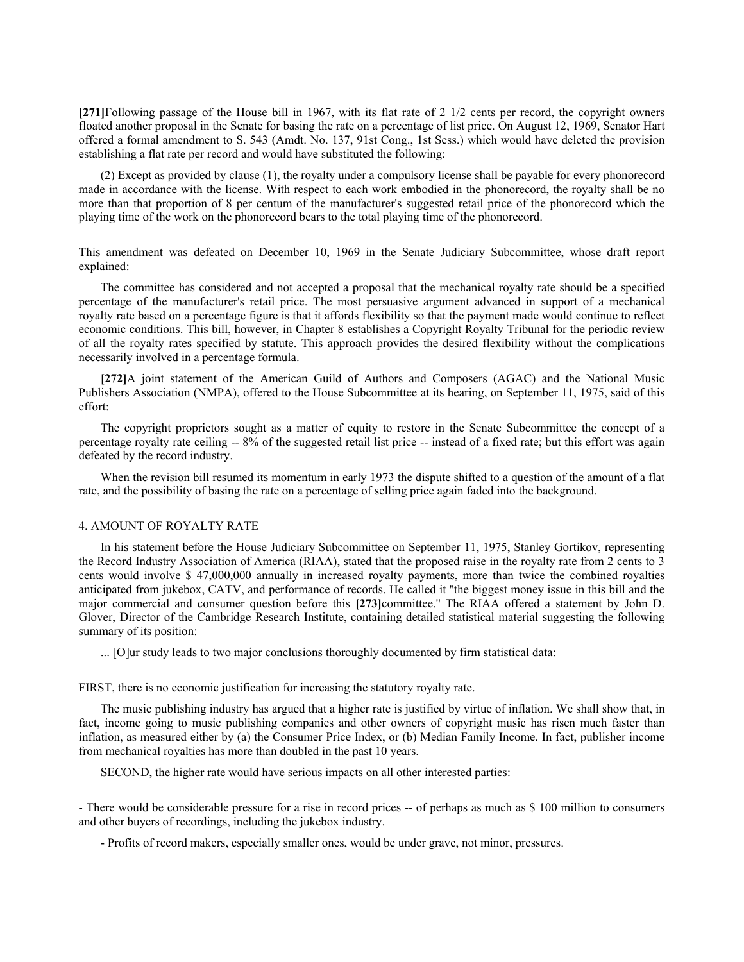**[271]**Following passage of the House bill in 1967, with its flat rate of 2 1/2 cents per record, the copyright owners floated another proposal in the Senate for basing the rate on a percentage of list price. On August 12, 1969, Senator Hart offered a formal amendment to S. 543 (Amdt. No. 137, 91st Cong., 1st Sess.) which would have deleted the provision establishing a flat rate per record and would have substituted the following:

(2) Except as provided by clause (1), the royalty under a compulsory license shall be payable for every phonorecord made in accordance with the license. With respect to each work embodied in the phonorecord, the royalty shall be no more than that proportion of 8 per centum of the manufacturer's suggested retail price of the phonorecord which the playing time of the work on the phonorecord bears to the total playing time of the phonorecord.

This amendment was defeated on December 10, 1969 in the Senate Judiciary Subcommittee, whose draft report explained:

The committee has considered and not accepted a proposal that the mechanical royalty rate should be a specified percentage of the manufacturer's retail price. The most persuasive argument advanced in support of a mechanical royalty rate based on a percentage figure is that it affords flexibility so that the payment made would continue to reflect economic conditions. This bill, however, in Chapter 8 establishes a Copyright Royalty Tribunal for the periodic review of all the royalty rates specified by statute. This approach provides the desired flexibility without the complications necessarily involved in a percentage formula.

**[272]**A joint statement of the American Guild of Authors and Composers (AGAC) and the National Music Publishers Association (NMPA), offered to the House Subcommittee at its hearing, on September 11, 1975, said of this effort:

The copyright proprietors sought as a matter of equity to restore in the Senate Subcommittee the concept of a percentage royalty rate ceiling -- 8% of the suggested retail list price -- instead of a fixed rate; but this effort was again defeated by the record industry.

When the revision bill resumed its momentum in early 1973 the dispute shifted to a question of the amount of a flat rate, and the possibility of basing the rate on a percentage of selling price again faded into the background.

### 4. AMOUNT OF ROYALTY RATE

In his statement before the House Judiciary Subcommittee on September 11, 1975, Stanley Gortikov, representing the Record Industry Association of America (RIAA), stated that the proposed raise in the royalty rate from 2 cents to 3 cents would involve \$ 47,000,000 annually in increased royalty payments, more than twice the combined royalties anticipated from jukebox, CATV, and performance of records. He called it ''the biggest money issue in this bill and the major commercial and consumer question before this **[273]**committee.'' The RIAA offered a statement by John D. Glover, Director of the Cambridge Research Institute, containing detailed statistical material suggesting the following summary of its position:

... [O]ur study leads to two major conclusions thoroughly documented by firm statistical data:

FIRST, there is no economic justification for increasing the statutory royalty rate.

The music publishing industry has argued that a higher rate is justified by virtue of inflation. We shall show that, in fact, income going to music publishing companies and other owners of copyright music has risen much faster than inflation, as measured either by (a) the Consumer Price Index, or (b) Median Family Income. In fact, publisher income from mechanical royalties has more than doubled in the past 10 years.

SECOND, the higher rate would have serious impacts on all other interested parties:

- There would be considerable pressure for a rise in record prices -- of perhaps as much as \$ 100 million to consumers and other buyers of recordings, including the jukebox industry.

- Profits of record makers, especially smaller ones, would be under grave, not minor, pressures.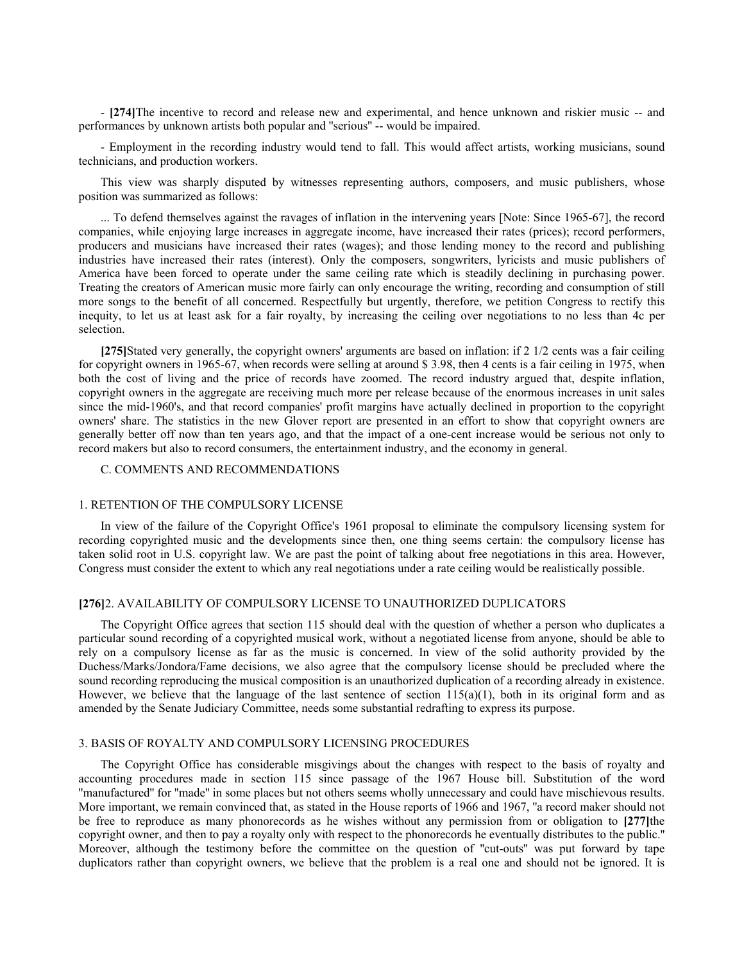- **[274]**The incentive to record and release new and experimental, and hence unknown and riskier music -- and performances by unknown artists both popular and ''serious'' -- would be impaired.

- Employment in the recording industry would tend to fall. This would affect artists, working musicians, sound technicians, and production workers.

This view was sharply disputed by witnesses representing authors, composers, and music publishers, whose position was summarized as follows:

... To defend themselves against the ravages of inflation in the intervening years [Note: Since 1965-67], the record companies, while enjoying large increases in aggregate income, have increased their rates (prices); record performers, producers and musicians have increased their rates (wages); and those lending money to the record and publishing industries have increased their rates (interest). Only the composers, songwriters, lyricists and music publishers of America have been forced to operate under the same ceiling rate which is steadily declining in purchasing power. Treating the creators of American music more fairly can only encourage the writing, recording and consumption of still more songs to the benefit of all concerned. Respectfully but urgently, therefore, we petition Congress to rectify this inequity, to let us at least ask for a fair royalty, by increasing the ceiling over negotiations to no less than 4c per selection.

**[275]**Stated very generally, the copyright owners' arguments are based on inflation: if 2 1/2 cents was a fair ceiling for copyright owners in 1965-67, when records were selling at around \$ 3.98, then 4 cents is a fair ceiling in 1975, when both the cost of living and the price of records have zoomed. The record industry argued that, despite inflation, copyright owners in the aggregate are receiving much more per release because of the enormous increases in unit sales since the mid-1960's, and that record companies' profit margins have actually declined in proportion to the copyright owners' share. The statistics in the new Glover report are presented in an effort to show that copyright owners are generally better off now than ten years ago, and that the impact of a one-cent increase would be serious not only to record makers but also to record consumers, the entertainment industry, and the economy in general.

## C. COMMENTS AND RECOMMENDATIONS

## 1. RETENTION OF THE COMPULSORY LICENSE

In view of the failure of the Copyright Office's 1961 proposal to eliminate the compulsory licensing system for recording copyrighted music and the developments since then, one thing seems certain: the compulsory license has taken solid root in U.S. copyright law. We are past the point of talking about free negotiations in this area. However, Congress must consider the extent to which any real negotiations under a rate ceiling would be realistically possible.

# **[276]**2. AVAILABILITY OF COMPULSORY LICENSE TO UNAUTHORIZED DUPLICATORS

The Copyright Office agrees that section 115 should deal with the question of whether a person who duplicates a particular sound recording of a copyrighted musical work, without a negotiated license from anyone, should be able to rely on a compulsory license as far as the music is concerned. In view of the solid authority provided by the Duchess/Marks/Jondora/Fame decisions, we also agree that the compulsory license should be precluded where the sound recording reproducing the musical composition is an unauthorized duplication of a recording already in existence. However, we believe that the language of the last sentence of section  $115(a)(1)$ , both in its original form and as amended by the Senate Judiciary Committee, needs some substantial redrafting to express its purpose.

### 3. BASIS OF ROYALTY AND COMPULSORY LICENSING PROCEDURES

The Copyright Office has considerable misgivings about the changes with respect to the basis of royalty and accounting procedures made in section 115 since passage of the 1967 House bill. Substitution of the word ''manufactured'' for ''made'' in some places but not others seems wholly unnecessary and could have mischievous results. More important, we remain convinced that, as stated in the House reports of 1966 and 1967, "a record maker should not be free to reproduce as many phonorecords as he wishes without any permission from or obligation to **[277]**the copyright owner, and then to pay a royalty only with respect to the phonorecords he eventually distributes to the public.'' Moreover, although the testimony before the committee on the question of ''cut-outs'' was put forward by tape duplicators rather than copyright owners, we believe that the problem is a real one and should not be ignored. It is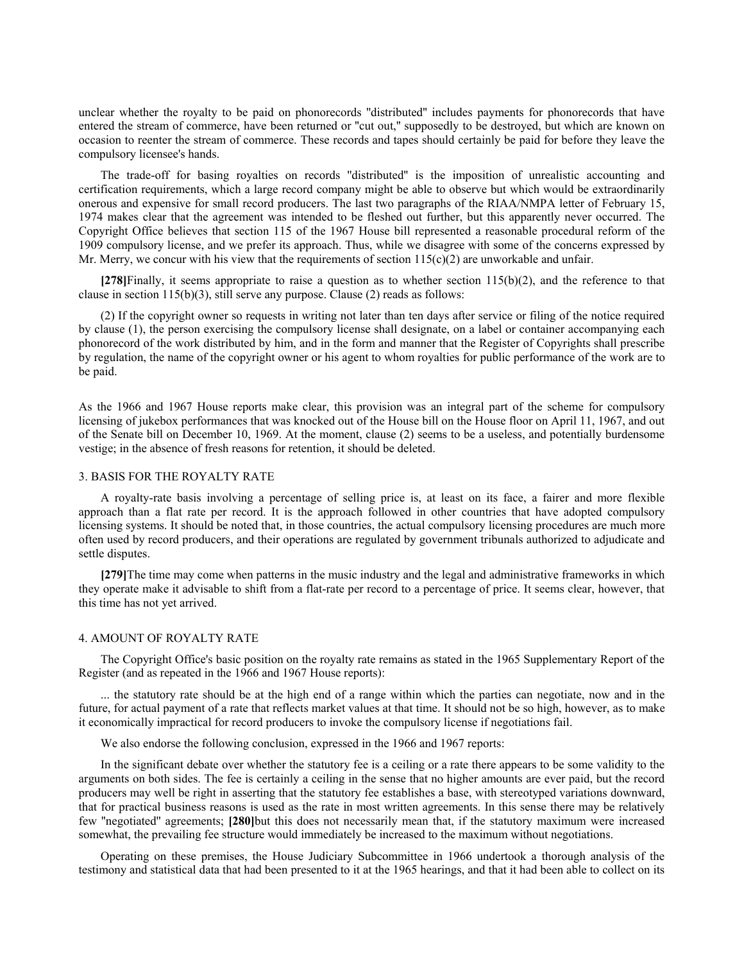unclear whether the royalty to be paid on phonorecords ''distributed'' includes payments for phonorecords that have entered the stream of commerce, have been returned or ''cut out,'' supposedly to be destroyed, but which are known on occasion to reenter the stream of commerce. These records and tapes should certainly be paid for before they leave the compulsory licensee's hands.

The trade-off for basing royalties on records ''distributed'' is the imposition of unrealistic accounting and certification requirements, which a large record company might be able to observe but which would be extraordinarily onerous and expensive for small record producers. The last two paragraphs of the RIAA/NMPA letter of February 15, 1974 makes clear that the agreement was intended to be fleshed out further, but this apparently never occurred. The Copyright Office believes that section 115 of the 1967 House bill represented a reasonable procedural reform of the 1909 compulsory license, and we prefer its approach. Thus, while we disagree with some of the concerns expressed by Mr. Merry, we concur with his view that the requirements of section  $115(c)(2)$  are unworkable and unfair.

**[278]**Finally, it seems appropriate to raise a question as to whether section 115(b)(2), and the reference to that clause in section 115(b)(3), still serve any purpose. Clause (2) reads as follows:

(2) If the copyright owner so requests in writing not later than ten days after service or filing of the notice required by clause (1), the person exercising the compulsory license shall designate, on a label or container accompanying each phonorecord of the work distributed by him, and in the form and manner that the Register of Copyrights shall prescribe by regulation, the name of the copyright owner or his agent to whom royalties for public performance of the work are to be paid.

As the 1966 and 1967 House reports make clear, this provision was an integral part of the scheme for compulsory licensing of jukebox performances that was knocked out of the House bill on the House floor on April 11, 1967, and out of the Senate bill on December 10, 1969. At the moment, clause (2) seems to be a useless, and potentially burdensome vestige; in the absence of fresh reasons for retention, it should be deleted.

# 3. BASIS FOR THE ROYALTY RATE

A royalty-rate basis involving a percentage of selling price is, at least on its face, a fairer and more flexible approach than a flat rate per record. It is the approach followed in other countries that have adopted compulsory licensing systems. It should be noted that, in those countries, the actual compulsory licensing procedures are much more often used by record producers, and their operations are regulated by government tribunals authorized to adjudicate and settle disputes.

**[279]**The time may come when patterns in the music industry and the legal and administrative frameworks in which they operate make it advisable to shift from a flat-rate per record to a percentage of price. It seems clear, however, that this time has not yet arrived.

#### 4. AMOUNT OF ROYALTY RATE

The Copyright Office's basic position on the royalty rate remains as stated in the 1965 Supplementary Report of the Register (and as repeated in the 1966 and 1967 House reports):

... the statutory rate should be at the high end of a range within which the parties can negotiate, now and in the future, for actual payment of a rate that reflects market values at that time. It should not be so high, however, as to make it economically impractical for record producers to invoke the compulsory license if negotiations fail.

We also endorse the following conclusion, expressed in the 1966 and 1967 reports:

In the significant debate over whether the statutory fee is a ceiling or a rate there appears to be some validity to the arguments on both sides. The fee is certainly a ceiling in the sense that no higher amounts are ever paid, but the record producers may well be right in asserting that the statutory fee establishes a base, with stereotyped variations downward, that for practical business reasons is used as the rate in most written agreements. In this sense there may be relatively few ''negotiated'' agreements; **[280]**but this does not necessarily mean that, if the statutory maximum were increased somewhat, the prevailing fee structure would immediately be increased to the maximum without negotiations.

Operating on these premises, the House Judiciary Subcommittee in 1966 undertook a thorough analysis of the testimony and statistical data that had been presented to it at the 1965 hearings, and that it had been able to collect on its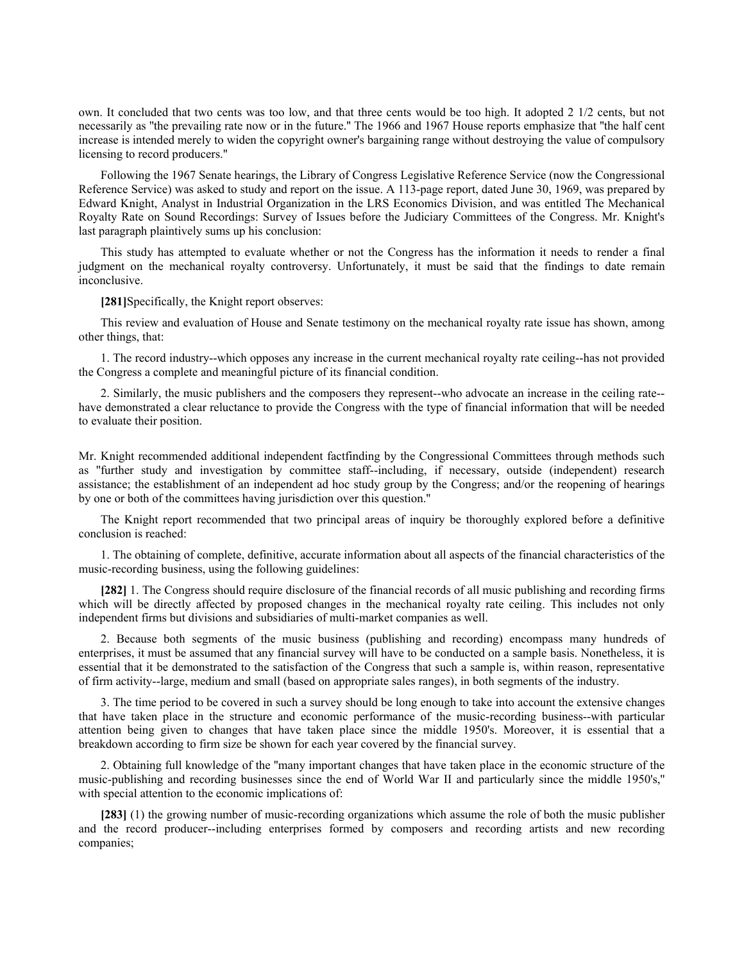own. It concluded that two cents was too low, and that three cents would be too high. It adopted 2 1/2 cents, but not necessarily as ''the prevailing rate now or in the future.'' The 1966 and 1967 House reports emphasize that ''the half cent increase is intended merely to widen the copyright owner's bargaining range without destroying the value of compulsory licensing to record producers.''

Following the 1967 Senate hearings, the Library of Congress Legislative Reference Service (now the Congressional Reference Service) was asked to study and report on the issue. A 113-page report, dated June 30, 1969, was prepared by Edward Knight, Analyst in Industrial Organization in the LRS Economics Division, and was entitled The Mechanical Royalty Rate on Sound Recordings: Survey of Issues before the Judiciary Committees of the Congress. Mr. Knight's last paragraph plaintively sums up his conclusion:

This study has attempted to evaluate whether or not the Congress has the information it needs to render a final judgment on the mechanical royalty controversy. Unfortunately, it must be said that the findings to date remain inconclusive.

**[281]**Specifically, the Knight report observes:

This review and evaluation of House and Senate testimony on the mechanical royalty rate issue has shown, among other things, that:

1. The record industry--which opposes any increase in the current mechanical royalty rate ceiling--has not provided the Congress a complete and meaningful picture of its financial condition.

2. Similarly, the music publishers and the composers they represent--who advocate an increase in the ceiling rate- have demonstrated a clear reluctance to provide the Congress with the type of financial information that will be needed to evaluate their position.

Mr. Knight recommended additional independent factfinding by the Congressional Committees through methods such as ''further study and investigation by committee staff--including, if necessary, outside (independent) research assistance; the establishment of an independent ad hoc study group by the Congress; and/or the reopening of hearings by one or both of the committees having jurisdiction over this question.''

The Knight report recommended that two principal areas of inquiry be thoroughly explored before a definitive conclusion is reached:

1. The obtaining of complete, definitive, accurate information about all aspects of the financial characteristics of the music-recording business, using the following guidelines:

**[282]** 1. The Congress should require disclosure of the financial records of all music publishing and recording firms which will be directly affected by proposed changes in the mechanical royalty rate ceiling. This includes not only independent firms but divisions and subsidiaries of multi-market companies as well.

2. Because both segments of the music business (publishing and recording) encompass many hundreds of enterprises, it must be assumed that any financial survey will have to be conducted on a sample basis. Nonetheless, it is essential that it be demonstrated to the satisfaction of the Congress that such a sample is, within reason, representative of firm activity--large, medium and small (based on appropriate sales ranges), in both segments of the industry.

3. The time period to be covered in such a survey should be long enough to take into account the extensive changes that have taken place in the structure and economic performance of the music-recording business--with particular attention being given to changes that have taken place since the middle 1950's. Moreover, it is essential that a breakdown according to firm size be shown for each year covered by the financial survey.

2. Obtaining full knowledge of the ''many important changes that have taken place in the economic structure of the music-publishing and recording businesses since the end of World War II and particularly since the middle 1950's,'' with special attention to the economic implications of:

**[283]** (1) the growing number of music-recording organizations which assume the role of both the music publisher and the record producer--including enterprises formed by composers and recording artists and new recording companies;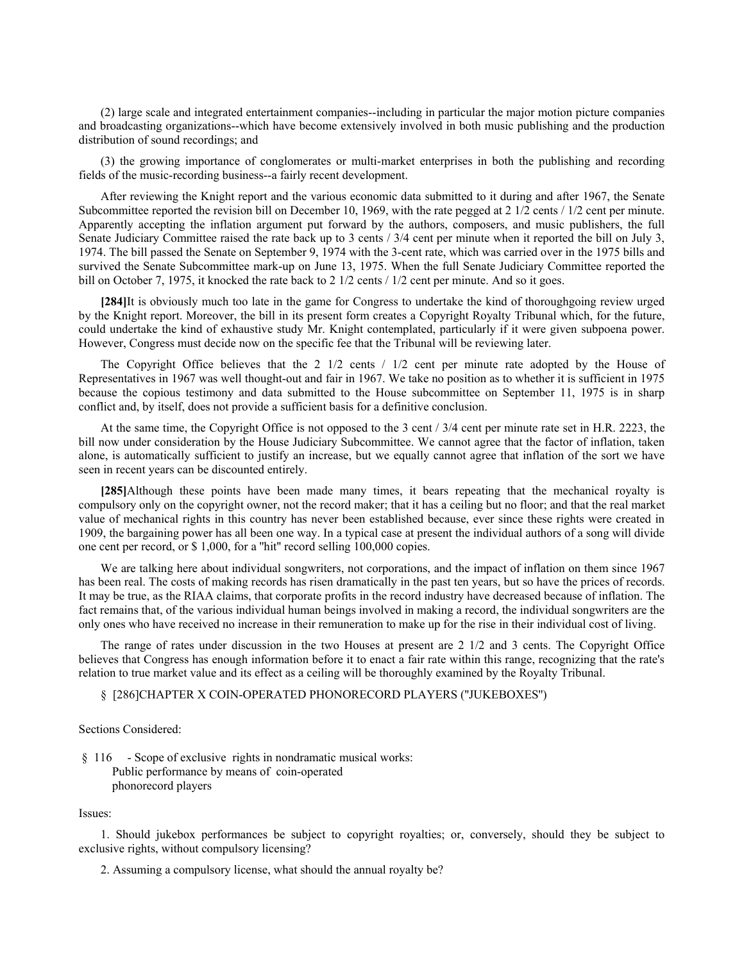(2) large scale and integrated entertainment companies--including in particular the major motion picture companies and broadcasting organizations--which have become extensively involved in both music publishing and the production distribution of sound recordings; and

(3) the growing importance of conglomerates or multi-market enterprises in both the publishing and recording fields of the music-recording business--a fairly recent development.

After reviewing the Knight report and the various economic data submitted to it during and after 1967, the Senate Subcommittee reported the revision bill on December 10, 1969, with the rate pegged at 2 1/2 cents / 1/2 cent per minute. Apparently accepting the inflation argument put forward by the authors, composers, and music publishers, the full Senate Judiciary Committee raised the rate back up to 3 cents / 3/4 cent per minute when it reported the bill on July 3, 1974. The bill passed the Senate on September 9, 1974 with the 3-cent rate, which was carried over in the 1975 bills and survived the Senate Subcommittee mark-up on June 13, 1975. When the full Senate Judiciary Committee reported the bill on October 7, 1975, it knocked the rate back to 2 1/2 cents / 1/2 cent per minute. And so it goes.

**[284]**It is obviously much too late in the game for Congress to undertake the kind of thoroughgoing review urged by the Knight report. Moreover, the bill in its present form creates a Copyright Royalty Tribunal which, for the future, could undertake the kind of exhaustive study Mr. Knight contemplated, particularly if it were given subpoena power. However, Congress must decide now on the specific fee that the Tribunal will be reviewing later.

The Copyright Office believes that the 2 1/2 cents / 1/2 cent per minute rate adopted by the House of Representatives in 1967 was well thought-out and fair in 1967. We take no position as to whether it is sufficient in 1975 because the copious testimony and data submitted to the House subcommittee on September 11, 1975 is in sharp conflict and, by itself, does not provide a sufficient basis for a definitive conclusion.

At the same time, the Copyright Office is not opposed to the 3 cent / 3/4 cent per minute rate set in H.R. 2223, the bill now under consideration by the House Judiciary Subcommittee. We cannot agree that the factor of inflation, taken alone, is automatically sufficient to justify an increase, but we equally cannot agree that inflation of the sort we have seen in recent years can be discounted entirely.

**[285]**Although these points have been made many times, it bears repeating that the mechanical royalty is compulsory only on the copyright owner, not the record maker; that it has a ceiling but no floor; and that the real market value of mechanical rights in this country has never been established because, ever since these rights were created in 1909, the bargaining power has all been one way. In a typical case at present the individual authors of a song will divide one cent per record, or \$ 1,000, for a ''hit'' record selling 100,000 copies.

We are talking here about individual songwriters, not corporations, and the impact of inflation on them since 1967 has been real. The costs of making records has risen dramatically in the past ten years, but so have the prices of records. It may be true, as the RIAA claims, that corporate profits in the record industry have decreased because of inflation. The fact remains that, of the various individual human beings involved in making a record, the individual songwriters are the only ones who have received no increase in their remuneration to make up for the rise in their individual cost of living.

The range of rates under discussion in the two Houses at present are 2 1/2 and 3 cents. The Copyright Office believes that Congress has enough information before it to enact a fair rate within this range, recognizing that the rate's relation to true market value and its effect as a ceiling will be thoroughly examined by the Royalty Tribunal.

# § [286]CHAPTER X COIN-OPERATED PHONORECORD PLAYERS (''JUKEBOXES'')

Sections Considered:

 § 116 - Scope of exclusive rights in nondramatic musical works: Public performance by means of coin-operated phonorecord players

Issues:

1. Should jukebox performances be subject to copyright royalties; or, conversely, should they be subject to exclusive rights, without compulsory licensing?

2. Assuming a compulsory license, what should the annual royalty be?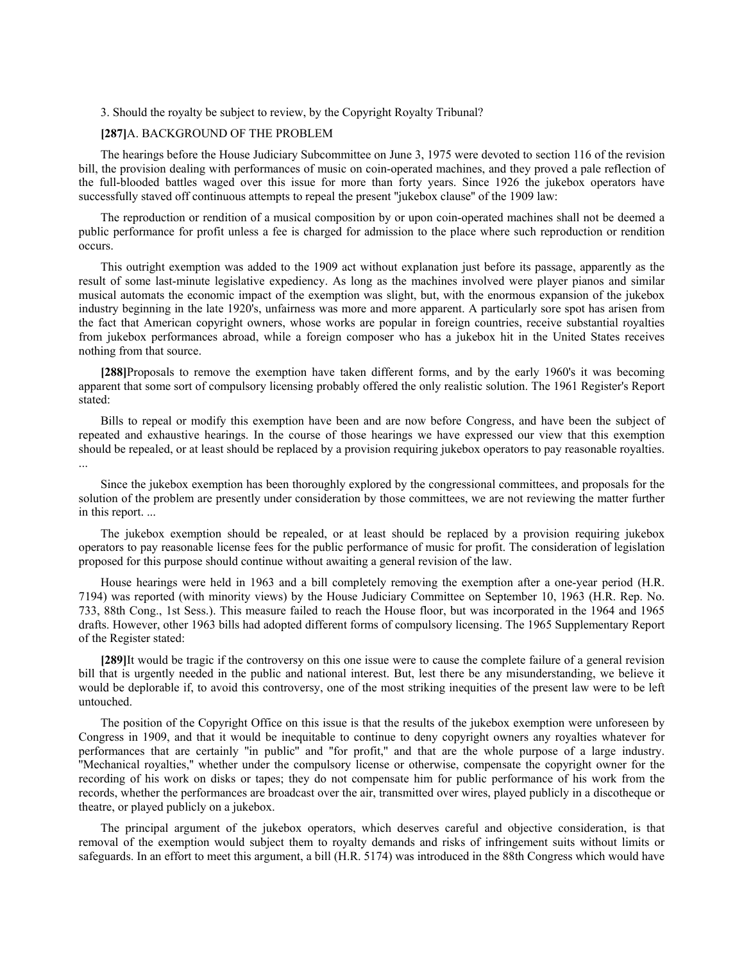# 3. Should the royalty be subject to review, by the Copyright Royalty Tribunal?

# **[287]**A. BACKGROUND OF THE PROBLEM

The hearings before the House Judiciary Subcommittee on June 3, 1975 were devoted to section 116 of the revision bill, the provision dealing with performances of music on coin-operated machines, and they proved a pale reflection of the full-blooded battles waged over this issue for more than forty years. Since 1926 the jukebox operators have successfully staved off continuous attempts to repeal the present ''jukebox clause'' of the 1909 law:

The reproduction or rendition of a musical composition by or upon coin-operated machines shall not be deemed a public performance for profit unless a fee is charged for admission to the place where such reproduction or rendition occurs.

This outright exemption was added to the 1909 act without explanation just before its passage, apparently as the result of some last-minute legislative expediency. As long as the machines involved were player pianos and similar musical automats the economic impact of the exemption was slight, but, with the enormous expansion of the jukebox industry beginning in the late 1920's, unfairness was more and more apparent. A particularly sore spot has arisen from the fact that American copyright owners, whose works are popular in foreign countries, receive substantial royalties from jukebox performances abroad, while a foreign composer who has a jukebox hit in the United States receives nothing from that source.

**[288]**Proposals to remove the exemption have taken different forms, and by the early 1960's it was becoming apparent that some sort of compulsory licensing probably offered the only realistic solution. The 1961 Register's Report stated:

Bills to repeal or modify this exemption have been and are now before Congress, and have been the subject of repeated and exhaustive hearings. In the course of those hearings we have expressed our view that this exemption should be repealed, or at least should be replaced by a provision requiring jukebox operators to pay reasonable royalties. ...

Since the jukebox exemption has been thoroughly explored by the congressional committees, and proposals for the solution of the problem are presently under consideration by those committees, we are not reviewing the matter further in this report. ...

The jukebox exemption should be repealed, or at least should be replaced by a provision requiring jukebox operators to pay reasonable license fees for the public performance of music for profit. The consideration of legislation proposed for this purpose should continue without awaiting a general revision of the law.

House hearings were held in 1963 and a bill completely removing the exemption after a one-year period (H.R. 7194) was reported (with minority views) by the House Judiciary Committee on September 10, 1963 (H.R. Rep. No. 733, 88th Cong., 1st Sess.). This measure failed to reach the House floor, but was incorporated in the 1964 and 1965 drafts. However, other 1963 bills had adopted different forms of compulsory licensing. The 1965 Supplementary Report of the Register stated:

**[289]**It would be tragic if the controversy on this one issue were to cause the complete failure of a general revision bill that is urgently needed in the public and national interest. But, lest there be any misunderstanding, we believe it would be deplorable if, to avoid this controversy, one of the most striking inequities of the present law were to be left untouched.

The position of the Copyright Office on this issue is that the results of the jukebox exemption were unforeseen by Congress in 1909, and that it would be inequitable to continue to deny copyright owners any royalties whatever for performances that are certainly ''in public'' and ''for profit,'' and that are the whole purpose of a large industry. ''Mechanical royalties,'' whether under the compulsory license or otherwise, compensate the copyright owner for the recording of his work on disks or tapes; they do not compensate him for public performance of his work from the records, whether the performances are broadcast over the air, transmitted over wires, played publicly in a discotheque or theatre, or played publicly on a jukebox.

The principal argument of the jukebox operators, which deserves careful and objective consideration, is that removal of the exemption would subject them to royalty demands and risks of infringement suits without limits or safeguards. In an effort to meet this argument, a bill (H.R. 5174) was introduced in the 88th Congress which would have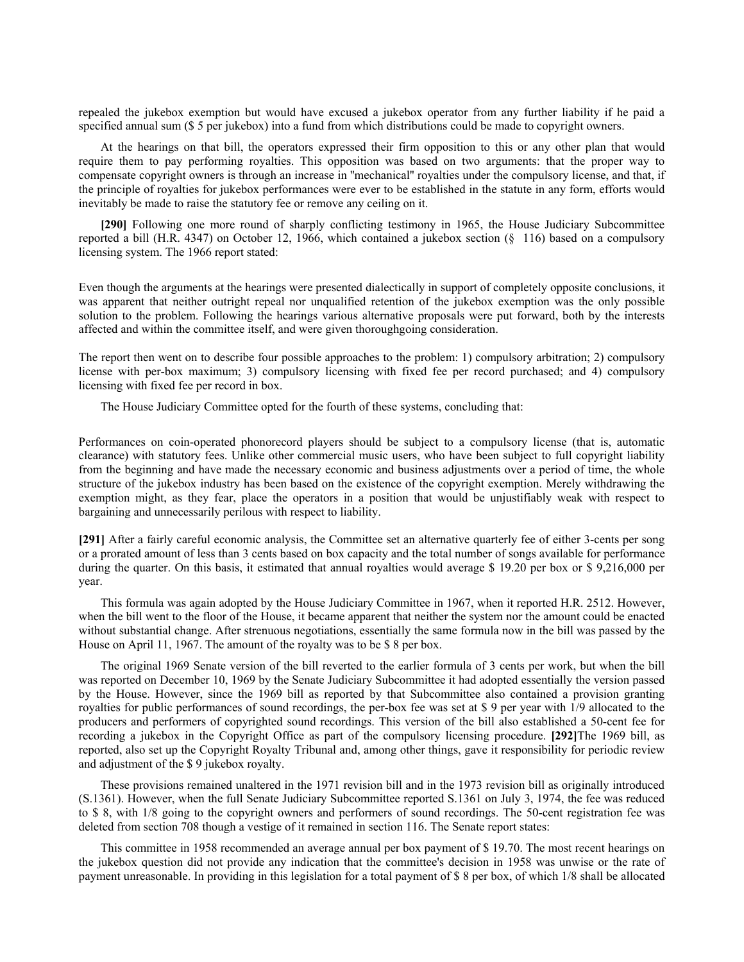repealed the jukebox exemption but would have excused a jukebox operator from any further liability if he paid a specified annual sum (\$ 5 per jukebox) into a fund from which distributions could be made to copyright owners.

At the hearings on that bill, the operators expressed their firm opposition to this or any other plan that would require them to pay performing royalties. This opposition was based on two arguments: that the proper way to compensate copyright owners is through an increase in ''mechanical'' royalties under the compulsory license, and that, if the principle of royalties for jukebox performances were ever to be established in the statute in any form, efforts would inevitably be made to raise the statutory fee or remove any ceiling on it.

**[290]** Following one more round of sharply conflicting testimony in 1965, the House Judiciary Subcommittee reported a bill (H.R. 4347) on October 12, 1966, which contained a jukebox section (§ 116) based on a compulsory licensing system. The 1966 report stated:

Even though the arguments at the hearings were presented dialectically in support of completely opposite conclusions, it was apparent that neither outright repeal nor unqualified retention of the jukebox exemption was the only possible solution to the problem. Following the hearings various alternative proposals were put forward, both by the interests affected and within the committee itself, and were given thoroughgoing consideration.

The report then went on to describe four possible approaches to the problem: 1) compulsory arbitration; 2) compulsory license with per-box maximum; 3) compulsory licensing with fixed fee per record purchased; and 4) compulsory licensing with fixed fee per record in box.

The House Judiciary Committee opted for the fourth of these systems, concluding that:

Performances on coin-operated phonorecord players should be subject to a compulsory license (that is, automatic clearance) with statutory fees. Unlike other commercial music users, who have been subject to full copyright liability from the beginning and have made the necessary economic and business adjustments over a period of time, the whole structure of the jukebox industry has been based on the existence of the copyright exemption. Merely withdrawing the exemption might, as they fear, place the operators in a position that would be unjustifiably weak with respect to bargaining and unnecessarily perilous with respect to liability.

**[291]** After a fairly careful economic analysis, the Committee set an alternative quarterly fee of either 3-cents per song or a prorated amount of less than 3 cents based on box capacity and the total number of songs available for performance during the quarter. On this basis, it estimated that annual royalties would average \$ 19.20 per box or \$ 9,216,000 per year.

This formula was again adopted by the House Judiciary Committee in 1967, when it reported H.R. 2512. However, when the bill went to the floor of the House, it became apparent that neither the system nor the amount could be enacted without substantial change. After strenuous negotiations, essentially the same formula now in the bill was passed by the House on April 11, 1967. The amount of the royalty was to be \$ 8 per box.

The original 1969 Senate version of the bill reverted to the earlier formula of 3 cents per work, but when the bill was reported on December 10, 1969 by the Senate Judiciary Subcommittee it had adopted essentially the version passed by the House. However, since the 1969 bill as reported by that Subcommittee also contained a provision granting royalties for public performances of sound recordings, the per-box fee was set at \$9 per year with 1/9 allocated to the producers and performers of copyrighted sound recordings. This version of the bill also established a 50-cent fee for recording a jukebox in the Copyright Office as part of the compulsory licensing procedure. **[292]**The 1969 bill, as reported, also set up the Copyright Royalty Tribunal and, among other things, gave it responsibility for periodic review and adjustment of the \$ 9 jukebox royalty.

These provisions remained unaltered in the 1971 revision bill and in the 1973 revision bill as originally introduced (S.1361). However, when the full Senate Judiciary Subcommittee reported S.1361 on July 3, 1974, the fee was reduced to \$ 8, with 1/8 going to the copyright owners and performers of sound recordings. The 50-cent registration fee was deleted from section 708 though a vestige of it remained in section 116. The Senate report states:

This committee in 1958 recommended an average annual per box payment of \$ 19.70. The most recent hearings on the jukebox question did not provide any indication that the committee's decision in 1958 was unwise or the rate of payment unreasonable. In providing in this legislation for a total payment of \$ 8 per box, of which 1/8 shall be allocated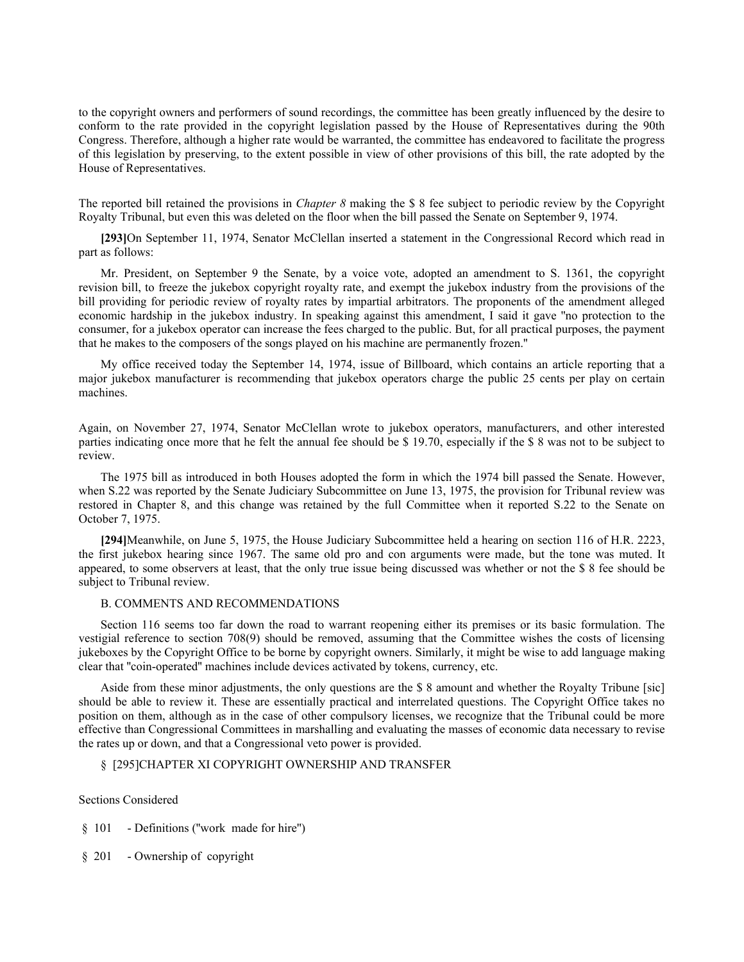to the copyright owners and performers of sound recordings, the committee has been greatly influenced by the desire to conform to the rate provided in the copyright legislation passed by the House of Representatives during the 90th Congress. Therefore, although a higher rate would be warranted, the committee has endeavored to facilitate the progress of this legislation by preserving, to the extent possible in view of other provisions of this bill, the rate adopted by the House of Representatives.

The reported bill retained the provisions in *Chapter 8* making the \$ 8 fee subject to periodic review by the Copyright Royalty Tribunal, but even this was deleted on the floor when the bill passed the Senate on September 9, 1974.

**[293]**On September 11, 1974, Senator McClellan inserted a statement in the Congressional Record which read in part as follows:

Mr. President, on September 9 the Senate, by a voice vote, adopted an amendment to S. 1361, the copyright revision bill, to freeze the jukebox copyright royalty rate, and exempt the jukebox industry from the provisions of the bill providing for periodic review of royalty rates by impartial arbitrators. The proponents of the amendment alleged economic hardship in the jukebox industry. In speaking against this amendment, I said it gave ''no protection to the consumer, for a jukebox operator can increase the fees charged to the public. But, for all practical purposes, the payment that he makes to the composers of the songs played on his machine are permanently frozen.''

My office received today the September 14, 1974, issue of Billboard, which contains an article reporting that a major jukebox manufacturer is recommending that jukebox operators charge the public 25 cents per play on certain machines.

Again, on November 27, 1974, Senator McClellan wrote to jukebox operators, manufacturers, and other interested parties indicating once more that he felt the annual fee should be \$ 19.70, especially if the \$ 8 was not to be subject to review.

The 1975 bill as introduced in both Houses adopted the form in which the 1974 bill passed the Senate. However, when S.22 was reported by the Senate Judiciary Subcommittee on June 13, 1975, the provision for Tribunal review was restored in Chapter 8, and this change was retained by the full Committee when it reported S.22 to the Senate on October 7, 1975.

**[294]**Meanwhile, on June 5, 1975, the House Judiciary Subcommittee held a hearing on section 116 of H.R. 2223, the first jukebox hearing since 1967. The same old pro and con arguments were made, but the tone was muted. It appeared, to some observers at least, that the only true issue being discussed was whether or not the \$ 8 fee should be subject to Tribunal review.

# B. COMMENTS AND RECOMMENDATIONS

Section 116 seems too far down the road to warrant reopening either its premises or its basic formulation. The vestigial reference to section 708(9) should be removed, assuming that the Committee wishes the costs of licensing jukeboxes by the Copyright Office to be borne by copyright owners. Similarly, it might be wise to add language making clear that ''coin-operated'' machines include devices activated by tokens, currency, etc.

Aside from these minor adjustments, the only questions are the \$ 8 amount and whether the Royalty Tribune [sic] should be able to review it. These are essentially practical and interrelated questions. The Copyright Office takes no position on them, although as in the case of other compulsory licenses, we recognize that the Tribunal could be more effective than Congressional Committees in marshalling and evaluating the masses of economic data necessary to revise the rates up or down, and that a Congressional veto power is provided.

### § [295]CHAPTER XI COPYRIGHT OWNERSHIP AND TRANSFER

Sections Considered

- § 101 Definitions (''work made for hire'')
- § 201 Ownership of copyright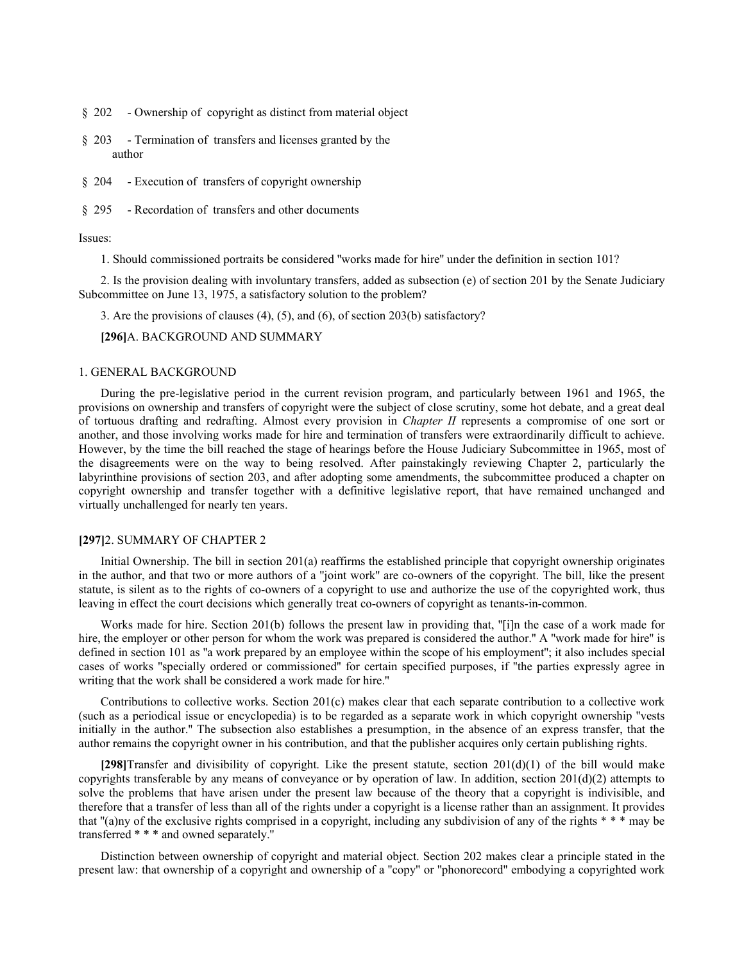§ 202 - Ownership of copyright as distinct from material object

- § 203 Termination of transfers and licenses granted by the author
- § 204 Execution of transfers of copyright ownership
- § 295 Recordation of transfers and other documents

### Issues:

1. Should commissioned portraits be considered ''works made for hire'' under the definition in section 101?

2. Is the provision dealing with involuntary transfers, added as subsection (e) of section 201 by the Senate Judiciary Subcommittee on June 13, 1975, a satisfactory solution to the problem?

3. Are the provisions of clauses (4), (5), and (6), of section 203(b) satisfactory?

#### **[296]**A. BACKGROUND AND SUMMARY

#### 1. GENERAL BACKGROUND

During the pre-legislative period in the current revision program, and particularly between 1961 and 1965, the provisions on ownership and transfers of copyright were the subject of close scrutiny, some hot debate, and a great deal of tortuous drafting and redrafting. Almost every provision in *Chapter II* represents a compromise of one sort or another, and those involving works made for hire and termination of transfers were extraordinarily difficult to achieve. However, by the time the bill reached the stage of hearings before the House Judiciary Subcommittee in 1965, most of the disagreements were on the way to being resolved. After painstakingly reviewing Chapter 2, particularly the labyrinthine provisions of section 203, and after adopting some amendments, the subcommittee produced a chapter on copyright ownership and transfer together with a definitive legislative report, that have remained unchanged and virtually unchallenged for nearly ten years.

## **[297]**2. SUMMARY OF CHAPTER 2

Initial Ownership. The bill in section 201(a) reaffirms the established principle that copyright ownership originates in the author, and that two or more authors of a ''joint work'' are co-owners of the copyright. The bill, like the present statute, is silent as to the rights of co-owners of a copyright to use and authorize the use of the copyrighted work, thus leaving in effect the court decisions which generally treat co-owners of copyright as tenants-in-common.

Works made for hire. Section 201(b) follows the present law in providing that, ''[i]n the case of a work made for hire, the employer or other person for whom the work was prepared is considered the author." A "work made for hire" is defined in section 101 as "a work prepared by an employee within the scope of his employment"; it also includes special cases of works ''specially ordered or commissioned'' for certain specified purposes, if ''the parties expressly agree in writing that the work shall be considered a work made for hire.''

Contributions to collective works. Section 201(c) makes clear that each separate contribution to a collective work (such as a periodical issue or encyclopedia) is to be regarded as a separate work in which copyright ownership ''vests initially in the author.'' The subsection also establishes a presumption, in the absence of an express transfer, that the author remains the copyright owner in his contribution, and that the publisher acquires only certain publishing rights.

**[298]**Transfer and divisibility of copyright. Like the present statute, section 201(d)(1) of the bill would make copyrights transferable by any means of conveyance or by operation of law. In addition, section  $201(d)(2)$  attempts to solve the problems that have arisen under the present law because of the theory that a copyright is indivisible, and therefore that a transfer of less than all of the rights under a copyright is a license rather than an assignment. It provides that ''(a)ny of the exclusive rights comprised in a copyright, including any subdivision of any of the rights \* \* \* may be transferred \* \* \* and owned separately.''

Distinction between ownership of copyright and material object. Section 202 makes clear a principle stated in the present law: that ownership of a copyright and ownership of a ''copy'' or ''phonorecord'' embodying a copyrighted work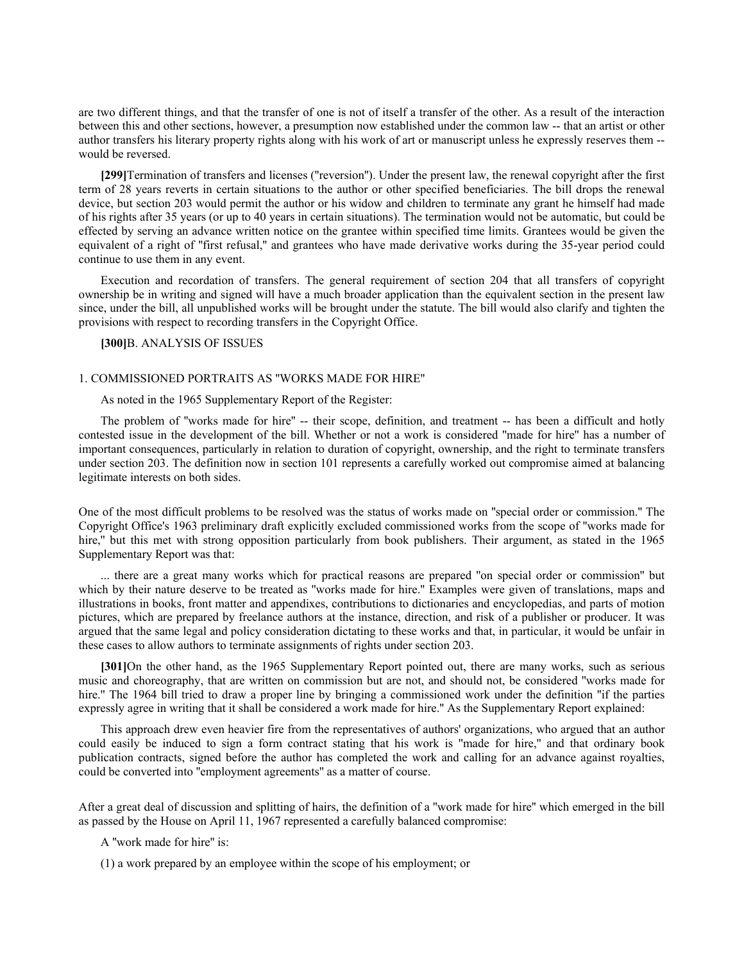are two different things, and that the transfer of one is not of itself a transfer of the other. As a result of the interaction between this and other sections, however, a presumption now established under the common law -- that an artist or other author transfers his literary property rights along with his work of art or manuscript unless he expressly reserves them - would be reversed.

**[299]**Termination of transfers and licenses (''reversion''). Under the present law, the renewal copyright after the first term of 28 years reverts in certain situations to the author or other specified beneficiaries. The bill drops the renewal device, but section 203 would permit the author or his widow and children to terminate any grant he himself had made of his rights after 35 years (or up to 40 years in certain situations). The termination would not be automatic, but could be effected by serving an advance written notice on the grantee within specified time limits. Grantees would be given the equivalent of a right of ''first refusal,'' and grantees who have made derivative works during the 35-year period could continue to use them in any event.

Execution and recordation of transfers. The general requirement of section 204 that all transfers of copyright ownership be in writing and signed will have a much broader application than the equivalent section in the present law since, under the bill, all unpublished works will be brought under the statute. The bill would also clarify and tighten the provisions with respect to recording transfers in the Copyright Office.

**[300]**B. ANALYSIS OF ISSUES

#### 1. COMMISSIONED PORTRAITS AS ''WORKS MADE FOR HIRE''

As noted in the 1965 Supplementary Report of the Register:

The problem of ''works made for hire'' -- their scope, definition, and treatment -- has been a difficult and hotly contested issue in the development of the bill. Whether or not a work is considered ''made for hire'' has a number of important consequences, particularly in relation to duration of copyright, ownership, and the right to terminate transfers under section 203. The definition now in section 101 represents a carefully worked out compromise aimed at balancing legitimate interests on both sides.

One of the most difficult problems to be resolved was the status of works made on ''special order or commission.'' The Copyright Office's 1963 preliminary draft explicitly excluded commissioned works from the scope of ''works made for hire," but this met with strong opposition particularly from book publishers. Their argument, as stated in the 1965 Supplementary Report was that:

... there are a great many works which for practical reasons are prepared ''on special order or commission'' but which by their nature deserve to be treated as "works made for hire." Examples were given of translations, maps and illustrations in books, front matter and appendixes, contributions to dictionaries and encyclopedias, and parts of motion pictures, which are prepared by freelance authors at the instance, direction, and risk of a publisher or producer. It was argued that the same legal and policy consideration dictating to these works and that, in particular, it would be unfair in these cases to allow authors to terminate assignments of rights under section 203.

**[301]**On the other hand, as the 1965 Supplementary Report pointed out, there are many works, such as serious music and choreography, that are written on commission but are not, and should not, be considered ''works made for hire.'' The 1964 bill tried to draw a proper line by bringing a commissioned work under the definition ''if the parties expressly agree in writing that it shall be considered a work made for hire.'' As the Supplementary Report explained:

This approach drew even heavier fire from the representatives of authors' organizations, who argued that an author could easily be induced to sign a form contract stating that his work is ''made for hire,'' and that ordinary book publication contracts, signed before the author has completed the work and calling for an advance against royalties, could be converted into ''employment agreements'' as a matter of course.

After a great deal of discussion and splitting of hairs, the definition of a ''work made for hire'' which emerged in the bill as passed by the House on April 11, 1967 represented a carefully balanced compromise:

A ''work made for hire'' is:

(1) a work prepared by an employee within the scope of his employment; or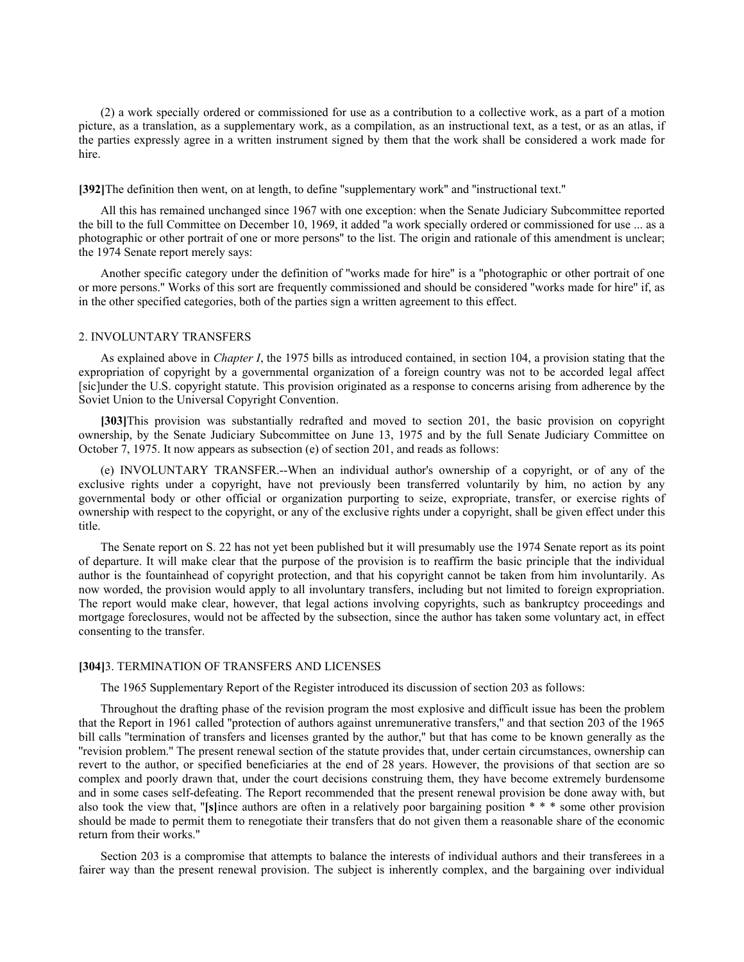(2) a work specially ordered or commissioned for use as a contribution to a collective work, as a part of a motion picture, as a translation, as a supplementary work, as a compilation, as an instructional text, as a test, or as an atlas, if the parties expressly agree in a written instrument signed by them that the work shall be considered a work made for hire.

**[392]**The definition then went, on at length, to define ''supplementary work'' and ''instructional text.''

All this has remained unchanged since 1967 with one exception: when the Senate Judiciary Subcommittee reported the bill to the full Committee on December 10, 1969, it added ''a work specially ordered or commissioned for use ... as a photographic or other portrait of one or more persons'' to the list. The origin and rationale of this amendment is unclear; the 1974 Senate report merely says:

Another specific category under the definition of ''works made for hire'' is a ''photographic or other portrait of one or more persons.'' Works of this sort are frequently commissioned and should be considered ''works made for hire'' if, as in the other specified categories, both of the parties sign a written agreement to this effect.

#### 2. INVOLUNTARY TRANSFERS

As explained above in *Chapter I*, the 1975 bills as introduced contained, in section 104, a provision stating that the expropriation of copyright by a governmental organization of a foreign country was not to be accorded legal affect [sic]under the U.S. copyright statute. This provision originated as a response to concerns arising from adherence by the Soviet Union to the Universal Copyright Convention.

**[303]**This provision was substantially redrafted and moved to section 201, the basic provision on copyright ownership, by the Senate Judiciary Subcommittee on June 13, 1975 and by the full Senate Judiciary Committee on October 7, 1975. It now appears as subsection (e) of section 201, and reads as follows:

(e) INVOLUNTARY TRANSFER.--When an individual author's ownership of a copyright, or of any of the exclusive rights under a copyright, have not previously been transferred voluntarily by him, no action by any governmental body or other official or organization purporting to seize, expropriate, transfer, or exercise rights of ownership with respect to the copyright, or any of the exclusive rights under a copyright, shall be given effect under this title.

The Senate report on S. 22 has not yet been published but it will presumably use the 1974 Senate report as its point of departure. It will make clear that the purpose of the provision is to reaffirm the basic principle that the individual author is the fountainhead of copyright protection, and that his copyright cannot be taken from him involuntarily. As now worded, the provision would apply to all involuntary transfers, including but not limited to foreign expropriation. The report would make clear, however, that legal actions involving copyrights, such as bankruptcy proceedings and mortgage foreclosures, would not be affected by the subsection, since the author has taken some voluntary act, in effect consenting to the transfer.

#### **[304]**3. TERMINATION OF TRANSFERS AND LICENSES

The 1965 Supplementary Report of the Register introduced its discussion of section 203 as follows:

Throughout the drafting phase of the revision program the most explosive and difficult issue has been the problem that the Report in 1961 called ''protection of authors against unremunerative transfers,'' and that section 203 of the 1965 bill calls ''termination of transfers and licenses granted by the author,'' but that has come to be known generally as the ''revision problem.'' The present renewal section of the statute provides that, under certain circumstances, ownership can revert to the author, or specified beneficiaries at the end of 28 years. However, the provisions of that section are so complex and poorly drawn that, under the court decisions construing them, they have become extremely burdensome and in some cases self-defeating. The Report recommended that the present renewal provision be done away with, but also took the view that, ''**[s]**ince authors are often in a relatively poor bargaining position \* \* \* some other provision should be made to permit them to renegotiate their transfers that do not given them a reasonable share of the economic return from their works.''

Section 203 is a compromise that attempts to balance the interests of individual authors and their transferees in a fairer way than the present renewal provision. The subject is inherently complex, and the bargaining over individual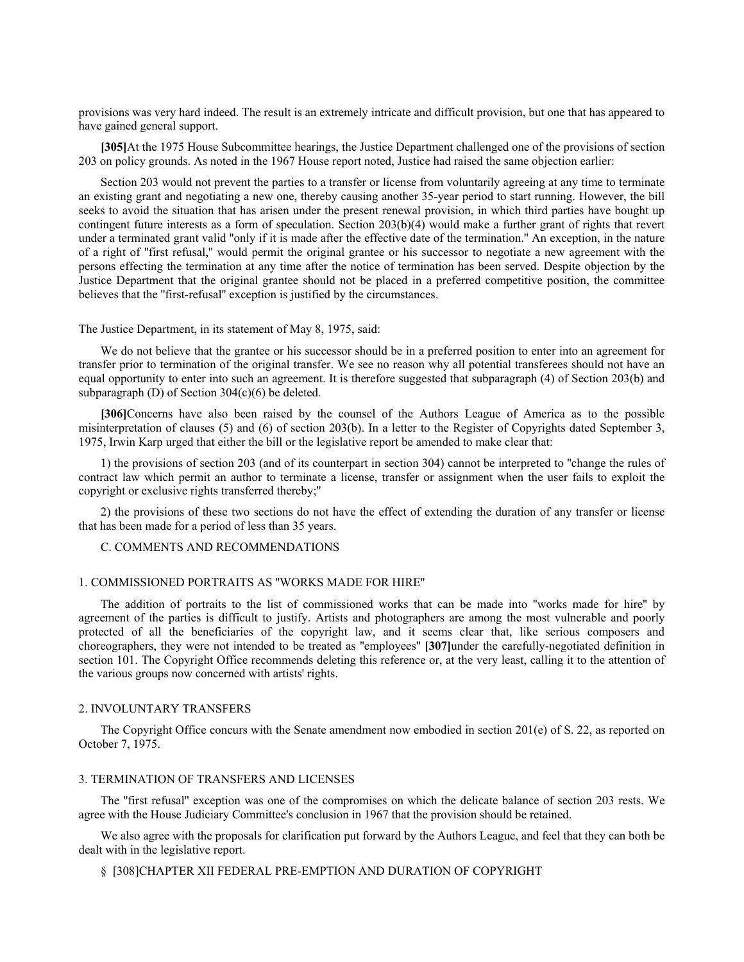provisions was very hard indeed. The result is an extremely intricate and difficult provision, but one that has appeared to have gained general support.

**[305]**At the 1975 House Subcommittee hearings, the Justice Department challenged one of the provisions of section 203 on policy grounds. As noted in the 1967 House report noted, Justice had raised the same objection earlier:

Section 203 would not prevent the parties to a transfer or license from voluntarily agreeing at any time to terminate an existing grant and negotiating a new one, thereby causing another 35-year period to start running. However, the bill seeks to avoid the situation that has arisen under the present renewal provision, in which third parties have bought up contingent future interests as a form of speculation. Section 203(b)(4) would make a further grant of rights that revert under a terminated grant valid ''only if it is made after the effective date of the termination.'' An exception, in the nature of a right of ''first refusal,'' would permit the original grantee or his successor to negotiate a new agreement with the persons effecting the termination at any time after the notice of termination has been served. Despite objection by the Justice Department that the original grantee should not be placed in a preferred competitive position, the committee believes that the ''first-refusal'' exception is justified by the circumstances.

### The Justice Department, in its statement of May 8, 1975, said:

We do not believe that the grantee or his successor should be in a preferred position to enter into an agreement for transfer prior to termination of the original transfer. We see no reason why all potential transferees should not have an equal opportunity to enter into such an agreement. It is therefore suggested that subparagraph (4) of Section 203(b) and subparagraph (D) of Section 304(c)(6) be deleted.

**[306]**Concerns have also been raised by the counsel of the Authors League of America as to the possible misinterpretation of clauses (5) and (6) of section 203(b). In a letter to the Register of Copyrights dated September 3, 1975, Irwin Karp urged that either the bill or the legislative report be amended to make clear that:

1) the provisions of section 203 (and of its counterpart in section 304) cannot be interpreted to ''change the rules of contract law which permit an author to terminate a license, transfer or assignment when the user fails to exploit the copyright or exclusive rights transferred thereby;''

2) the provisions of these two sections do not have the effect of extending the duration of any transfer or license that has been made for a period of less than 35 years.

# C. COMMENTS AND RECOMMENDATIONS

# 1. COMMISSIONED PORTRAITS AS ''WORKS MADE FOR HIRE''

The addition of portraits to the list of commissioned works that can be made into ''works made for hire'' by agreement of the parties is difficult to justify. Artists and photographers are among the most vulnerable and poorly protected of all the beneficiaries of the copyright law, and it seems clear that, like serious composers and choreographers, they were not intended to be treated as ''employees'' **[307]**under the carefully-negotiated definition in section 101. The Copyright Office recommends deleting this reference or, at the very least, calling it to the attention of the various groups now concerned with artists' rights.

# 2. INVOLUNTARY TRANSFERS

The Copyright Office concurs with the Senate amendment now embodied in section 201(e) of S. 22, as reported on October 7, 1975.

#### 3. TERMINATION OF TRANSFERS AND LICENSES

The ''first refusal'' exception was one of the compromises on which the delicate balance of section 203 rests. We agree with the House Judiciary Committee's conclusion in 1967 that the provision should be retained.

We also agree with the proposals for clarification put forward by the Authors League, and feel that they can both be dealt with in the legislative report.

§ [308]CHAPTER XII FEDERAL PRE-EMPTION AND DURATION OF COPYRIGHT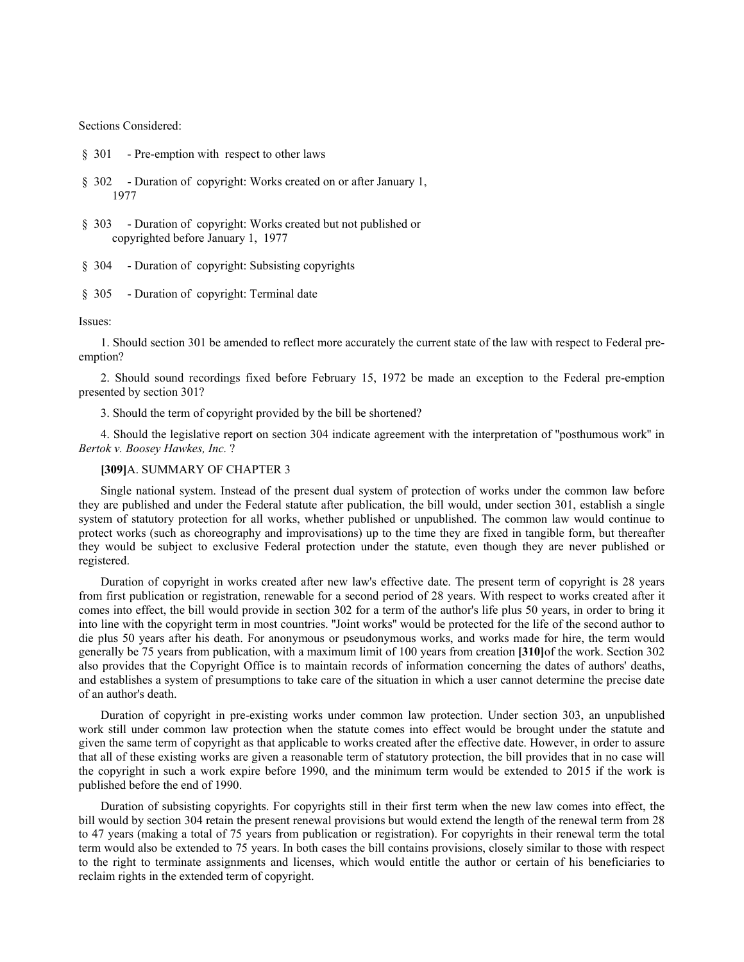Sections Considered:

§ 301 - Pre-emption with respect to other laws

- § 302 Duration of copyright: Works created on or after January 1, 1977
- § 303 Duration of copyright: Works created but not published or copyrighted before January 1, 1977

§ 304 - Duration of copyright: Subsisting copyrights

§ 305 - Duration of copyright: Terminal date

Issues:

1. Should section 301 be amended to reflect more accurately the current state of the law with respect to Federal preemption?

2. Should sound recordings fixed before February 15, 1972 be made an exception to the Federal pre-emption presented by section 301?

3. Should the term of copyright provided by the bill be shortened?

4. Should the legislative report on section 304 indicate agreement with the interpretation of ''posthumous work'' in *Bertok v. Boosey Hawkes, Inc.* ?

# **[309]**A. SUMMARY OF CHAPTER 3

Single national system. Instead of the present dual system of protection of works under the common law before they are published and under the Federal statute after publication, the bill would, under section 301, establish a single system of statutory protection for all works, whether published or unpublished. The common law would continue to protect works (such as choreography and improvisations) up to the time they are fixed in tangible form, but thereafter they would be subject to exclusive Federal protection under the statute, even though they are never published or registered.

Duration of copyright in works created after new law's effective date. The present term of copyright is 28 years from first publication or registration, renewable for a second period of 28 years. With respect to works created after it comes into effect, the bill would provide in section 302 for a term of the author's life plus 50 years, in order to bring it into line with the copyright term in most countries. ''Joint works'' would be protected for the life of the second author to die plus 50 years after his death. For anonymous or pseudonymous works, and works made for hire, the term would generally be 75 years from publication, with a maximum limit of 100 years from creation **[310]**of the work. Section 302 also provides that the Copyright Office is to maintain records of information concerning the dates of authors' deaths, and establishes a system of presumptions to take care of the situation in which a user cannot determine the precise date of an author's death.

Duration of copyright in pre-existing works under common law protection. Under section 303, an unpublished work still under common law protection when the statute comes into effect would be brought under the statute and given the same term of copyright as that applicable to works created after the effective date. However, in order to assure that all of these existing works are given a reasonable term of statutory protection, the bill provides that in no case will the copyright in such a work expire before 1990, and the minimum term would be extended to 2015 if the work is published before the end of 1990.

Duration of subsisting copyrights. For copyrights still in their first term when the new law comes into effect, the bill would by section 304 retain the present renewal provisions but would extend the length of the renewal term from 28 to 47 years (making a total of 75 years from publication or registration). For copyrights in their renewal term the total term would also be extended to 75 years. In both cases the bill contains provisions, closely similar to those with respect to the right to terminate assignments and licenses, which would entitle the author or certain of his beneficiaries to reclaim rights in the extended term of copyright.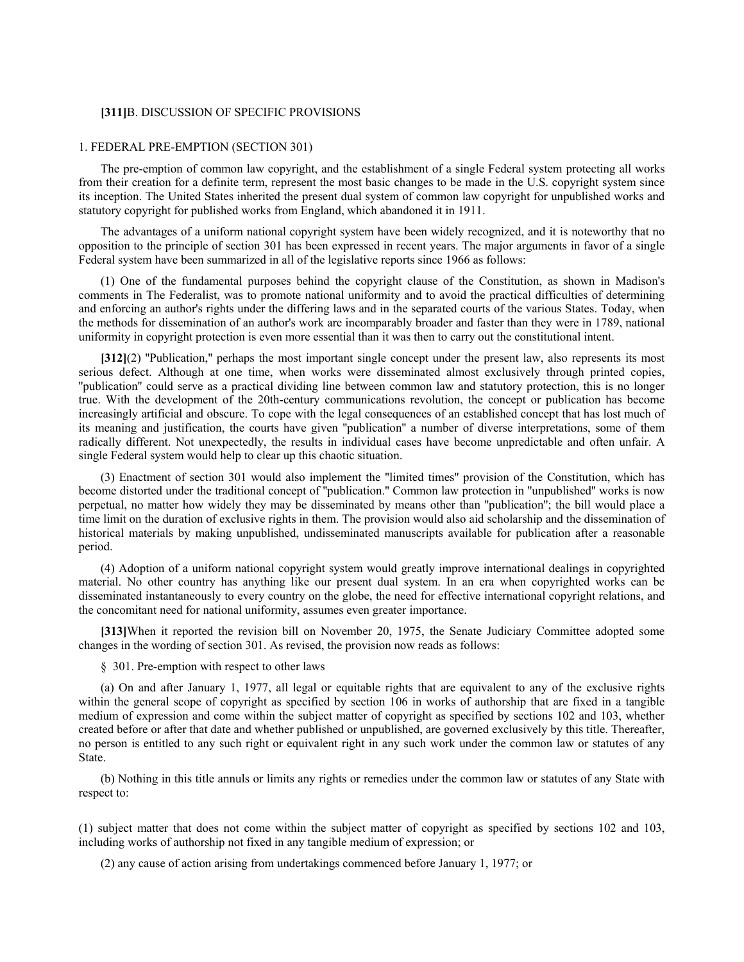### **[311]**B. DISCUSSION OF SPECIFIC PROVISIONS

## 1. FEDERAL PRE-EMPTION (SECTION 301)

The pre-emption of common law copyright, and the establishment of a single Federal system protecting all works from their creation for a definite term, represent the most basic changes to be made in the U.S. copyright system since its inception. The United States inherited the present dual system of common law copyright for unpublished works and statutory copyright for published works from England, which abandoned it in 1911.

The advantages of a uniform national copyright system have been widely recognized, and it is noteworthy that no opposition to the principle of section 301 has been expressed in recent years. The major arguments in favor of a single Federal system have been summarized in all of the legislative reports since 1966 as follows:

(1) One of the fundamental purposes behind the copyright clause of the Constitution, as shown in Madison's comments in The Federalist, was to promote national uniformity and to avoid the practical difficulties of determining and enforcing an author's rights under the differing laws and in the separated courts of the various States. Today, when the methods for dissemination of an author's work are incomparably broader and faster than they were in 1789, national uniformity in copyright protection is even more essential than it was then to carry out the constitutional intent.

**[312]**(2) ''Publication,'' perhaps the most important single concept under the present law, also represents its most serious defect. Although at one time, when works were disseminated almost exclusively through printed copies, ''publication'' could serve as a practical dividing line between common law and statutory protection, this is no longer true. With the development of the 20th-century communications revolution, the concept or publication has become increasingly artificial and obscure. To cope with the legal consequences of an established concept that has lost much of its meaning and justification, the courts have given ''publication'' a number of diverse interpretations, some of them radically different. Not unexpectedly, the results in individual cases have become unpredictable and often unfair. A single Federal system would help to clear up this chaotic situation.

(3) Enactment of section 301 would also implement the ''limited times'' provision of the Constitution, which has become distorted under the traditional concept of ''publication.'' Common law protection in ''unpublished'' works is now perpetual, no matter how widely they may be disseminated by means other than ''publication''; the bill would place a time limit on the duration of exclusive rights in them. The provision would also aid scholarship and the dissemination of historical materials by making unpublished, undisseminated manuscripts available for publication after a reasonable period.

(4) Adoption of a uniform national copyright system would greatly improve international dealings in copyrighted material. No other country has anything like our present dual system. In an era when copyrighted works can be disseminated instantaneously to every country on the globe, the need for effective international copyright relations, and the concomitant need for national uniformity, assumes even greater importance.

**[313]**When it reported the revision bill on November 20, 1975, the Senate Judiciary Committee adopted some changes in the wording of section 301. As revised, the provision now reads as follows:

§ 301. Pre-emption with respect to other laws

(a) On and after January 1, 1977, all legal or equitable rights that are equivalent to any of the exclusive rights within the general scope of copyright as specified by section 106 in works of authorship that are fixed in a tangible medium of expression and come within the subject matter of copyright as specified by sections 102 and 103, whether created before or after that date and whether published or unpublished, are governed exclusively by this title. Thereafter, no person is entitled to any such right or equivalent right in any such work under the common law or statutes of any State.

(b) Nothing in this title annuls or limits any rights or remedies under the common law or statutes of any State with respect to:

(1) subject matter that does not come within the subject matter of copyright as specified by sections 102 and 103, including works of authorship not fixed in any tangible medium of expression; or

(2) any cause of action arising from undertakings commenced before January 1, 1977; or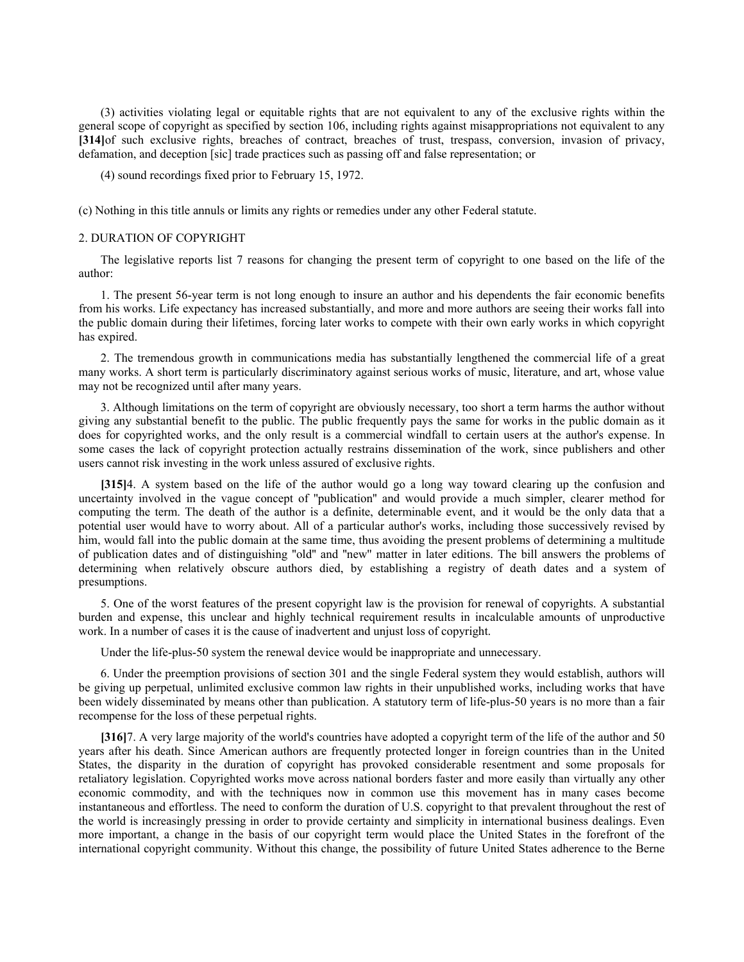(3) activities violating legal or equitable rights that are not equivalent to any of the exclusive rights within the general scope of copyright as specified by section 106, including rights against misappropriations not equivalent to any **[314]**of such exclusive rights, breaches of contract, breaches of trust, trespass, conversion, invasion of privacy, defamation, and deception [sic] trade practices such as passing off and false representation; or

(4) sound recordings fixed prior to February 15, 1972.

(c) Nothing in this title annuls or limits any rights or remedies under any other Federal statute.

#### 2. DURATION OF COPYRIGHT

The legislative reports list 7 reasons for changing the present term of copyright to one based on the life of the author:

1. The present 56-year term is not long enough to insure an author and his dependents the fair economic benefits from his works. Life expectancy has increased substantially, and more and more authors are seeing their works fall into the public domain during their lifetimes, forcing later works to compete with their own early works in which copyright has expired.

2. The tremendous growth in communications media has substantially lengthened the commercial life of a great many works. A short term is particularly discriminatory against serious works of music, literature, and art, whose value may not be recognized until after many years.

3. Although limitations on the term of copyright are obviously necessary, too short a term harms the author without giving any substantial benefit to the public. The public frequently pays the same for works in the public domain as it does for copyrighted works, and the only result is a commercial windfall to certain users at the author's expense. In some cases the lack of copyright protection actually restrains dissemination of the work, since publishers and other users cannot risk investing in the work unless assured of exclusive rights.

**[315]**4. A system based on the life of the author would go a long way toward clearing up the confusion and uncertainty involved in the vague concept of ''publication'' and would provide a much simpler, clearer method for computing the term. The death of the author is a definite, determinable event, and it would be the only data that a potential user would have to worry about. All of a particular author's works, including those successively revised by him, would fall into the public domain at the same time, thus avoiding the present problems of determining a multitude of publication dates and of distinguishing ''old'' and ''new'' matter in later editions. The bill answers the problems of determining when relatively obscure authors died, by establishing a registry of death dates and a system of presumptions.

5. One of the worst features of the present copyright law is the provision for renewal of copyrights. A substantial burden and expense, this unclear and highly technical requirement results in incalculable amounts of unproductive work. In a number of cases it is the cause of inadvertent and unjust loss of copyright.

Under the life-plus-50 system the renewal device would be inappropriate and unnecessary.

6. Under the preemption provisions of section 301 and the single Federal system they would establish, authors will be giving up perpetual, unlimited exclusive common law rights in their unpublished works, including works that have been widely disseminated by means other than publication. A statutory term of life-plus-50 years is no more than a fair recompense for the loss of these perpetual rights.

**[316]**7. A very large majority of the world's countries have adopted a copyright term of the life of the author and 50 years after his death. Since American authors are frequently protected longer in foreign countries than in the United States, the disparity in the duration of copyright has provoked considerable resentment and some proposals for retaliatory legislation. Copyrighted works move across national borders faster and more easily than virtually any other economic commodity, and with the techniques now in common use this movement has in many cases become instantaneous and effortless. The need to conform the duration of U.S. copyright to that prevalent throughout the rest of the world is increasingly pressing in order to provide certainty and simplicity in international business dealings. Even more important, a change in the basis of our copyright term would place the United States in the forefront of the international copyright community. Without this change, the possibility of future United States adherence to the Berne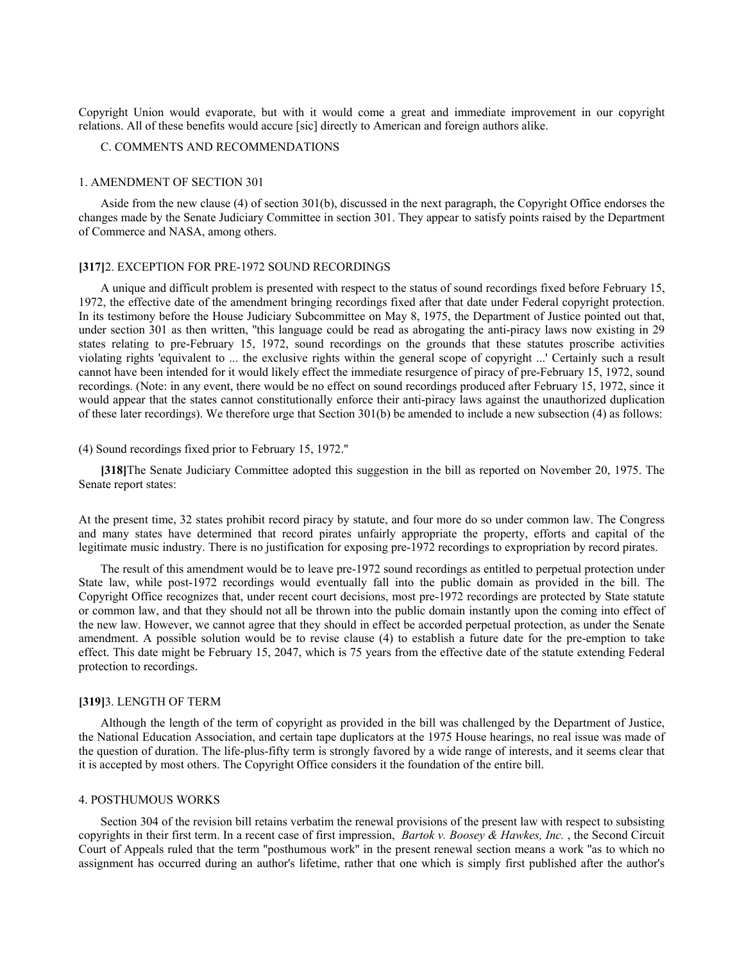Copyright Union would evaporate, but with it would come a great and immediate improvement in our copyright relations. All of these benefits would accure [sic] directly to American and foreign authors alike.

# C. COMMENTS AND RECOMMENDATIONS

#### 1. AMENDMENT OF SECTION 301

Aside from the new clause (4) of section 301(b), discussed in the next paragraph, the Copyright Office endorses the changes made by the Senate Judiciary Committee in section 301. They appear to satisfy points raised by the Department of Commerce and NASA, among others.

## **[317]**2. EXCEPTION FOR PRE-1972 SOUND RECORDINGS

A unique and difficult problem is presented with respect to the status of sound recordings fixed before February 15, 1972, the effective date of the amendment bringing recordings fixed after that date under Federal copyright protection. In its testimony before the House Judiciary Subcommittee on May 8, 1975, the Department of Justice pointed out that, under section 301 as then written, ''this language could be read as abrogating the anti-piracy laws now existing in 29 states relating to pre-February 15, 1972, sound recordings on the grounds that these statutes proscribe activities violating rights 'equivalent to ... the exclusive rights within the general scope of copyright ...' Certainly such a result cannot have been intended for it would likely effect the immediate resurgence of piracy of pre-February 15, 1972, sound recordings. (Note: in any event, there would be no effect on sound recordings produced after February 15, 1972, since it would appear that the states cannot constitutionally enforce their anti-piracy laws against the unauthorized duplication of these later recordings). We therefore urge that Section 301(b) be amended to include a new subsection (4) as follows:

# (4) Sound recordings fixed prior to February 15, 1972.''

**[318]**The Senate Judiciary Committee adopted this suggestion in the bill as reported on November 20, 1975. The Senate report states:

At the present time, 32 states prohibit record piracy by statute, and four more do so under common law. The Congress and many states have determined that record pirates unfairly appropriate the property, efforts and capital of the legitimate music industry. There is no justification for exposing pre-1972 recordings to expropriation by record pirates.

The result of this amendment would be to leave pre-1972 sound recordings as entitled to perpetual protection under State law, while post-1972 recordings would eventually fall into the public domain as provided in the bill. The Copyright Office recognizes that, under recent court decisions, most pre-1972 recordings are protected by State statute or common law, and that they should not all be thrown into the public domain instantly upon the coming into effect of the new law. However, we cannot agree that they should in effect be accorded perpetual protection, as under the Senate amendment. A possible solution would be to revise clause (4) to establish a future date for the pre-emption to take effect. This date might be February 15, 2047, which is 75 years from the effective date of the statute extending Federal protection to recordings.

#### **[319]**3. LENGTH OF TERM

Although the length of the term of copyright as provided in the bill was challenged by the Department of Justice, the National Education Association, and certain tape duplicators at the 1975 House hearings, no real issue was made of the question of duration. The life-plus-fifty term is strongly favored by a wide range of interests, and it seems clear that it is accepted by most others. The Copyright Office considers it the foundation of the entire bill.

### 4. POSTHUMOUS WORKS

Section 304 of the revision bill retains verbatim the renewal provisions of the present law with respect to subsisting copyrights in their first term. In a recent case of first impression, *Bartok v. Boosey & Hawkes, Inc.* , the Second Circuit Court of Appeals ruled that the term ''posthumous work'' in the present renewal section means a work ''as to which no assignment has occurred during an author's lifetime, rather that one which is simply first published after the author's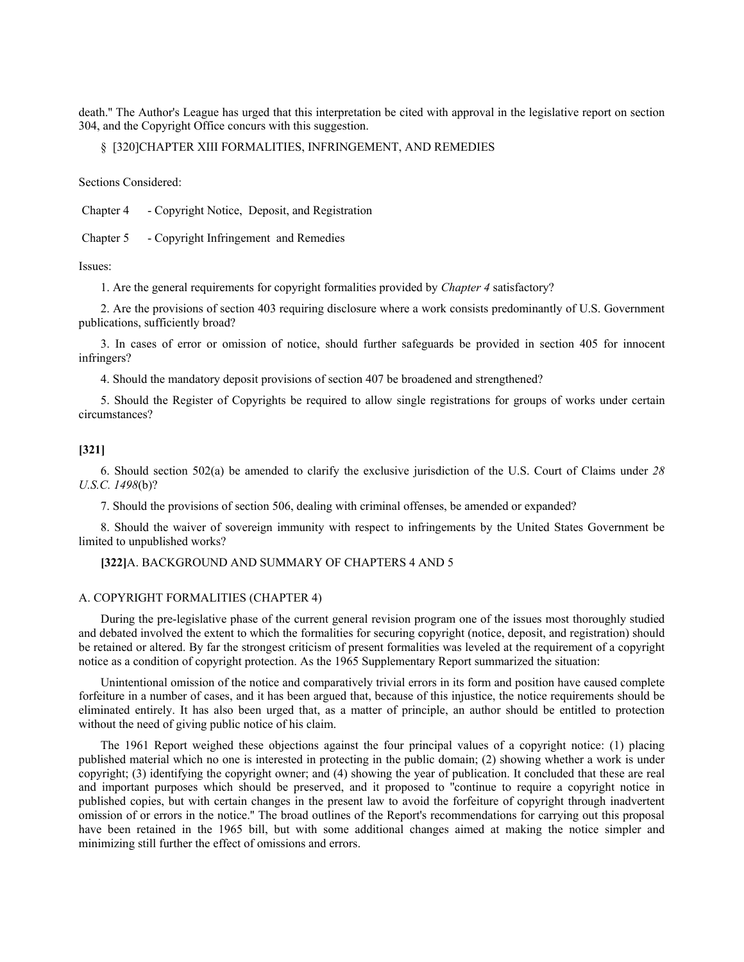death.'' The Author's League has urged that this interpretation be cited with approval in the legislative report on section 304, and the Copyright Office concurs with this suggestion.

### § [320]CHAPTER XIII FORMALITIES, INFRINGEMENT, AND REMEDIES

Sections Considered:

Chapter 4 - Copyright Notice, Deposit, and Registration

Chapter 5 - Copyright Infringement and Remedies

# Issues:

1. Are the general requirements for copyright formalities provided by *Chapter 4* satisfactory?

2. Are the provisions of section 403 requiring disclosure where a work consists predominantly of U.S. Government publications, sufficiently broad?

3. In cases of error or omission of notice, should further safeguards be provided in section 405 for innocent infringers?

4. Should the mandatory deposit provisions of section 407 be broadened and strengthened?

5. Should the Register of Copyrights be required to allow single registrations for groups of works under certain circumstances?

# **[321]**

6. Should section 502(a) be amended to clarify the exclusive jurisdiction of the U.S. Court of Claims under *28 U.S.C. 1498*(b)?

7. Should the provisions of section 506, dealing with criminal offenses, be amended or expanded?

8. Should the waiver of sovereign immunity with respect to infringements by the United States Government be limited to unpublished works?

# **[322]**A. BACKGROUND AND SUMMARY OF CHAPTERS 4 AND 5

### A. COPYRIGHT FORMALITIES (CHAPTER 4)

During the pre-legislative phase of the current general revision program one of the issues most thoroughly studied and debated involved the extent to which the formalities for securing copyright (notice, deposit, and registration) should be retained or altered. By far the strongest criticism of present formalities was leveled at the requirement of a copyright notice as a condition of copyright protection. As the 1965 Supplementary Report summarized the situation:

Unintentional omission of the notice and comparatively trivial errors in its form and position have caused complete forfeiture in a number of cases, and it has been argued that, because of this injustice, the notice requirements should be eliminated entirely. It has also been urged that, as a matter of principle, an author should be entitled to protection without the need of giving public notice of his claim.

The 1961 Report weighed these objections against the four principal values of a copyright notice: (1) placing published material which no one is interested in protecting in the public domain; (2) showing whether a work is under copyright; (3) identifying the copyright owner; and (4) showing the year of publication. It concluded that these are real and important purposes which should be preserved, and it proposed to ''continue to require a copyright notice in published copies, but with certain changes in the present law to avoid the forfeiture of copyright through inadvertent omission of or errors in the notice.'' The broad outlines of the Report's recommendations for carrying out this proposal have been retained in the 1965 bill, but with some additional changes aimed at making the notice simpler and minimizing still further the effect of omissions and errors.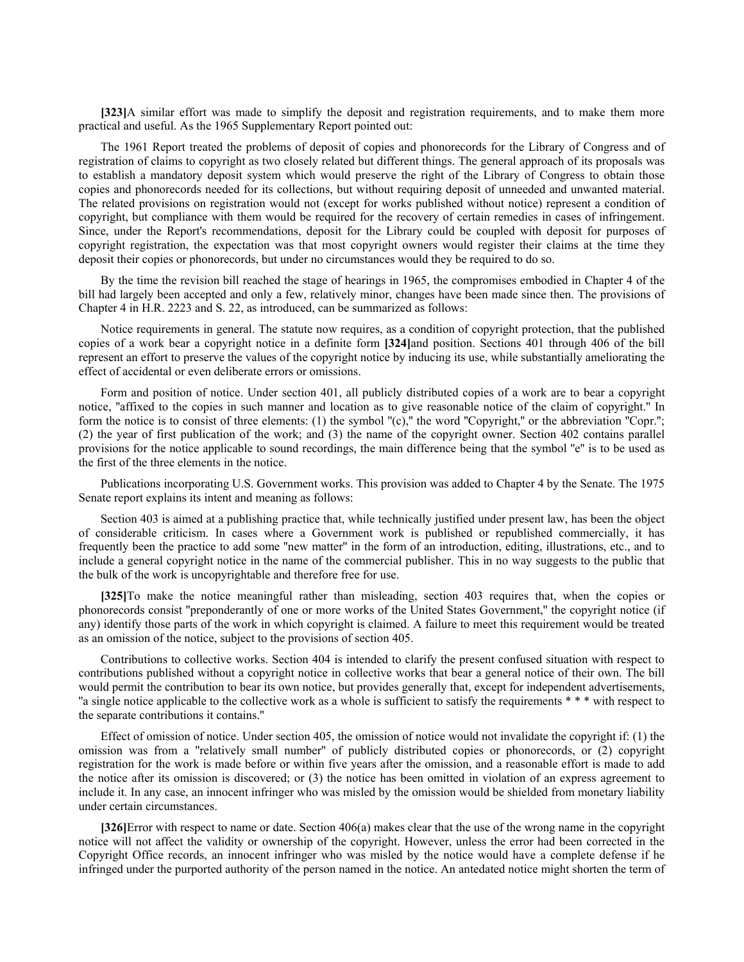**[323]**A similar effort was made to simplify the deposit and registration requirements, and to make them more practical and useful. As the 1965 Supplementary Report pointed out:

The 1961 Report treated the problems of deposit of copies and phonorecords for the Library of Congress and of registration of claims to copyright as two closely related but different things. The general approach of its proposals was to establish a mandatory deposit system which would preserve the right of the Library of Congress to obtain those copies and phonorecords needed for its collections, but without requiring deposit of unneeded and unwanted material. The related provisions on registration would not (except for works published without notice) represent a condition of copyright, but compliance with them would be required for the recovery of certain remedies in cases of infringement. Since, under the Report's recommendations, deposit for the Library could be coupled with deposit for purposes of copyright registration, the expectation was that most copyright owners would register their claims at the time they deposit their copies or phonorecords, but under no circumstances would they be required to do so.

By the time the revision bill reached the stage of hearings in 1965, the compromises embodied in Chapter 4 of the bill had largely been accepted and only a few, relatively minor, changes have been made since then. The provisions of Chapter 4 in H.R. 2223 and S. 22, as introduced, can be summarized as follows:

Notice requirements in general. The statute now requires, as a condition of copyright protection, that the published copies of a work bear a copyright notice in a definite form **[324]**and position. Sections 401 through 406 of the bill represent an effort to preserve the values of the copyright notice by inducing its use, while substantially ameliorating the effect of accidental or even deliberate errors or omissions.

Form and position of notice. Under section 401, all publicly distributed copies of a work are to bear a copyright notice, "affixed to the copies in such manner and location as to give reasonable notice of the claim of copyright." In form the notice is to consist of three elements: (1) the symbol "(c)," the word "Copyright," or the abbreviation "Copr."; (2) the year of first publication of the work; and (3) the name of the copyright owner. Section 402 contains parallel provisions for the notice applicable to sound recordings, the main difference being that the symbol ''e'' is to be used as the first of the three elements in the notice.

Publications incorporating U.S. Government works. This provision was added to Chapter 4 by the Senate. The 1975 Senate report explains its intent and meaning as follows:

Section 403 is aimed at a publishing practice that, while technically justified under present law, has been the object of considerable criticism. In cases where a Government work is published or republished commercially, it has frequently been the practice to add some ''new matter'' in the form of an introduction, editing, illustrations, etc., and to include a general copyright notice in the name of the commercial publisher. This in no way suggests to the public that the bulk of the work is uncopyrightable and therefore free for use.

**[325]**To make the notice meaningful rather than misleading, section 403 requires that, when the copies or phonorecords consist ''preponderantly of one or more works of the United States Government,'' the copyright notice (if any) identify those parts of the work in which copyright is claimed. A failure to meet this requirement would be treated as an omission of the notice, subject to the provisions of section 405.

Contributions to collective works. Section 404 is intended to clarify the present confused situation with respect to contributions published without a copyright notice in collective works that bear a general notice of their own. The bill would permit the contribution to bear its own notice, but provides generally that, except for independent advertisements, "a single notice applicable to the collective work as a whole is sufficient to satisfy the requirements \* \* \* with respect to the separate contributions it contains.''

Effect of omission of notice. Under section 405, the omission of notice would not invalidate the copyright if: (1) the omission was from a ''relatively small number'' of publicly distributed copies or phonorecords, or (2) copyright registration for the work is made before or within five years after the omission, and a reasonable effort is made to add the notice after its omission is discovered; or (3) the notice has been omitted in violation of an express agreement to include it. In any case, an innocent infringer who was misled by the omission would be shielded from monetary liability under certain circumstances.

**[326]**Error with respect to name or date. Section 406(a) makes clear that the use of the wrong name in the copyright notice will not affect the validity or ownership of the copyright. However, unless the error had been corrected in the Copyright Office records, an innocent infringer who was misled by the notice would have a complete defense if he infringed under the purported authority of the person named in the notice. An antedated notice might shorten the term of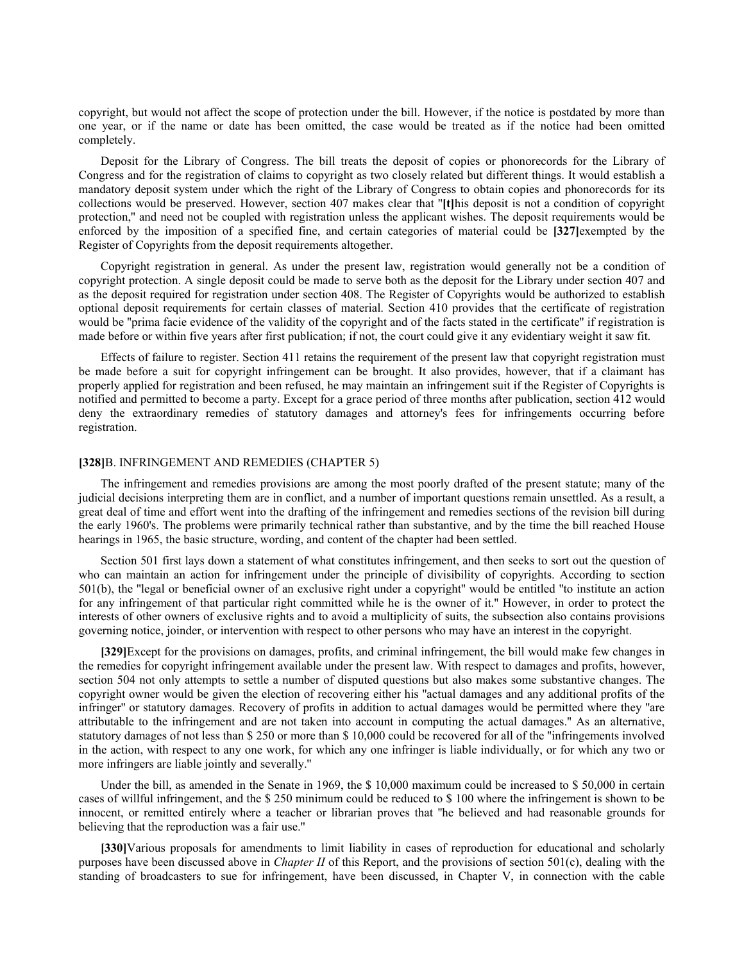copyright, but would not affect the scope of protection under the bill. However, if the notice is postdated by more than one year, or if the name or date has been omitted, the case would be treated as if the notice had been omitted completely.

Deposit for the Library of Congress. The bill treats the deposit of copies or phonorecords for the Library of Congress and for the registration of claims to copyright as two closely related but different things. It would establish a mandatory deposit system under which the right of the Library of Congress to obtain copies and phonorecords for its collections would be preserved. However, section 407 makes clear that ''**[t]**his deposit is not a condition of copyright protection,'' and need not be coupled with registration unless the applicant wishes. The deposit requirements would be enforced by the imposition of a specified fine, and certain categories of material could be **[327]**exempted by the Register of Copyrights from the deposit requirements altogether.

Copyright registration in general. As under the present law, registration would generally not be a condition of copyright protection. A single deposit could be made to serve both as the deposit for the Library under section 407 and as the deposit required for registration under section 408. The Register of Copyrights would be authorized to establish optional deposit requirements for certain classes of material. Section 410 provides that the certificate of registration would be ''prima facie evidence of the validity of the copyright and of the facts stated in the certificate'' if registration is made before or within five years after first publication; if not, the court could give it any evidentiary weight it saw fit.

Effects of failure to register. Section 411 retains the requirement of the present law that copyright registration must be made before a suit for copyright infringement can be brought. It also provides, however, that if a claimant has properly applied for registration and been refused, he may maintain an infringement suit if the Register of Copyrights is notified and permitted to become a party. Except for a grace period of three months after publication, section 412 would deny the extraordinary remedies of statutory damages and attorney's fees for infringements occurring before registration.

# **[328]**B. INFRINGEMENT AND REMEDIES (CHAPTER 5)

The infringement and remedies provisions are among the most poorly drafted of the present statute; many of the judicial decisions interpreting them are in conflict, and a number of important questions remain unsettled. As a result, a great deal of time and effort went into the drafting of the infringement and remedies sections of the revision bill during the early 1960's. The problems were primarily technical rather than substantive, and by the time the bill reached House hearings in 1965, the basic structure, wording, and content of the chapter had been settled.

Section 501 first lays down a statement of what constitutes infringement, and then seeks to sort out the question of who can maintain an action for infringement under the principle of divisibility of copyrights. According to section 501(b), the ''legal or beneficial owner of an exclusive right under a copyright'' would be entitled ''to institute an action for any infringement of that particular right committed while he is the owner of it.'' However, in order to protect the interests of other owners of exclusive rights and to avoid a multiplicity of suits, the subsection also contains provisions governing notice, joinder, or intervention with respect to other persons who may have an interest in the copyright.

**[329]**Except for the provisions on damages, profits, and criminal infringement, the bill would make few changes in the remedies for copyright infringement available under the present law. With respect to damages and profits, however, section 504 not only attempts to settle a number of disputed questions but also makes some substantive changes. The copyright owner would be given the election of recovering either his ''actual damages and any additional profits of the infringer'' or statutory damages. Recovery of profits in addition to actual damages would be permitted where they ''are attributable to the infringement and are not taken into account in computing the actual damages.'' As an alternative, statutory damages of not less than \$ 250 or more than \$ 10,000 could be recovered for all of the ''infringements involved in the action, with respect to any one work, for which any one infringer is liable individually, or for which any two or more infringers are liable jointly and severally.''

Under the bill, as amended in the Senate in 1969, the \$ 10,000 maximum could be increased to \$ 50,000 in certain cases of willful infringement, and the \$ 250 minimum could be reduced to \$ 100 where the infringement is shown to be innocent, or remitted entirely where a teacher or librarian proves that ''he believed and had reasonable grounds for believing that the reproduction was a fair use.''

**[330]**Various proposals for amendments to limit liability in cases of reproduction for educational and scholarly purposes have been discussed above in *Chapter II* of this Report, and the provisions of section 501(c), dealing with the standing of broadcasters to sue for infringement, have been discussed, in Chapter V, in connection with the cable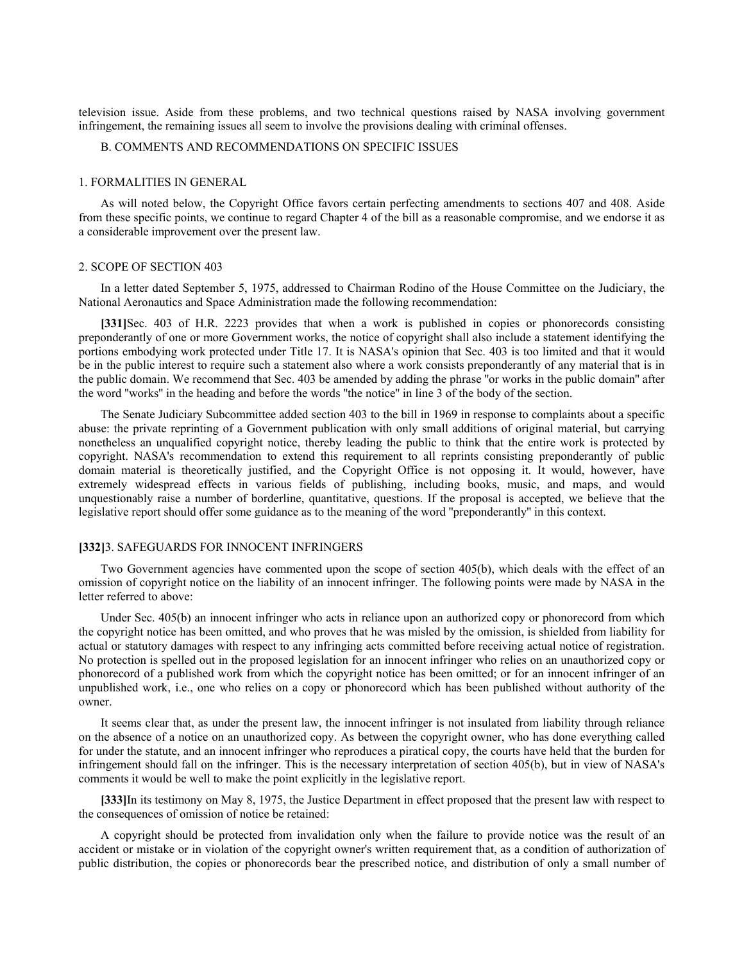television issue. Aside from these problems, and two technical questions raised by NASA involving government infringement, the remaining issues all seem to involve the provisions dealing with criminal offenses.

# B. COMMENTS AND RECOMMENDATIONS ON SPECIFIC ISSUES

#### 1. FORMALITIES IN GENERAL

As will noted below, the Copyright Office favors certain perfecting amendments to sections 407 and 408. Aside from these specific points, we continue to regard Chapter 4 of the bill as a reasonable compromise, and we endorse it as a considerable improvement over the present law.

### 2. SCOPE OF SECTION 403

In a letter dated September 5, 1975, addressed to Chairman Rodino of the House Committee on the Judiciary, the National Aeronautics and Space Administration made the following recommendation:

**[331]**Sec. 403 of H.R. 2223 provides that when a work is published in copies or phonorecords consisting preponderantly of one or more Government works, the notice of copyright shall also include a statement identifying the portions embodying work protected under Title 17. It is NASA's opinion that Sec. 403 is too limited and that it would be in the public interest to require such a statement also where a work consists preponderantly of any material that is in the public domain. We recommend that Sec. 403 be amended by adding the phrase ''or works in the public domain'' after the word ''works'' in the heading and before the words ''the notice'' in line 3 of the body of the section.

The Senate Judiciary Subcommittee added section 403 to the bill in 1969 in response to complaints about a specific abuse: the private reprinting of a Government publication with only small additions of original material, but carrying nonetheless an unqualified copyright notice, thereby leading the public to think that the entire work is protected by copyright. NASA's recommendation to extend this requirement to all reprints consisting preponderantly of public domain material is theoretically justified, and the Copyright Office is not opposing it. It would, however, have extremely widespread effects in various fields of publishing, including books, music, and maps, and would unquestionably raise a number of borderline, quantitative, questions. If the proposal is accepted, we believe that the legislative report should offer some guidance as to the meaning of the word ''preponderantly'' in this context.

### **[332]**3. SAFEGUARDS FOR INNOCENT INFRINGERS

Two Government agencies have commented upon the scope of section 405(b), which deals with the effect of an omission of copyright notice on the liability of an innocent infringer. The following points were made by NASA in the letter referred to above:

Under Sec.  $405(b)$  an innocent infringer who acts in reliance upon an authorized copy or phonorecord from which the copyright notice has been omitted, and who proves that he was misled by the omission, is shielded from liability for actual or statutory damages with respect to any infringing acts committed before receiving actual notice of registration. No protection is spelled out in the proposed legislation for an innocent infringer who relies on an unauthorized copy or phonorecord of a published work from which the copyright notice has been omitted; or for an innocent infringer of an unpublished work, i.e., one who relies on a copy or phonorecord which has been published without authority of the owner.

It seems clear that, as under the present law, the innocent infringer is not insulated from liability through reliance on the absence of a notice on an unauthorized copy. As between the copyright owner, who has done everything called for under the statute, and an innocent infringer who reproduces a piratical copy, the courts have held that the burden for infringement should fall on the infringer. This is the necessary interpretation of section 405(b), but in view of NASA's comments it would be well to make the point explicitly in the legislative report.

**[333]**In its testimony on May 8, 1975, the Justice Department in effect proposed that the present law with respect to the consequences of omission of notice be retained:

A copyright should be protected from invalidation only when the failure to provide notice was the result of an accident or mistake or in violation of the copyright owner's written requirement that, as a condition of authorization of public distribution, the copies or phonorecords bear the prescribed notice, and distribution of only a small number of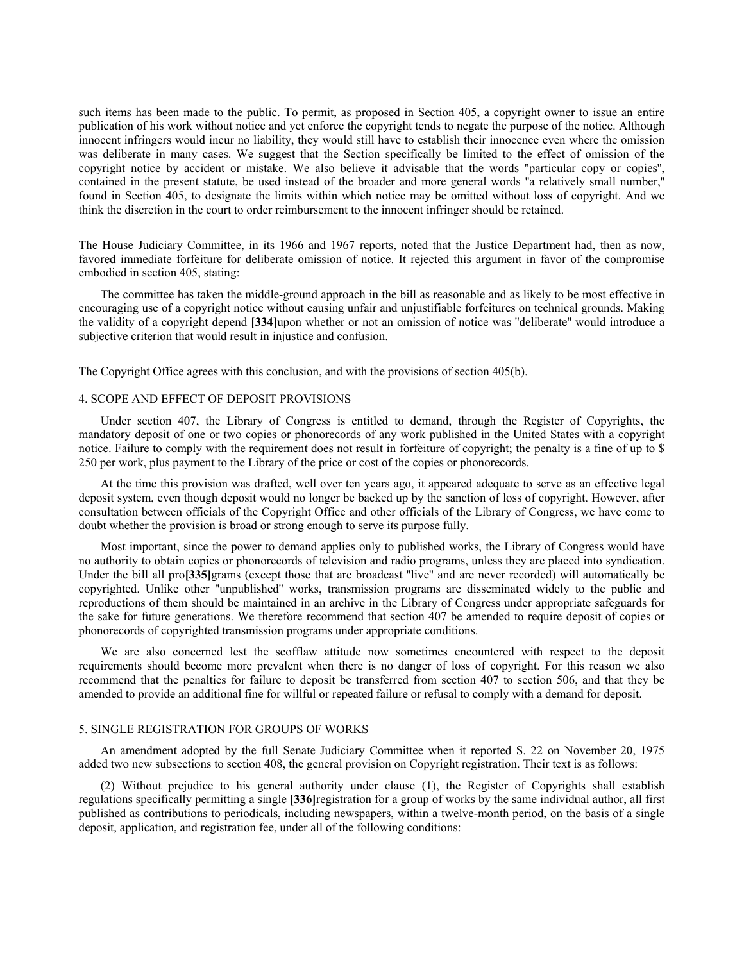such items has been made to the public. To permit, as proposed in Section 405, a copyright owner to issue an entire publication of his work without notice and yet enforce the copyright tends to negate the purpose of the notice. Although innocent infringers would incur no liability, they would still have to establish their innocence even where the omission was deliberate in many cases. We suggest that the Section specifically be limited to the effect of omission of the copyright notice by accident or mistake. We also believe it advisable that the words ''particular copy or copies'', contained in the present statute, be used instead of the broader and more general words ''a relatively small number,'' found in Section 405, to designate the limits within which notice may be omitted without loss of copyright. And we think the discretion in the court to order reimbursement to the innocent infringer should be retained.

The House Judiciary Committee, in its 1966 and 1967 reports, noted that the Justice Department had, then as now, favored immediate forfeiture for deliberate omission of notice. It rejected this argument in favor of the compromise embodied in section 405, stating:

The committee has taken the middle-ground approach in the bill as reasonable and as likely to be most effective in encouraging use of a copyright notice without causing unfair and unjustifiable forfeitures on technical grounds. Making the validity of a copyright depend **[334]**upon whether or not an omission of notice was ''deliberate'' would introduce a subjective criterion that would result in injustice and confusion.

The Copyright Office agrees with this conclusion, and with the provisions of section 405(b).

## 4. SCOPE AND EFFECT OF DEPOSIT PROVISIONS

Under section 407, the Library of Congress is entitled to demand, through the Register of Copyrights, the mandatory deposit of one or two copies or phonorecords of any work published in the United States with a copyright notice. Failure to comply with the requirement does not result in forfeiture of copyright; the penalty is a fine of up to \$ 250 per work, plus payment to the Library of the price or cost of the copies or phonorecords.

At the time this provision was drafted, well over ten years ago, it appeared adequate to serve as an effective legal deposit system, even though deposit would no longer be backed up by the sanction of loss of copyright. However, after consultation between officials of the Copyright Office and other officials of the Library of Congress, we have come to doubt whether the provision is broad or strong enough to serve its purpose fully.

Most important, since the power to demand applies only to published works, the Library of Congress would have no authority to obtain copies or phonorecords of television and radio programs, unless they are placed into syndication. Under the bill all pro**[335]**grams (except those that are broadcast ''live'' and are never recorded) will automatically be copyrighted. Unlike other ''unpublished'' works, transmission programs are disseminated widely to the public and reproductions of them should be maintained in an archive in the Library of Congress under appropriate safeguards for the sake for future generations. We therefore recommend that section 407 be amended to require deposit of copies or phonorecords of copyrighted transmission programs under appropriate conditions.

We are also concerned lest the scofflaw attitude now sometimes encountered with respect to the deposit requirements should become more prevalent when there is no danger of loss of copyright. For this reason we also recommend that the penalties for failure to deposit be transferred from section 407 to section 506, and that they be amended to provide an additional fine for willful or repeated failure or refusal to comply with a demand for deposit.

## 5. SINGLE REGISTRATION FOR GROUPS OF WORKS

An amendment adopted by the full Senate Judiciary Committee when it reported S. 22 on November 20, 1975 added two new subsections to section 408, the general provision on Copyright registration. Their text is as follows:

(2) Without prejudice to his general authority under clause (1), the Register of Copyrights shall establish regulations specifically permitting a single **[336]**registration for a group of works by the same individual author, all first published as contributions to periodicals, including newspapers, within a twelve-month period, on the basis of a single deposit, application, and registration fee, under all of the following conditions: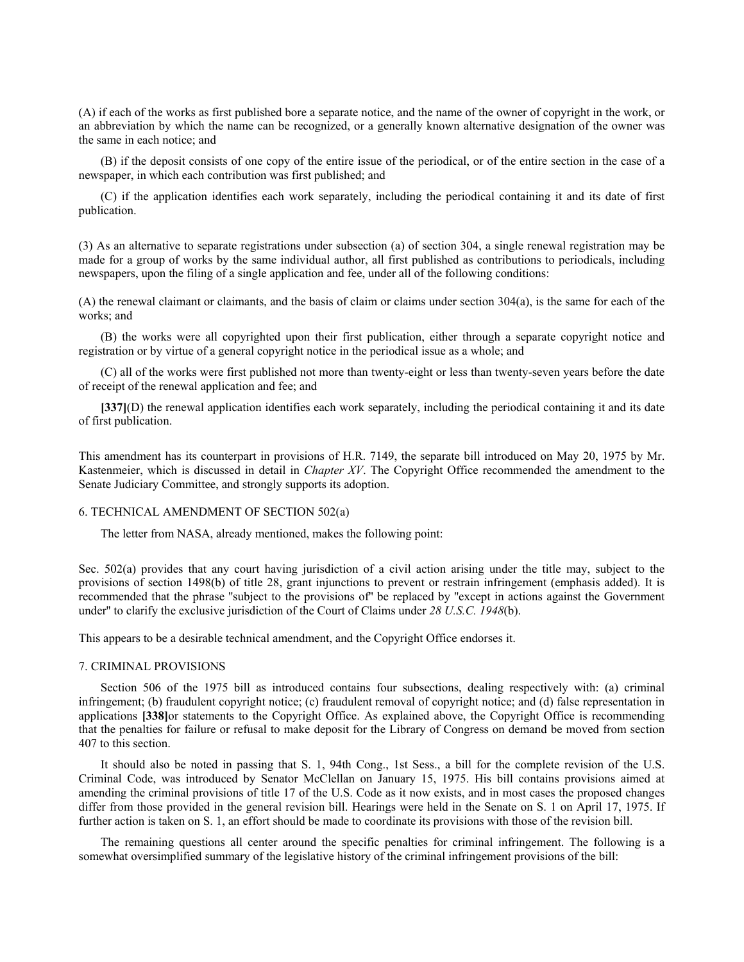(A) if each of the works as first published bore a separate notice, and the name of the owner of copyright in the work, or an abbreviation by which the name can be recognized, or a generally known alternative designation of the owner was the same in each notice; and

(B) if the deposit consists of one copy of the entire issue of the periodical, or of the entire section in the case of a newspaper, in which each contribution was first published; and

(C) if the application identifies each work separately, including the periodical containing it and its date of first publication.

(3) As an alternative to separate registrations under subsection (a) of section 304, a single renewal registration may be made for a group of works by the same individual author, all first published as contributions to periodicals, including newspapers, upon the filing of a single application and fee, under all of the following conditions:

(A) the renewal claimant or claimants, and the basis of claim or claims under section 304(a), is the same for each of the works; and

(B) the works were all copyrighted upon their first publication, either through a separate copyright notice and registration or by virtue of a general copyright notice in the periodical issue as a whole; and

(C) all of the works were first published not more than twenty-eight or less than twenty-seven years before the date of receipt of the renewal application and fee; and

**[337]**(D) the renewal application identifies each work separately, including the periodical containing it and its date of first publication.

This amendment has its counterpart in provisions of H.R. 7149, the separate bill introduced on May 20, 1975 by Mr. Kastenmeier, which is discussed in detail in *Chapter XV*. The Copyright Office recommended the amendment to the Senate Judiciary Committee, and strongly supports its adoption.

## 6. TECHNICAL AMENDMENT OF SECTION 502(a)

The letter from NASA, already mentioned, makes the following point:

Sec. 502(a) provides that any court having jurisdiction of a civil action arising under the title may, subject to the provisions of section 1498(b) of title 28, grant injunctions to prevent or restrain infringement (emphasis added). It is recommended that the phrase ''subject to the provisions of'' be replaced by ''except in actions against the Government under'' to clarify the exclusive jurisdiction of the Court of Claims under *28 U.S.C. 1948*(b).

This appears to be a desirable technical amendment, and the Copyright Office endorses it.

### 7. CRIMINAL PROVISIONS

Section 506 of the 1975 bill as introduced contains four subsections, dealing respectively with: (a) criminal infringement; (b) fraudulent copyright notice; (c) fraudulent removal of copyright notice; and (d) false representation in applications **[338]**or statements to the Copyright Office. As explained above, the Copyright Office is recommending that the penalties for failure or refusal to make deposit for the Library of Congress on demand be moved from section 407 to this section.

It should also be noted in passing that S. 1, 94th Cong., 1st Sess., a bill for the complete revision of the U.S. Criminal Code, was introduced by Senator McClellan on January 15, 1975. His bill contains provisions aimed at amending the criminal provisions of title 17 of the U.S. Code as it now exists, and in most cases the proposed changes differ from those provided in the general revision bill. Hearings were held in the Senate on S. 1 on April 17, 1975. If further action is taken on S. 1, an effort should be made to coordinate its provisions with those of the revision bill.

The remaining questions all center around the specific penalties for criminal infringement. The following is a somewhat oversimplified summary of the legislative history of the criminal infringement provisions of the bill: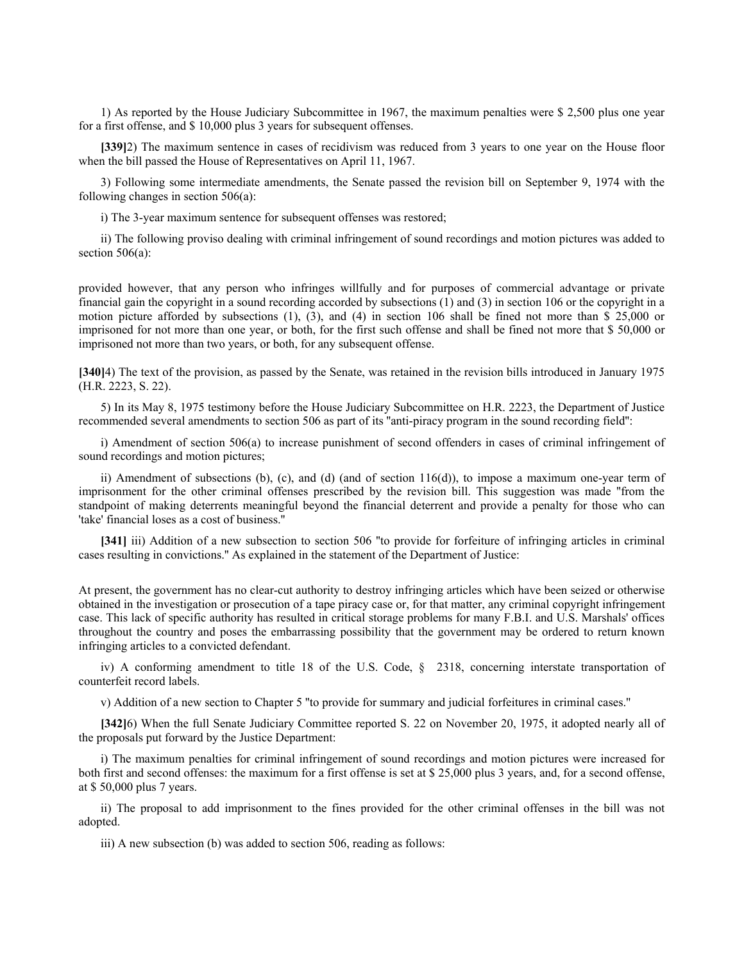1) As reported by the House Judiciary Subcommittee in 1967, the maximum penalties were \$ 2,500 plus one year for a first offense, and \$ 10,000 plus 3 years for subsequent offenses.

**[339]**2) The maximum sentence in cases of recidivism was reduced from 3 years to one year on the House floor when the bill passed the House of Representatives on April 11, 1967.

3) Following some intermediate amendments, the Senate passed the revision bill on September 9, 1974 with the following changes in section 506(a):

i) The 3-year maximum sentence for subsequent offenses was restored;

ii) The following proviso dealing with criminal infringement of sound recordings and motion pictures was added to section 506(a):

provided however, that any person who infringes willfully and for purposes of commercial advantage or private financial gain the copyright in a sound recording accorded by subsections (1) and (3) in section 106 or the copyright in a motion picture afforded by subsections (1), (3), and (4) in section 106 shall be fined not more than \$ 25,000 or imprisoned for not more than one year, or both, for the first such offense and shall be fined not more that \$ 50,000 or imprisoned not more than two years, or both, for any subsequent offense.

**[340]**4) The text of the provision, as passed by the Senate, was retained in the revision bills introduced in January 1975 (H.R. 2223, S. 22).

5) In its May 8, 1975 testimony before the House Judiciary Subcommittee on H.R. 2223, the Department of Justice recommended several amendments to section 506 as part of its ''anti-piracy program in the sound recording field'':

i) Amendment of section 506(a) to increase punishment of second offenders in cases of criminal infringement of sound recordings and motion pictures;

ii) Amendment of subsections (b), (c), and (d) (and of section 116(d)), to impose a maximum one-year term of imprisonment for the other criminal offenses prescribed by the revision bill. This suggestion was made ''from the standpoint of making deterrents meaningful beyond the financial deterrent and provide a penalty for those who can 'take' financial loses as a cost of business.''

**[341]** iii) Addition of a new subsection to section 506 ''to provide for forfeiture of infringing articles in criminal cases resulting in convictions.'' As explained in the statement of the Department of Justice:

At present, the government has no clear-cut authority to destroy infringing articles which have been seized or otherwise obtained in the investigation or prosecution of a tape piracy case or, for that matter, any criminal copyright infringement case. This lack of specific authority has resulted in critical storage problems for many F.B.I. and U.S. Marshals' offices throughout the country and poses the embarrassing possibility that the government may be ordered to return known infringing articles to a convicted defendant.

iv) A conforming amendment to title 18 of the U.S. Code, § 2318, concerning interstate transportation of counterfeit record labels.

v) Addition of a new section to Chapter 5 ''to provide for summary and judicial forfeitures in criminal cases.''

**[342]**6) When the full Senate Judiciary Committee reported S. 22 on November 20, 1975, it adopted nearly all of the proposals put forward by the Justice Department:

i) The maximum penalties for criminal infringement of sound recordings and motion pictures were increased for both first and second offenses: the maximum for a first offense is set at \$ 25,000 plus 3 years, and, for a second offense, at \$ 50,000 plus 7 years.

ii) The proposal to add imprisonment to the fines provided for the other criminal offenses in the bill was not adopted.

iii) A new subsection (b) was added to section 506, reading as follows: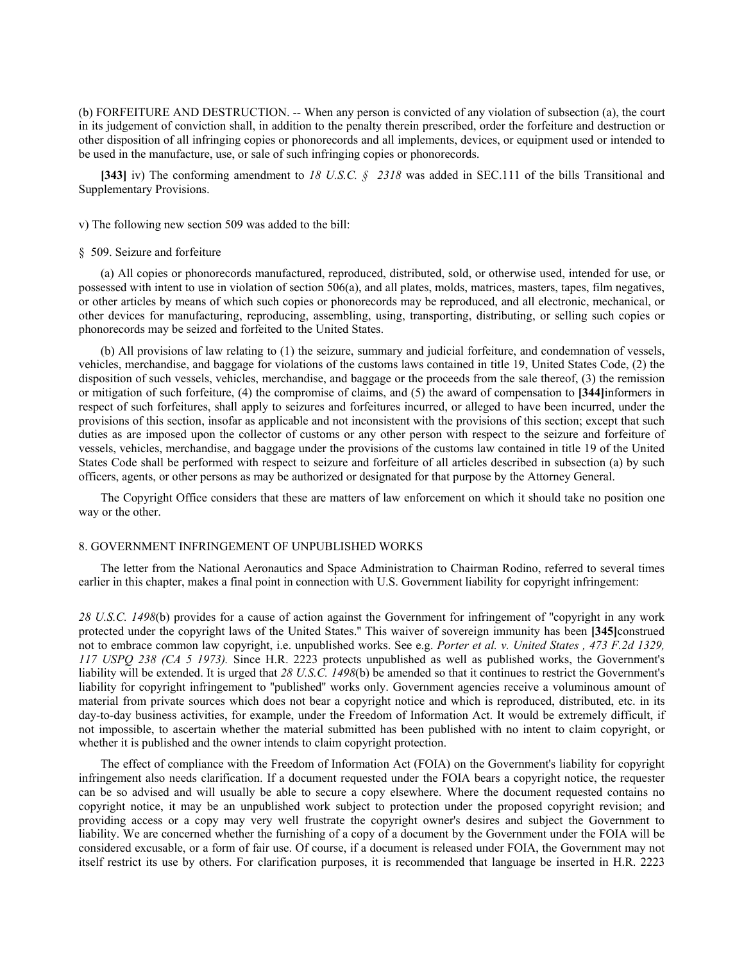(b) FORFEITURE AND DESTRUCTION. -- When any person is convicted of any violation of subsection (a), the court in its judgement of conviction shall, in addition to the penalty therein prescribed, order the forfeiture and destruction or other disposition of all infringing copies or phonorecords and all implements, devices, or equipment used or intended to be used in the manufacture, use, or sale of such infringing copies or phonorecords.

**[343]** iv) The conforming amendment to *18 U.S.C. § 2318* was added in SEC.111 of the bills Transitional and Supplementary Provisions.

v) The following new section 509 was added to the bill:

### § 509. Seizure and forfeiture

(a) All copies or phonorecords manufactured, reproduced, distributed, sold, or otherwise used, intended for use, or possessed with intent to use in violation of section 506(a), and all plates, molds, matrices, masters, tapes, film negatives, or other articles by means of which such copies or phonorecords may be reproduced, and all electronic, mechanical, or other devices for manufacturing, reproducing, assembling, using, transporting, distributing, or selling such copies or phonorecords may be seized and forfeited to the United States.

(b) All provisions of law relating to (1) the seizure, summary and judicial forfeiture, and condemnation of vessels, vehicles, merchandise, and baggage for violations of the customs laws contained in title 19, United States Code, (2) the disposition of such vessels, vehicles, merchandise, and baggage or the proceeds from the sale thereof, (3) the remission or mitigation of such forfeiture, (4) the compromise of claims, and (5) the award of compensation to **[344]**informers in respect of such forfeitures, shall apply to seizures and forfeitures incurred, or alleged to have been incurred, under the provisions of this section, insofar as applicable and not inconsistent with the provisions of this section; except that such duties as are imposed upon the collector of customs or any other person with respect to the seizure and forfeiture of vessels, vehicles, merchandise, and baggage under the provisions of the customs law contained in title 19 of the United States Code shall be performed with respect to seizure and forfeiture of all articles described in subsection (a) by such officers, agents, or other persons as may be authorized or designated for that purpose by the Attorney General.

The Copyright Office considers that these are matters of law enforcement on which it should take no position one way or the other.

## 8. GOVERNMENT INFRINGEMENT OF UNPUBLISHED WORKS

The letter from the National Aeronautics and Space Administration to Chairman Rodino, referred to several times earlier in this chapter, makes a final point in connection with U.S. Government liability for copyright infringement:

*28 U.S.C. 1498*(b) provides for a cause of action against the Government for infringement of ''copyright in any work protected under the copyright laws of the United States.'' This waiver of sovereign immunity has been **[345]**construed not to embrace common law copyright, i.e. unpublished works. See e.g. *Porter et al. v. United States , 473 F.2d 1329, 117 USPQ 238 (CA 5 1973).* Since H.R. 2223 protects unpublished as well as published works, the Government's liability will be extended. It is urged that *28 U.S.C. 1498*(b) be amended so that it continues to restrict the Government's liability for copyright infringement to ''published'' works only. Government agencies receive a voluminous amount of material from private sources which does not bear a copyright notice and which is reproduced, distributed, etc. in its day-to-day business activities, for example, under the Freedom of Information Act. It would be extremely difficult, if not impossible, to ascertain whether the material submitted has been published with no intent to claim copyright, or whether it is published and the owner intends to claim copyright protection.

The effect of compliance with the Freedom of Information Act (FOIA) on the Government's liability for copyright infringement also needs clarification. If a document requested under the FOIA bears a copyright notice, the requester can be so advised and will usually be able to secure a copy elsewhere. Where the document requested contains no copyright notice, it may be an unpublished work subject to protection under the proposed copyright revision; and providing access or a copy may very well frustrate the copyright owner's desires and subject the Government to liability. We are concerned whether the furnishing of a copy of a document by the Government under the FOIA will be considered excusable, or a form of fair use. Of course, if a document is released under FOIA, the Government may not itself restrict its use by others. For clarification purposes, it is recommended that language be inserted in H.R. 2223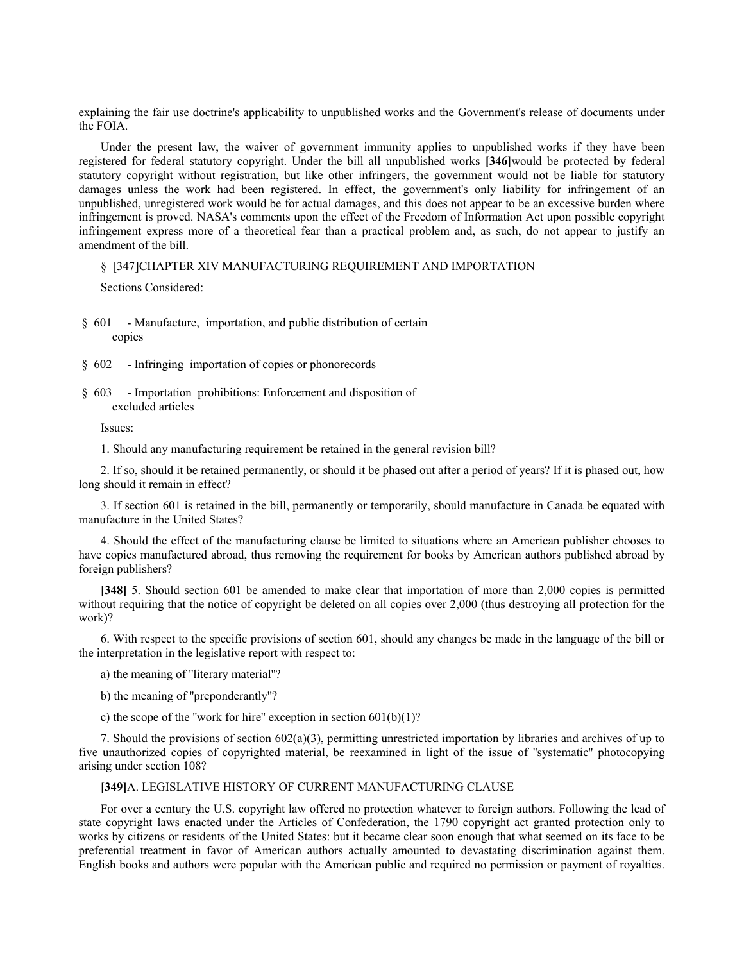explaining the fair use doctrine's applicability to unpublished works and the Government's release of documents under the FOIA.

Under the present law, the waiver of government immunity applies to unpublished works if they have been registered for federal statutory copyright. Under the bill all unpublished works **[346]**would be protected by federal statutory copyright without registration, but like other infringers, the government would not be liable for statutory damages unless the work had been registered. In effect, the government's only liability for infringement of an unpublished, unregistered work would be for actual damages, and this does not appear to be an excessive burden where infringement is proved. NASA's comments upon the effect of the Freedom of Information Act upon possible copyright infringement express more of a theoretical fear than a practical problem and, as such, do not appear to justify an amendment of the bill.

§ [347]CHAPTER XIV MANUFACTURING REQUIREMENT AND IMPORTATION

Sections Considered:

- § 601 Manufacture, importation, and public distribution of certain copies
- § 602 Infringing importation of copies or phonorecords
- § 603 Importation prohibitions: Enforcement and disposition of excluded articles

Issues:

1. Should any manufacturing requirement be retained in the general revision bill?

2. If so, should it be retained permanently, or should it be phased out after a period of years? If it is phased out, how long should it remain in effect?

3. If section 601 is retained in the bill, permanently or temporarily, should manufacture in Canada be equated with manufacture in the United States?

4. Should the effect of the manufacturing clause be limited to situations where an American publisher chooses to have copies manufactured abroad, thus removing the requirement for books by American authors published abroad by foreign publishers?

**[348]** 5. Should section 601 be amended to make clear that importation of more than 2,000 copies is permitted without requiring that the notice of copyright be deleted on all copies over 2,000 (thus destroying all protection for the work)?

6. With respect to the specific provisions of section 601, should any changes be made in the language of the bill or the interpretation in the legislative report with respect to:

- a) the meaning of ''literary material''?
- b) the meaning of ''preponderantly''?

c) the scope of the "work for hire" exception in section  $601(b)(1)$ ?

7. Should the provisions of section 602(a)(3), permitting unrestricted importation by libraries and archives of up to five unauthorized copies of copyrighted material, be reexamined in light of the issue of ''systematic'' photocopying arising under section 108?

# **[349]**A. LEGISLATIVE HISTORY OF CURRENT MANUFACTURING CLAUSE

For over a century the U.S. copyright law offered no protection whatever to foreign authors. Following the lead of state copyright laws enacted under the Articles of Confederation, the 1790 copyright act granted protection only to works by citizens or residents of the United States: but it became clear soon enough that what seemed on its face to be preferential treatment in favor of American authors actually amounted to devastating discrimination against them. English books and authors were popular with the American public and required no permission or payment of royalties.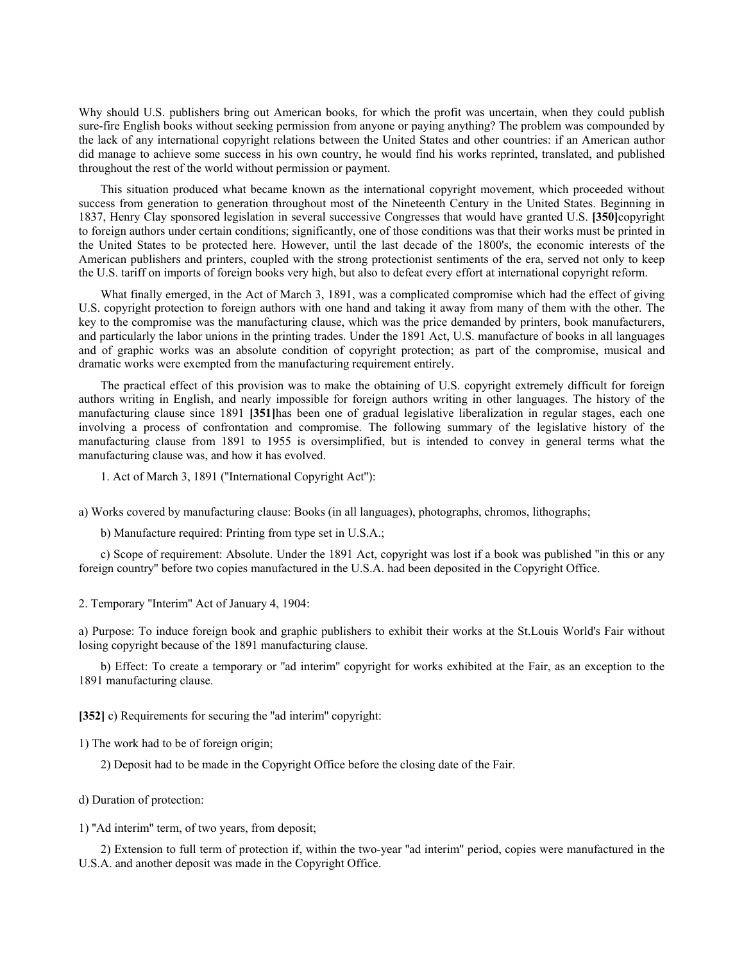Why should U.S. publishers bring out American books, for which the profit was uncertain, when they could publish sure-fire English books without seeking permission from anyone or paying anything? The problem was compounded by the lack of any international copyright relations between the United States and other countries: if an American author did manage to achieve some success in his own country, he would find his works reprinted, translated, and published throughout the rest of the world without permission or payment.

This situation produced what became known as the international copyright movement, which proceeded without success from generation to generation throughout most of the Nineteenth Century in the United States. Beginning in 1837, Henry Clay sponsored legislation in several successive Congresses that would have granted U.S. **[350]**copyright to foreign authors under certain conditions; significantly, one of those conditions was that their works must be printed in the United States to be protected here. However, until the last decade of the 1800's, the economic interests of the American publishers and printers, coupled with the strong protectionist sentiments of the era, served not only to keep the U.S. tariff on imports of foreign books very high, but also to defeat every effort at international copyright reform.

What finally emerged, in the Act of March 3, 1891, was a complicated compromise which had the effect of giving U.S. copyright protection to foreign authors with one hand and taking it away from many of them with the other. The key to the compromise was the manufacturing clause, which was the price demanded by printers, book manufacturers, and particularly the labor unions in the printing trades. Under the 1891 Act, U.S. manufacture of books in all languages and of graphic works was an absolute condition of copyright protection; as part of the compromise, musical and dramatic works were exempted from the manufacturing requirement entirely.

The practical effect of this provision was to make the obtaining of U.S. copyright extremely difficult for foreign authors writing in English, and nearly impossible for foreign authors writing in other languages. The history of the manufacturing clause since 1891 **[351]**has been one of gradual legislative liberalization in regular stages, each one involving a process of confrontation and compromise. The following summary of the legislative history of the manufacturing clause from 1891 to 1955 is oversimplified, but is intended to convey in general terms what the manufacturing clause was, and how it has evolved.

1. Act of March 3, 1891 (''International Copyright Act''):

a) Works covered by manufacturing clause: Books (in all languages), photographs, chromos, lithographs;

b) Manufacture required: Printing from type set in U.S.A.;

c) Scope of requirement: Absolute. Under the 1891 Act, copyright was lost if a book was published ''in this or any foreign country'' before two copies manufactured in the U.S.A. had been deposited in the Copyright Office.

2. Temporary ''Interim'' Act of January 4, 1904:

a) Purpose: To induce foreign book and graphic publishers to exhibit their works at the St.Louis World's Fair without losing copyright because of the 1891 manufacturing clause.

b) Effect: To create a temporary or ''ad interim'' copyright for works exhibited at the Fair, as an exception to the 1891 manufacturing clause.

[352] c) Requirements for securing the "ad interim" copyright:

1) The work had to be of foreign origin;

2) Deposit had to be made in the Copyright Office before the closing date of the Fair.

d) Duration of protection:

1) ''Ad interim'' term, of two years, from deposit;

2) Extension to full term of protection if, within the two-year ''ad interim'' period, copies were manufactured in the U.S.A. and another deposit was made in the Copyright Office.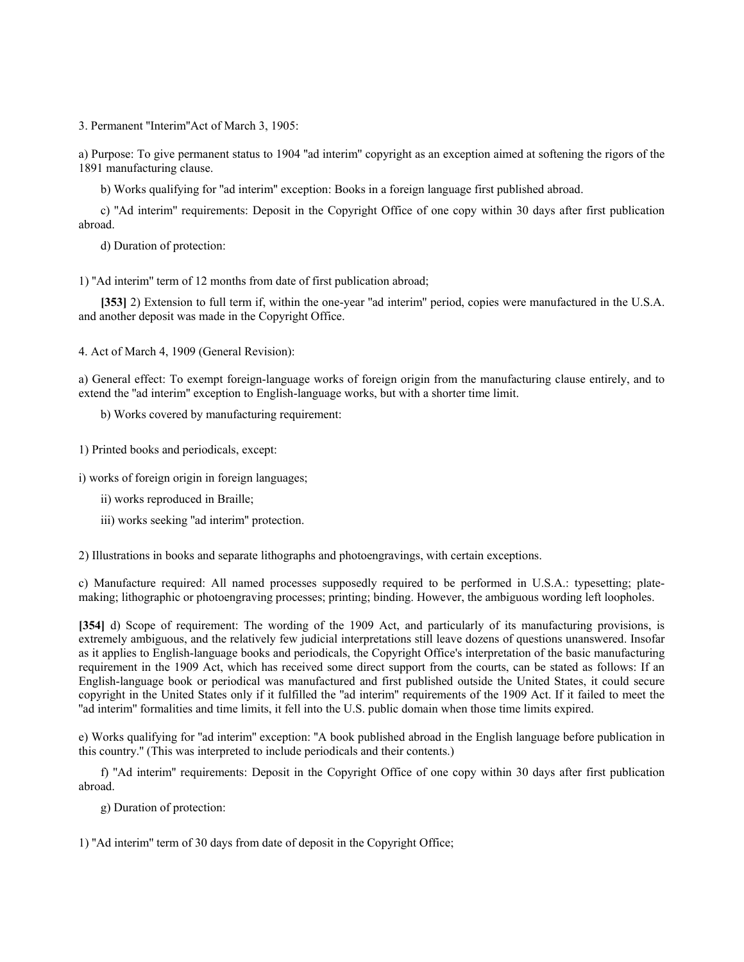3. Permanent ''Interim''Act of March 3, 1905:

a) Purpose: To give permanent status to 1904 ''ad interim'' copyright as an exception aimed at softening the rigors of the 1891 manufacturing clause.

b) Works qualifying for ''ad interim'' exception: Books in a foreign language first published abroad.

c) ''Ad interim'' requirements: Deposit in the Copyright Office of one copy within 30 days after first publication abroad.

d) Duration of protection:

1) ''Ad interim'' term of 12 months from date of first publication abroad;

**[353]** 2) Extension to full term if, within the one-year ''ad interim'' period, copies were manufactured in the U.S.A. and another deposit was made in the Copyright Office.

4. Act of March 4, 1909 (General Revision):

a) General effect: To exempt foreign-language works of foreign origin from the manufacturing clause entirely, and to extend the ''ad interim'' exception to English-language works, but with a shorter time limit.

b) Works covered by manufacturing requirement:

1) Printed books and periodicals, except:

i) works of foreign origin in foreign languages;

- ii) works reproduced in Braille;
- iii) works seeking ''ad interim'' protection.

2) Illustrations in books and separate lithographs and photoengravings, with certain exceptions.

c) Manufacture required: All named processes supposedly required to be performed in U.S.A.: typesetting; platemaking; lithographic or photoengraving processes; printing; binding. However, the ambiguous wording left loopholes.

**[354]** d) Scope of requirement: The wording of the 1909 Act, and particularly of its manufacturing provisions, is extremely ambiguous, and the relatively few judicial interpretations still leave dozens of questions unanswered. Insofar as it applies to English-language books and periodicals, the Copyright Office's interpretation of the basic manufacturing requirement in the 1909 Act, which has received some direct support from the courts, can be stated as follows: If an English-language book or periodical was manufactured and first published outside the United States, it could secure copyright in the United States only if it fulfilled the ''ad interim'' requirements of the 1909 Act. If it failed to meet the ''ad interim'' formalities and time limits, it fell into the U.S. public domain when those time limits expired.

e) Works qualifying for ''ad interim'' exception: ''A book published abroad in the English language before publication in this country.'' (This was interpreted to include periodicals and their contents.)

f) ''Ad interim'' requirements: Deposit in the Copyright Office of one copy within 30 days after first publication abroad.

g) Duration of protection:

1) ''Ad interim'' term of 30 days from date of deposit in the Copyright Office;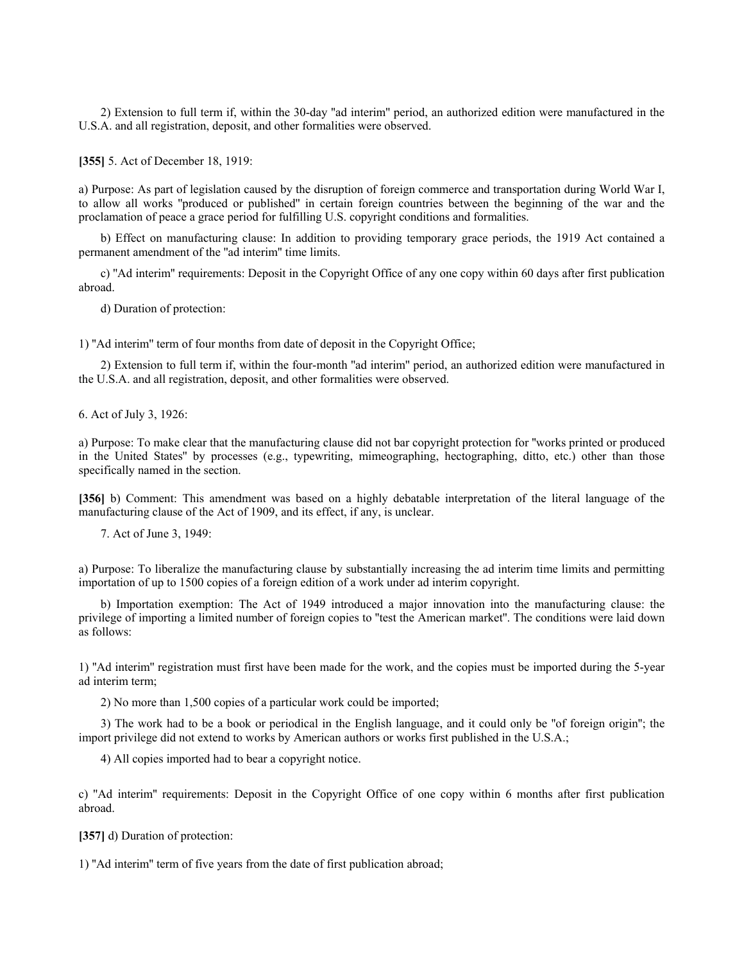2) Extension to full term if, within the 30-day ''ad interim'' period, an authorized edition were manufactured in the U.S.A. and all registration, deposit, and other formalities were observed.

**[355]** 5. Act of December 18, 1919:

a) Purpose: As part of legislation caused by the disruption of foreign commerce and transportation during World War I, to allow all works ''produced or published'' in certain foreign countries between the beginning of the war and the proclamation of peace a grace period for fulfilling U.S. copyright conditions and formalities.

b) Effect on manufacturing clause: In addition to providing temporary grace periods, the 1919 Act contained a permanent amendment of the ''ad interim'' time limits.

c) ''Ad interim'' requirements: Deposit in the Copyright Office of any one copy within 60 days after first publication abroad.

d) Duration of protection:

1) ''Ad interim'' term of four months from date of deposit in the Copyright Office;

2) Extension to full term if, within the four-month ''ad interim'' period, an authorized edition were manufactured in the U.S.A. and all registration, deposit, and other formalities were observed.

6. Act of July 3, 1926:

a) Purpose: To make clear that the manufacturing clause did not bar copyright protection for ''works printed or produced in the United States'' by processes (e.g., typewriting, mimeographing, hectographing, ditto, etc.) other than those specifically named in the section.

**[356]** b) Comment: This amendment was based on a highly debatable interpretation of the literal language of the manufacturing clause of the Act of 1909, and its effect, if any, is unclear.

7. Act of June 3, 1949:

a) Purpose: To liberalize the manufacturing clause by substantially increasing the ad interim time limits and permitting importation of up to 1500 copies of a foreign edition of a work under ad interim copyright.

b) Importation exemption: The Act of 1949 introduced a major innovation into the manufacturing clause: the privilege of importing a limited number of foreign copies to ''test the American market''. The conditions were laid down as follows:

1) ''Ad interim'' registration must first have been made for the work, and the copies must be imported during the 5-year ad interim term;

2) No more than 1,500 copies of a particular work could be imported;

3) The work had to be a book or periodical in the English language, and it could only be ''of foreign origin''; the import privilege did not extend to works by American authors or works first published in the U.S.A.;

4) All copies imported had to bear a copyright notice.

c) ''Ad interim'' requirements: Deposit in the Copyright Office of one copy within 6 months after first publication abroad.

**[357]** d) Duration of protection:

1) ''Ad interim'' term of five years from the date of first publication abroad;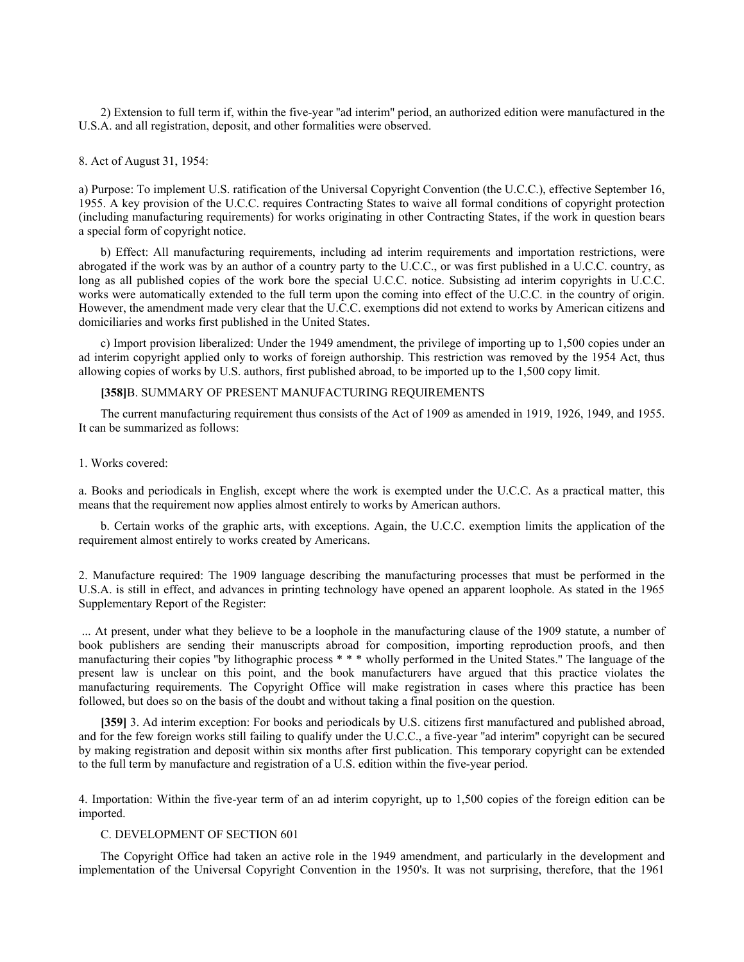2) Extension to full term if, within the five-year ''ad interim'' period, an authorized edition were manufactured in the U.S.A. and all registration, deposit, and other formalities were observed.

8. Act of August 31, 1954:

a) Purpose: To implement U.S. ratification of the Universal Copyright Convention (the U.C.C.), effective September 16, 1955. A key provision of the U.C.C. requires Contracting States to waive all formal conditions of copyright protection (including manufacturing requirements) for works originating in other Contracting States, if the work in question bears a special form of copyright notice.

b) Effect: All manufacturing requirements, including ad interim requirements and importation restrictions, were abrogated if the work was by an author of a country party to the U.C.C., or was first published in a U.C.C. country, as long as all published copies of the work bore the special U.C.C. notice. Subsisting ad interim copyrights in U.C.C. works were automatically extended to the full term upon the coming into effect of the U.C.C. in the country of origin. However, the amendment made very clear that the U.C.C. exemptions did not extend to works by American citizens and domiciliaries and works first published in the United States.

c) Import provision liberalized: Under the 1949 amendment, the privilege of importing up to 1,500 copies under an ad interim copyright applied only to works of foreign authorship. This restriction was removed by the 1954 Act, thus allowing copies of works by U.S. authors, first published abroad, to be imported up to the 1,500 copy limit.

**[358]**B. SUMMARY OF PRESENT MANUFACTURING REQUIREMENTS

The current manufacturing requirement thus consists of the Act of 1909 as amended in 1919, 1926, 1949, and 1955. It can be summarized as follows:

## 1. Works covered:

a. Books and periodicals in English, except where the work is exempted under the U.C.C. As a practical matter, this means that the requirement now applies almost entirely to works by American authors.

b. Certain works of the graphic arts, with exceptions. Again, the U.C.C. exemption limits the application of the requirement almost entirely to works created by Americans.

2. Manufacture required: The 1909 language describing the manufacturing processes that must be performed in the U.S.A. is still in effect, and advances in printing technology have opened an apparent loophole. As stated in the 1965 Supplementary Report of the Register:

 ... At present, under what they believe to be a loophole in the manufacturing clause of the 1909 statute, a number of book publishers are sending their manuscripts abroad for composition, importing reproduction proofs, and then manufacturing their copies ''by lithographic process \* \* \* wholly performed in the United States.'' The language of the present law is unclear on this point, and the book manufacturers have argued that this practice violates the manufacturing requirements. The Copyright Office will make registration in cases where this practice has been followed, but does so on the basis of the doubt and without taking a final position on the question.

**[359]** 3. Ad interim exception: For books and periodicals by U.S. citizens first manufactured and published abroad, and for the few foreign works still failing to qualify under the U.C.C., a five-year ''ad interim'' copyright can be secured by making registration and deposit within six months after first publication. This temporary copyright can be extended to the full term by manufacture and registration of a U.S. edition within the five-year period.

4. Importation: Within the five-year term of an ad interim copyright, up to 1,500 copies of the foreign edition can be imported.

# C. DEVELOPMENT OF SECTION 601

The Copyright Office had taken an active role in the 1949 amendment, and particularly in the development and implementation of the Universal Copyright Convention in the 1950's. It was not surprising, therefore, that the 1961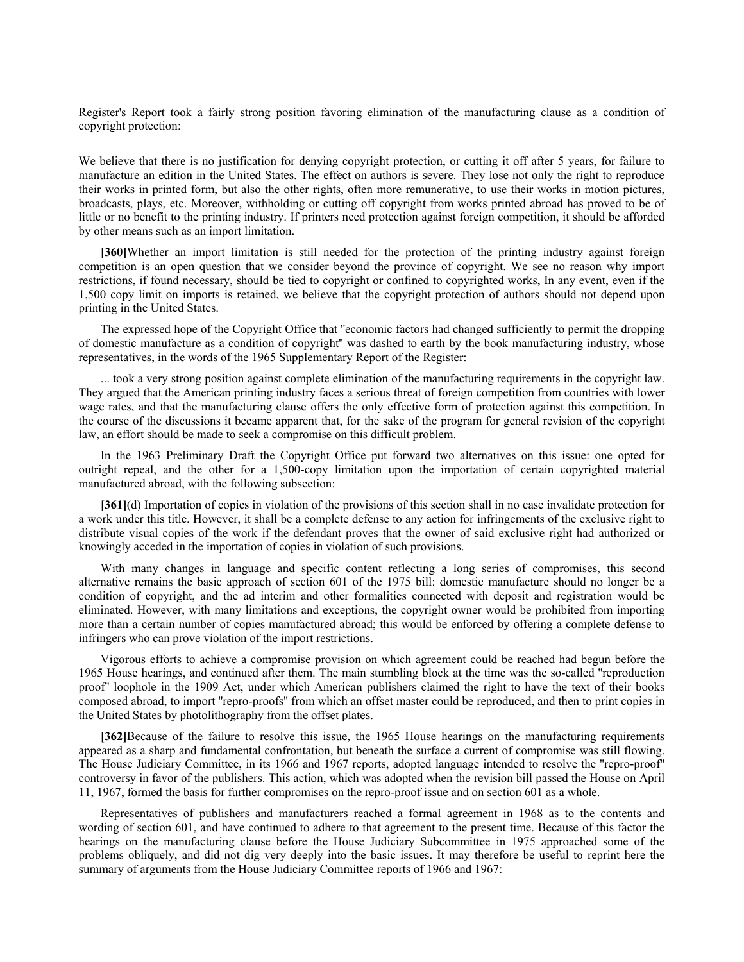Register's Report took a fairly strong position favoring elimination of the manufacturing clause as a condition of copyright protection:

We believe that there is no justification for denying copyright protection, or cutting it off after 5 years, for failure to manufacture an edition in the United States. The effect on authors is severe. They lose not only the right to reproduce their works in printed form, but also the other rights, often more remunerative, to use their works in motion pictures, broadcasts, plays, etc. Moreover, withholding or cutting off copyright from works printed abroad has proved to be of little or no benefit to the printing industry. If printers need protection against foreign competition, it should be afforded by other means such as an import limitation.

**[360]**Whether an import limitation is still needed for the protection of the printing industry against foreign competition is an open question that we consider beyond the province of copyright. We see no reason why import restrictions, if found necessary, should be tied to copyright or confined to copyrighted works, In any event, even if the 1,500 copy limit on imports is retained, we believe that the copyright protection of authors should not depend upon printing in the United States.

The expressed hope of the Copyright Office that ''economic factors had changed sufficiently to permit the dropping of domestic manufacture as a condition of copyright'' was dashed to earth by the book manufacturing industry, whose representatives, in the words of the 1965 Supplementary Report of the Register:

... took a very strong position against complete elimination of the manufacturing requirements in the copyright law. They argued that the American printing industry faces a serious threat of foreign competition from countries with lower wage rates, and that the manufacturing clause offers the only effective form of protection against this competition. In the course of the discussions it became apparent that, for the sake of the program for general revision of the copyright law, an effort should be made to seek a compromise on this difficult problem.

In the 1963 Preliminary Draft the Copyright Office put forward two alternatives on this issue: one opted for outright repeal, and the other for a 1,500-copy limitation upon the importation of certain copyrighted material manufactured abroad, with the following subsection:

**[361]**(d) Importation of copies in violation of the provisions of this section shall in no case invalidate protection for a work under this title. However, it shall be a complete defense to any action for infringements of the exclusive right to distribute visual copies of the work if the defendant proves that the owner of said exclusive right had authorized or knowingly acceded in the importation of copies in violation of such provisions.

With many changes in language and specific content reflecting a long series of compromises, this second alternative remains the basic approach of section 601 of the 1975 bill: domestic manufacture should no longer be a condition of copyright, and the ad interim and other formalities connected with deposit and registration would be eliminated. However, with many limitations and exceptions, the copyright owner would be prohibited from importing more than a certain number of copies manufactured abroad; this would be enforced by offering a complete defense to infringers who can prove violation of the import restrictions.

Vigorous efforts to achieve a compromise provision on which agreement could be reached had begun before the 1965 House hearings, and continued after them. The main stumbling block at the time was the so-called ''reproduction proof'' loophole in the 1909 Act, under which American publishers claimed the right to have the text of their books composed abroad, to import ''repro-proofs'' from which an offset master could be reproduced, and then to print copies in the United States by photolithography from the offset plates.

**[362]**Because of the failure to resolve this issue, the 1965 House hearings on the manufacturing requirements appeared as a sharp and fundamental confrontation, but beneath the surface a current of compromise was still flowing. The House Judiciary Committee, in its 1966 and 1967 reports, adopted language intended to resolve the ''repro-proof'' controversy in favor of the publishers. This action, which was adopted when the revision bill passed the House on April 11, 1967, formed the basis for further compromises on the repro-proof issue and on section 601 as a whole.

Representatives of publishers and manufacturers reached a formal agreement in 1968 as to the contents and wording of section 601, and have continued to adhere to that agreement to the present time. Because of this factor the hearings on the manufacturing clause before the House Judiciary Subcommittee in 1975 approached some of the problems obliquely, and did not dig very deeply into the basic issues. It may therefore be useful to reprint here the summary of arguments from the House Judiciary Committee reports of 1966 and 1967: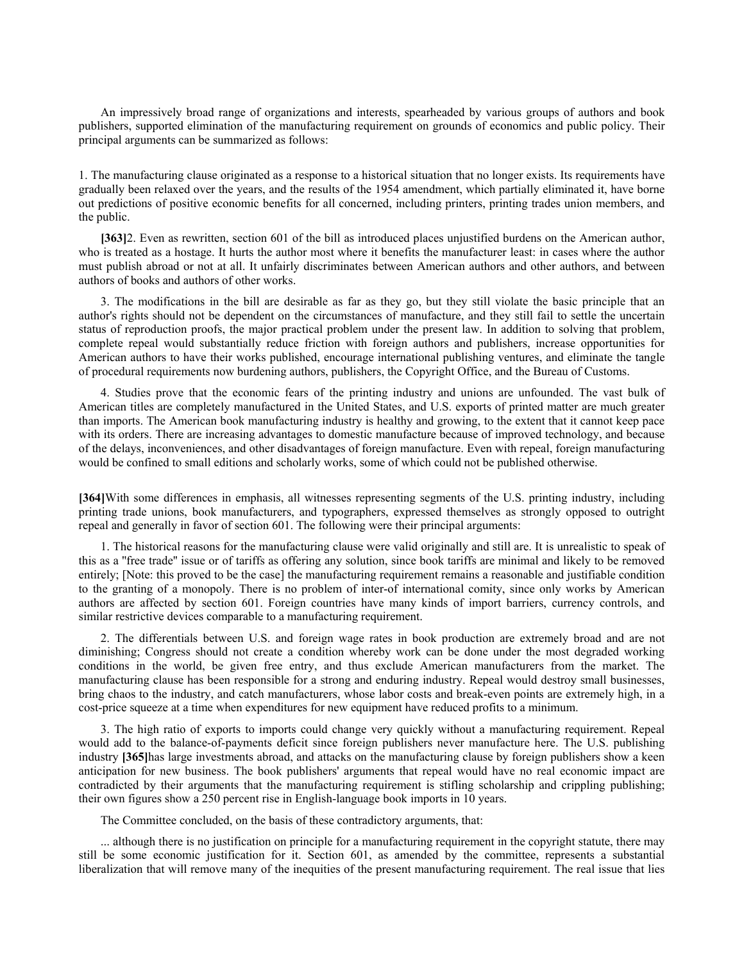An impressively broad range of organizations and interests, spearheaded by various groups of authors and book publishers, supported elimination of the manufacturing requirement on grounds of economics and public policy. Their principal arguments can be summarized as follows:

1. The manufacturing clause originated as a response to a historical situation that no longer exists. Its requirements have gradually been relaxed over the years, and the results of the 1954 amendment, which partially eliminated it, have borne out predictions of positive economic benefits for all concerned, including printers, printing trades union members, and the public.

**[363]**2. Even as rewritten, section 601 of the bill as introduced places unjustified burdens on the American author, who is treated as a hostage. It hurts the author most where it benefits the manufacturer least: in cases where the author must publish abroad or not at all. It unfairly discriminates between American authors and other authors, and between authors of books and authors of other works.

3. The modifications in the bill are desirable as far as they go, but they still violate the basic principle that an author's rights should not be dependent on the circumstances of manufacture, and they still fail to settle the uncertain status of reproduction proofs, the major practical problem under the present law. In addition to solving that problem, complete repeal would substantially reduce friction with foreign authors and publishers, increase opportunities for American authors to have their works published, encourage international publishing ventures, and eliminate the tangle of procedural requirements now burdening authors, publishers, the Copyright Office, and the Bureau of Customs.

4. Studies prove that the economic fears of the printing industry and unions are unfounded. The vast bulk of American titles are completely manufactured in the United States, and U.S. exports of printed matter are much greater than imports. The American book manufacturing industry is healthy and growing, to the extent that it cannot keep pace with its orders. There are increasing advantages to domestic manufacture because of improved technology, and because of the delays, inconveniences, and other disadvantages of foreign manufacture. Even with repeal, foreign manufacturing would be confined to small editions and scholarly works, some of which could not be published otherwise.

**[364]**With some differences in emphasis, all witnesses representing segments of the U.S. printing industry, including printing trade unions, book manufacturers, and typographers, expressed themselves as strongly opposed to outright repeal and generally in favor of section 601. The following were their principal arguments:

1. The historical reasons for the manufacturing clause were valid originally and still are. It is unrealistic to speak of this as a ''free trade'' issue or of tariffs as offering any solution, since book tariffs are minimal and likely to be removed entirely; [Note: this proved to be the case] the manufacturing requirement remains a reasonable and justifiable condition to the granting of a monopoly. There is no problem of inter-of international comity, since only works by American authors are affected by section 601. Foreign countries have many kinds of import barriers, currency controls, and similar restrictive devices comparable to a manufacturing requirement.

2. The differentials between U.S. and foreign wage rates in book production are extremely broad and are not diminishing; Congress should not create a condition whereby work can be done under the most degraded working conditions in the world, be given free entry, and thus exclude American manufacturers from the market. The manufacturing clause has been responsible for a strong and enduring industry. Repeal would destroy small businesses, bring chaos to the industry, and catch manufacturers, whose labor costs and break-even points are extremely high, in a cost-price squeeze at a time when expenditures for new equipment have reduced profits to a minimum.

3. The high ratio of exports to imports could change very quickly without a manufacturing requirement. Repeal would add to the balance-of-payments deficit since foreign publishers never manufacture here. The U.S. publishing industry **[365]**has large investments abroad, and attacks on the manufacturing clause by foreign publishers show a keen anticipation for new business. The book publishers' arguments that repeal would have no real economic impact are contradicted by their arguments that the manufacturing requirement is stifling scholarship and crippling publishing; their own figures show a 250 percent rise in English-language book imports in 10 years.

The Committee concluded, on the basis of these contradictory arguments, that:

... although there is no justification on principle for a manufacturing requirement in the copyright statute, there may still be some economic justification for it. Section 601, as amended by the committee, represents a substantial liberalization that will remove many of the inequities of the present manufacturing requirement. The real issue that lies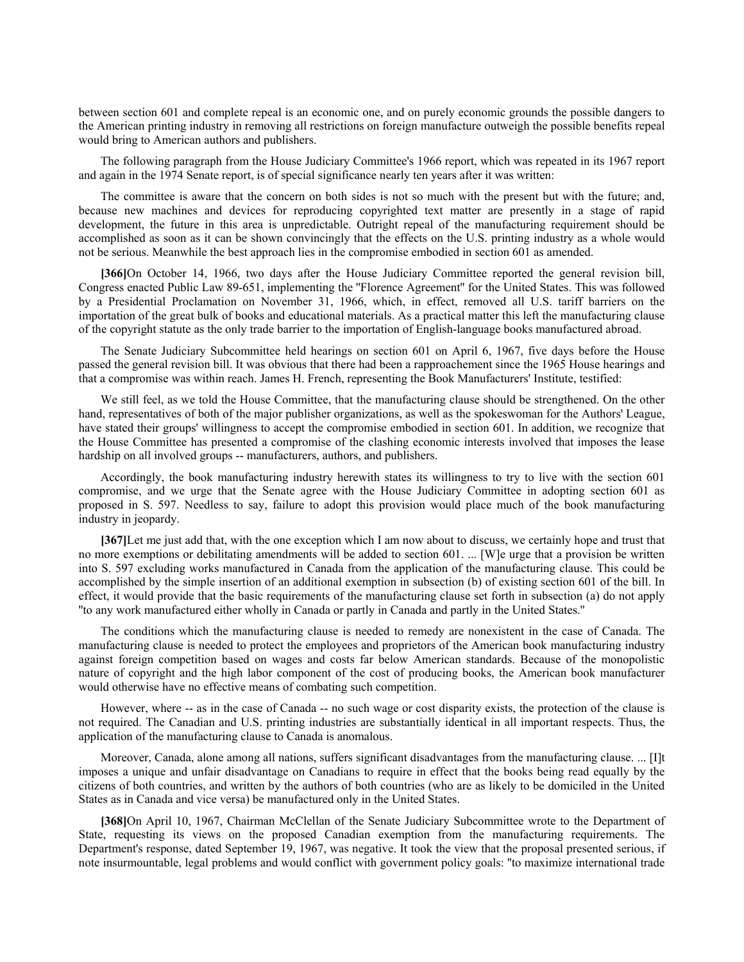between section 601 and complete repeal is an economic one, and on purely economic grounds the possible dangers to the American printing industry in removing all restrictions on foreign manufacture outweigh the possible benefits repeal would bring to American authors and publishers.

The following paragraph from the House Judiciary Committee's 1966 report, which was repeated in its 1967 report and again in the 1974 Senate report, is of special significance nearly ten years after it was written:

The committee is aware that the concern on both sides is not so much with the present but with the future; and, because new machines and devices for reproducing copyrighted text matter are presently in a stage of rapid development, the future in this area is unpredictable. Outright repeal of the manufacturing requirement should be accomplished as soon as it can be shown convincingly that the effects on the U.S. printing industry as a whole would not be serious. Meanwhile the best approach lies in the compromise embodied in section 601 as amended.

**[366]**On October 14, 1966, two days after the House Judiciary Committee reported the general revision bill, Congress enacted Public Law 89-651, implementing the ''Florence Agreement'' for the United States. This was followed by a Presidential Proclamation on November 31, 1966, which, in effect, removed all U.S. tariff barriers on the importation of the great bulk of books and educational materials. As a practical matter this left the manufacturing clause of the copyright statute as the only trade barrier to the importation of English-language books manufactured abroad.

The Senate Judiciary Subcommittee held hearings on section 601 on April 6, 1967, five days before the House passed the general revision bill. It was obvious that there had been a rapproachement since the 1965 House hearings and that a compromise was within reach. James H. French, representing the Book Manufacturers' Institute, testified:

We still feel, as we told the House Committee, that the manufacturing clause should be strengthened. On the other hand, representatives of both of the major publisher organizations, as well as the spokeswoman for the Authors' League, have stated their groups' willingness to accept the compromise embodied in section 601. In addition, we recognize that the House Committee has presented a compromise of the clashing economic interests involved that imposes the lease hardship on all involved groups -- manufacturers, authors, and publishers.

Accordingly, the book manufacturing industry herewith states its willingness to try to live with the section 601 compromise, and we urge that the Senate agree with the House Judiciary Committee in adopting section 601 as proposed in S. 597. Needless to say, failure to adopt this provision would place much of the book manufacturing industry in jeopardy.

**[367]**Let me just add that, with the one exception which I am now about to discuss, we certainly hope and trust that no more exemptions or debilitating amendments will be added to section 601. ... [W]e urge that a provision be written into S. 597 excluding works manufactured in Canada from the application of the manufacturing clause. This could be accomplished by the simple insertion of an additional exemption in subsection (b) of existing section 601 of the bill. In effect, it would provide that the basic requirements of the manufacturing clause set forth in subsection (a) do not apply ''to any work manufactured either wholly in Canada or partly in Canada and partly in the United States.''

The conditions which the manufacturing clause is needed to remedy are nonexistent in the case of Canada. The manufacturing clause is needed to protect the employees and proprietors of the American book manufacturing industry against foreign competition based on wages and costs far below American standards. Because of the monopolistic nature of copyright and the high labor component of the cost of producing books, the American book manufacturer would otherwise have no effective means of combating such competition.

However, where -- as in the case of Canada -- no such wage or cost disparity exists, the protection of the clause is not required. The Canadian and U.S. printing industries are substantially identical in all important respects. Thus, the application of the manufacturing clause to Canada is anomalous.

Moreover, Canada, alone among all nations, suffers significant disadvantages from the manufacturing clause. ... [I]t imposes a unique and unfair disadvantage on Canadians to require in effect that the books being read equally by the citizens of both countries, and written by the authors of both countries (who are as likely to be domiciled in the United States as in Canada and vice versa) be manufactured only in the United States.

**[368]**On April 10, 1967, Chairman McClellan of the Senate Judiciary Subcommittee wrote to the Department of State, requesting its views on the proposed Canadian exemption from the manufacturing requirements. The Department's response, dated September 19, 1967, was negative. It took the view that the proposal presented serious, if note insurmountable, legal problems and would conflict with government policy goals: ''to maximize international trade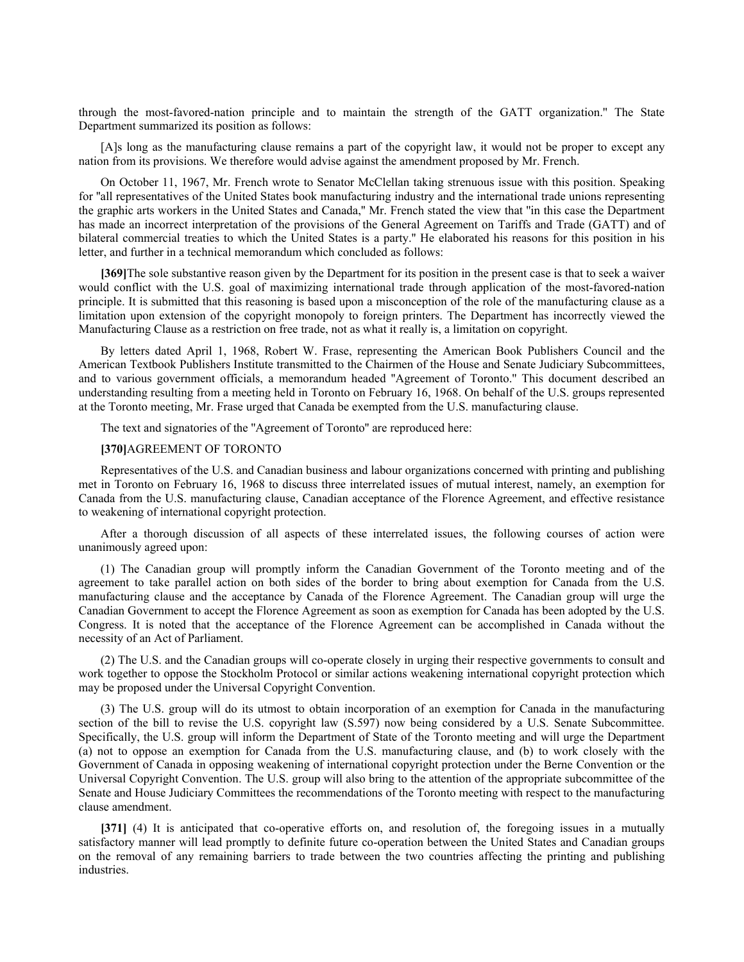through the most-favored-nation principle and to maintain the strength of the GATT organization.'' The State Department summarized its position as follows:

[A]s long as the manufacturing clause remains a part of the copyright law, it would not be proper to except any nation from its provisions. We therefore would advise against the amendment proposed by Mr. French.

On October 11, 1967, Mr. French wrote to Senator McClellan taking strenuous issue with this position. Speaking for ''all representatives of the United States book manufacturing industry and the international trade unions representing the graphic arts workers in the United States and Canada,'' Mr. French stated the view that ''in this case the Department has made an incorrect interpretation of the provisions of the General Agreement on Tariffs and Trade (GATT) and of bilateral commercial treaties to which the United States is a party.'' He elaborated his reasons for this position in his letter, and further in a technical memorandum which concluded as follows:

**[369]**The sole substantive reason given by the Department for its position in the present case is that to seek a waiver would conflict with the U.S. goal of maximizing international trade through application of the most-favored-nation principle. It is submitted that this reasoning is based upon a misconception of the role of the manufacturing clause as a limitation upon extension of the copyright monopoly to foreign printers. The Department has incorrectly viewed the Manufacturing Clause as a restriction on free trade, not as what it really is, a limitation on copyright.

By letters dated April 1, 1968, Robert W. Frase, representing the American Book Publishers Council and the American Textbook Publishers Institute transmitted to the Chairmen of the House and Senate Judiciary Subcommittees, and to various government officials, a memorandum headed ''Agreement of Toronto.'' This document described an understanding resulting from a meeting held in Toronto on February 16, 1968. On behalf of the U.S. groups represented at the Toronto meeting, Mr. Frase urged that Canada be exempted from the U.S. manufacturing clause.

The text and signatories of the ''Agreement of Toronto'' are reproduced here:

### **[370]**AGREEMENT OF TORONTO

Representatives of the U.S. and Canadian business and labour organizations concerned with printing and publishing met in Toronto on February 16, 1968 to discuss three interrelated issues of mutual interest, namely, an exemption for Canada from the U.S. manufacturing clause, Canadian acceptance of the Florence Agreement, and effective resistance to weakening of international copyright protection.

After a thorough discussion of all aspects of these interrelated issues, the following courses of action were unanimously agreed upon:

(1) The Canadian group will promptly inform the Canadian Government of the Toronto meeting and of the agreement to take parallel action on both sides of the border to bring about exemption for Canada from the U.S. manufacturing clause and the acceptance by Canada of the Florence Agreement. The Canadian group will urge the Canadian Government to accept the Florence Agreement as soon as exemption for Canada has been adopted by the U.S. Congress. It is noted that the acceptance of the Florence Agreement can be accomplished in Canada without the necessity of an Act of Parliament.

(2) The U.S. and the Canadian groups will co-operate closely in urging their respective governments to consult and work together to oppose the Stockholm Protocol or similar actions weakening international copyright protection which may be proposed under the Universal Copyright Convention.

(3) The U.S. group will do its utmost to obtain incorporation of an exemption for Canada in the manufacturing section of the bill to revise the U.S. copyright law (S.597) now being considered by a U.S. Senate Subcommittee. Specifically, the U.S. group will inform the Department of State of the Toronto meeting and will urge the Department (a) not to oppose an exemption for Canada from the U.S. manufacturing clause, and (b) to work closely with the Government of Canada in opposing weakening of international copyright protection under the Berne Convention or the Universal Copyright Convention. The U.S. group will also bring to the attention of the appropriate subcommittee of the Senate and House Judiciary Committees the recommendations of the Toronto meeting with respect to the manufacturing clause amendment.

**[371]** (4) It is anticipated that co-operative efforts on, and resolution of, the foregoing issues in a mutually satisfactory manner will lead promptly to definite future co-operation between the United States and Canadian groups on the removal of any remaining barriers to trade between the two countries affecting the printing and publishing industries.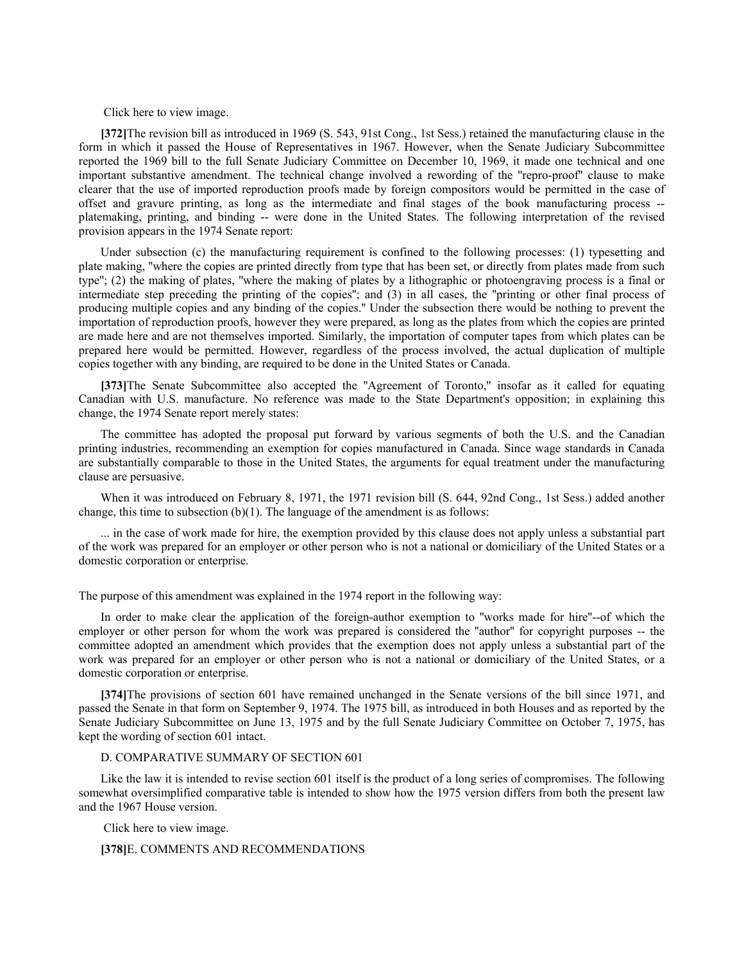Click here to view image.

**[372]**The revision bill as introduced in 1969 (S. 543, 91st Cong., 1st Sess.) retained the manufacturing clause in the form in which it passed the House of Representatives in 1967. However, when the Senate Judiciary Subcommittee reported the 1969 bill to the full Senate Judiciary Committee on December 10, 1969, it made one technical and one important substantive amendment. The technical change involved a rewording of the ''repro-proof'' clause to make clearer that the use of imported reproduction proofs made by foreign compositors would be permitted in the case of offset and gravure printing, as long as the intermediate and final stages of the book manufacturing process - platemaking, printing, and binding -- were done in the United States. The following interpretation of the revised provision appears in the 1974 Senate report:

Under subsection (c) the manufacturing requirement is confined to the following processes: (1) typesetting and plate making, ''where the copies are printed directly from type that has been set, or directly from plates made from such type''; (2) the making of plates, ''where the making of plates by a lithographic or photoengraving process is a final or intermediate step preceding the printing of the copies''; and (3) in all cases, the ''printing or other final process of producing multiple copies and any binding of the copies.'' Under the subsection there would be nothing to prevent the importation of reproduction proofs, however they were prepared, as long as the plates from which the copies are printed are made here and are not themselves imported. Similarly, the importation of computer tapes from which plates can be prepared here would be permitted. However, regardless of the process involved, the actual duplication of multiple copies together with any binding, are required to be done in the United States or Canada.

**[373]**The Senate Subcommittee also accepted the ''Agreement of Toronto,'' insofar as it called for equating Canadian with U.S. manufacture. No reference was made to the State Department's opposition; in explaining this change, the 1974 Senate report merely states:

The committee has adopted the proposal put forward by various segments of both the U.S. and the Canadian printing industries, recommending an exemption for copies manufactured in Canada. Since wage standards in Canada are substantially comparable to those in the United States, the arguments for equal treatment under the manufacturing clause are persuasive.

When it was introduced on February 8, 1971, the 1971 revision bill (S. 644, 92nd Cong., 1st Sess.) added another change, this time to subsection (b)(1). The language of the amendment is as follows:

... in the case of work made for hire, the exemption provided by this clause does not apply unless a substantial part of the work was prepared for an employer or other person who is not a national or domiciliary of the United States or a domestic corporation or enterprise.

The purpose of this amendment was explained in the 1974 report in the following way:

In order to make clear the application of the foreign-author exemption to ''works made for hire''--of which the employer or other person for whom the work was prepared is considered the ''author'' for copyright purposes -- the committee adopted an amendment which provides that the exemption does not apply unless a substantial part of the work was prepared for an employer or other person who is not a national or domiciliary of the United States, or a domestic corporation or enterprise.

**[374]**The provisions of section 601 have remained unchanged in the Senate versions of the bill since 1971, and passed the Senate in that form on September 9, 1974. The 1975 bill, as introduced in both Houses and as reported by the Senate Judiciary Subcommittee on June 13, 1975 and by the full Senate Judiciary Committee on October 7, 1975, has kept the wording of section 601 intact.

# D. COMPARATIVE SUMMARY OF SECTION 601

Like the law it is intended to revise section 601 itself is the product of a long series of compromises. The following somewhat oversimplified comparative table is intended to show how the 1975 version differs from both the present law and the 1967 House version.

Click here to view image.

### **[378]**E. COMMENTS AND RECOMMENDATIONS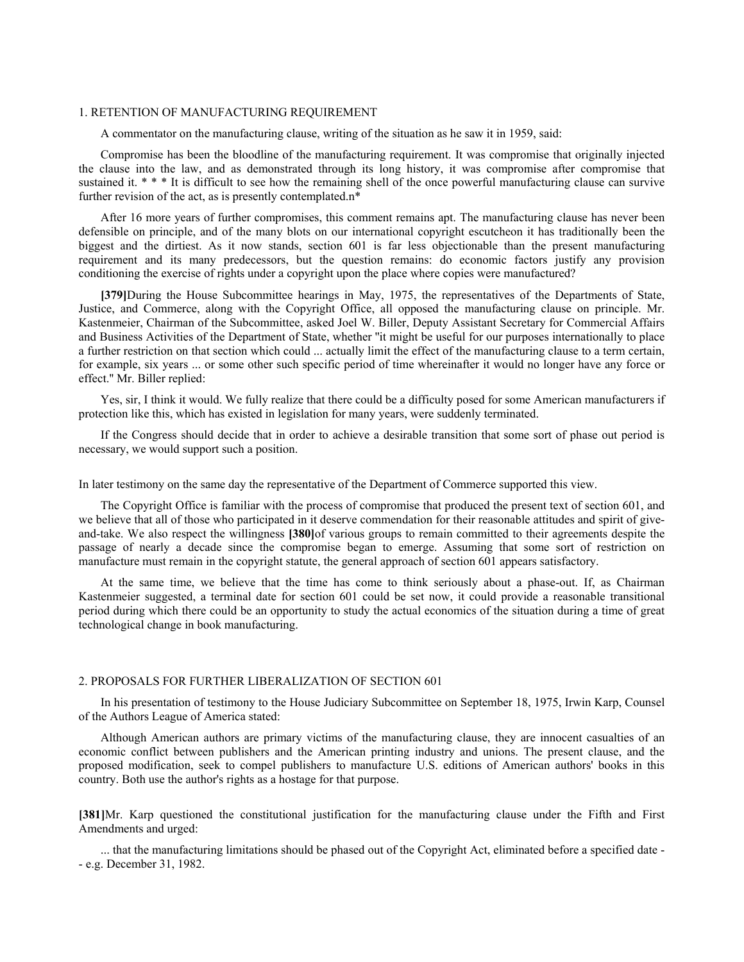### 1. RETENTION OF MANUFACTURING REQUIREMENT

A commentator on the manufacturing clause, writing of the situation as he saw it in 1959, said:

Compromise has been the bloodline of the manufacturing requirement. It was compromise that originally injected the clause into the law, and as demonstrated through its long history, it was compromise after compromise that sustained it. \* \* \* It is difficult to see how the remaining shell of the once powerful manufacturing clause can survive further revision of the act, as is presently contemplated.n\*

After 16 more years of further compromises, this comment remains apt. The manufacturing clause has never been defensible on principle, and of the many blots on our international copyright escutcheon it has traditionally been the biggest and the dirtiest. As it now stands, section 601 is far less objectionable than the present manufacturing requirement and its many predecessors, but the question remains: do economic factors justify any provision conditioning the exercise of rights under a copyright upon the place where copies were manufactured?

**[379]**During the House Subcommittee hearings in May, 1975, the representatives of the Departments of State, Justice, and Commerce, along with the Copyright Office, all opposed the manufacturing clause on principle. Mr. Kastenmeier, Chairman of the Subcommittee, asked Joel W. Biller, Deputy Assistant Secretary for Commercial Affairs and Business Activities of the Department of State, whether ''it might be useful for our purposes internationally to place a further restriction on that section which could ... actually limit the effect of the manufacturing clause to a term certain, for example, six years ... or some other such specific period of time whereinafter it would no longer have any force or effect.'' Mr. Biller replied:

Yes, sir, I think it would. We fully realize that there could be a difficulty posed for some American manufacturers if protection like this, which has existed in legislation for many years, were suddenly terminated.

If the Congress should decide that in order to achieve a desirable transition that some sort of phase out period is necessary, we would support such a position.

In later testimony on the same day the representative of the Department of Commerce supported this view.

The Copyright Office is familiar with the process of compromise that produced the present text of section 601, and we believe that all of those who participated in it deserve commendation for their reasonable attitudes and spirit of giveand-take. We also respect the willingness **[380]**of various groups to remain committed to their agreements despite the passage of nearly a decade since the compromise began to emerge. Assuming that some sort of restriction on manufacture must remain in the copyright statute, the general approach of section 601 appears satisfactory.

At the same time, we believe that the time has come to think seriously about a phase-out. If, as Chairman Kastenmeier suggested, a terminal date for section 601 could be set now, it could provide a reasonable transitional period during which there could be an opportunity to study the actual economics of the situation during a time of great technological change in book manufacturing.

# 2. PROPOSALS FOR FURTHER LIBERALIZATION OF SECTION 601

In his presentation of testimony to the House Judiciary Subcommittee on September 18, 1975, Irwin Karp, Counsel of the Authors League of America stated:

Although American authors are primary victims of the manufacturing clause, they are innocent casualties of an economic conflict between publishers and the American printing industry and unions. The present clause, and the proposed modification, seek to compel publishers to manufacture U.S. editions of American authors' books in this country. Both use the author's rights as a hostage for that purpose.

**[381]**Mr. Karp questioned the constitutional justification for the manufacturing clause under the Fifth and First Amendments and urged:

... that the manufacturing limitations should be phased out of the Copyright Act, eliminated before a specified date - - e.g. December 31, 1982.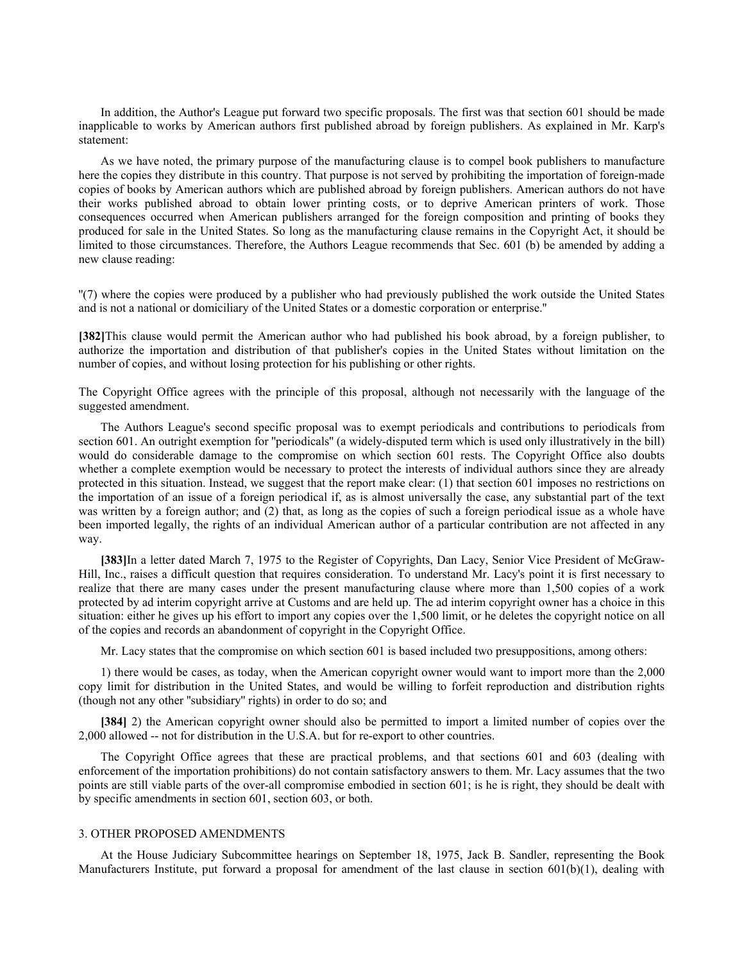In addition, the Author's League put forward two specific proposals. The first was that section 601 should be made inapplicable to works by American authors first published abroad by foreign publishers. As explained in Mr. Karp's statement:

As we have noted, the primary purpose of the manufacturing clause is to compel book publishers to manufacture here the copies they distribute in this country. That purpose is not served by prohibiting the importation of foreign-made copies of books by American authors which are published abroad by foreign publishers. American authors do not have their works published abroad to obtain lower printing costs, or to deprive American printers of work. Those consequences occurred when American publishers arranged for the foreign composition and printing of books they produced for sale in the United States. So long as the manufacturing clause remains in the Copyright Act, it should be limited to those circumstances. Therefore, the Authors League recommends that Sec. 601 (b) be amended by adding a new clause reading:

''(7) where the copies were produced by a publisher who had previously published the work outside the United States and is not a national or domiciliary of the United States or a domestic corporation or enterprise.''

**[382]**This clause would permit the American author who had published his book abroad, by a foreign publisher, to authorize the importation and distribution of that publisher's copies in the United States without limitation on the number of copies, and without losing protection for his publishing or other rights.

The Copyright Office agrees with the principle of this proposal, although not necessarily with the language of the suggested amendment.

The Authors League's second specific proposal was to exempt periodicals and contributions to periodicals from section 601. An outright exemption for ''periodicals'' (a widely-disputed term which is used only illustratively in the bill) would do considerable damage to the compromise on which section 601 rests. The Copyright Office also doubts whether a complete exemption would be necessary to protect the interests of individual authors since they are already protected in this situation. Instead, we suggest that the report make clear: (1) that section 601 imposes no restrictions on the importation of an issue of a foreign periodical if, as is almost universally the case, any substantial part of the text was written by a foreign author; and (2) that, as long as the copies of such a foreign periodical issue as a whole have been imported legally, the rights of an individual American author of a particular contribution are not affected in any way.

**[383]**In a letter dated March 7, 1975 to the Register of Copyrights, Dan Lacy, Senior Vice President of McGraw-Hill, Inc., raises a difficult question that requires consideration. To understand Mr. Lacy's point it is first necessary to realize that there are many cases under the present manufacturing clause where more than 1,500 copies of a work protected by ad interim copyright arrive at Customs and are held up. The ad interim copyright owner has a choice in this situation: either he gives up his effort to import any copies over the 1,500 limit, or he deletes the copyright notice on all of the copies and records an abandonment of copyright in the Copyright Office.

Mr. Lacy states that the compromise on which section 601 is based included two presuppositions, among others:

1) there would be cases, as today, when the American copyright owner would want to import more than the 2,000 copy limit for distribution in the United States, and would be willing to forfeit reproduction and distribution rights (though not any other ''subsidiary'' rights) in order to do so; and

**[384]** 2) the American copyright owner should also be permitted to import a limited number of copies over the 2,000 allowed -- not for distribution in the U.S.A. but for re-export to other countries.

The Copyright Office agrees that these are practical problems, and that sections 601 and 603 (dealing with enforcement of the importation prohibitions) do not contain satisfactory answers to them. Mr. Lacy assumes that the two points are still viable parts of the over-all compromise embodied in section 601; is he is right, they should be dealt with by specific amendments in section 601, section 603, or both.

### 3. OTHER PROPOSED AMENDMENTS

At the House Judiciary Subcommittee hearings on September 18, 1975, Jack B. Sandler, representing the Book Manufacturers Institute, put forward a proposal for amendment of the last clause in section  $601(b)(1)$ , dealing with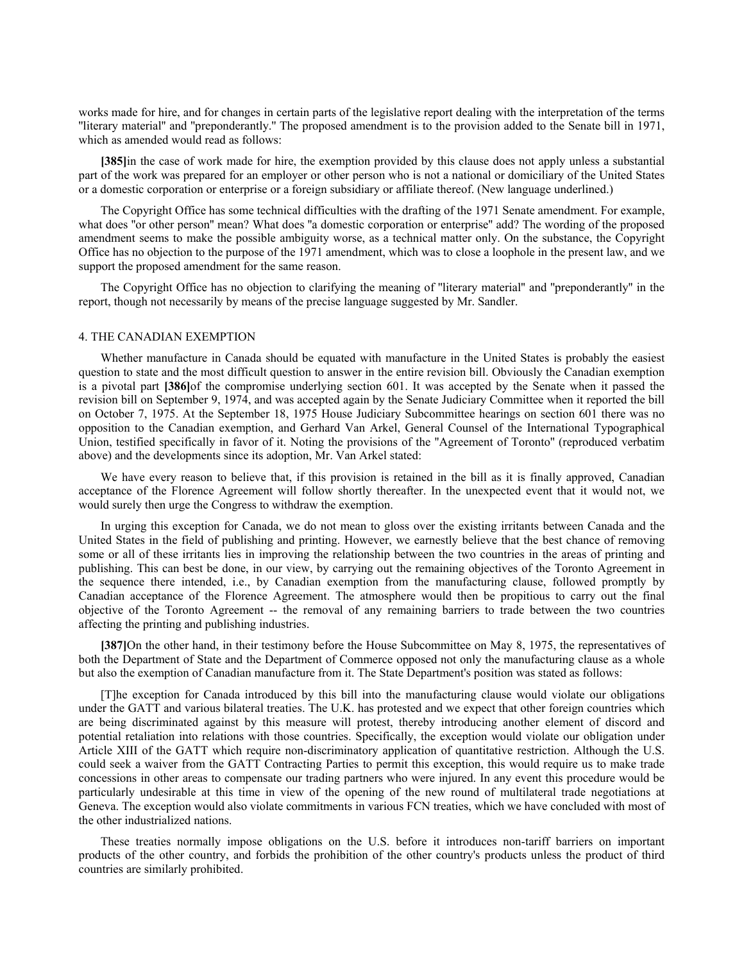works made for hire, and for changes in certain parts of the legislative report dealing with the interpretation of the terms ''literary material'' and ''preponderantly.'' The proposed amendment is to the provision added to the Senate bill in 1971, which as amended would read as follows:

**[385]**in the case of work made for hire, the exemption provided by this clause does not apply unless a substantial part of the work was prepared for an employer or other person who is not a national or domiciliary of the United States or a domestic corporation or enterprise or a foreign subsidiary or affiliate thereof. (New language underlined.)

The Copyright Office has some technical difficulties with the drafting of the 1971 Senate amendment. For example, what does "or other person" mean? What does "a domestic corporation or enterprise" add? The wording of the proposed amendment seems to make the possible ambiguity worse, as a technical matter only. On the substance, the Copyright Office has no objection to the purpose of the 1971 amendment, which was to close a loophole in the present law, and we support the proposed amendment for the same reason.

The Copyright Office has no objection to clarifying the meaning of ''literary material'' and ''preponderantly'' in the report, though not necessarily by means of the precise language suggested by Mr. Sandler.

#### 4. THE CANADIAN EXEMPTION

Whether manufacture in Canada should be equated with manufacture in the United States is probably the easiest question to state and the most difficult question to answer in the entire revision bill. Obviously the Canadian exemption is a pivotal part **[386]**of the compromise underlying section 601. It was accepted by the Senate when it passed the revision bill on September 9, 1974, and was accepted again by the Senate Judiciary Committee when it reported the bill on October 7, 1975. At the September 18, 1975 House Judiciary Subcommittee hearings on section 601 there was no opposition to the Canadian exemption, and Gerhard Van Arkel, General Counsel of the International Typographical Union, testified specifically in favor of it. Noting the provisions of the ''Agreement of Toronto'' (reproduced verbatim above) and the developments since its adoption, Mr. Van Arkel stated:

We have every reason to believe that, if this provision is retained in the bill as it is finally approved, Canadian acceptance of the Florence Agreement will follow shortly thereafter. In the unexpected event that it would not, we would surely then urge the Congress to withdraw the exemption.

In urging this exception for Canada, we do not mean to gloss over the existing irritants between Canada and the United States in the field of publishing and printing. However, we earnestly believe that the best chance of removing some or all of these irritants lies in improving the relationship between the two countries in the areas of printing and publishing. This can best be done, in our view, by carrying out the remaining objectives of the Toronto Agreement in the sequence there intended, i.e., by Canadian exemption from the manufacturing clause, followed promptly by Canadian acceptance of the Florence Agreement. The atmosphere would then be propitious to carry out the final objective of the Toronto Agreement -- the removal of any remaining barriers to trade between the two countries affecting the printing and publishing industries.

**[387]**On the other hand, in their testimony before the House Subcommittee on May 8, 1975, the representatives of both the Department of State and the Department of Commerce opposed not only the manufacturing clause as a whole but also the exemption of Canadian manufacture from it. The State Department's position was stated as follows:

[T]he exception for Canada introduced by this bill into the manufacturing clause would violate our obligations under the GATT and various bilateral treaties. The U.K. has protested and we expect that other foreign countries which are being discriminated against by this measure will protest, thereby introducing another element of discord and potential retaliation into relations with those countries. Specifically, the exception would violate our obligation under Article XIII of the GATT which require non-discriminatory application of quantitative restriction. Although the U.S. could seek a waiver from the GATT Contracting Parties to permit this exception, this would require us to make trade concessions in other areas to compensate our trading partners who were injured. In any event this procedure would be particularly undesirable at this time in view of the opening of the new round of multilateral trade negotiations at Geneva. The exception would also violate commitments in various FCN treaties, which we have concluded with most of the other industrialized nations.

These treaties normally impose obligations on the U.S. before it introduces non-tariff barriers on important products of the other country, and forbids the prohibition of the other country's products unless the product of third countries are similarly prohibited.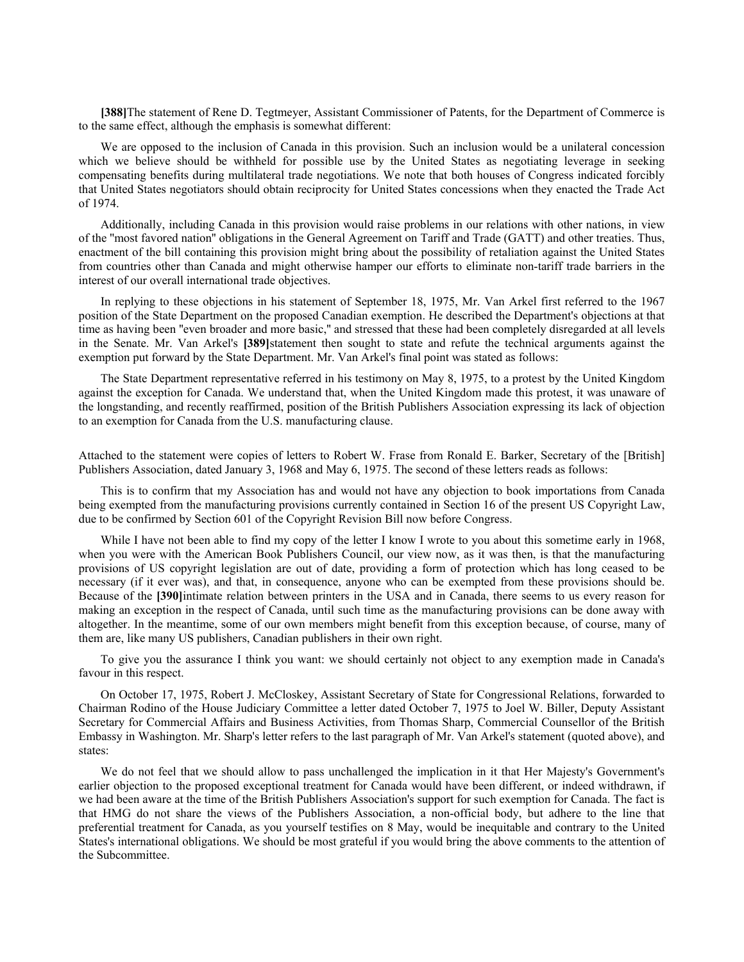**[388]**The statement of Rene D. Tegtmeyer, Assistant Commissioner of Patents, for the Department of Commerce is to the same effect, although the emphasis is somewhat different:

We are opposed to the inclusion of Canada in this provision. Such an inclusion would be a unilateral concession which we believe should be withheld for possible use by the United States as negotiating leverage in seeking compensating benefits during multilateral trade negotiations. We note that both houses of Congress indicated forcibly that United States negotiators should obtain reciprocity for United States concessions when they enacted the Trade Act of 1974.

Additionally, including Canada in this provision would raise problems in our relations with other nations, in view of the ''most favored nation'' obligations in the General Agreement on Tariff and Trade (GATT) and other treaties. Thus, enactment of the bill containing this provision might bring about the possibility of retaliation against the United States from countries other than Canada and might otherwise hamper our efforts to eliminate non-tariff trade barriers in the interest of our overall international trade objectives.

In replying to these objections in his statement of September 18, 1975, Mr. Van Arkel first referred to the 1967 position of the State Department on the proposed Canadian exemption. He described the Department's objections at that time as having been ''even broader and more basic,'' and stressed that these had been completely disregarded at all levels in the Senate. Mr. Van Arkel's **[389]**statement then sought to state and refute the technical arguments against the exemption put forward by the State Department. Mr. Van Arkel's final point was stated as follows:

The State Department representative referred in his testimony on May 8, 1975, to a protest by the United Kingdom against the exception for Canada. We understand that, when the United Kingdom made this protest, it was unaware of the longstanding, and recently reaffirmed, position of the British Publishers Association expressing its lack of objection to an exemption for Canada from the U.S. manufacturing clause.

Attached to the statement were copies of letters to Robert W. Frase from Ronald E. Barker, Secretary of the [British] Publishers Association, dated January 3, 1968 and May 6, 1975. The second of these letters reads as follows:

This is to confirm that my Association has and would not have any objection to book importations from Canada being exempted from the manufacturing provisions currently contained in Section 16 of the present US Copyright Law, due to be confirmed by Section 601 of the Copyright Revision Bill now before Congress.

While I have not been able to find my copy of the letter I know I wrote to you about this sometime early in 1968, when you were with the American Book Publishers Council, our view now, as it was then, is that the manufacturing provisions of US copyright legislation are out of date, providing a form of protection which has long ceased to be necessary (if it ever was), and that, in consequence, anyone who can be exempted from these provisions should be. Because of the **[390]**intimate relation between printers in the USA and in Canada, there seems to us every reason for making an exception in the respect of Canada, until such time as the manufacturing provisions can be done away with altogether. In the meantime, some of our own members might benefit from this exception because, of course, many of them are, like many US publishers, Canadian publishers in their own right.

To give you the assurance I think you want: we should certainly not object to any exemption made in Canada's favour in this respect.

On October 17, 1975, Robert J. McCloskey, Assistant Secretary of State for Congressional Relations, forwarded to Chairman Rodino of the House Judiciary Committee a letter dated October 7, 1975 to Joel W. Biller, Deputy Assistant Secretary for Commercial Affairs and Business Activities, from Thomas Sharp, Commercial Counsellor of the British Embassy in Washington. Mr. Sharp's letter refers to the last paragraph of Mr. Van Arkel's statement (quoted above), and states:

We do not feel that we should allow to pass unchallenged the implication in it that Her Majesty's Government's earlier objection to the proposed exceptional treatment for Canada would have been different, or indeed withdrawn, if we had been aware at the time of the British Publishers Association's support for such exemption for Canada. The fact is that HMG do not share the views of the Publishers Association, a non-official body, but adhere to the line that preferential treatment for Canada, as you yourself testifies on 8 May, would be inequitable and contrary to the United States's international obligations. We should be most grateful if you would bring the above comments to the attention of the Subcommittee.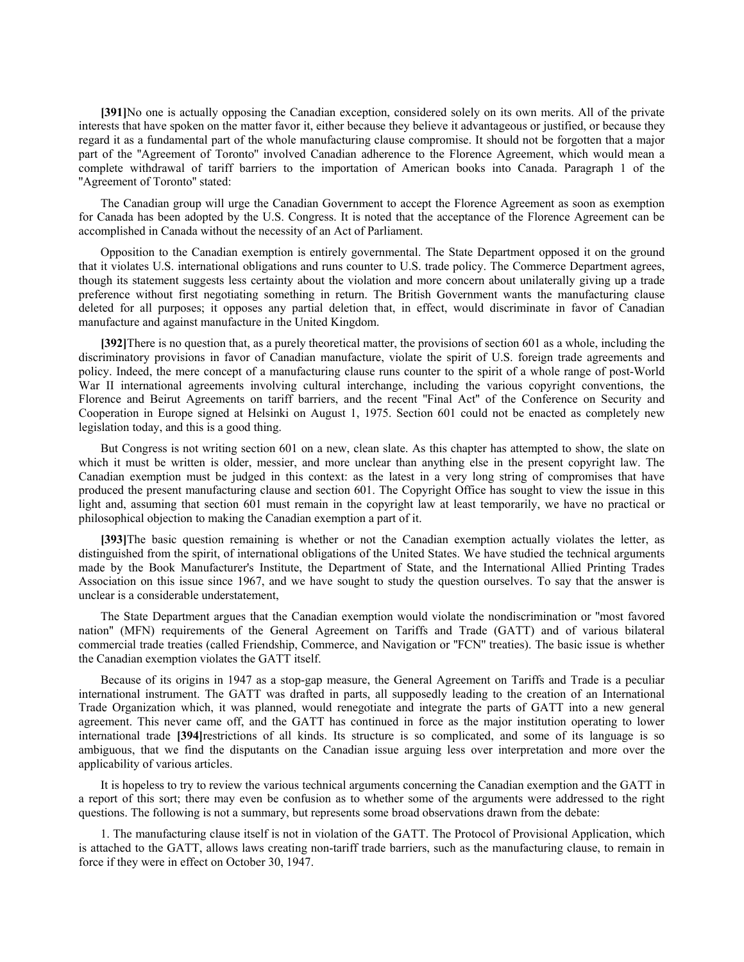**[391]**No one is actually opposing the Canadian exception, considered solely on its own merits. All of the private interests that have spoken on the matter favor it, either because they believe it advantageous or justified, or because they regard it as a fundamental part of the whole manufacturing clause compromise. It should not be forgotten that a major part of the "Agreement of Toronto" involved Canadian adherence to the Florence Agreement, which would mean a complete withdrawal of tariff barriers to the importation of American books into Canada. Paragraph 1 of the "Agreement of Toronto" stated:

The Canadian group will urge the Canadian Government to accept the Florence Agreement as soon as exemption for Canada has been adopted by the U.S. Congress. It is noted that the acceptance of the Florence Agreement can be accomplished in Canada without the necessity of an Act of Parliament.

Opposition to the Canadian exemption is entirely governmental. The State Department opposed it on the ground that it violates U.S. international obligations and runs counter to U.S. trade policy. The Commerce Department agrees, though its statement suggests less certainty about the violation and more concern about unilaterally giving up a trade preference without first negotiating something in return. The British Government wants the manufacturing clause deleted for all purposes; it opposes any partial deletion that, in effect, would discriminate in favor of Canadian manufacture and against manufacture in the United Kingdom.

**[392]**There is no question that, as a purely theoretical matter, the provisions of section 601 as a whole, including the discriminatory provisions in favor of Canadian manufacture, violate the spirit of U.S. foreign trade agreements and policy. Indeed, the mere concept of a manufacturing clause runs counter to the spirit of a whole range of post-World War II international agreements involving cultural interchange, including the various copyright conventions, the Florence and Beirut Agreements on tariff barriers, and the recent ''Final Act'' of the Conference on Security and Cooperation in Europe signed at Helsinki on August 1, 1975. Section 601 could not be enacted as completely new legislation today, and this is a good thing.

But Congress is not writing section 601 on a new, clean slate. As this chapter has attempted to show, the slate on which it must be written is older, messier, and more unclear than anything else in the present copyright law. The Canadian exemption must be judged in this context: as the latest in a very long string of compromises that have produced the present manufacturing clause and section 601. The Copyright Office has sought to view the issue in this light and, assuming that section 601 must remain in the copyright law at least temporarily, we have no practical or philosophical objection to making the Canadian exemption a part of it.

**[393]**The basic question remaining is whether or not the Canadian exemption actually violates the letter, as distinguished from the spirit, of international obligations of the United States. We have studied the technical arguments made by the Book Manufacturer's Institute, the Department of State, and the International Allied Printing Trades Association on this issue since 1967, and we have sought to study the question ourselves. To say that the answer is unclear is a considerable understatement,

The State Department argues that the Canadian exemption would violate the nondiscrimination or ''most favored nation'' (MFN) requirements of the General Agreement on Tariffs and Trade (GATT) and of various bilateral commercial trade treaties (called Friendship, Commerce, and Navigation or ''FCN'' treaties). The basic issue is whether the Canadian exemption violates the GATT itself.

Because of its origins in 1947 as a stop-gap measure, the General Agreement on Tariffs and Trade is a peculiar international instrument. The GATT was drafted in parts, all supposedly leading to the creation of an International Trade Organization which, it was planned, would renegotiate and integrate the parts of GATT into a new general agreement. This never came off, and the GATT has continued in force as the major institution operating to lower international trade **[394]**restrictions of all kinds. Its structure is so complicated, and some of its language is so ambiguous, that we find the disputants on the Canadian issue arguing less over interpretation and more over the applicability of various articles.

It is hopeless to try to review the various technical arguments concerning the Canadian exemption and the GATT in a report of this sort; there may even be confusion as to whether some of the arguments were addressed to the right questions. The following is not a summary, but represents some broad observations drawn from the debate:

1. The manufacturing clause itself is not in violation of the GATT. The Protocol of Provisional Application, which is attached to the GATT, allows laws creating non-tariff trade barriers, such as the manufacturing clause, to remain in force if they were in effect on October 30, 1947.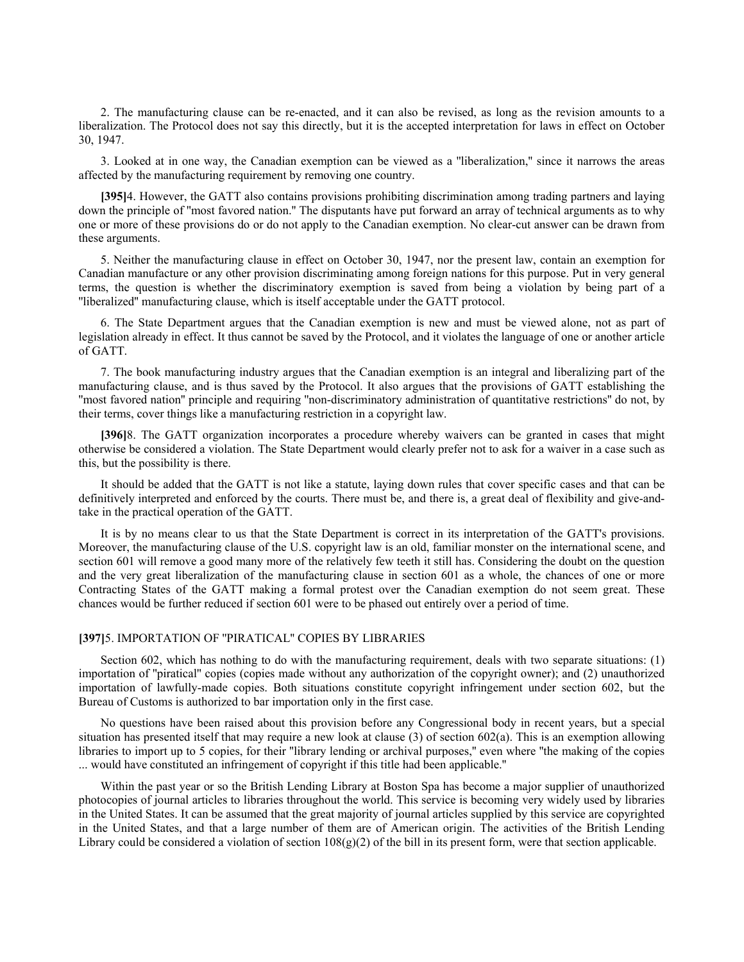2. The manufacturing clause can be re-enacted, and it can also be revised, as long as the revision amounts to a liberalization. The Protocol does not say this directly, but it is the accepted interpretation for laws in effect on October 30, 1947.

3. Looked at in one way, the Canadian exemption can be viewed as a ''liberalization,'' since it narrows the areas affected by the manufacturing requirement by removing one country.

**[395]**4. However, the GATT also contains provisions prohibiting discrimination among trading partners and laying down the principle of ''most favored nation.'' The disputants have put forward an array of technical arguments as to why one or more of these provisions do or do not apply to the Canadian exemption. No clear-cut answer can be drawn from these arguments.

5. Neither the manufacturing clause in effect on October 30, 1947, nor the present law, contain an exemption for Canadian manufacture or any other provision discriminating among foreign nations for this purpose. Put in very general terms, the question is whether the discriminatory exemption is saved from being a violation by being part of a ''liberalized'' manufacturing clause, which is itself acceptable under the GATT protocol.

6. The State Department argues that the Canadian exemption is new and must be viewed alone, not as part of legislation already in effect. It thus cannot be saved by the Protocol, and it violates the language of one or another article of GATT.

7. The book manufacturing industry argues that the Canadian exemption is an integral and liberalizing part of the manufacturing clause, and is thus saved by the Protocol. It also argues that the provisions of GATT establishing the ''most favored nation'' principle and requiring ''non-discriminatory administration of quantitative restrictions'' do not, by their terms, cover things like a manufacturing restriction in a copyright law.

**[396]**8. The GATT organization incorporates a procedure whereby waivers can be granted in cases that might otherwise be considered a violation. The State Department would clearly prefer not to ask for a waiver in a case such as this, but the possibility is there.

It should be added that the GATT is not like a statute, laying down rules that cover specific cases and that can be definitively interpreted and enforced by the courts. There must be, and there is, a great deal of flexibility and give-andtake in the practical operation of the GATT.

It is by no means clear to us that the State Department is correct in its interpretation of the GATT's provisions. Moreover, the manufacturing clause of the U.S. copyright law is an old, familiar monster on the international scene, and section 601 will remove a good many more of the relatively few teeth it still has. Considering the doubt on the question and the very great liberalization of the manufacturing clause in section 601 as a whole, the chances of one or more Contracting States of the GATT making a formal protest over the Canadian exemption do not seem great. These chances would be further reduced if section 601 were to be phased out entirely over a period of time.

# **[397]**5. IMPORTATION OF ''PIRATICAL'' COPIES BY LIBRARIES

Section 602, which has nothing to do with the manufacturing requirement, deals with two separate situations: (1) importation of ''piratical'' copies (copies made without any authorization of the copyright owner); and (2) unauthorized importation of lawfully-made copies. Both situations constitute copyright infringement under section 602, but the Bureau of Customs is authorized to bar importation only in the first case.

No questions have been raised about this provision before any Congressional body in recent years, but a special situation has presented itself that may require a new look at clause  $(3)$  of section 602(a). This is an exemption allowing libraries to import up to 5 copies, for their ''library lending or archival purposes,'' even where ''the making of the copies ... would have constituted an infringement of copyright if this title had been applicable.''

Within the past year or so the British Lending Library at Boston Spa has become a major supplier of unauthorized photocopies of journal articles to libraries throughout the world. This service is becoming very widely used by libraries in the United States. It can be assumed that the great majority of journal articles supplied by this service are copyrighted in the United States, and that a large number of them are of American origin. The activities of the British Lending Library could be considered a violation of section  $108(g)(2)$  of the bill in its present form, were that section applicable.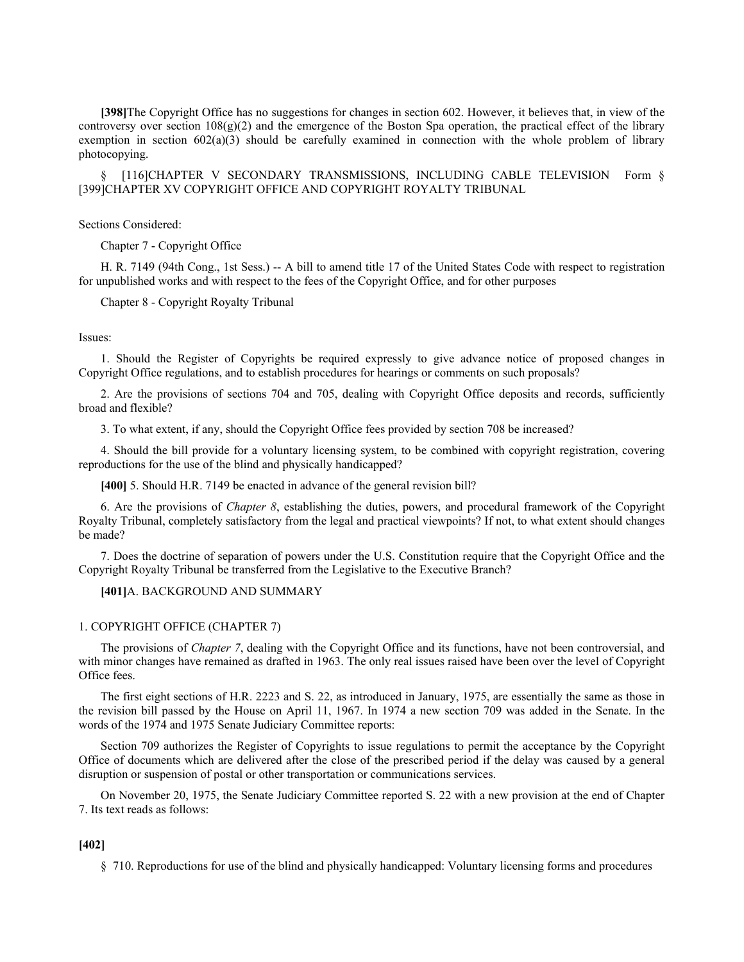**[398]**The Copyright Office has no suggestions for changes in section 602. However, it believes that, in view of the controversy over section  $108(g)(2)$  and the emergence of the Boston Spa operation, the practical effect of the library exemption in section 602(a)(3) should be carefully examined in connection with the whole problem of library photocopying.

§ [116]CHAPTER V SECONDARY TRANSMISSIONS, INCLUDING CABLE TELEVISION Form § [399]CHAPTER XV COPYRIGHT OFFICE AND COPYRIGHT ROYALTY TRIBUNAL

Sections Considered:

Chapter 7 - Copyright Office

H. R. 7149 (94th Cong., 1st Sess.) -- A bill to amend title 17 of the United States Code with respect to registration for unpublished works and with respect to the fees of the Copyright Office, and for other purposes

Chapter 8 - Copyright Royalty Tribunal

### Issues:

1. Should the Register of Copyrights be required expressly to give advance notice of proposed changes in Copyright Office regulations, and to establish procedures for hearings or comments on such proposals?

2. Are the provisions of sections 704 and 705, dealing with Copyright Office deposits and records, sufficiently broad and flexible?

3. To what extent, if any, should the Copyright Office fees provided by section 708 be increased?

4. Should the bill provide for a voluntary licensing system, to be combined with copyright registration, covering reproductions for the use of the blind and physically handicapped?

**[400]** 5. Should H.R. 7149 be enacted in advance of the general revision bill?

6. Are the provisions of *Chapter 8*, establishing the duties, powers, and procedural framework of the Copyright Royalty Tribunal, completely satisfactory from the legal and practical viewpoints? If not, to what extent should changes be made?

7. Does the doctrine of separation of powers under the U.S. Constitution require that the Copyright Office and the Copyright Royalty Tribunal be transferred from the Legislative to the Executive Branch?

## **[401]**A. BACKGROUND AND SUMMARY

### 1. COPYRIGHT OFFICE (CHAPTER 7)

The provisions of *Chapter 7*, dealing with the Copyright Office and its functions, have not been controversial, and with minor changes have remained as drafted in 1963. The only real issues raised have been over the level of Copyright Office fees.

The first eight sections of H.R. 2223 and S. 22, as introduced in January, 1975, are essentially the same as those in the revision bill passed by the House on April 11, 1967. In 1974 a new section 709 was added in the Senate. In the words of the 1974 and 1975 Senate Judiciary Committee reports:

Section 709 authorizes the Register of Copyrights to issue regulations to permit the acceptance by the Copyright Office of documents which are delivered after the close of the prescribed period if the delay was caused by a general disruption or suspension of postal or other transportation or communications services.

On November 20, 1975, the Senate Judiciary Committee reported S. 22 with a new provision at the end of Chapter 7. Its text reads as follows:

### **[402]**

§ 710. Reproductions for use of the blind and physically handicapped: Voluntary licensing forms and procedures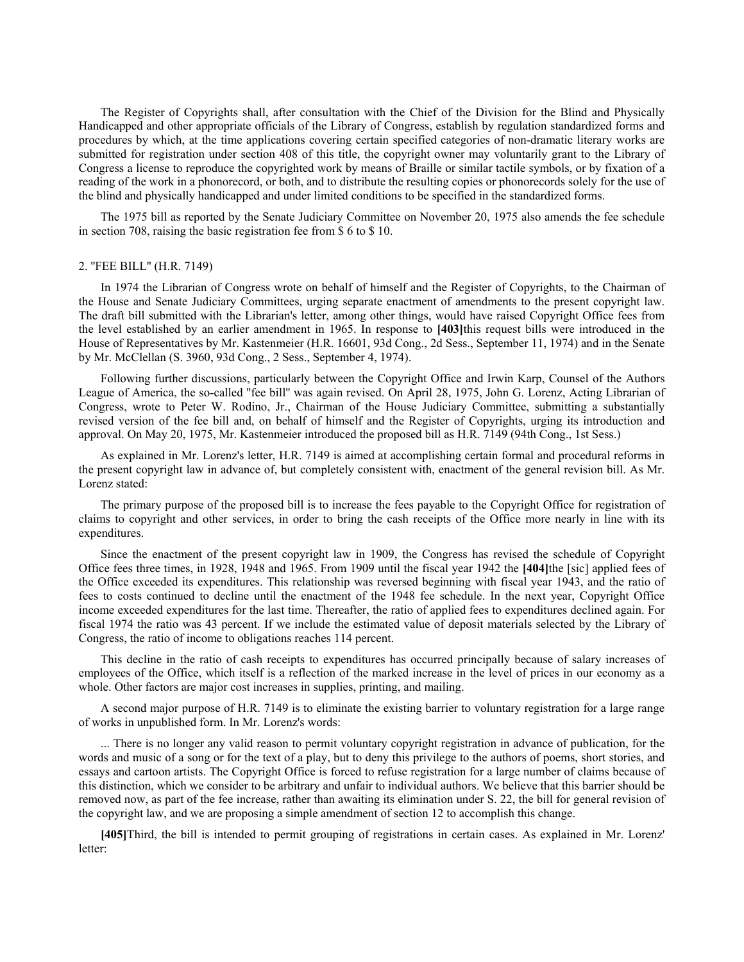The Register of Copyrights shall, after consultation with the Chief of the Division for the Blind and Physically Handicapped and other appropriate officials of the Library of Congress, establish by regulation standardized forms and procedures by which, at the time applications covering certain specified categories of non-dramatic literary works are submitted for registration under section 408 of this title, the copyright owner may voluntarily grant to the Library of Congress a license to reproduce the copyrighted work by means of Braille or similar tactile symbols, or by fixation of a reading of the work in a phonorecord, or both, and to distribute the resulting copies or phonorecords solely for the use of the blind and physically handicapped and under limited conditions to be specified in the standardized forms.

The 1975 bill as reported by the Senate Judiciary Committee on November 20, 1975 also amends the fee schedule in section 708, raising the basic registration fee from \$ 6 to \$ 10.

# 2. ''FEE BILL'' (H.R. 7149)

In 1974 the Librarian of Congress wrote on behalf of himself and the Register of Copyrights, to the Chairman of the House and Senate Judiciary Committees, urging separate enactment of amendments to the present copyright law. The draft bill submitted with the Librarian's letter, among other things, would have raised Copyright Office fees from the level established by an earlier amendment in 1965. In response to **[403]**this request bills were introduced in the House of Representatives by Mr. Kastenmeier (H.R. 16601, 93d Cong., 2d Sess., September 11, 1974) and in the Senate by Mr. McClellan (S. 3960, 93d Cong., 2 Sess., September 4, 1974).

Following further discussions, particularly between the Copyright Office and Irwin Karp, Counsel of the Authors League of America, the so-called ''fee bill'' was again revised. On April 28, 1975, John G. Lorenz, Acting Librarian of Congress, wrote to Peter W. Rodino, Jr., Chairman of the House Judiciary Committee, submitting a substantially revised version of the fee bill and, on behalf of himself and the Register of Copyrights, urging its introduction and approval. On May 20, 1975, Mr. Kastenmeier introduced the proposed bill as H.R. 7149 (94th Cong., 1st Sess.)

As explained in Mr. Lorenz's letter, H.R. 7149 is aimed at accomplishing certain formal and procedural reforms in the present copyright law in advance of, but completely consistent with, enactment of the general revision bill. As Mr. Lorenz stated:

The primary purpose of the proposed bill is to increase the fees payable to the Copyright Office for registration of claims to copyright and other services, in order to bring the cash receipts of the Office more nearly in line with its expenditures.

Since the enactment of the present copyright law in 1909, the Congress has revised the schedule of Copyright Office fees three times, in 1928, 1948 and 1965. From 1909 until the fiscal year 1942 the **[404]**the [sic] applied fees of the Office exceeded its expenditures. This relationship was reversed beginning with fiscal year 1943, and the ratio of fees to costs continued to decline until the enactment of the 1948 fee schedule. In the next year, Copyright Office income exceeded expenditures for the last time. Thereafter, the ratio of applied fees to expenditures declined again. For fiscal 1974 the ratio was 43 percent. If we include the estimated value of deposit materials selected by the Library of Congress, the ratio of income to obligations reaches 114 percent.

This decline in the ratio of cash receipts to expenditures has occurred principally because of salary increases of employees of the Office, which itself is a reflection of the marked increase in the level of prices in our economy as a whole. Other factors are major cost increases in supplies, printing, and mailing.

A second major purpose of H.R. 7149 is to eliminate the existing barrier to voluntary registration for a large range of works in unpublished form. In Mr. Lorenz's words:

... There is no longer any valid reason to permit voluntary copyright registration in advance of publication, for the words and music of a song or for the text of a play, but to deny this privilege to the authors of poems, short stories, and essays and cartoon artists. The Copyright Office is forced to refuse registration for a large number of claims because of this distinction, which we consider to be arbitrary and unfair to individual authors. We believe that this barrier should be removed now, as part of the fee increase, rather than awaiting its elimination under S. 22, the bill for general revision of the copyright law, and we are proposing a simple amendment of section 12 to accomplish this change.

**[405]**Third, the bill is intended to permit grouping of registrations in certain cases. As explained in Mr. Lorenz' letter: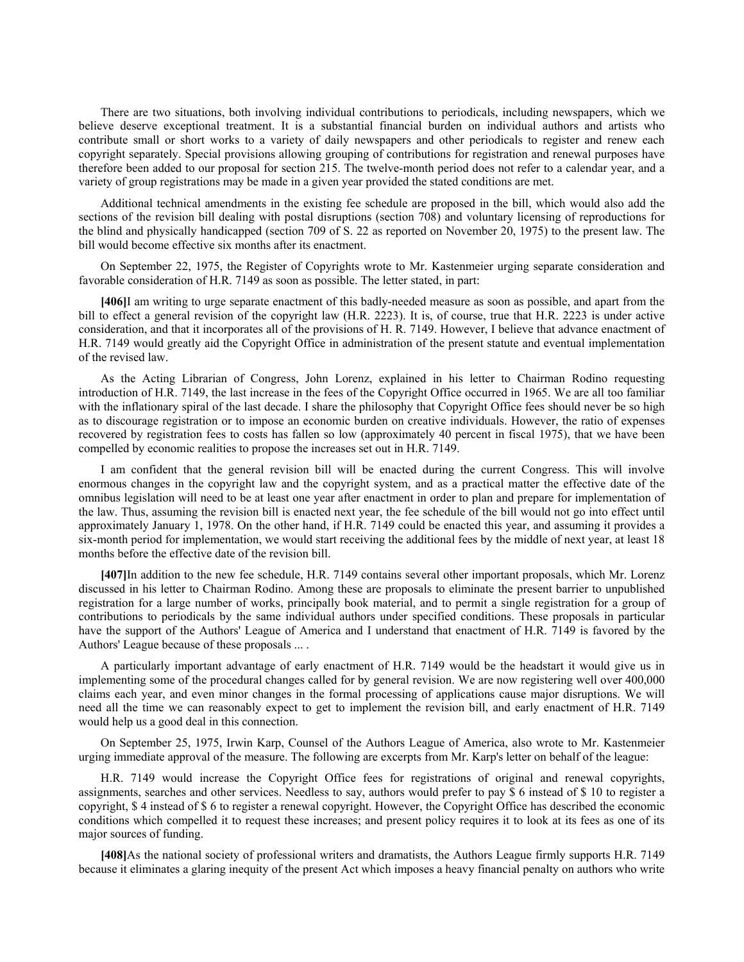There are two situations, both involving individual contributions to periodicals, including newspapers, which we believe deserve exceptional treatment. It is a substantial financial burden on individual authors and artists who contribute small or short works to a variety of daily newspapers and other periodicals to register and renew each copyright separately. Special provisions allowing grouping of contributions for registration and renewal purposes have therefore been added to our proposal for section 215. The twelve-month period does not refer to a calendar year, and a variety of group registrations may be made in a given year provided the stated conditions are met.

Additional technical amendments in the existing fee schedule are proposed in the bill, which would also add the sections of the revision bill dealing with postal disruptions (section 708) and voluntary licensing of reproductions for the blind and physically handicapped (section 709 of S. 22 as reported on November 20, 1975) to the present law. The bill would become effective six months after its enactment.

On September 22, 1975, the Register of Copyrights wrote to Mr. Kastenmeier urging separate consideration and favorable consideration of H.R. 7149 as soon as possible. The letter stated, in part:

**[406]**I am writing to urge separate enactment of this badly-needed measure as soon as possible, and apart from the bill to effect a general revision of the copyright law (H.R. 2223). It is, of course, true that H.R. 2223 is under active consideration, and that it incorporates all of the provisions of H. R. 7149. However, I believe that advance enactment of H.R. 7149 would greatly aid the Copyright Office in administration of the present statute and eventual implementation of the revised law.

As the Acting Librarian of Congress, John Lorenz, explained in his letter to Chairman Rodino requesting introduction of H.R. 7149, the last increase in the fees of the Copyright Office occurred in 1965. We are all too familiar with the inflationary spiral of the last decade. I share the philosophy that Copyright Office fees should never be so high as to discourage registration or to impose an economic burden on creative individuals. However, the ratio of expenses recovered by registration fees to costs has fallen so low (approximately 40 percent in fiscal 1975), that we have been compelled by economic realities to propose the increases set out in H.R. 7149.

I am confident that the general revision bill will be enacted during the current Congress. This will involve enormous changes in the copyright law and the copyright system, and as a practical matter the effective date of the omnibus legislation will need to be at least one year after enactment in order to plan and prepare for implementation of the law. Thus, assuming the revision bill is enacted next year, the fee schedule of the bill would not go into effect until approximately January 1, 1978. On the other hand, if H.R. 7149 could be enacted this year, and assuming it provides a six-month period for implementation, we would start receiving the additional fees by the middle of next year, at least 18 months before the effective date of the revision bill.

**[407]**In addition to the new fee schedule, H.R. 7149 contains several other important proposals, which Mr. Lorenz discussed in his letter to Chairman Rodino. Among these are proposals to eliminate the present barrier to unpublished registration for a large number of works, principally book material, and to permit a single registration for a group of contributions to periodicals by the same individual authors under specified conditions. These proposals in particular have the support of the Authors' League of America and I understand that enactment of H.R. 7149 is favored by the Authors' League because of these proposals ... .

A particularly important advantage of early enactment of H.R. 7149 would be the headstart it would give us in implementing some of the procedural changes called for by general revision. We are now registering well over 400,000 claims each year, and even minor changes in the formal processing of applications cause major disruptions. We will need all the time we can reasonably expect to get to implement the revision bill, and early enactment of H.R. 7149 would help us a good deal in this connection.

On September 25, 1975, Irwin Karp, Counsel of the Authors League of America, also wrote to Mr. Kastenmeier urging immediate approval of the measure. The following are excerpts from Mr. Karp's letter on behalf of the league:

H.R. 7149 would increase the Copyright Office fees for registrations of original and renewal copyrights, assignments, searches and other services. Needless to say, authors would prefer to pay \$ 6 instead of \$ 10 to register a copyright, \$ 4 instead of \$ 6 to register a renewal copyright. However, the Copyright Office has described the economic conditions which compelled it to request these increases; and present policy requires it to look at its fees as one of its major sources of funding.

**[408]**As the national society of professional writers and dramatists, the Authors League firmly supports H.R. 7149 because it eliminates a glaring inequity of the present Act which imposes a heavy financial penalty on authors who write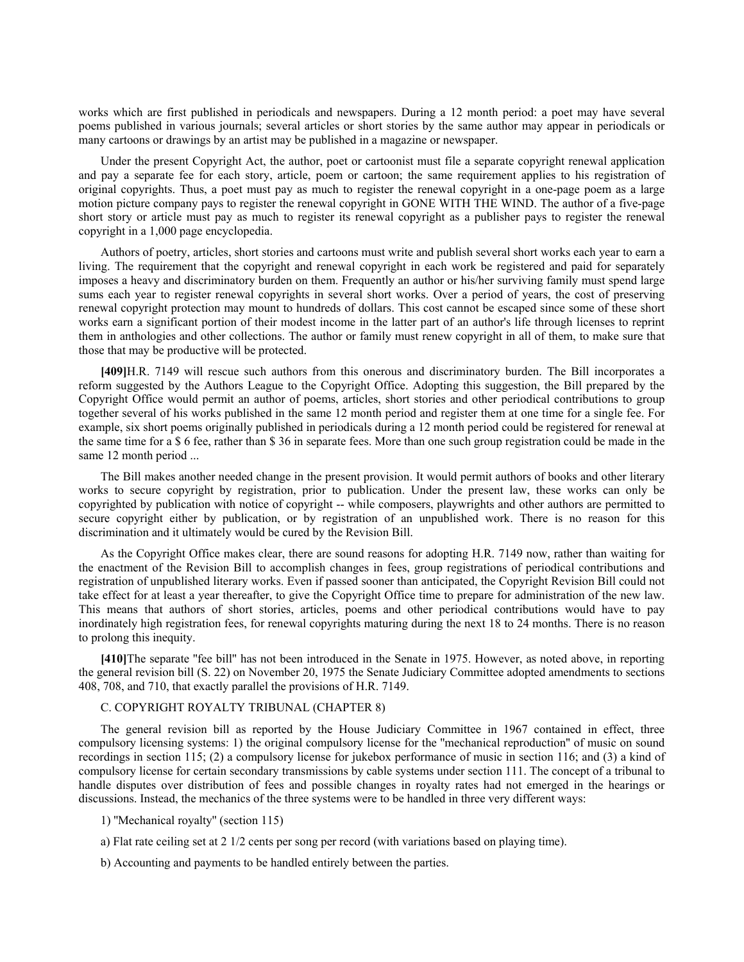works which are first published in periodicals and newspapers. During a 12 month period: a poet may have several poems published in various journals; several articles or short stories by the same author may appear in periodicals or many cartoons or drawings by an artist may be published in a magazine or newspaper.

Under the present Copyright Act, the author, poet or cartoonist must file a separate copyright renewal application and pay a separate fee for each story, article, poem or cartoon; the same requirement applies to his registration of original copyrights. Thus, a poet must pay as much to register the renewal copyright in a one-page poem as a large motion picture company pays to register the renewal copyright in GONE WITH THE WIND. The author of a five-page short story or article must pay as much to register its renewal copyright as a publisher pays to register the renewal copyright in a 1,000 page encyclopedia.

Authors of poetry, articles, short stories and cartoons must write and publish several short works each year to earn a living. The requirement that the copyright and renewal copyright in each work be registered and paid for separately imposes a heavy and discriminatory burden on them. Frequently an author or his/her surviving family must spend large sums each year to register renewal copyrights in several short works. Over a period of years, the cost of preserving renewal copyright protection may mount to hundreds of dollars. This cost cannot be escaped since some of these short works earn a significant portion of their modest income in the latter part of an author's life through licenses to reprint them in anthologies and other collections. The author or family must renew copyright in all of them, to make sure that those that may be productive will be protected.

**[409]**H.R. 7149 will rescue such authors from this onerous and discriminatory burden. The Bill incorporates a reform suggested by the Authors League to the Copyright Office. Adopting this suggestion, the Bill prepared by the Copyright Office would permit an author of poems, articles, short stories and other periodical contributions to group together several of his works published in the same 12 month period and register them at one time for a single fee. For example, six short poems originally published in periodicals during a 12 month period could be registered for renewal at the same time for a \$ 6 fee, rather than \$ 36 in separate fees. More than one such group registration could be made in the same 12 month period ...

The Bill makes another needed change in the present provision. It would permit authors of books and other literary works to secure copyright by registration, prior to publication. Under the present law, these works can only be copyrighted by publication with notice of copyright -- while composers, playwrights and other authors are permitted to secure copyright either by publication, or by registration of an unpublished work. There is no reason for this discrimination and it ultimately would be cured by the Revision Bill.

As the Copyright Office makes clear, there are sound reasons for adopting H.R. 7149 now, rather than waiting for the enactment of the Revision Bill to accomplish changes in fees, group registrations of periodical contributions and registration of unpublished literary works. Even if passed sooner than anticipated, the Copyright Revision Bill could not take effect for at least a year thereafter, to give the Copyright Office time to prepare for administration of the new law. This means that authors of short stories, articles, poems and other periodical contributions would have to pay inordinately high registration fees, for renewal copyrights maturing during the next 18 to 24 months. There is no reason to prolong this inequity.

**[410]**The separate ''fee bill'' has not been introduced in the Senate in 1975. However, as noted above, in reporting the general revision bill (S. 22) on November 20, 1975 the Senate Judiciary Committee adopted amendments to sections 408, 708, and 710, that exactly parallel the provisions of H.R. 7149.

# C. COPYRIGHT ROYALTY TRIBUNAL (CHAPTER 8)

The general revision bill as reported by the House Judiciary Committee in 1967 contained in effect, three compulsory licensing systems: 1) the original compulsory license for the ''mechanical reproduction'' of music on sound recordings in section 115; (2) a compulsory license for jukebox performance of music in section 116; and (3) a kind of compulsory license for certain secondary transmissions by cable systems under section 111. The concept of a tribunal to handle disputes over distribution of fees and possible changes in royalty rates had not emerged in the hearings or discussions. Instead, the mechanics of the three systems were to be handled in three very different ways:

- 1) ''Mechanical royalty'' (section 115)
- a) Flat rate ceiling set at 2 1/2 cents per song per record (with variations based on playing time).
- b) Accounting and payments to be handled entirely between the parties.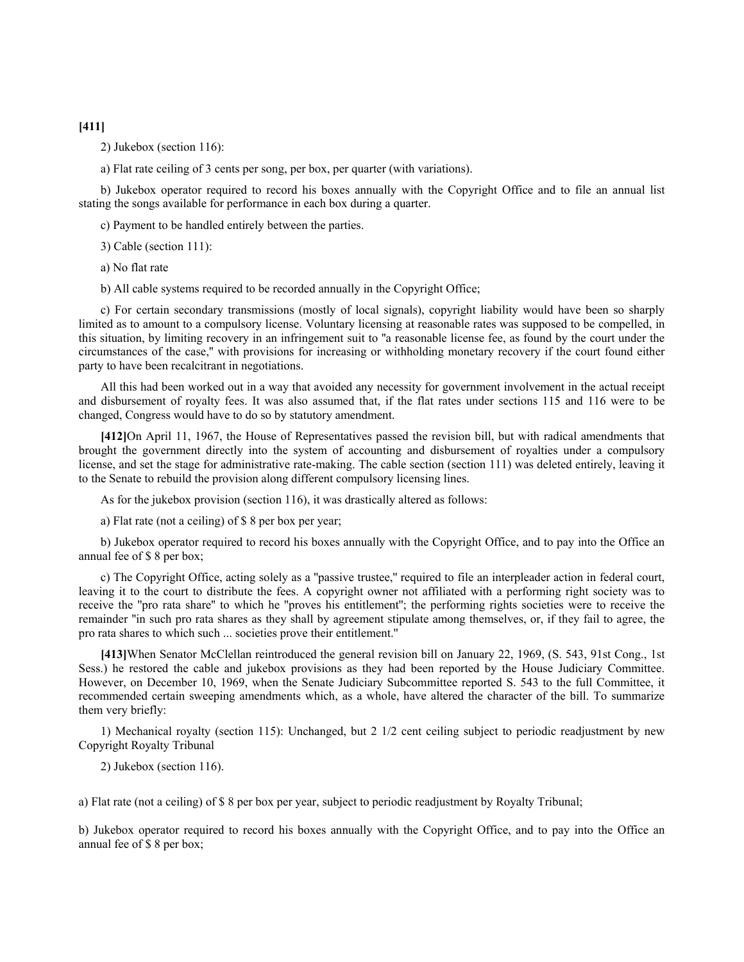# **[411]**

2) Jukebox (section 116):

a) Flat rate ceiling of 3 cents per song, per box, per quarter (with variations).

b) Jukebox operator required to record his boxes annually with the Copyright Office and to file an annual list stating the songs available for performance in each box during a quarter.

c) Payment to be handled entirely between the parties.

3) Cable (section 111):

a) No flat rate

b) All cable systems required to be recorded annually in the Copyright Office;

c) For certain secondary transmissions (mostly of local signals), copyright liability would have been so sharply limited as to amount to a compulsory license. Voluntary licensing at reasonable rates was supposed to be compelled, in this situation, by limiting recovery in an infringement suit to ''a reasonable license fee, as found by the court under the circumstances of the case,'' with provisions for increasing or withholding monetary recovery if the court found either party to have been recalcitrant in negotiations.

All this had been worked out in a way that avoided any necessity for government involvement in the actual receipt and disbursement of royalty fees. It was also assumed that, if the flat rates under sections 115 and 116 were to be changed, Congress would have to do so by statutory amendment.

**[412]**On April 11, 1967, the House of Representatives passed the revision bill, but with radical amendments that brought the government directly into the system of accounting and disbursement of royalties under a compulsory license, and set the stage for administrative rate-making. The cable section (section 111) was deleted entirely, leaving it to the Senate to rebuild the provision along different compulsory licensing lines.

As for the jukebox provision (section 116), it was drastically altered as follows:

a) Flat rate (not a ceiling) of \$ 8 per box per year;

b) Jukebox operator required to record his boxes annually with the Copyright Office, and to pay into the Office an annual fee of \$ 8 per box;

c) The Copyright Office, acting solely as a ''passive trustee,'' required to file an interpleader action in federal court, leaving it to the court to distribute the fees. A copyright owner not affiliated with a performing right society was to receive the ''pro rata share'' to which he ''proves his entitlement''; the performing rights societies were to receive the remainder ''in such pro rata shares as they shall by agreement stipulate among themselves, or, if they fail to agree, the pro rata shares to which such ... societies prove their entitlement.''

**[413]**When Senator McClellan reintroduced the general revision bill on January 22, 1969, (S. 543, 91st Cong., 1st Sess.) he restored the cable and jukebox provisions as they had been reported by the House Judiciary Committee. However, on December 10, 1969, when the Senate Judiciary Subcommittee reported S. 543 to the full Committee, it recommended certain sweeping amendments which, as a whole, have altered the character of the bill. To summarize them very briefly:

1) Mechanical royalty (section 115): Unchanged, but 2 1/2 cent ceiling subject to periodic readjustment by new Copyright Royalty Tribunal

2) Jukebox (section 116).

a) Flat rate (not a ceiling) of \$ 8 per box per year, subject to periodic readjustment by Royalty Tribunal;

b) Jukebox operator required to record his boxes annually with the Copyright Office, and to pay into the Office an annual fee of \$ 8 per box;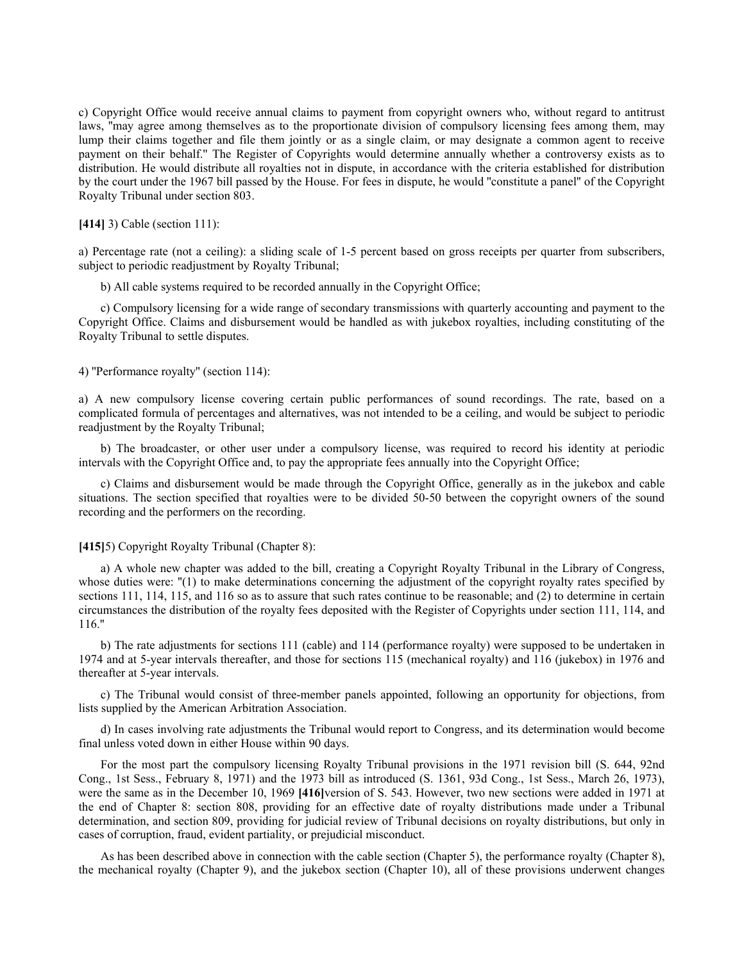c) Copyright Office would receive annual claims to payment from copyright owners who, without regard to antitrust laws, ''may agree among themselves as to the proportionate division of compulsory licensing fees among them, may lump their claims together and file them jointly or as a single claim, or may designate a common agent to receive payment on their behalf.'' The Register of Copyrights would determine annually whether a controversy exists as to distribution. He would distribute all royalties not in dispute, in accordance with the criteria established for distribution by the court under the 1967 bill passed by the House. For fees in dispute, he would ''constitute a panel'' of the Copyright Royalty Tribunal under section 803.

**[414]** 3) Cable (section 111):

a) Percentage rate (not a ceiling): a sliding scale of 1-5 percent based on gross receipts per quarter from subscribers, subject to periodic readjustment by Royalty Tribunal;

b) All cable systems required to be recorded annually in the Copyright Office;

c) Compulsory licensing for a wide range of secondary transmissions with quarterly accounting and payment to the Copyright Office. Claims and disbursement would be handled as with jukebox royalties, including constituting of the Royalty Tribunal to settle disputes.

4) ''Performance royalty'' (section 114):

a) A new compulsory license covering certain public performances of sound recordings. The rate, based on a complicated formula of percentages and alternatives, was not intended to be a ceiling, and would be subject to periodic readjustment by the Royalty Tribunal;

b) The broadcaster, or other user under a compulsory license, was required to record his identity at periodic intervals with the Copyright Office and, to pay the appropriate fees annually into the Copyright Office;

c) Claims and disbursement would be made through the Copyright Office, generally as in the jukebox and cable situations. The section specified that royalties were to be divided 50-50 between the copyright owners of the sound recording and the performers on the recording.

#### **[415]**5) Copyright Royalty Tribunal (Chapter 8):

a) A whole new chapter was added to the bill, creating a Copyright Royalty Tribunal in the Library of Congress, whose duties were: "(1) to make determinations concerning the adjustment of the copyright royalty rates specified by sections 111, 114, 115, and 116 so as to assure that such rates continue to be reasonable; and (2) to determine in certain circumstances the distribution of the royalty fees deposited with the Register of Copyrights under section 111, 114, and 116.''

b) The rate adjustments for sections 111 (cable) and 114 (performance royalty) were supposed to be undertaken in 1974 and at 5-year intervals thereafter, and those for sections 115 (mechanical royalty) and 116 (jukebox) in 1976 and thereafter at 5-year intervals.

c) The Tribunal would consist of three-member panels appointed, following an opportunity for objections, from lists supplied by the American Arbitration Association.

d) In cases involving rate adjustments the Tribunal would report to Congress, and its determination would become final unless voted down in either House within 90 days.

For the most part the compulsory licensing Royalty Tribunal provisions in the 1971 revision bill (S. 644, 92nd Cong., 1st Sess., February 8, 1971) and the 1973 bill as introduced (S. 1361, 93d Cong., 1st Sess., March 26, 1973), were the same as in the December 10, 1969 **[416]**version of S. 543. However, two new sections were added in 1971 at the end of Chapter 8: section 808, providing for an effective date of royalty distributions made under a Tribunal determination, and section 809, providing for judicial review of Tribunal decisions on royalty distributions, but only in cases of corruption, fraud, evident partiality, or prejudicial misconduct.

As has been described above in connection with the cable section (Chapter 5), the performance royalty (Chapter 8), the mechanical royalty (Chapter 9), and the jukebox section (Chapter 10), all of these provisions underwent changes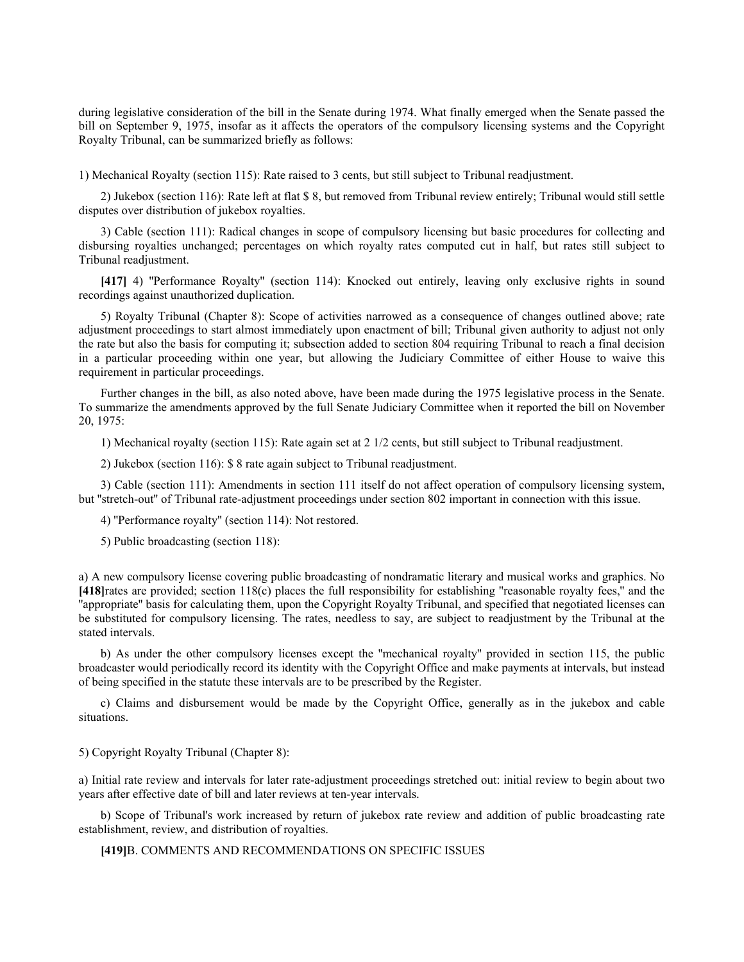during legislative consideration of the bill in the Senate during 1974. What finally emerged when the Senate passed the bill on September 9, 1975, insofar as it affects the operators of the compulsory licensing systems and the Copyright Royalty Tribunal, can be summarized briefly as follows:

1) Mechanical Royalty (section 115): Rate raised to 3 cents, but still subject to Tribunal readjustment.

2) Jukebox (section 116): Rate left at flat \$ 8, but removed from Tribunal review entirely; Tribunal would still settle disputes over distribution of jukebox royalties.

3) Cable (section 111): Radical changes in scope of compulsory licensing but basic procedures for collecting and disbursing royalties unchanged; percentages on which royalty rates computed cut in half, but rates still subject to Tribunal readjustment.

[417] 4) "Performance Royalty" (section 114): Knocked out entirely, leaving only exclusive rights in sound recordings against unauthorized duplication.

5) Royalty Tribunal (Chapter 8): Scope of activities narrowed as a consequence of changes outlined above; rate adjustment proceedings to start almost immediately upon enactment of bill; Tribunal given authority to adjust not only the rate but also the basis for computing it; subsection added to section 804 requiring Tribunal to reach a final decision in a particular proceeding within one year, but allowing the Judiciary Committee of either House to waive this requirement in particular proceedings.

Further changes in the bill, as also noted above, have been made during the 1975 legislative process in the Senate. To summarize the amendments approved by the full Senate Judiciary Committee when it reported the bill on November 20, 1975:

1) Mechanical royalty (section 115): Rate again set at 2 1/2 cents, but still subject to Tribunal readjustment.

2) Jukebox (section 116): \$ 8 rate again subject to Tribunal readjustment.

3) Cable (section 111): Amendments in section 111 itself do not affect operation of compulsory licensing system, but "stretch-out" of Tribunal rate-adjustment proceedings under section 802 important in connection with this issue.

4) ''Performance royalty'' (section 114): Not restored.

5) Public broadcasting (section 118):

a) A new compulsory license covering public broadcasting of nondramatic literary and musical works and graphics. No **[418]**rates are provided; section 118(c) places the full responsibility for establishing ''reasonable royalty fees,'' and the ''appropriate'' basis for calculating them, upon the Copyright Royalty Tribunal, and specified that negotiated licenses can be substituted for compulsory licensing. The rates, needless to say, are subject to readjustment by the Tribunal at the stated intervals.

b) As under the other compulsory licenses except the ''mechanical royalty'' provided in section 115, the public broadcaster would periodically record its identity with the Copyright Office and make payments at intervals, but instead of being specified in the statute these intervals are to be prescribed by the Register.

c) Claims and disbursement would be made by the Copyright Office, generally as in the jukebox and cable situations.

### 5) Copyright Royalty Tribunal (Chapter 8):

a) Initial rate review and intervals for later rate-adjustment proceedings stretched out: initial review to begin about two years after effective date of bill and later reviews at ten-year intervals.

b) Scope of Tribunal's work increased by return of jukebox rate review and addition of public broadcasting rate establishment, review, and distribution of royalties.

**[419]**B. COMMENTS AND RECOMMENDATIONS ON SPECIFIC ISSUES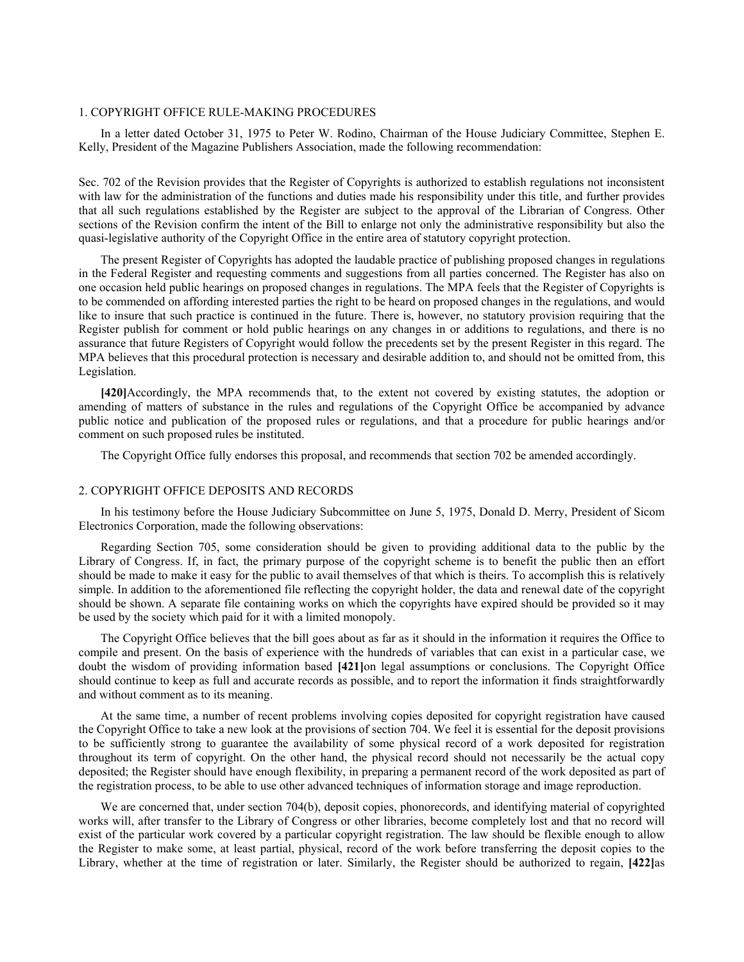### 1. COPYRIGHT OFFICE RULE-MAKING PROCEDURES

In a letter dated October 31, 1975 to Peter W. Rodino, Chairman of the House Judiciary Committee, Stephen E. Kelly, President of the Magazine Publishers Association, made the following recommendation:

Sec. 702 of the Revision provides that the Register of Copyrights is authorized to establish regulations not inconsistent with law for the administration of the functions and duties made his responsibility under this title, and further provides that all such regulations established by the Register are subject to the approval of the Librarian of Congress. Other sections of the Revision confirm the intent of the Bill to enlarge not only the administrative responsibility but also the quasi-legislative authority of the Copyright Office in the entire area of statutory copyright protection.

The present Register of Copyrights has adopted the laudable practice of publishing proposed changes in regulations in the Federal Register and requesting comments and suggestions from all parties concerned. The Register has also on one occasion held public hearings on proposed changes in regulations. The MPA feels that the Register of Copyrights is to be commended on affording interested parties the right to be heard on proposed changes in the regulations, and would like to insure that such practice is continued in the future. There is, however, no statutory provision requiring that the Register publish for comment or hold public hearings on any changes in or additions to regulations, and there is no assurance that future Registers of Copyright would follow the precedents set by the present Register in this regard. The MPA believes that this procedural protection is necessary and desirable addition to, and should not be omitted from, this Legislation.

**[420]**Accordingly, the MPA recommends that, to the extent not covered by existing statutes, the adoption or amending of matters of substance in the rules and regulations of the Copyright Office be accompanied by advance public notice and publication of the proposed rules or regulations, and that a procedure for public hearings and/or comment on such proposed rules be instituted.

The Copyright Office fully endorses this proposal, and recommends that section 702 be amended accordingly.

### 2. COPYRIGHT OFFICE DEPOSITS AND RECORDS

In his testimony before the House Judiciary Subcommittee on June 5, 1975, Donald D. Merry, President of Sicom Electronics Corporation, made the following observations:

Regarding Section 705, some consideration should be given to providing additional data to the public by the Library of Congress. If, in fact, the primary purpose of the copyright scheme is to benefit the public then an effort should be made to make it easy for the public to avail themselves of that which is theirs. To accomplish this is relatively simple. In addition to the aforementioned file reflecting the copyright holder, the data and renewal date of the copyright should be shown. A separate file containing works on which the copyrights have expired should be provided so it may be used by the society which paid for it with a limited monopoly.

The Copyright Office believes that the bill goes about as far as it should in the information it requires the Office to compile and present. On the basis of experience with the hundreds of variables that can exist in a particular case, we doubt the wisdom of providing information based **[421]**on legal assumptions or conclusions. The Copyright Office should continue to keep as full and accurate records as possible, and to report the information it finds straightforwardly and without comment as to its meaning.

At the same time, a number of recent problems involving copies deposited for copyright registration have caused the Copyright Office to take a new look at the provisions of section 704. We feel it is essential for the deposit provisions to be sufficiently strong to guarantee the availability of some physical record of a work deposited for registration throughout its term of copyright. On the other hand, the physical record should not necessarily be the actual copy deposited; the Register should have enough flexibility, in preparing a permanent record of the work deposited as part of the registration process, to be able to use other advanced techniques of information storage and image reproduction.

We are concerned that, under section 704(b), deposit copies, phonorecords, and identifying material of copyrighted works will, after transfer to the Library of Congress or other libraries, become completely lost and that no record will exist of the particular work covered by a particular copyright registration. The law should be flexible enough to allow the Register to make some, at least partial, physical, record of the work before transferring the deposit copies to the Library, whether at the time of registration or later. Similarly, the Register should be authorized to regain, **[422]**as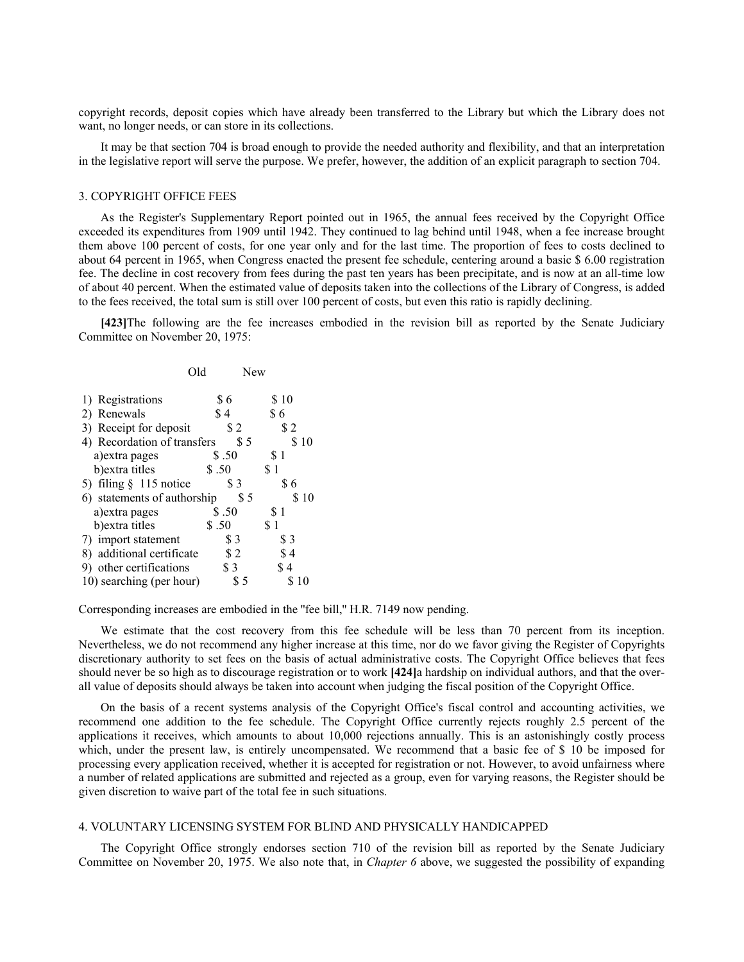copyright records, deposit copies which have already been transferred to the Library but which the Library does not want, no longer needs, or can store in its collections.

It may be that section 704 is broad enough to provide the needed authority and flexibility, and that an interpretation in the legislative report will serve the purpose. We prefer, however, the addition of an explicit paragraph to section 704.

## 3. COPYRIGHT OFFICE FEES

As the Register's Supplementary Report pointed out in 1965, the annual fees received by the Copyright Office exceeded its expenditures from 1909 until 1942. They continued to lag behind until 1948, when a fee increase brought them above 100 percent of costs, for one year only and for the last time. The proportion of fees to costs declined to about 64 percent in 1965, when Congress enacted the present fee schedule, centering around a basic \$ 6.00 registration fee. The decline in cost recovery from fees during the past ten years has been precipitate, and is now at an all-time low of about 40 percent. When the estimated value of deposits taken into the collections of the Library of Congress, is added to the fees received, the total sum is still over 100 percent of costs, but even this ratio is rapidly declining.

**[423]**The following are the fee increases embodied in the revision bill as reported by the Senate Judiciary Committee on November 20, 1975:

|                             | New<br>Old |      |
|-----------------------------|------------|------|
| 1) Registrations            | \$6        | \$10 |
| 2) Renewals                 | \$4        | \$6  |
| 3) Receipt for deposit      | \$2        | \$2  |
| 4) Recordation of transfers | \$5        | \$10 |
| a) extra pages              | \$.50      | \$1  |
| b) extra titles             | \$ .50     | \$1  |
| 5) filing $\S$ 115 notice   | \$3        | \$6  |
| 6) statements of authorship | \$5        | \$10 |
| a) extra pages              | \$.50      | \$1  |
| b) extra titles             | \$.50      | \$1  |
| 7) import statement         | \$3        | \$3  |
| 8) additional certificate   | \$2        | \$4  |
| 9) other certifications     | \$3        | \$4  |
| 10) searching (per hour)    | \$5        |      |

Corresponding increases are embodied in the ''fee bill,'' H.R. 7149 now pending.

We estimate that the cost recovery from this fee schedule will be less than 70 percent from its inception. Nevertheless, we do not recommend any higher increase at this time, nor do we favor giving the Register of Copyrights discretionary authority to set fees on the basis of actual administrative costs. The Copyright Office believes that fees should never be so high as to discourage registration or to work **[424]**a hardship on individual authors, and that the overall value of deposits should always be taken into account when judging the fiscal position of the Copyright Office.

On the basis of a recent systems analysis of the Copyright Office's fiscal control and accounting activities, we recommend one addition to the fee schedule. The Copyright Office currently rejects roughly 2.5 percent of the applications it receives, which amounts to about 10,000 rejections annually. This is an astonishingly costly process which, under the present law, is entirely uncompensated. We recommend that a basic fee of \$ 10 be imposed for processing every application received, whether it is accepted for registration or not. However, to avoid unfairness where a number of related applications are submitted and rejected as a group, even for varying reasons, the Register should be given discretion to waive part of the total fee in such situations.

# 4. VOLUNTARY LICENSING SYSTEM FOR BLIND AND PHYSICALLY HANDICAPPED

The Copyright Office strongly endorses section 710 of the revision bill as reported by the Senate Judiciary Committee on November 20, 1975. We also note that, in *Chapter 6* above, we suggested the possibility of expanding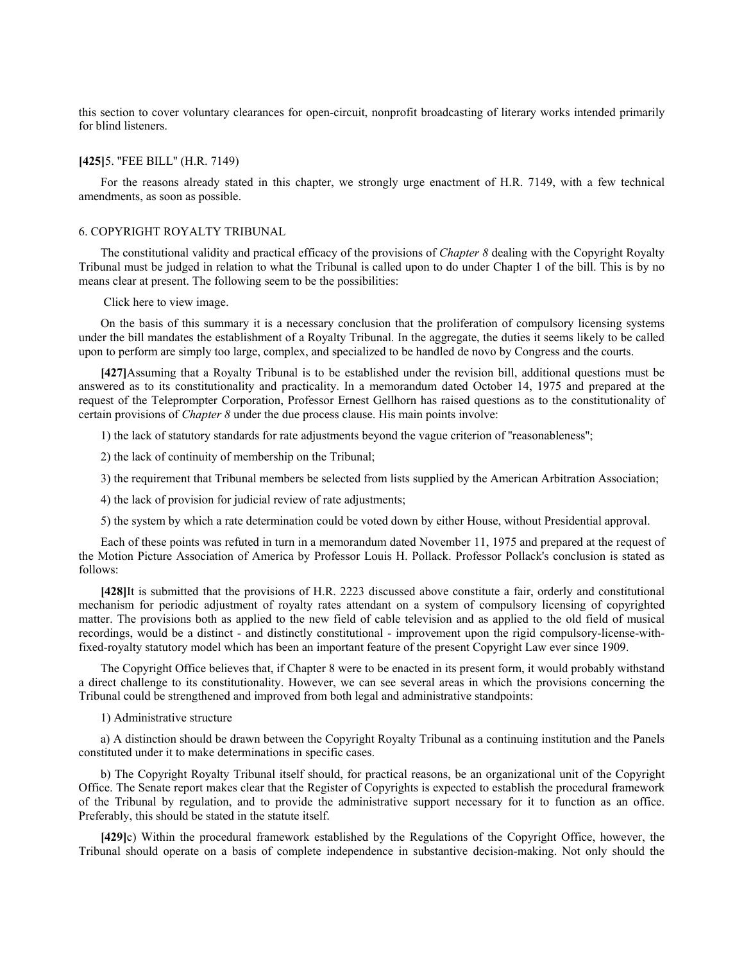this section to cover voluntary clearances for open-circuit, nonprofit broadcasting of literary works intended primarily for blind listeners.

# **[425]**5. ''FEE BILL'' (H.R. 7149)

For the reasons already stated in this chapter, we strongly urge enactment of H.R. 7149, with a few technical amendments, as soon as possible.

## 6. COPYRIGHT ROYALTY TRIBUNAL

The constitutional validity and practical efficacy of the provisions of *Chapter 8* dealing with the Copyright Royalty Tribunal must be judged in relation to what the Tribunal is called upon to do under Chapter 1 of the bill. This is by no means clear at present. The following seem to be the possibilities:

Click here to view image.

On the basis of this summary it is a necessary conclusion that the proliferation of compulsory licensing systems under the bill mandates the establishment of a Royalty Tribunal. In the aggregate, the duties it seems likely to be called upon to perform are simply too large, complex, and specialized to be handled de novo by Congress and the courts.

**[427]**Assuming that a Royalty Tribunal is to be established under the revision bill, additional questions must be answered as to its constitutionality and practicality. In a memorandum dated October 14, 1975 and prepared at the request of the Teleprompter Corporation, Professor Ernest Gellhorn has raised questions as to the constitutionality of certain provisions of *Chapter 8* under the due process clause. His main points involve:

1) the lack of statutory standards for rate adjustments beyond the vague criterion of ''reasonableness'';

2) the lack of continuity of membership on the Tribunal;

3) the requirement that Tribunal members be selected from lists supplied by the American Arbitration Association;

4) the lack of provision for judicial review of rate adjustments;

5) the system by which a rate determination could be voted down by either House, without Presidential approval.

Each of these points was refuted in turn in a memorandum dated November 11, 1975 and prepared at the request of the Motion Picture Association of America by Professor Louis H. Pollack. Professor Pollack's conclusion is stated as follows:

**[428]**It is submitted that the provisions of H.R. 2223 discussed above constitute a fair, orderly and constitutional mechanism for periodic adjustment of royalty rates attendant on a system of compulsory licensing of copyrighted matter. The provisions both as applied to the new field of cable television and as applied to the old field of musical recordings, would be a distinct - and distinctly constitutional - improvement upon the rigid compulsory-license-withfixed-royalty statutory model which has been an important feature of the present Copyright Law ever since 1909.

The Copyright Office believes that, if Chapter 8 were to be enacted in its present form, it would probably withstand a direct challenge to its constitutionality. However, we can see several areas in which the provisions concerning the Tribunal could be strengthened and improved from both legal and administrative standpoints:

1) Administrative structure

a) A distinction should be drawn between the Copyright Royalty Tribunal as a continuing institution and the Panels constituted under it to make determinations in specific cases.

b) The Copyright Royalty Tribunal itself should, for practical reasons, be an organizational unit of the Copyright Office. The Senate report makes clear that the Register of Copyrights is expected to establish the procedural framework of the Tribunal by regulation, and to provide the administrative support necessary for it to function as an office. Preferably, this should be stated in the statute itself.

**[429]**c) Within the procedural framework established by the Regulations of the Copyright Office, however, the Tribunal should operate on a basis of complete independence in substantive decision-making. Not only should the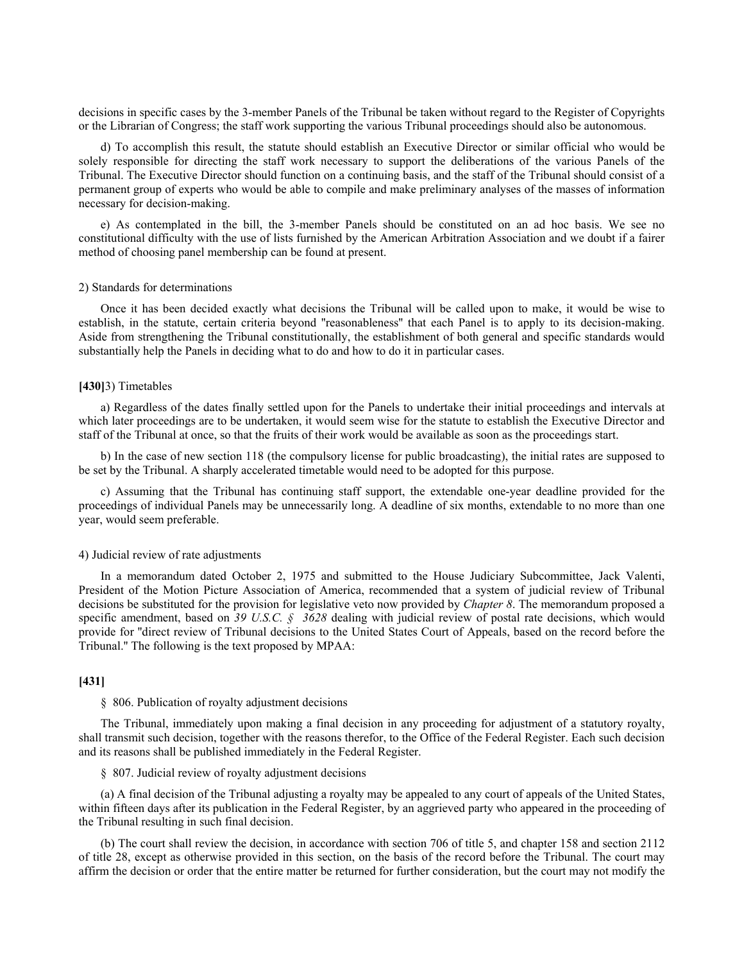decisions in specific cases by the 3-member Panels of the Tribunal be taken without regard to the Register of Copyrights or the Librarian of Congress; the staff work supporting the various Tribunal proceedings should also be autonomous.

d) To accomplish this result, the statute should establish an Executive Director or similar official who would be solely responsible for directing the staff work necessary to support the deliberations of the various Panels of the Tribunal. The Executive Director should function on a continuing basis, and the staff of the Tribunal should consist of a permanent group of experts who would be able to compile and make preliminary analyses of the masses of information necessary for decision-making.

e) As contemplated in the bill, the 3-member Panels should be constituted on an ad hoc basis. We see no constitutional difficulty with the use of lists furnished by the American Arbitration Association and we doubt if a fairer method of choosing panel membership can be found at present.

### 2) Standards for determinations

Once it has been decided exactly what decisions the Tribunal will be called upon to make, it would be wise to establish, in the statute, certain criteria beyond ''reasonableness'' that each Panel is to apply to its decision-making. Aside from strengthening the Tribunal constitutionally, the establishment of both general and specific standards would substantially help the Panels in deciding what to do and how to do it in particular cases.

### **[430]**3) Timetables

a) Regardless of the dates finally settled upon for the Panels to undertake their initial proceedings and intervals at which later proceedings are to be undertaken, it would seem wise for the statute to establish the Executive Director and staff of the Tribunal at once, so that the fruits of their work would be available as soon as the proceedings start.

b) In the case of new section 118 (the compulsory license for public broadcasting), the initial rates are supposed to be set by the Tribunal. A sharply accelerated timetable would need to be adopted for this purpose.

c) Assuming that the Tribunal has continuing staff support, the extendable one-year deadline provided for the proceedings of individual Panels may be unnecessarily long. A deadline of six months, extendable to no more than one year, would seem preferable.

### 4) Judicial review of rate adjustments

In a memorandum dated October 2, 1975 and submitted to the House Judiciary Subcommittee, Jack Valenti, President of the Motion Picture Association of America, recommended that a system of judicial review of Tribunal decisions be substituted for the provision for legislative veto now provided by *Chapter 8*. The memorandum proposed a specific amendment, based on *39 U.S.C. § 3628* dealing with judicial review of postal rate decisions, which would provide for ''direct review of Tribunal decisions to the United States Court of Appeals, based on the record before the Tribunal.'' The following is the text proposed by MPAA:

## **[431]**

### § 806. Publication of royalty adjustment decisions

The Tribunal, immediately upon making a final decision in any proceeding for adjustment of a statutory royalty, shall transmit such decision, together with the reasons therefor, to the Office of the Federal Register. Each such decision and its reasons shall be published immediately in the Federal Register.

### § 807. Judicial review of royalty adjustment decisions

(a) A final decision of the Tribunal adjusting a royalty may be appealed to any court of appeals of the United States, within fifteen days after its publication in the Federal Register, by an aggrieved party who appeared in the proceeding of the Tribunal resulting in such final decision.

(b) The court shall review the decision, in accordance with section 706 of title 5, and chapter 158 and section 2112 of title 28, except as otherwise provided in this section, on the basis of the record before the Tribunal. The court may affirm the decision or order that the entire matter be returned for further consideration, but the court may not modify the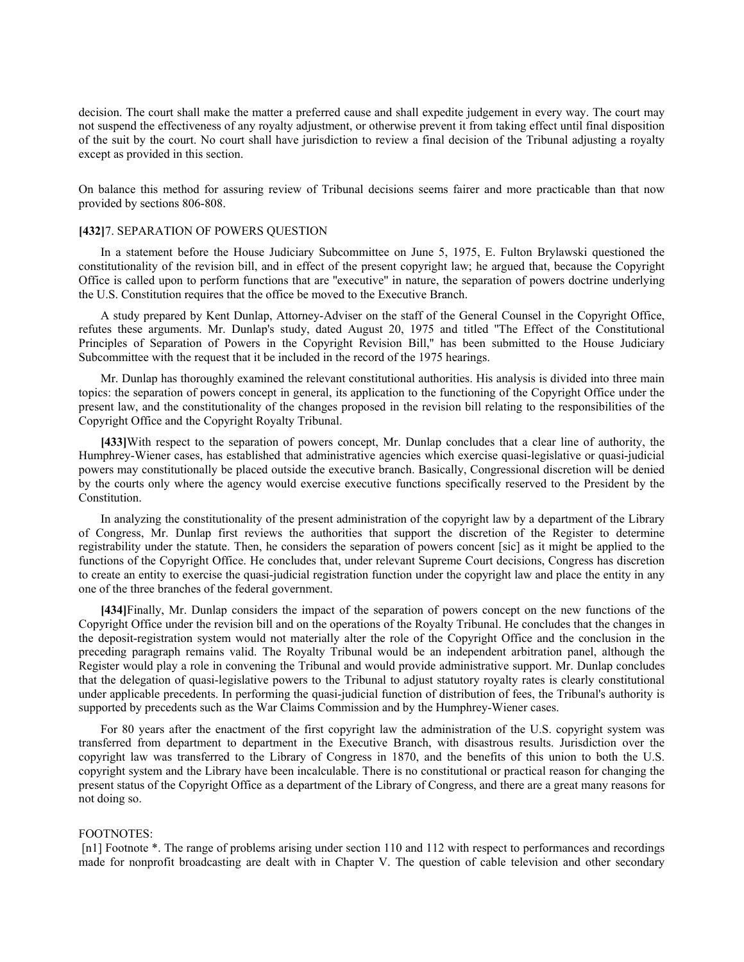decision. The court shall make the matter a preferred cause and shall expedite judgement in every way. The court may not suspend the effectiveness of any royalty adjustment, or otherwise prevent it from taking effect until final disposition of the suit by the court. No court shall have jurisdiction to review a final decision of the Tribunal adjusting a royalty except as provided in this section.

On balance this method for assuring review of Tribunal decisions seems fairer and more practicable than that now provided by sections 806-808.

## **[432]**7. SEPARATION OF POWERS QUESTION

In a statement before the House Judiciary Subcommittee on June 5, 1975, E. Fulton Brylawski questioned the constitutionality of the revision bill, and in effect of the present copyright law; he argued that, because the Copyright Office is called upon to perform functions that are ''executive'' in nature, the separation of powers doctrine underlying the U.S. Constitution requires that the office be moved to the Executive Branch.

A study prepared by Kent Dunlap, Attorney-Adviser on the staff of the General Counsel in the Copyright Office, refutes these arguments. Mr. Dunlap's study, dated August 20, 1975 and titled ''The Effect of the Constitutional Principles of Separation of Powers in the Copyright Revision Bill,'' has been submitted to the House Judiciary Subcommittee with the request that it be included in the record of the 1975 hearings.

Mr. Dunlap has thoroughly examined the relevant constitutional authorities. His analysis is divided into three main topics: the separation of powers concept in general, its application to the functioning of the Copyright Office under the present law, and the constitutionality of the changes proposed in the revision bill relating to the responsibilities of the Copyright Office and the Copyright Royalty Tribunal.

**[433]**With respect to the separation of powers concept, Mr. Dunlap concludes that a clear line of authority, the Humphrey-Wiener cases, has established that administrative agencies which exercise quasi-legislative or quasi-judicial powers may constitutionally be placed outside the executive branch. Basically, Congressional discretion will be denied by the courts only where the agency would exercise executive functions specifically reserved to the President by the Constitution.

In analyzing the constitutionality of the present administration of the copyright law by a department of the Library of Congress, Mr. Dunlap first reviews the authorities that support the discretion of the Register to determine registrability under the statute. Then, he considers the separation of powers concent [sic] as it might be applied to the functions of the Copyright Office. He concludes that, under relevant Supreme Court decisions, Congress has discretion to create an entity to exercise the quasi-judicial registration function under the copyright law and place the entity in any one of the three branches of the federal government.

**[434]**Finally, Mr. Dunlap considers the impact of the separation of powers concept on the new functions of the Copyright Office under the revision bill and on the operations of the Royalty Tribunal. He concludes that the changes in the deposit-registration system would not materially alter the role of the Copyright Office and the conclusion in the preceding paragraph remains valid. The Royalty Tribunal would be an independent arbitration panel, although the Register would play a role in convening the Tribunal and would provide administrative support. Mr. Dunlap concludes that the delegation of quasi-legislative powers to the Tribunal to adjust statutory royalty rates is clearly constitutional under applicable precedents. In performing the quasi-judicial function of distribution of fees, the Tribunal's authority is supported by precedents such as the War Claims Commission and by the Humphrey-Wiener cases.

For 80 years after the enactment of the first copyright law the administration of the U.S. copyright system was transferred from department to department in the Executive Branch, with disastrous results. Jurisdiction over the copyright law was transferred to the Library of Congress in 1870, and the benefits of this union to both the U.S. copyright system and the Library have been incalculable. There is no constitutional or practical reason for changing the present status of the Copyright Office as a department of the Library of Congress, and there are a great many reasons for not doing so.

## FOOTNOTES:

 [n1] Footnote \*. The range of problems arising under section 110 and 112 with respect to performances and recordings made for nonprofit broadcasting are dealt with in Chapter V. The question of cable television and other secondary